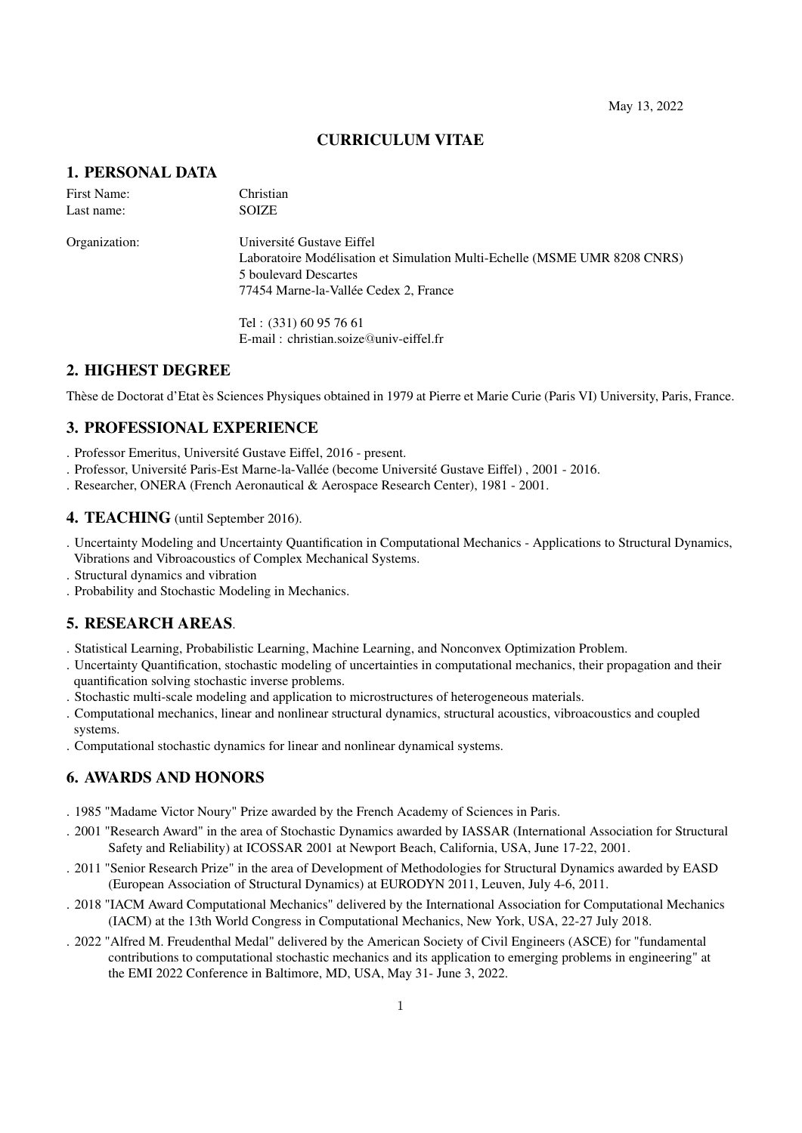## CURRICULUM VITAE

# 1. PERSONAL DATA

| First Name:<br>Last name:                                                 | Christian<br><b>SOIZE</b> |
|---------------------------------------------------------------------------|---------------------------|
|                                                                           |                           |
| Laboratoire Modélisation et Simulation Multi-Echelle (MSME UMR 8208 CNRS) |                           |
| 5 boulevard Descartes                                                     |                           |
| 77454 Marne-la-Vallée Cedex 2, France                                     |                           |
| Tel: (331) 60 95 76 61                                                    |                           |
| $E$ -mail: christian.soize $@$ univ-eiffel.fr                             |                           |

# 2. HIGHEST DEGREE

Thèse de Doctorat d'Etat ès Sciences Physiques obtained in 1979 at Pierre et Marie Curie (Paris VI) University, Paris, France.

# 3. PROFESSIONAL EXPERIENCE

. Professor Emeritus, Université Gustave Eiffel, 2016 - present.

- . Professor, Université Paris-Est Marne-la-Vallée (become Université Gustave Eiffel) , 2001 2016.
- . Researcher, ONERA (French Aeronautical & Aerospace Research Center), 1981 2001.

### 4. TEACHING (until September 2016).

. Uncertainty Modeling and Uncertainty Quantification in Computational Mechanics - Applications to Structural Dynamics, Vibrations and Vibroacoustics of Complex Mechanical Systems.

. Structural dynamics and vibration

. Probability and Stochastic Modeling in Mechanics.

## 5. RESEARCH AREAS.

- . Statistical Learning, Probabilistic Learning, Machine Learning, and Nonconvex Optimization Problem.
- . Uncertainty Quantification, stochastic modeling of uncertainties in computational mechanics, their propagation and their quantification solving stochastic inverse problems.
- . Stochastic multi-scale modeling and application to microstructures of heterogeneous materials.
- . Computational mechanics, linear and nonlinear structural dynamics, structural acoustics, vibroacoustics and coupled systems.
- . Computational stochastic dynamics for linear and nonlinear dynamical systems.

# 6. AWARDS AND HONORS

- . 1985 "Madame Victor Noury" Prize awarded by the French Academy of Sciences in Paris.
- . 2001 "Research Award" in the area of Stochastic Dynamics awarded by IASSAR (International Association for Structural Safety and Reliability) at ICOSSAR 2001 at Newport Beach, California, USA, June 17-22, 2001.
- . 2011 "Senior Research Prize" in the area of Development of Methodologies for Structural Dynamics awarded by EASD (European Association of Structural Dynamics) at EURODYN 2011, Leuven, July 4-6, 2011.
- . 2018 "IACM Award Computational Mechanics" delivered by the International Association for Computational Mechanics (IACM) at the 13th World Congress in Computational Mechanics, New York, USA, 22-27 July 2018.
- . 2022 "Alfred M. Freudenthal Medal" delivered by the American Society of Civil Engineers (ASCE) for "fundamental contributions to computational stochastic mechanics and its application to emerging problems in engineering" at the EMI 2022 Conference in Baltimore, MD, USA, May 31- June 3, 2022.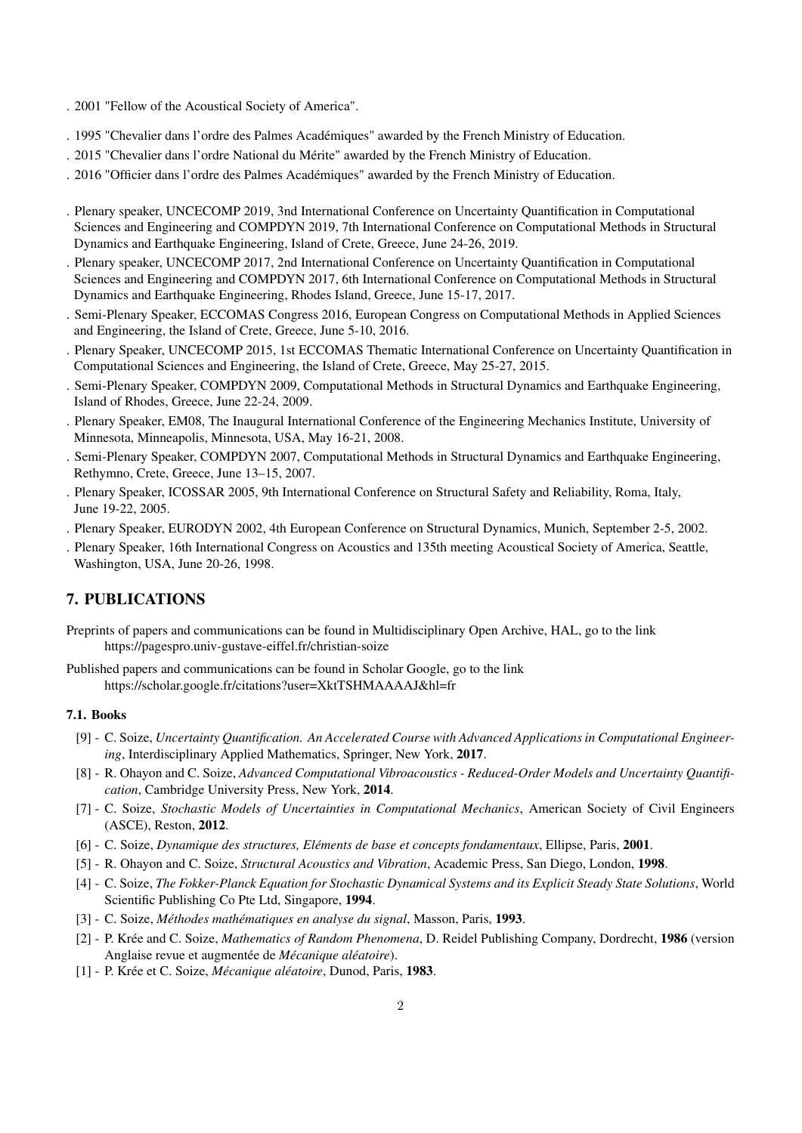- . 2001 "Fellow of the Acoustical Society of America".
- . 1995 "Chevalier dans l'ordre des Palmes Académiques" awarded by the French Ministry of Education.
- . 2015 "Chevalier dans l'ordre National du Mérite" awarded by the French Ministry of Education.
- . 2016 "Officier dans l'ordre des Palmes Académiques" awarded by the French Ministry of Education.
- . Plenary speaker, UNCECOMP 2019, 3nd International Conference on Uncertainty Quantification in Computational Sciences and Engineering and COMPDYN 2019, 7th International Conference on Computational Methods in Structural Dynamics and Earthquake Engineering, Island of Crete, Greece, June 24-26, 2019.
- . Plenary speaker, UNCECOMP 2017, 2nd International Conference on Uncertainty Quantification in Computational Sciences and Engineering and COMPDYN 2017, 6th International Conference on Computational Methods in Structural Dynamics and Earthquake Engineering, Rhodes Island, Greece, June 15-17, 2017.
- . Semi-Plenary Speaker, ECCOMAS Congress 2016, European Congress on Computational Methods in Applied Sciences and Engineering, the Island of Crete, Greece, June 5-10, 2016.
- . Plenary Speaker, UNCECOMP 2015, 1st ECCOMAS Thematic International Conference on Uncertainty Quantification in Computational Sciences and Engineering, the Island of Crete, Greece, May 25-27, 2015.
- . Semi-Plenary Speaker, COMPDYN 2009, Computational Methods in Structural Dynamics and Earthquake Engineering, Island of Rhodes, Greece, June 22-24, 2009.
- . Plenary Speaker, EM08, The Inaugural International Conference of the Engineering Mechanics Institute, University of Minnesota, Minneapolis, Minnesota, USA, May 16-21, 2008.
- . Semi-Plenary Speaker, COMPDYN 2007, Computational Methods in Structural Dynamics and Earthquake Engineering, Rethymno, Crete, Greece, June 13–15, 2007.
- . Plenary Speaker, ICOSSAR 2005, 9th International Conference on Structural Safety and Reliability, Roma, Italy, June 19-22, 2005.
- . Plenary Speaker, EURODYN 2002, 4th European Conference on Structural Dynamics, Munich, September 2-5, 2002.
- . Plenary Speaker, 16th International Congress on Acoustics and 135th meeting Acoustical Society of America, Seattle, Washington, USA, June 20-26, 1998.

# 7. PUBLICATIONS

Preprints of papers and communications can be found in Multidisciplinary Open Archive, HAL, go to the link https://pagespro.univ-gustave-eiffel.fr/christian-soize

Published papers and communications can be found in Scholar Google, go to the link https://scholar.google.fr/citations?user=XktTSHMAAAAJ&hl=fr

## 7.1. Books

- [9] C. Soize, *Uncertainty Quantification. An Accelerated Course with Advanced Applications in Computational Engineering*, Interdisciplinary Applied Mathematics, Springer, New York, 2017.
- [8] R. Ohayon and C. Soize, *Advanced Computational Vibroacoustics Reduced-Order Models and Uncertainty Quantification*, Cambridge University Press, New York, 2014.
- [7] C. Soize, *Stochastic Models of Uncertainties in Computational Mechanics*, American Society of Civil Engineers (ASCE), Reston, 2012.
- [6] C. Soize, *Dynamique des structures, El´ements de base et concepts fondamentaux*, Ellipse, Paris, 2001.
- [5] R. Ohayon and C. Soize, *Structural Acoustics and Vibration*, Academic Press, San Diego, London, 1998.
- [4] C. Soize, *The Fokker-Planck Equation for Stochastic Dynamical Systems and its Explicit Steady State Solutions*, World Scientific Publishing Co Pte Ltd, Singapore, 1994.
- [3] C. Soize, *M´ethodes math´ematiques en analyse du signal*, Masson, Paris, 1993.
- [2] P. Kr´ee and C. Soize, *Mathematics of Random Phenomena*, D. Reidel Publishing Company, Dordrecht, 1986 (version Anglaise revue et augmentée de *Mécanique aléatoire*).
- [1] P. Krée et C. Soize, *Mécanique aléatoire*, Dunod, Paris, 1983.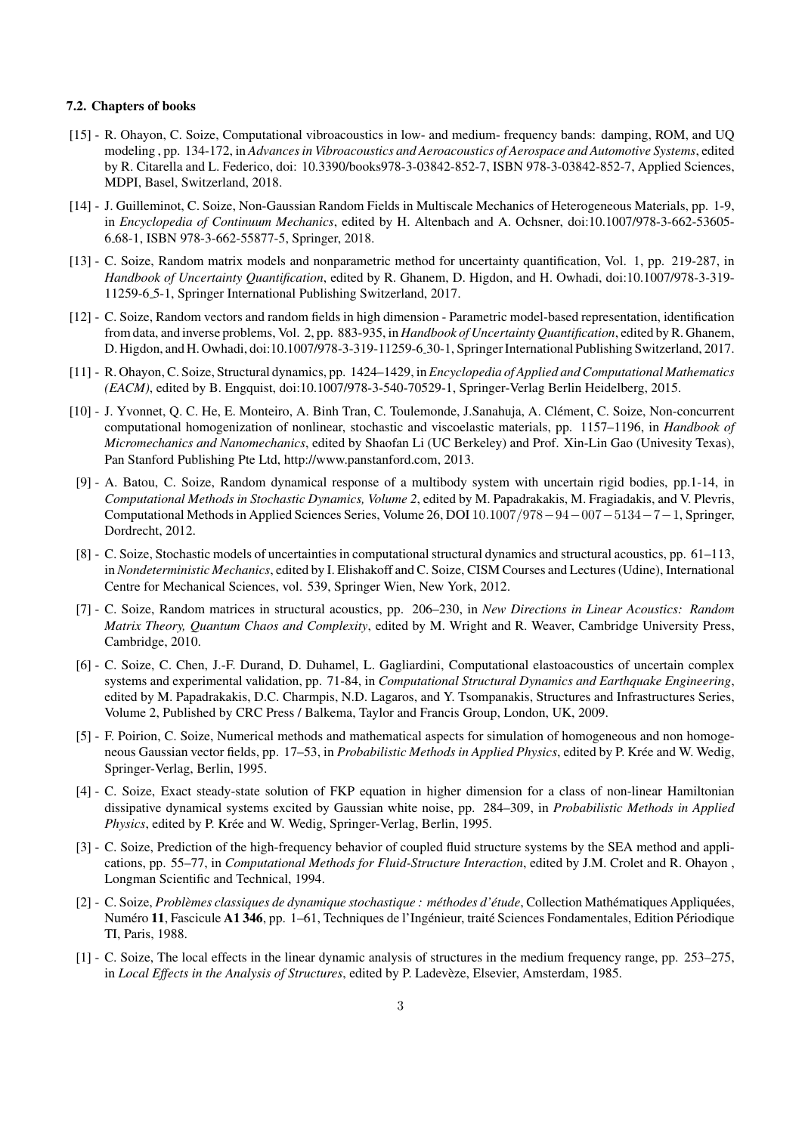### 7.2. Chapters of books

- [15] R. Ohayon, C. Soize, Computational vibroacoustics in low- and medium- frequency bands: damping, ROM, and UQ modeling , pp. 134-172, in *Advances in Vibroacoustics and Aeroacoustics of Aerospace and Automotive Systems*, edited by R. Citarella and L. Federico, doi: 10.3390/books978-3-03842-852-7, ISBN 978-3-03842-852-7, Applied Sciences, MDPI, Basel, Switzerland, 2018.
- [14] J. Guilleminot, C. Soize, Non-Gaussian Random Fields in Multiscale Mechanics of Heterogeneous Materials, pp. 1-9, in *Encyclopedia of Continuum Mechanics*, edited by H. Altenbach and A. Ochsner, doi:10.1007/978-3-662-53605- 6 68-1, ISBN 978-3-662-55877-5, Springer, 2018.
- [13] C. Soize, Random matrix models and nonparametric method for uncertainty quantification, Vol. 1, pp. 219-287, in *Handbook of Uncertainty Quantification*, edited by R. Ghanem, D. Higdon, and H. Owhadi, doi:10.1007/978-3-319- 11259-6 5-1, Springer International Publishing Switzerland, 2017.
- [12] C. Soize, Random vectors and random fields in high dimension Parametric model-based representation, identification from data, and inverse problems, Vol. 2, pp. 883-935, in *Handbook of Uncertainty Quantification*, edited by R. Ghanem, D. Higdon, and H. Owhadi, doi:10.1007/978-3-319-11259-6 30-1, Springer International Publishing Switzerland, 2017.
- [11] R. Ohayon, C. Soize, Structural dynamics, pp. 1424–1429, in *Encyclopedia of Applied and Computational Mathematics (EACM)*, edited by B. Engquist, doi:10.1007/978-3-540-70529-1, Springer-Verlag Berlin Heidelberg, 2015.
- [10] J. Yvonnet, Q. C. He, E. Monteiro, A. Binh Tran, C. Toulemonde, J.Sanahuja, A. Clément, C. Soize, Non-concurrent computational homogenization of nonlinear, stochastic and viscoelastic materials, pp. 1157–1196, in *Handbook of Micromechanics and Nanomechanics*, edited by Shaofan Li (UC Berkeley) and Prof. Xin-Lin Gao (Univesity Texas), Pan Stanford Publishing Pte Ltd, http://www.panstanford.com, 2013.
- [9] A. Batou, C. Soize, Random dynamical response of a multibody system with uncertain rigid bodies, pp.1-14, in *Computational Methods in Stochastic Dynamics, Volume 2*, edited by M. Papadrakakis, M. Fragiadakis, and V. Plevris, Computational Methods in Applied Sciences Series, Volume 26, DOI 10*.*1007*/*978*−*94*−*007*−*5134*−*7*−*1, Springer, Dordrecht, 2012.
- [8] C. Soize, Stochastic models of uncertainties in computational structural dynamics and structural acoustics, pp. 61–113, in *Nondeterministic Mechanics*, edited by I. Elishakoff and C. Soize, CISM Courses and Lectures (Udine), International Centre for Mechanical Sciences, vol. 539, Springer Wien, New York, 2012.
- [7] C. Soize, Random matrices in structural acoustics, pp. 206–230, in *New Directions in Linear Acoustics: Random Matrix Theory, Quantum Chaos and Complexity*, edited by M. Wright and R. Weaver, Cambridge University Press, Cambridge, 2010.
- [6] C. Soize, C. Chen, J.-F. Durand, D. Duhamel, L. Gagliardini, Computational elastoacoustics of uncertain complex systems and experimental validation, pp. 71-84, in *Computational Structural Dynamics and Earthquake Engineering*, edited by M. Papadrakakis, D.C. Charmpis, N.D. Lagaros, and Y. Tsompanakis, Structures and Infrastructures Series, Volume 2, Published by CRC Press / Balkema, Taylor and Francis Group, London, UK, 2009.
- [5] F. Poirion, C. Soize, Numerical methods and mathematical aspects for simulation of homogeneous and non homogeneous Gaussian vector fields, pp. 17–53, in *Probabilistic Methods in Applied Physics*, edited by P. Krée and W. Wedig, Springer-Verlag, Berlin, 1995.
- [4] C. Soize, Exact steady-state solution of FKP equation in higher dimension for a class of non-linear Hamiltonian dissipative dynamical systems excited by Gaussian white noise, pp. 284–309, in *Probabilistic Methods in Applied Physics*, edited by P. Krée and W. Wedig, Springer-Verlag, Berlin, 1995.
- [3] C. Soize, Prediction of the high-frequency behavior of coupled fluid structure systems by the SEA method and applications, pp. 55–77, in *Computational Methods for Fluid-Structure Interaction*, edited by J.M. Crolet and R. Ohayon , Longman Scientific and Technical, 1994.
- [2] C. Soize, *Problèmes classiques de dynamique stochastique : méthodes d'étude*, Collection Mathématiques Appliquées, Numéro 11, Fascicule A1 346, pp. 1-61, Techniques de l'Ingénieur, traité Sciences Fondamentales, Edition Périodique TI, Paris, 1988.
- [1] C. Soize, The local effects in the linear dynamic analysis of structures in the medium frequency range, pp. 253–275, in *Local Effects in the Analysis of Structures*, edited by P. Ladevèze, Elsevier, Amsterdam, 1985.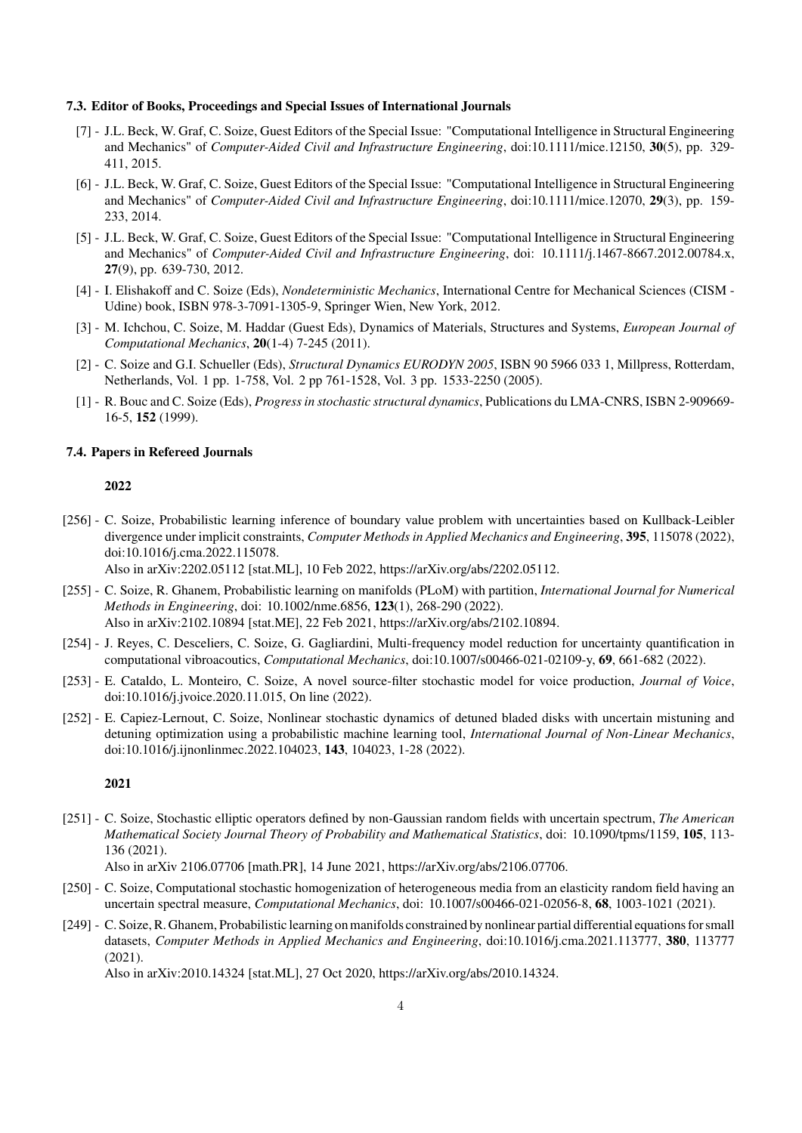#### 7.3. Editor of Books, Proceedings and Special Issues of International Journals

- [7] J.L. Beck, W. Graf, C. Soize, Guest Editors of the Special Issue: "Computational Intelligence in Structural Engineering and Mechanics" of *Computer-Aided Civil and Infrastructure Engineering*, doi:10.1111/mice.12150, 30(5), pp. 329- 411, 2015.
- [6] J.L. Beck, W. Graf, C. Soize, Guest Editors of the Special Issue: "Computational Intelligence in Structural Engineering and Mechanics" of *Computer-Aided Civil and Infrastructure Engineering*, doi:10.1111/mice.12070, 29(3), pp. 159- 233, 2014.
- [5] J.L. Beck, W. Graf, C. Soize, Guest Editors of the Special Issue: "Computational Intelligence in Structural Engineering and Mechanics" of *Computer-Aided Civil and Infrastructure Engineering*, doi: 10.1111/j.1467-8667.2012.00784.x, 27(9), pp. 639-730, 2012.
- [4] I. Elishakoff and C. Soize (Eds), *Nondeterministic Mechanics*, International Centre for Mechanical Sciences (CISM Udine) book, ISBN 978-3-7091-1305-9, Springer Wien, New York, 2012.
- [3] M. Ichchou, C. Soize, M. Haddar (Guest Eds), Dynamics of Materials, Structures and Systems, *European Journal of Computational Mechanics*, 20(1-4) 7-245 (2011).
- [2] C. Soize and G.I. Schueller (Eds), *Structural Dynamics EURODYN 2005*, ISBN 90 5966 033 1, Millpress, Rotterdam, Netherlands, Vol. 1 pp. 1-758, Vol. 2 pp 761-1528, Vol. 3 pp. 1533-2250 (2005).
- [1] R. Bouc and C. Soize (Eds), *Progress in stochastic structural dynamics*, Publications du LMA-CNRS, ISBN 2-909669- 16-5, 152 (1999).

#### 7.4. Papers in Refereed Journals

#### 2022

[256] - C. Soize, Probabilistic learning inference of boundary value problem with uncertainties based on Kullback-Leibler divergence under implicit constraints, *Computer Methods in Applied Mechanics and Engineering*, 395, 115078 (2022), doi:10.1016/j.cma.2022.115078.

Also in arXiv:2202.05112 [stat.ML], 10 Feb 2022, https://arXiv.org/abs/2202.05112.

- [255] C. Soize, R. Ghanem, Probabilistic learning on manifolds (PLoM) with partition, *International Journal for Numerical Methods in Engineering*, doi: 10.1002/nme.6856, 123(1), 268-290 (2022). Also in arXiv:2102.10894 [stat.ME], 22 Feb 2021, https://arXiv.org/abs/2102.10894.
- [254] J. Reyes, C. Desceliers, C. Soize, G. Gagliardini, Multi-frequency model reduction for uncertainty quantification in computational vibroacoutics, *Computational Mechanics*, doi:10.1007/s00466-021-02109-y, 69, 661-682 (2022).
- [253] E. Cataldo, L. Monteiro, C. Soize, A novel source-filter stochastic model for voice production, *Journal of Voice*, doi:10.1016/j.jvoice.2020.11.015, On line (2022).
- [252] E. Capiez-Lernout, C. Soize, Nonlinear stochastic dynamics of detuned bladed disks with uncertain mistuning and detuning optimization using a probabilistic machine learning tool, *International Journal of Non-Linear Mechanics*, doi:10.1016/j.ijnonlinmec.2022.104023, 143, 104023, 1-28 (2022).

#### 2021

[251] - C. Soize, Stochastic elliptic operators defined by non-Gaussian random fields with uncertain spectrum, *The American Mathematical Society Journal Theory of Probability and Mathematical Statistics*, doi: 10.1090/tpms/1159, 105, 113- 136 (2021).

Also in arXiv 2106.07706 [math.PR], 14 June 2021, https://arXiv.org/abs/2106.07706.

- [250] C. Soize, Computational stochastic homogenization of heterogeneous media from an elasticity random field having an uncertain spectral measure, *Computational Mechanics*, doi: 10.1007/s00466-021-02056-8, 68, 1003-1021 (2021).
- [249] C. Soize, R. Ghanem, Probabilistic learning on manifolds constrained by nonlinear partial differential equations for small datasets, *Computer Methods in Applied Mechanics and Engineering*, doi:10.1016/j.cma.2021.113777, 380, 113777 (2021).

Also in arXiv:2010.14324 [stat.ML], 27 Oct 2020, https://arXiv.org/abs/2010.14324.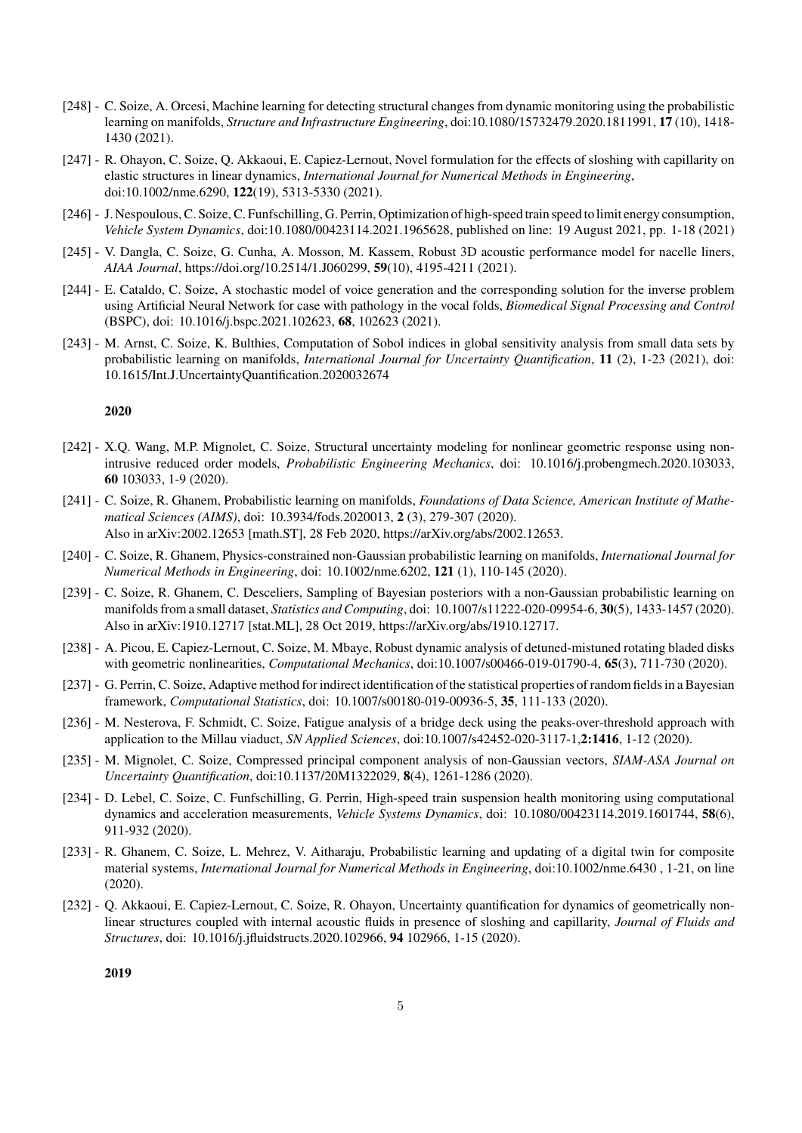- [248] C. Soize, A. Orcesi, Machine learning for detecting structural changes from dynamic monitoring using the probabilistic learning on manifolds, *Structure and Infrastructure Engineering*, doi:10.1080/15732479.2020.1811991, 17 (10), 1418- 1430 (2021).
- [247] R. Ohayon, C. Soize, Q. Akkaoui, E. Capiez-Lernout, Novel formulation for the effects of sloshing with capillarity on elastic structures in linear dynamics, *International Journal for Numerical Methods in Engineering*, doi:10.1002/nme.6290, 122(19), 5313-5330 (2021).
- [246] J. Nespoulous, C. Soize, C. Funfschilling, G. Perrin, Optimization of high-speed train speed to limit energy consumption, *Vehicle System Dynamics*, doi:10.1080/00423114.2021.1965628, published on line: 19 August 2021, pp. 1-18 (2021)
- [245] V. Dangla, C. Soize, G. Cunha, A. Mosson, M. Kassem, Robust 3D acoustic performance model for nacelle liners, *AIAA Journal*, https://doi.org/10.2514/1.J060299, 59(10), 4195-4211 (2021).
- [244] E. Cataldo, C. Soize, A stochastic model of voice generation and the corresponding solution for the inverse problem using Artificial Neural Network for case with pathology in the vocal folds, *Biomedical Signal Processing and Control* (BSPC), doi: 10.1016/j.bspc.2021.102623, 68, 102623 (2021).
- [243] M. Arnst, C. Soize, K. Bulthies, Computation of Sobol indices in global sensitivity analysis from small data sets by probabilistic learning on manifolds, *International Journal for Uncertainty Quantification*, 11 (2), 1-23 (2021), doi: 10.1615/Int.J.UncertaintyQuantification.2020032674

- [242] X.Q. Wang, M.P. Mignolet, C. Soize, Structural uncertainty modeling for nonlinear geometric response using nonintrusive reduced order models, *Probabilistic Engineering Mechanics*, doi: 10.1016/j.probengmech.2020.103033, 60 103033, 1-9 (2020).
- [241] C. Soize, R. Ghanem, Probabilistic learning on manifolds, *Foundations of Data Science, American Institute of Mathematical Sciences (AIMS)*, doi: 10.3934/fods.2020013, 2 (3), 279-307 (2020). Also in arXiv:2002.12653 [math.ST], 28 Feb 2020, https://arXiv.org/abs/2002.12653.
- [240] C. Soize, R. Ghanem, Physics-constrained non-Gaussian probabilistic learning on manifolds, *International Journal for Numerical Methods in Engineering*, doi: 10.1002/nme.6202, 121 (1), 110-145 (2020).
- [239] C. Soize, R. Ghanem, C. Desceliers, Sampling of Bayesian posteriors with a non-Gaussian probabilistic learning on manifolds from a small dataset, *Statistics and Computing*, doi: 10.1007/s11222-020-09954-6, 30(5), 1433-1457 (2020). Also in arXiv:1910.12717 [stat.ML], 28 Oct 2019, https://arXiv.org/abs/1910.12717.
- [238] A. Picou, E. Capiez-Lernout, C. Soize, M. Mbaye, Robust dynamic analysis of detuned-mistuned rotating bladed disks with geometric nonlinearities, *Computational Mechanics*, doi:10.1007/s00466-019-01790-4, 65(3), 711-730 (2020).
- [237] G. Perrin, C. Soize, Adaptive method for indirect identification of the statistical properties of random fields in a Bayesian framework, *Computational Statistics*, doi: 10.1007/s00180-019-00936-5, 35, 111-133 (2020).
- [236] M. Nesterova, F. Schmidt, C. Soize, Fatigue analysis of a bridge deck using the peaks-over-threshold approach with application to the Millau viaduct, *SN Applied Sciences*, doi:10.1007/s42452-020-3117-1,2:1416, 1-12 (2020).
- [235] M. Mignolet, C. Soize, Compressed principal component analysis of non-Gaussian vectors, *SIAM-ASA Journal on Uncertainty Quantification*, doi:10.1137/20M1322029, 8(4), 1261-1286 (2020).
- [234] D. Lebel, C. Soize, C. Funfschilling, G. Perrin, High-speed train suspension health monitoring using computational dynamics and acceleration measurements, *Vehicle Systems Dynamics*, doi: 10.1080/00423114.2019.1601744, 58(6), 911-932 (2020).
- [233] R. Ghanem, C. Soize, L. Mehrez, V. Aitharaju, Probabilistic learning and updating of a digital twin for composite material systems, *International Journal for Numerical Methods in Engineering*, doi:10.1002/nme.6430 , 1-21, on line (2020).
- [232] Q. Akkaoui, E. Capiez-Lernout, C. Soize, R. Ohayon, Uncertainty quantification for dynamics of geometrically nonlinear structures coupled with internal acoustic fluids in presence of sloshing and capillarity, *Journal of Fluids and Structures*, doi: 10.1016/j.jfluidstructs.2020.102966, 94 102966, 1-15 (2020).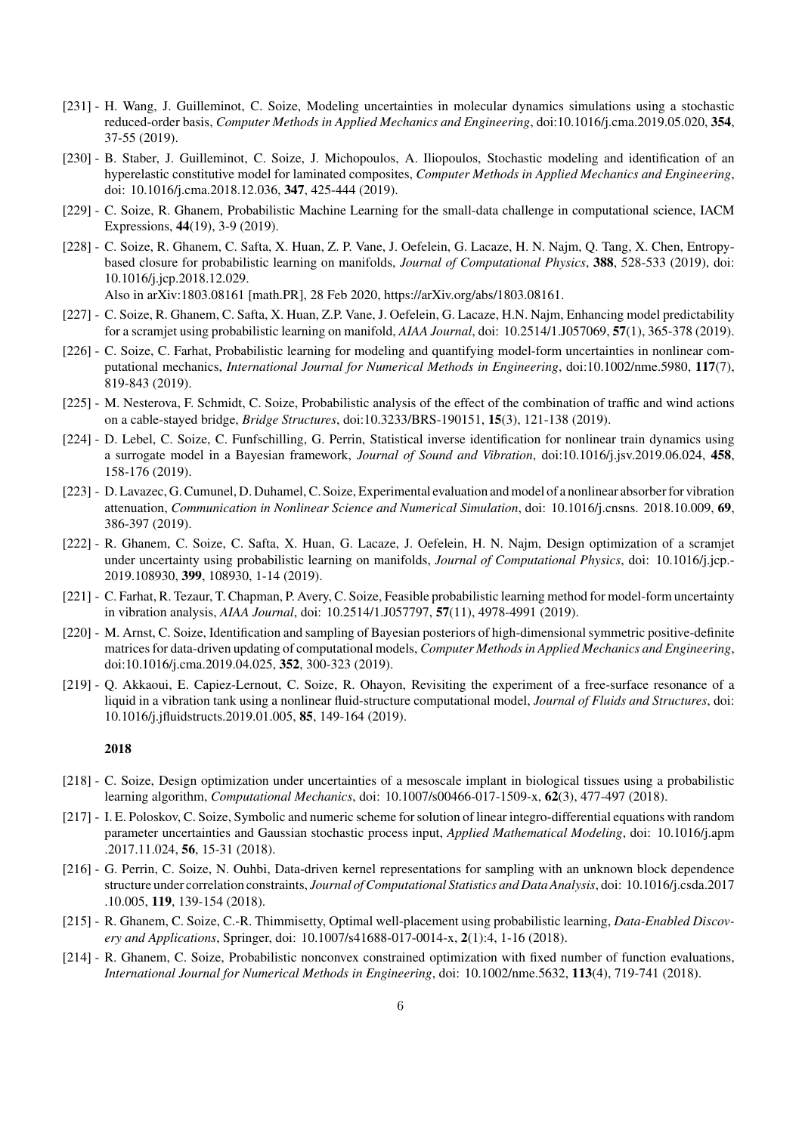- [231] H. Wang, J. Guilleminot, C. Soize, Modeling uncertainties in molecular dynamics simulations using a stochastic reduced-order basis, *Computer Methods in Applied Mechanics and Engineering*, doi:10.1016/j.cma.2019.05.020, 354, 37-55 (2019).
- [230] B. Staber, J. Guilleminot, C. Soize, J. Michopoulos, A. Iliopoulos, Stochastic modeling and identification of an hyperelastic constitutive model for laminated composites, *Computer Methods in Applied Mechanics and Engineering*, doi: 10.1016/j.cma.2018.12.036, 347, 425-444 (2019).
- [229] C. Soize, R. Ghanem, Probabilistic Machine Learning for the small-data challenge in computational science, IACM Expressions, 44(19), 3-9 (2019).
- [228] C. Soize, R. Ghanem, C. Safta, X. Huan, Z. P. Vane, J. Oefelein, G. Lacaze, H. N. Najm, Q. Tang, X. Chen, Entropybased closure for probabilistic learning on manifolds, *Journal of Computational Physics*, 388, 528-533 (2019), doi: 10.1016/j.jcp.2018.12.029.

Also in arXiv:1803.08161 [math.PR], 28 Feb 2020, https://arXiv.org/abs/1803.08161.

- [227] C. Soize, R. Ghanem, C. Safta, X. Huan, Z.P. Vane, J. Oefelein, G. Lacaze, H.N. Najm, Enhancing model predictability for a scramjet using probabilistic learning on manifold, *AIAA Journal*, doi: 10.2514/1.J057069, 57(1), 365-378 (2019).
- [226] C. Soize, C. Farhat, Probabilistic learning for modeling and quantifying model-form uncertainties in nonlinear computational mechanics, *International Journal for Numerical Methods in Engineering*, doi:10.1002/nme.5980, 117(7), 819-843 (2019).
- [225] M. Nesterova, F. Schmidt, C. Soize, Probabilistic analysis of the effect of the combination of traffic and wind actions on a cable-stayed bridge, *Bridge Structures*, doi:10.3233/BRS-190151, 15(3), 121-138 (2019).
- [224] D. Lebel, C. Soize, C. Funfschilling, G. Perrin, Statistical inverse identification for nonlinear train dynamics using a surrogate model in a Bayesian framework, *Journal of Sound and Vibration*, doi:10.1016/j.jsv.2019.06.024, 458, 158-176 (2019).
- [223] D. Lavazec, G. Cumunel, D. Duhamel, C. Soize, Experimental evaluation and model of a nonlinear absorber for vibration attenuation, *Communication in Nonlinear Science and Numerical Simulation*, doi: 10.1016/j.cnsns. 2018.10.009, 69, 386-397 (2019).
- [222] R. Ghanem, C. Soize, C. Safta, X. Huan, G. Lacaze, J. Oefelein, H. N. Najm, Design optimization of a scramjet under uncertainty using probabilistic learning on manifolds, *Journal of Computational Physics*, doi: 10.1016/j.jcp.- 2019.108930, 399, 108930, 1-14 (2019).
- [221] C. Farhat, R. Tezaur, T. Chapman, P. Avery, C. Soize, Feasible probabilistic learning method for model-form uncertainty in vibration analysis, *AIAA Journal*, doi: 10.2514/1.J057797, 57(11), 4978-4991 (2019).
- [220] M. Arnst, C. Soize, Identification and sampling of Bayesian posteriors of high-dimensional symmetric positive-definite matrices for data-driven updating of computational models, *Computer Methods in Applied Mechanics and Engineering*, doi:10.1016/j.cma.2019.04.025, 352, 300-323 (2019).
- [219] Q. Akkaoui, E. Capiez-Lernout, C. Soize, R. Ohayon, Revisiting the experiment of a free-surface resonance of a liquid in a vibration tank using a nonlinear fluid-structure computational model, *Journal of Fluids and Structures*, doi: 10.1016/j.jfluidstructs.2019.01.005, 85, 149-164 (2019).

- [218] C. Soize, Design optimization under uncertainties of a mesoscale implant in biological tissues using a probabilistic learning algorithm, *Computational Mechanics*, doi: 10.1007/s00466-017-1509-x, 62(3), 477-497 (2018).
- [217] I. E. Poloskov, C. Soize, Symbolic and numeric scheme for solution of linear integro-differential equations with random parameter uncertainties and Gaussian stochastic process input, *Applied Mathematical Modeling*, doi: 10.1016/j.apm .2017.11.024, 56, 15-31 (2018).
- [216] G. Perrin, C. Soize, N. Ouhbi, Data-driven kernel representations for sampling with an unknown block dependence structure under correlation constraints, *Journal of Computational Statistics and Data Analysis*, doi: 10.1016/j.csda.2017 .10.005, 119, 139-154 (2018).
- [215] R. Ghanem, C. Soize, C.-R. Thimmisetty, Optimal well-placement using probabilistic learning, *Data-Enabled Discovery and Applications*, Springer, doi: 10.1007/s41688-017-0014-x, 2(1):4, 1-16 (2018).
- [214] R. Ghanem, C. Soize, Probabilistic nonconvex constrained optimization with fixed number of function evaluations, *International Journal for Numerical Methods in Engineering*, doi: 10.1002/nme.5632, 113(4), 719-741 (2018).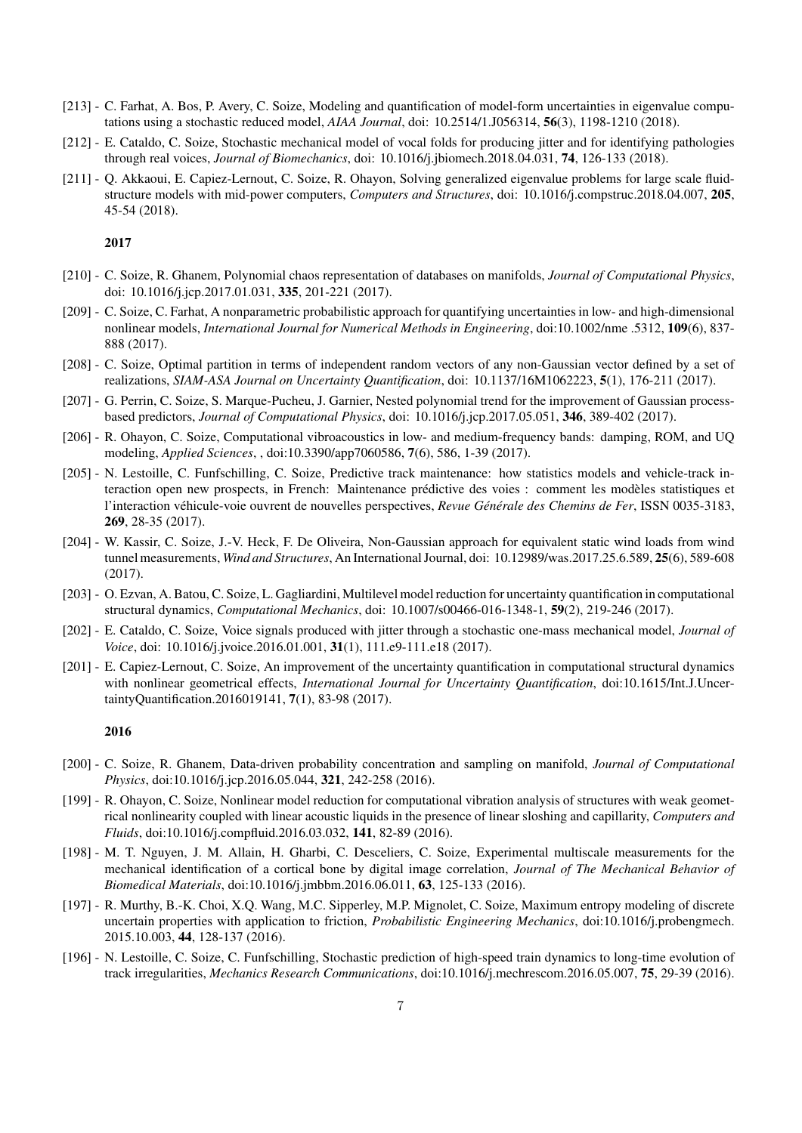- [213] C. Farhat, A. Bos, P. Avery, C. Soize, Modeling and quantification of model-form uncertainties in eigenvalue computations using a stochastic reduced model, *AIAA Journal*, doi: 10.2514/1.J056314, 56(3), 1198-1210 (2018).
- [212] E. Cataldo, C. Soize, Stochastic mechanical model of vocal folds for producing jitter and for identifying pathologies through real voices, *Journal of Biomechanics*, doi: 10.1016/j.jbiomech.2018.04.031, 74, 126-133 (2018).
- [211] Q. Akkaoui, E. Capiez-Lernout, C. Soize, R. Ohayon, Solving generalized eigenvalue problems for large scale fluidstructure models with mid-power computers, *Computers and Structures*, doi: 10.1016/j.compstruc.2018.04.007, 205, 45-54 (2018).

- [210] C. Soize, R. Ghanem, Polynomial chaos representation of databases on manifolds, *Journal of Computational Physics*, doi: 10.1016/j.jcp.2017.01.031, 335, 201-221 (2017).
- [209] C. Soize, C. Farhat, A nonparametric probabilistic approach for quantifying uncertainties in low- and high-dimensional nonlinear models, *International Journal for Numerical Methods in Engineering*, doi:10.1002/nme .5312, 109(6), 837- 888 (2017).
- [208] C. Soize, Optimal partition in terms of independent random vectors of any non-Gaussian vector defined by a set of realizations, *SIAM-ASA Journal on Uncertainty Quantification*, doi: 10.1137/16M1062223, 5(1), 176-211 (2017).
- [207] G. Perrin, C. Soize, S. Marque-Pucheu, J. Garnier, Nested polynomial trend for the improvement of Gaussian processbased predictors, *Journal of Computational Physics*, doi: 10.1016/j.jcp.2017.05.051, 346, 389-402 (2017).
- [206] R. Ohayon, C. Soize, Computational vibroacoustics in low- and medium-frequency bands: damping, ROM, and UQ modeling, *Applied Sciences*, , doi:10.3390/app7060586, 7(6), 586, 1-39 (2017).
- [205] N. Lestoille, C. Funfschilling, C. Soize, Predictive track maintenance: how statistics models and vehicle-track interaction open new prospects, in French: Maintenance prédictive des voies : comment les modèles statistiques et l'interaction véhicule-voie ouvrent de nouvelles perspectives, *Revue Générale des Chemins de Fer*, ISSN 0035-3183, 269, 28-35 (2017).
- [204] W. Kassir, C. Soize, J.-V. Heck, F. De Oliveira, Non-Gaussian approach for equivalent static wind loads from wind tunnel measurements, *Wind and Structures*, An International Journal, doi: 10.12989/was.2017.25.6.589, 25(6), 589-608 (2017).
- [203] O. Ezvan, A. Batou, C. Soize, L. Gagliardini, Multilevel model reduction for uncertainty quantification in computational structural dynamics, *Computational Mechanics*, doi: 10.1007/s00466-016-1348-1, 59(2), 219-246 (2017).
- [202] E. Cataldo, C. Soize, Voice signals produced with jitter through a stochastic one-mass mechanical model, *Journal of Voice*, doi: 10.1016/j.jvoice.2016.01.001, 31(1), 111.e9-111.e18 (2017).
- [201] E. Capiez-Lernout, C. Soize, An improvement of the uncertainty quantification in computational structural dynamics with nonlinear geometrical effects, *International Journal for Uncertainty Quantification*, doi:10.1615/Int.J.UncertaintyQuantification.2016019141, 7(1), 83-98 (2017).

- [200] C. Soize, R. Ghanem, Data-driven probability concentration and sampling on manifold, *Journal of Computational Physics*, doi:10.1016/j.jcp.2016.05.044, 321, 242-258 (2016).
- [199] R. Ohayon, C. Soize, Nonlinear model reduction for computational vibration analysis of structures with weak geometrical nonlinearity coupled with linear acoustic liquids in the presence of linear sloshing and capillarity, *Computers and Fluids*, doi:10.1016/j.compfluid.2016.03.032, 141, 82-89 (2016).
- [198] M. T. Nguyen, J. M. Allain, H. Gharbi, C. Desceliers, C. Soize, Experimental multiscale measurements for the mechanical identification of a cortical bone by digital image correlation, *Journal of The Mechanical Behavior of Biomedical Materials*, doi:10.1016/j.jmbbm.2016.06.011, 63, 125-133 (2016).
- [197] R. Murthy, B.-K. Choi, X.Q. Wang, M.C. Sipperley, M.P. Mignolet, C. Soize, Maximum entropy modeling of discrete uncertain properties with application to friction, *Probabilistic Engineering Mechanics*, doi:10.1016/j.probengmech. 2015.10.003, 44, 128-137 (2016).
- [196] N. Lestoille, C. Soize, C. Funfschilling, Stochastic prediction of high-speed train dynamics to long-time evolution of track irregularities, *Mechanics Research Communications*, doi:10.1016/j.mechrescom.2016.05.007, 75, 29-39 (2016).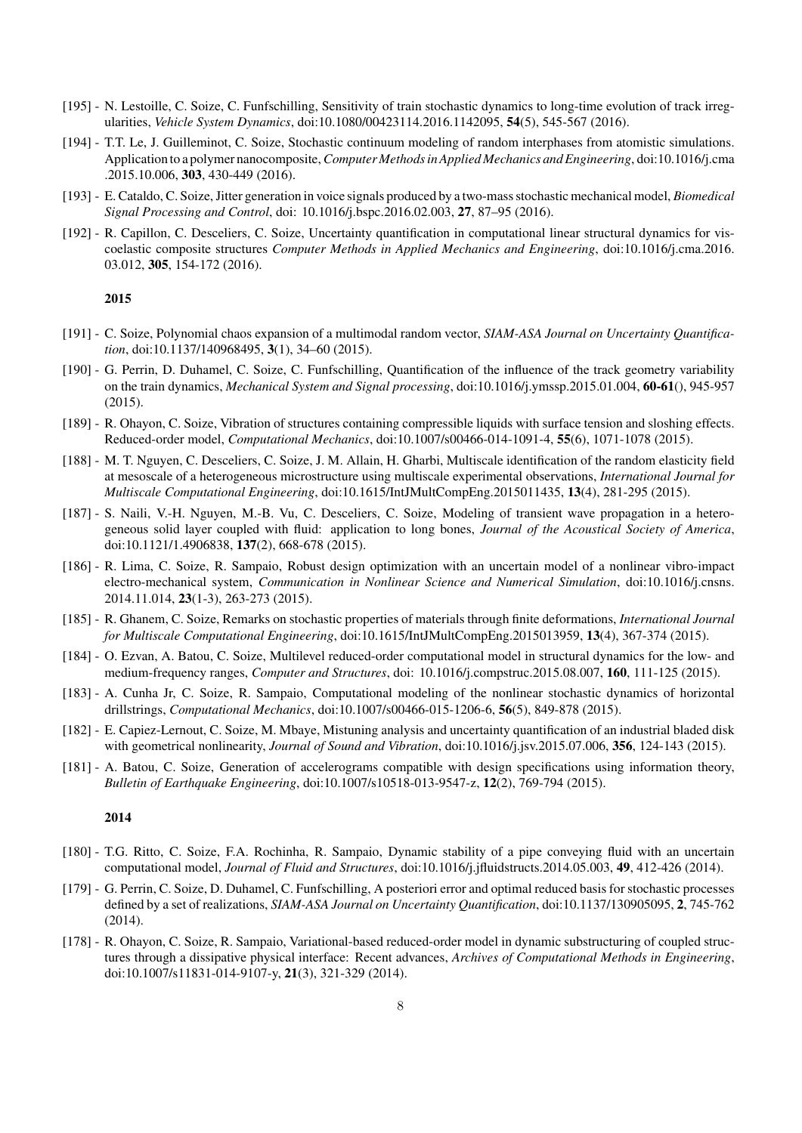- [195] N. Lestoille, C. Soize, C. Funfschilling, Sensitivity of train stochastic dynamics to long-time evolution of track irregularities, *Vehicle System Dynamics*, doi:10.1080/00423114.2016.1142095, 54(5), 545-567 (2016).
- [194] T.T. Le, J. Guilleminot, C. Soize, Stochastic continuum modeling of random interphases from atomistic simulations. Application to a polymer nanocomposite,*Computer Methods in Applied Mechanics and Engineering*, doi:10.1016/j.cma .2015.10.006, 303, 430-449 (2016).
- [193] E. Cataldo, C. Soize, Jitter generation in voice signals produced by a two-mass stochastic mechanical model, *Biomedical Signal Processing and Control*, doi: 10.1016/j.bspc.2016.02.003, 27, 87–95 (2016).
- [192] R. Capillon, C. Desceliers, C. Soize, Uncertainty quantification in computational linear structural dynamics for viscoelastic composite structures *Computer Methods in Applied Mechanics and Engineering*, doi:10.1016/j.cma.2016. 03.012, 305, 154-172 (2016).

- [191] C. Soize, Polynomial chaos expansion of a multimodal random vector, *SIAM-ASA Journal on Uncertainty Quantification*, doi:10.1137/140968495, 3(1), 34–60 (2015).
- [190] G. Perrin, D. Duhamel, C. Soize, C. Funfschilling, Quantification of the influence of the track geometry variability on the train dynamics, *Mechanical System and Signal processing*, doi:10.1016/j.ymssp.2015.01.004, 60-61(), 945-957 (2015).
- [189] R. Ohayon, C. Soize, Vibration of structures containing compressible liquids with surface tension and sloshing effects. Reduced-order model, *Computational Mechanics*, doi:10.1007/s00466-014-1091-4, 55(6), 1071-1078 (2015).
- [188] M. T. Nguyen, C. Desceliers, C. Soize, J. M. Allain, H. Gharbi, Multiscale identification of the random elasticity field at mesoscale of a heterogeneous microstructure using multiscale experimental observations, *International Journal for Multiscale Computational Engineering*, doi:10.1615/IntJMultCompEng.2015011435, 13(4), 281-295 (2015).
- [187] S. Naili, V.-H. Nguyen, M.-B. Vu, C. Desceliers, C. Soize, Modeling of transient wave propagation in a heterogeneous solid layer coupled with fluid: application to long bones, *Journal of the Acoustical Society of America*, doi:10.1121/1.4906838, 137(2), 668-678 (2015).
- [186] R. Lima, C. Soize, R. Sampaio, Robust design optimization with an uncertain model of a nonlinear vibro-impact electro-mechanical system, *Communication in Nonlinear Science and Numerical Simulation*, doi:10.1016/j.cnsns. 2014.11.014, 23(1-3), 263-273 (2015).
- [185] R. Ghanem, C. Soize, Remarks on stochastic properties of materials through finite deformations, *International Journal for Multiscale Computational Engineering*, doi:10.1615/IntJMultCompEng.2015013959, 13(4), 367-374 (2015).
- [184] O. Ezvan, A. Batou, C. Soize, Multilevel reduced-order computational model in structural dynamics for the low- and medium-frequency ranges, *Computer and Structures*, doi: 10.1016/j.compstruc.2015.08.007, 160, 111-125 (2015).
- [183] A. Cunha Jr, C. Soize, R. Sampaio, Computational modeling of the nonlinear stochastic dynamics of horizontal drillstrings, *Computational Mechanics*, doi:10.1007/s00466-015-1206-6, 56(5), 849-878 (2015).
- [182] E. Capiez-Lernout, C. Soize, M. Mbaye, Mistuning analysis and uncertainty quantification of an industrial bladed disk with geometrical nonlinearity, *Journal of Sound and Vibration*, doi:10.1016/j.jsv.2015.07.006, 356, 124-143 (2015).
- [181] A. Batou, C. Soize, Generation of accelerograms compatible with design specifications using information theory, *Bulletin of Earthquake Engineering*, doi:10.1007/s10518-013-9547-z, 12(2), 769-794 (2015).

- [180] T.G. Ritto, C. Soize, F.A. Rochinha, R. Sampaio, Dynamic stability of a pipe conveying fluid with an uncertain computational model, *Journal of Fluid and Structures*, doi:10.1016/j.jfluidstructs.2014.05.003, 49, 412-426 (2014).
- [179] G. Perrin, C. Soize, D. Duhamel, C. Funfschilling, A posteriori error and optimal reduced basis for stochastic processes defined by a set of realizations, *SIAM-ASA Journal on Uncertainty Quantification*, doi:10.1137/130905095, 2, 745-762 (2014).
- [178] R. Ohayon, C. Soize, R. Sampaio, Variational-based reduced-order model in dynamic substructuring of coupled structures through a dissipative physical interface: Recent advances, *Archives of Computational Methods in Engineering*, doi:10.1007/s11831-014-9107-y, 21(3), 321-329 (2014).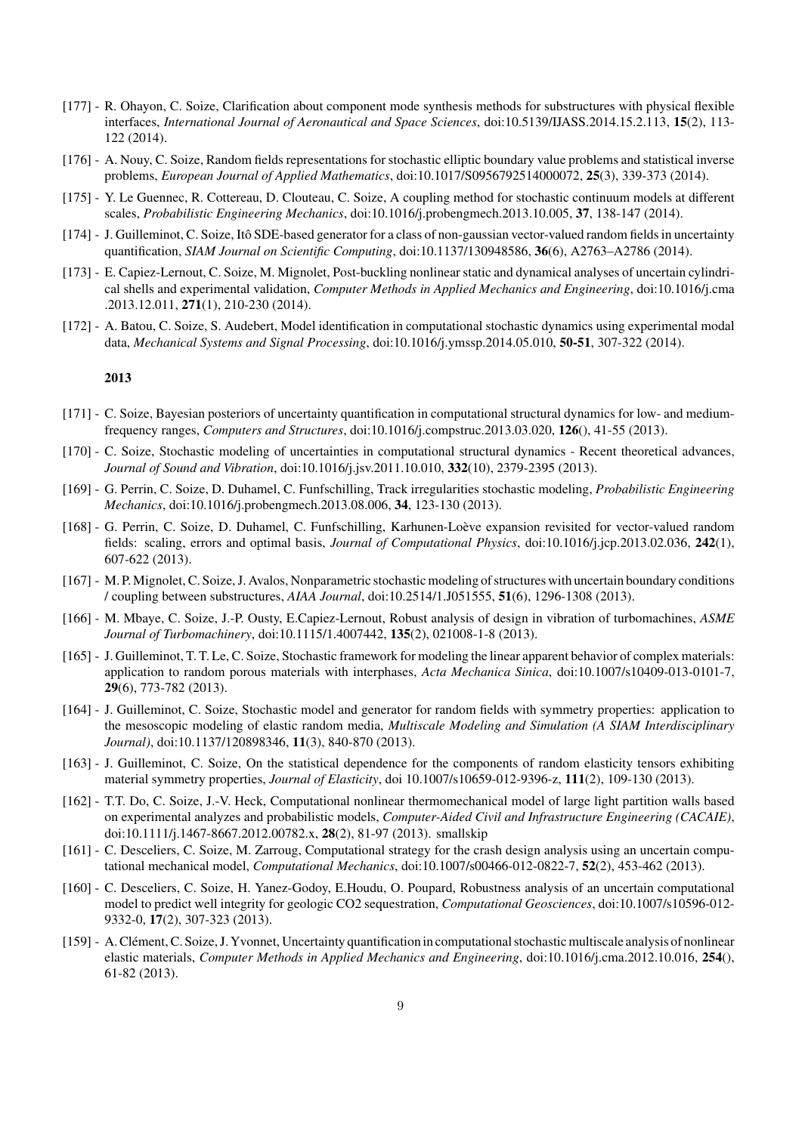- [177] R. Ohayon, C. Soize, Clarification about component mode synthesis methods for substructures with physical flexible interfaces, *International Journal of Aeronautical and Space Sciences*, doi:10.5139/IJASS.2014.15.2.113, 15(2), 113- 122 (2014).
- [176] A. Nouy, C. Soize, Random fields representations for stochastic elliptic boundary value problems and statistical inverse problems, *European Journal of Applied Mathematics*, doi:10.1017/S0956792514000072, 25(3), 339-373 (2014).
- [175] Y. Le Guennec, R. Cottereau, D. Clouteau, C. Soize, A coupling method for stochastic continuum models at different scales, *Probabilistic Engineering Mechanics*, doi:10.1016/j.probengmech.2013.10.005, 37, 138-147 (2014).
- [174] J. Guilleminot, C. Soize, Itô SDE-based generator for a class of non-gaussian vector-valued random fields in uncertainty quantification, *SIAM Journal on Scientific Computing*, doi:10.1137/130948586, 36(6), A2763–A2786 (2014).
- [173] E. Capiez-Lernout, C. Soize, M. Mignolet, Post-buckling nonlinear static and dynamical analyses of uncertain cylindrical shells and experimental validation, *Computer Methods in Applied Mechanics and Engineering*, doi:10.1016/j.cma .2013.12.011, 271(1), 210-230 (2014).
- [172] A. Batou, C. Soize, S. Audebert, Model identification in computational stochastic dynamics using experimental modal data, *Mechanical Systems and Signal Processing*, doi:10.1016/j.ymssp.2014.05.010, 50-51, 307-322 (2014).

- [171] C. Soize, Bayesian posteriors of uncertainty quantification in computational structural dynamics for low- and mediumfrequency ranges, *Computers and Structures*, doi:10.1016/j.compstruc.2013.03.020, 126(), 41-55 (2013).
- [170] C. Soize, Stochastic modeling of uncertainties in computational structural dynamics Recent theoretical advances, *Journal of Sound and Vibration*, doi:10.1016/j.jsv.2011.10.010, 332(10), 2379-2395 (2013).
- [169] G. Perrin, C. Soize, D. Duhamel, C. Funfschilling, Track irregularities stochastic modeling, *Probabilistic Engineering Mechanics*, doi:10.1016/j.probengmech.2013.08.006, 34, 123-130 (2013).
- [168] G. Perrin, C. Soize, D. Duhamel, C. Funfschilling, Karhunen-Loève expansion revisited for vector-valued random fields: scaling, errors and optimal basis, *Journal of Computational Physics*, doi:10.1016/j.jcp.2013.02.036, 242(1), 607-622 (2013).
- [167] M. P.Mignolet, C. Soize, J. Avalos, Nonparametric stochastic modeling of structures with uncertain boundary conditions / coupling between substructures, *AIAA Journal*, doi:10.2514/1.J051555, 51(6), 1296-1308 (2013).
- [166] M. Mbaye, C. Soize, J.-P. Ousty, E.Capiez-Lernout, Robust analysis of design in vibration of turbomachines, *ASME Journal of Turbomachinery*, doi:10.1115/1.4007442, 135(2), 021008-1-8 (2013).
- [165] J. Guilleminot, T. T. Le, C. Soize, Stochastic framework for modeling the linear apparent behavior of complex materials: application to random porous materials with interphases, *Acta Mechanica Sinica*, doi:10.1007/s10409-013-0101-7, 29(6), 773-782 (2013).
- [164] J. Guilleminot, C. Soize, Stochastic model and generator for random fields with symmetry properties: application to the mesoscopic modeling of elastic random media, *Multiscale Modeling and Simulation (A SIAM Interdisciplinary Journal)*, doi:10.1137/120898346, 11(3), 840-870 (2013).
- [163] J. Guilleminot, C. Soize, On the statistical dependence for the components of random elasticity tensors exhibiting material symmetry properties, *Journal of Elasticity*, doi 10.1007/s10659-012-9396-z, 111(2), 109-130 (2013).
- [162] T.T. Do, C. Soize, J.-V. Heck, Computational nonlinear thermomechanical model of large light partition walls based on experimental analyzes and probabilistic models, *Computer-Aided Civil and Infrastructure Engineering (CACAIE)*, doi:10.1111/j.1467-8667.2012.00782.x, 28(2), 81-97 (2013). smallskip
- [161] C. Desceliers, C. Soize, M. Zarroug, Computational strategy for the crash design analysis using an uncertain computational mechanical model, *Computational Mechanics*, doi:10.1007/s00466-012-0822-7, 52(2), 453-462 (2013).
- [160] C. Desceliers, C. Soize, H. Yanez-Godoy, E.Houdu, O. Poupard, Robustness analysis of an uncertain computational model to predict well integrity for geologic CO2 sequestration, *Computational Geosciences*, doi:10.1007/s10596-012- 9332-0, 17(2), 307-323 (2013).
- [159] A. Clément, C. Soize, J. Yvonnet, Uncertainty quantification in computational stochastic multiscale analysis of nonlinear elastic materials, *Computer Methods in Applied Mechanics and Engineering*, doi:10.1016/j.cma.2012.10.016, 254(), 61-82 (2013).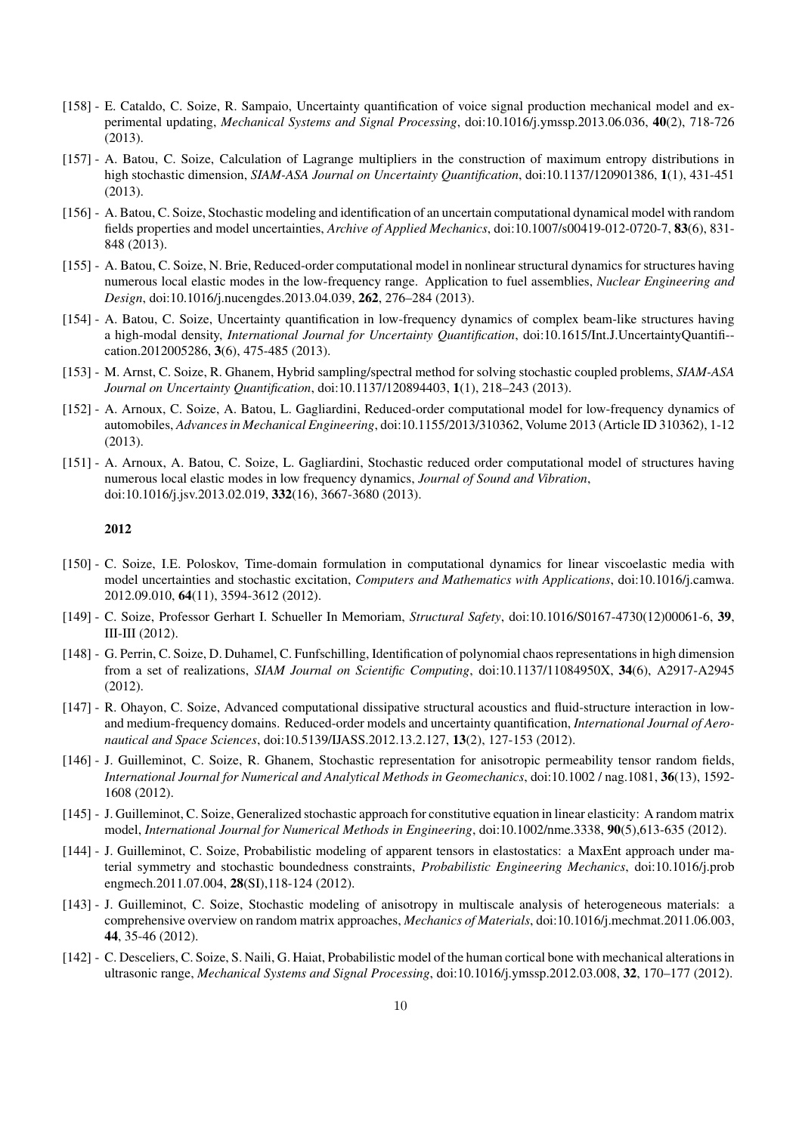- [158] E. Cataldo, C. Soize, R. Sampaio, Uncertainty quantification of voice signal production mechanical model and experimental updating, *Mechanical Systems and Signal Processing*, doi:10.1016/j.ymssp.2013.06.036, 40(2), 718-726 (2013).
- [157] A. Batou, C. Soize, Calculation of Lagrange multipliers in the construction of maximum entropy distributions in high stochastic dimension, *SIAM-ASA Journal on Uncertainty Quantification*, doi:10.1137/120901386, 1(1), 431-451 (2013).
- [156] A. Batou, C. Soize, Stochastic modeling and identification of an uncertain computational dynamical model with random fields properties and model uncertainties, *Archive of Applied Mechanics*, doi:10.1007/s00419-012-0720-7, 83(6), 831- 848 (2013).
- [155] A. Batou, C. Soize, N. Brie, Reduced-order computational model in nonlinear structural dynamics for structures having numerous local elastic modes in the low-frequency range. Application to fuel assemblies, *Nuclear Engineering and Design*, doi:10.1016/j.nucengdes.2013.04.039, 262, 276–284 (2013).
- [154] A. Batou, C. Soize, Uncertainty quantification in low-frequency dynamics of complex beam-like structures having a high-modal density, *International Journal for Uncertainty Quantification*, doi:10.1615/Int.J.UncertaintyQuantifi- cation.2012005286, 3(6), 475-485 (2013).
- [153] M. Arnst, C. Soize, R. Ghanem, Hybrid sampling/spectral method for solving stochastic coupled problems, *SIAM-ASA Journal on Uncertainty Quantification*, doi:10.1137/120894403, 1(1), 218–243 (2013).
- [152] A. Arnoux, C. Soize, A. Batou, L. Gagliardini, Reduced-order computational model for low-frequency dynamics of automobiles, *Advances in Mechanical Engineering*, doi:10.1155/2013/310362, Volume 2013 (Article ID 310362), 1-12 (2013).
- [151] A. Arnoux, A. Batou, C. Soize, L. Gagliardini, Stochastic reduced order computational model of structures having numerous local elastic modes in low frequency dynamics, *Journal of Sound and Vibration*, doi:10.1016/j.jsv.2013.02.019, 332(16), 3667-3680 (2013).

- [150] C. Soize, I.E. Poloskov, Time-domain formulation in computational dynamics for linear viscoelastic media with model uncertainties and stochastic excitation, *Computers and Mathematics with Applications*, doi:10.1016/j.camwa. 2012.09.010, 64(11), 3594-3612 (2012).
- [149] C. Soize, Professor Gerhart I. Schueller In Memoriam, *Structural Safety*, doi:10.1016/S0167-4730(12)00061-6, 39, III-III (2012).
- [148] G. Perrin, C. Soize, D. Duhamel, C. Funfschilling, Identification of polynomial chaos representations in high dimension from a set of realizations, *SIAM Journal on Scientific Computing*, doi:10.1137/11084950X, 34(6), A2917-A2945 (2012).
- [147] R. Ohayon, C. Soize, Advanced computational dissipative structural acoustics and fluid-structure interaction in lowand medium-frequency domains. Reduced-order models and uncertainty quantification, *International Journal of Aeronautical and Space Sciences*, doi:10.5139/IJASS.2012.13.2.127, 13(2), 127-153 (2012).
- [146] J. Guilleminot, C. Soize, R. Ghanem, Stochastic representation for anisotropic permeability tensor random fields, *International Journal for Numerical and Analytical Methods in Geomechanics*, doi:10.1002 / nag.1081, 36(13), 1592- 1608 (2012).
- [145] J. Guilleminot, C. Soize, Generalized stochastic approach for constitutive equation in linear elasticity: A random matrix model, *International Journal for Numerical Methods in Engineering*, doi:10.1002/nme.3338, 90(5),613-635 (2012).
- [144] J. Guilleminot, C. Soize, Probabilistic modeling of apparent tensors in elastostatics: a MaxEnt approach under material symmetry and stochastic boundedness constraints, *Probabilistic Engineering Mechanics*, doi:10.1016/j.prob engmech.2011.07.004, 28(SI),118-124 (2012).
- [143] J. Guilleminot, C. Soize, Stochastic modeling of anisotropy in multiscale analysis of heterogeneous materials: a comprehensive overview on random matrix approaches, *Mechanics of Materials*, doi:10.1016/j.mechmat.2011.06.003, 44, 35-46 (2012).
- [142] C. Desceliers, C. Soize, S. Naili, G. Haiat, Probabilistic model of the human cortical bone with mechanical alterations in ultrasonic range, *Mechanical Systems and Signal Processing*, doi:10.1016/j.ymssp.2012.03.008, 32, 170–177 (2012).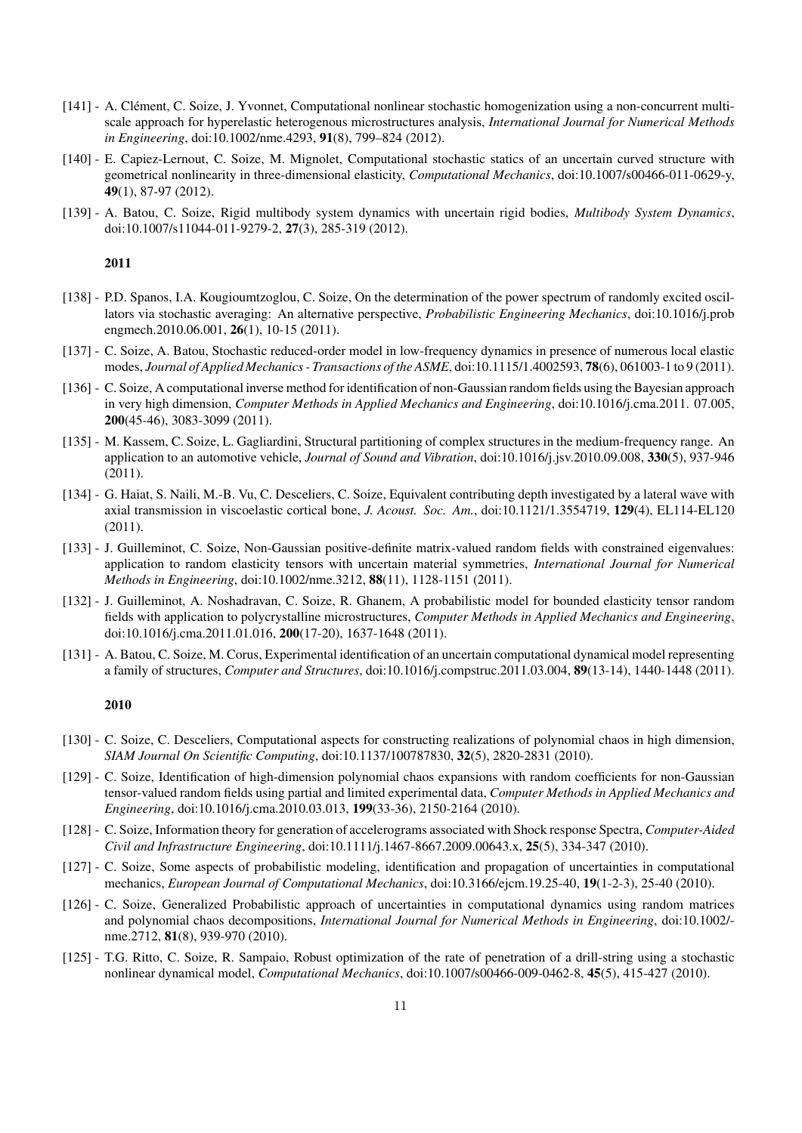- [141] A. Clément, C. Soize, J. Yvonnet, Computational nonlinear stochastic homogenization using a non-concurrent multiscale approach for hyperelastic heterogenous microstructures analysis, *International Journal for Numerical Methods in Engineering*, doi:10.1002/nme.4293, 91(8), 799–824 (2012).
- [140] E. Capiez-Lernout, C. Soize, M. Mignolet, Computational stochastic statics of an uncertain curved structure with geometrical nonlinearity in three-dimensional elasticity, *Computational Mechanics*, doi:10.1007/s00466-011-0629-y, 49(1), 87-97 (2012).
- [139] A. Batou, C. Soize, Rigid multibody system dynamics with uncertain rigid bodies, *Multibody System Dynamics*, doi:10.1007/s11044-011-9279-2, 27(3), 285-319 (2012).

- [138] P.D. Spanos, I.A. Kougioumtzoglou, C. Soize, On the determination of the power spectrum of randomly excited oscillators via stochastic averaging: An alternative perspective, *Probabilistic Engineering Mechanics*, doi:10.1016/j.prob engmech.2010.06.001, **26**(1), 10-15 (2011).
- [137] C. Soize, A. Batou, Stochastic reduced-order model in low-frequency dynamics in presence of numerous local elastic modes, *Journal of Applied Mechanics - Transactions of the ASME*, doi:10.1115/1.4002593, 78(6), 061003-1 to 9 (2011).
- [136] C. Soize, A computational inverse method for identification of non-Gaussian random fields using the Bayesian approach in very high dimension, *Computer Methods in Applied Mechanics and Engineering*, doi:10.1016/j.cma.2011. 07.005, 200(45-46), 3083-3099 (2011).
- [135] M. Kassem, C. Soize, L. Gagliardini, Structural partitioning of complex structures in the medium-frequency range. An application to an automotive vehicle, *Journal of Sound and Vibration*, doi:10.1016/j.jsv.2010.09.008, 330(5), 937-946 (2011).
- [134] G. Haiat, S. Naili, M.-B. Vu, C. Desceliers, C. Soize, Equivalent contributing depth investigated by a lateral wave with axial transmission in viscoelastic cortical bone, *J. Acoust. Soc. Am.*, doi:10.1121/1.3554719, 129(4), EL114-EL120 (2011).
- [133] J. Guilleminot, C. Soize, Non-Gaussian positive-definite matrix-valued random fields with constrained eigenvalues: application to random elasticity tensors with uncertain material symmetries, *International Journal for Numerical Methods in Engineering*, doi:10.1002/nme.3212, 88(11), 1128-1151 (2011).
- [132] J. Guilleminot, A. Noshadravan, C. Soize, R. Ghanem, A probabilistic model for bounded elasticity tensor random fields with application to polycrystalline microstructures, *Computer Methods in Applied Mechanics and Engineering*, doi:10.1016/j.cma.2011.01.016, 200(17-20), 1637-1648 (2011).
- [131] A. Batou, C. Soize, M. Corus, Experimental identification of an uncertain computational dynamical model representing a family of structures, *Computer and Structures*, doi:10.1016/j.compstruc.2011.03.004, 89(13-14), 1440-1448 (2011).

- [130] C. Soize, C. Desceliers, Computational aspects for constructing realizations of polynomial chaos in high dimension, *SIAM Journal On Scientific Computing*, doi:10.1137/100787830, 32(5), 2820-2831 (2010).
- [129] C. Soize, Identification of high-dimension polynomial chaos expansions with random coefficients for non-Gaussian tensor-valued random fields using partial and limited experimental data, *Computer Methods in Applied Mechanics and Engineering*, doi:10.1016/j.cma.2010.03.013, 199(33-36), 2150-2164 (2010).
- [128] C. Soize, Information theory for generation of accelerograms associated with Shock response Spectra, *Computer-Aided Civil and Infrastructure Engineering*, doi:10.1111/j.1467-8667.2009.00643.x, 25(5), 334-347 (2010).
- [127] C. Soize, Some aspects of probabilistic modeling, identification and propagation of uncertainties in computational mechanics, *European Journal of Computational Mechanics*, doi:10.3166/ejcm.19.25-40, 19(1-2-3), 25-40 (2010).
- [126] C. Soize, Generalized Probabilistic approach of uncertainties in computational dynamics using random matrices and polynomial chaos decompositions, *International Journal for Numerical Methods in Engineering*, doi:10.1002/ nme.2712, **81**(8), 939-970 (2010).
- [125] T.G. Ritto, C. Soize, R. Sampaio, Robust optimization of the rate of penetration of a drill-string using a stochastic nonlinear dynamical model, *Computational Mechanics*, doi:10.1007/s00466-009-0462-8, 45(5), 415-427 (2010).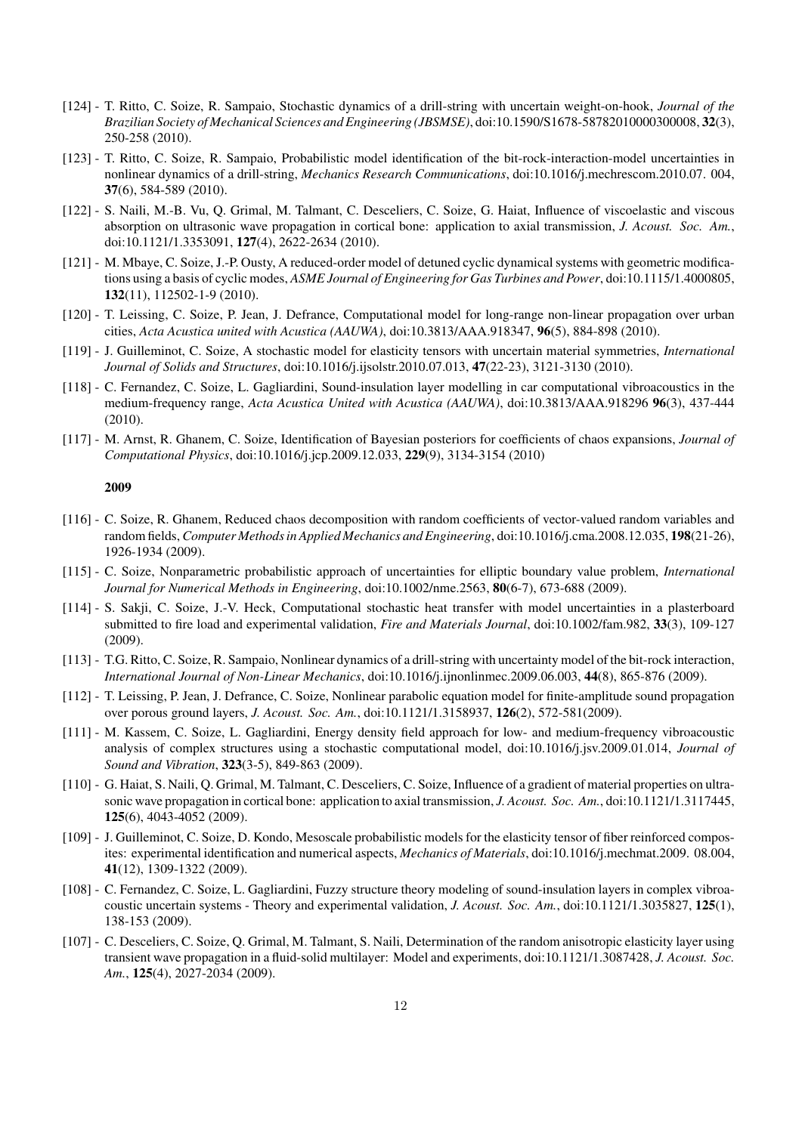- [124] T. Ritto, C. Soize, R. Sampaio, Stochastic dynamics of a drill-string with uncertain weight-on-hook, *Journal of the Brazilian Society of Mechanical Sciences and Engineering (JBSMSE)*, doi:10.1590/S1678-58782010000300008, 32(3), 250-258 (2010).
- [123] T. Ritto, C. Soize, R. Sampaio, Probabilistic model identification of the bit-rock-interaction-model uncertainties in nonlinear dynamics of a drill-string, *Mechanics Research Communications*, doi:10.1016/j.mechrescom.2010.07. 004, 37(6), 584-589 (2010).
- [122] S. Naili, M.-B. Vu, Q. Grimal, M. Talmant, C. Desceliers, C. Soize, G. Haiat, Influence of viscoelastic and viscous absorption on ultrasonic wave propagation in cortical bone: application to axial transmission, *J. Acoust. Soc. Am.*, doi:10.1121/1.3353091, 127(4), 2622-2634 (2010).
- [121] M. Mbaye, C. Soize, J.-P. Ousty, A reduced-order model of detuned cyclic dynamical systems with geometric modifications using a basis of cyclic modes, *ASME Journal of Engineering for Gas Turbines and Power*, doi:10.1115/1.4000805, 132(11), 112502-1-9 (2010).
- [120] T. Leissing, C. Soize, P. Jean, J. Defrance, Computational model for long-range non-linear propagation over urban cities, *Acta Acustica united with Acustica (AAUWA)*, doi:10.3813/AAA.918347, 96(5), 884-898 (2010).
- [119] J. Guilleminot, C. Soize, A stochastic model for elasticity tensors with uncertain material symmetries, *International Journal of Solids and Structures*, doi:10.1016/j.ijsolstr.2010.07.013, 47(22-23), 3121-3130 (2010).
- [118] C. Fernandez, C. Soize, L. Gagliardini, Sound-insulation layer modelling in car computational vibroacoustics in the medium-frequency range, *Acta Acustica United with Acustica (AAUWA)*, doi:10.3813/AAA.918296 96(3), 437-444 (2010).
- [117] M. Arnst, R. Ghanem, C. Soize, Identification of Bayesian posteriors for coefficients of chaos expansions, *Journal of Computational Physics*, doi:10.1016/j.jcp.2009.12.033, 229(9), 3134-3154 (2010)

- [116] C. Soize, R. Ghanem, Reduced chaos decomposition with random coefficients of vector-valued random variables and random fields, *Computer Methods in Applied Mechanics and Engineering*, doi:10.1016/j.cma.2008.12.035, 198(21-26), 1926-1934 (2009).
- [115] C. Soize, Nonparametric probabilistic approach of uncertainties for elliptic boundary value problem, *International Journal for Numerical Methods in Engineering*, doi:10.1002/nme.2563, 80(6-7), 673-688 (2009).
- [114] S. Sakji, C. Soize, J.-V. Heck, Computational stochastic heat transfer with model uncertainties in a plasterboard submitted to fire load and experimental validation, *Fire and Materials Journal*, doi:10.1002/fam.982, 33(3), 109-127 (2009).
- [113] T.G. Ritto, C. Soize, R. Sampaio, Nonlinear dynamics of a drill-string with uncertainty model of the bit-rock interaction, *International Journal of Non-Linear Mechanics*, doi:10.1016/j.ijnonlinmec.2009.06.003, 44(8), 865-876 (2009).
- [112] T. Leissing, P. Jean, J. Defrance, C. Soize, Nonlinear parabolic equation model for finite-amplitude sound propagation over porous ground layers, *J. Acoust. Soc. Am.*, doi:10.1121/1.3158937, 126(2), 572-581(2009).
- [111] M. Kassem, C. Soize, L. Gagliardini, Energy density field approach for low- and medium-frequency vibroacoustic analysis of complex structures using a stochastic computational model, doi:10.1016/j.jsv.2009.01.014, *Journal of Sound and Vibration*, 323(3-5), 849-863 (2009).
- [110] G. Haiat, S. Naili, Q. Grimal, M. Talmant, C. Desceliers, C. Soize, Influence of a gradient of material properties on ultrasonic wave propagation in cortical bone: application to axial transmission, *J. Acoust. Soc. Am.*, doi:10.1121/1.3117445, 125(6), 4043-4052 (2009).
- [109] J. Guilleminot, C. Soize, D. Kondo, Mesoscale probabilistic models for the elasticity tensor of fiber reinforced composites: experimental identification and numerical aspects, *Mechanics of Materials*, doi:10.1016/j.mechmat.2009. 08.004, 41(12), 1309-1322 (2009).
- [108] C. Fernandez, C. Soize, L. Gagliardini, Fuzzy structure theory modeling of sound-insulation layers in complex vibroacoustic uncertain systems - Theory and experimental validation, *J. Acoust. Soc. Am.*, doi:10.1121/1.3035827, 125(1), 138-153 (2009).
- [107] C. Desceliers, C. Soize, Q. Grimal, M. Talmant, S. Naili, Determination of the random anisotropic elasticity layer using transient wave propagation in a fluid-solid multilayer: Model and experiments, doi:10.1121/1.3087428, *J. Acoust. Soc. Am.*, 125(4), 2027-2034 (2009).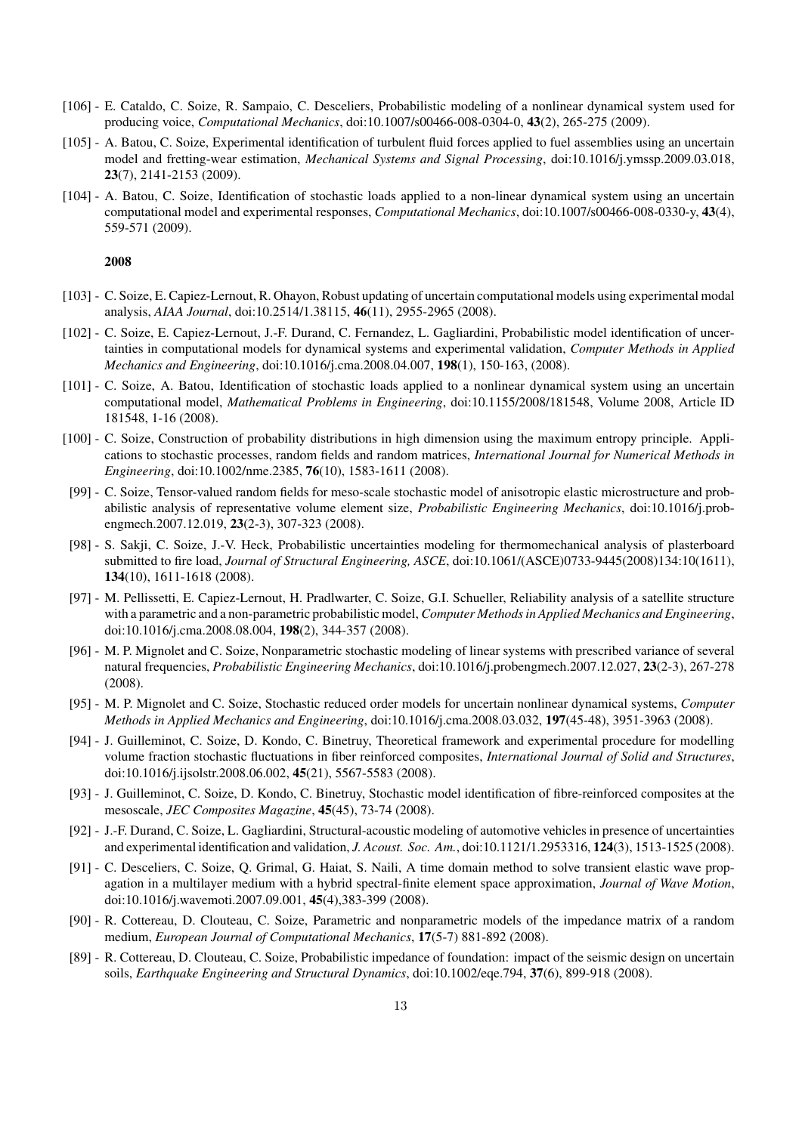- [106] E. Cataldo, C. Soize, R. Sampaio, C. Desceliers, Probabilistic modeling of a nonlinear dynamical system used for producing voice, *Computational Mechanics*, doi:10.1007/s00466-008-0304-0, 43(2), 265-275 (2009).
- [105] A. Batou, C. Soize, Experimental identification of turbulent fluid forces applied to fuel assemblies using an uncertain model and fretting-wear estimation, *Mechanical Systems and Signal Processing*, doi:10.1016/j.ymssp.2009.03.018, 23(7), 2141-2153 (2009).
- [104] A. Batou, C. Soize, Identification of stochastic loads applied to a non-linear dynamical system using an uncertain computational model and experimental responses, *Computational Mechanics*, doi:10.1007/s00466-008-0330-y, 43(4), 559-571 (2009).

- [103] C. Soize, E. Capiez-Lernout, R. Ohayon, Robust updating of uncertain computational models using experimental modal analysis, *AIAA Journal*, doi:10.2514/1.38115, 46(11), 2955-2965 (2008).
- [102] C. Soize, E. Capiez-Lernout, J.-F. Durand, C. Fernandez, L. Gagliardini, Probabilistic model identification of uncertainties in computational models for dynamical systems and experimental validation, *Computer Methods in Applied Mechanics and Engineering*, doi:10.1016/j.cma.2008.04.007, 198(1), 150-163, (2008).
- [101] C. Soize, A. Batou, Identification of stochastic loads applied to a nonlinear dynamical system using an uncertain computational model, *Mathematical Problems in Engineering*, doi:10.1155/2008/181548, Volume 2008, Article ID 181548, 1-16 (2008).
- [100] C. Soize, Construction of probability distributions in high dimension using the maximum entropy principle. Applications to stochastic processes, random fields and random matrices, *International Journal for Numerical Methods in Engineering*, doi:10.1002/nme.2385, 76(10), 1583-1611 (2008).
- [99] C. Soize, Tensor-valued random fields for meso-scale stochastic model of anisotropic elastic microstructure and probabilistic analysis of representative volume element size, *Probabilistic Engineering Mechanics*, doi:10.1016/j.probengmech.2007.12.019, 23(2-3), 307-323 (2008).
- [98] S. Sakji, C. Soize, J.-V. Heck, Probabilistic uncertainties modeling for thermomechanical analysis of plasterboard submitted to fire load, *Journal of Structural Engineering, ASCE*, doi:10.1061/(ASCE)0733-9445(2008)134:10(1611), 134(10), 1611-1618 (2008).
- [97] M. Pellissetti, E. Capiez-Lernout, H. Pradlwarter, C. Soize, G.I. Schueller, Reliability analysis of a satellite structure with a parametric and a non-parametric probabilistic model, *Computer Methods in Applied Mechanics and Engineering*, doi:10.1016/j.cma.2008.08.004, 198(2), 344-357 (2008).
- [96] M. P. Mignolet and C. Soize, Nonparametric stochastic modeling of linear systems with prescribed variance of several natural frequencies, *Probabilistic Engineering Mechanics*, doi:10.1016/j.probengmech.2007.12.027, 23(2-3), 267-278 (2008).
- [95] M. P. Mignolet and C. Soize, Stochastic reduced order models for uncertain nonlinear dynamical systems, *Computer Methods in Applied Mechanics and Engineering*, doi:10.1016/j.cma.2008.03.032, 197(45-48), 3951-3963 (2008).
- [94] J. Guilleminot, C. Soize, D. Kondo, C. Binetruy, Theoretical framework and experimental procedure for modelling volume fraction stochastic fluctuations in fiber reinforced composites, *International Journal of Solid and Structures*, doi:10.1016/j.ijsolstr.2008.06.002, 45(21), 5567-5583 (2008).
- [93] J. Guilleminot, C. Soize, D. Kondo, C. Binetruy, Stochastic model identification of fibre-reinforced composites at the mesoscale, *JEC Composites Magazine*, 45(45), 73-74 (2008).
- [92] J.-F. Durand, C. Soize, L. Gagliardini, Structural-acoustic modeling of automotive vehicles in presence of uncertainties and experimental identification and validation, *J. Acoust. Soc. Am.*, doi:10.1121/1.2953316, 124(3), 1513-1525 (2008).
- [91] C. Desceliers, C. Soize, Q. Grimal, G. Haiat, S. Naili, A time domain method to solve transient elastic wave propagation in a multilayer medium with a hybrid spectral-finite element space approximation, *Journal of Wave Motion*, doi:10.1016/j.wavemoti.2007.09.001, 45(4),383-399 (2008).
- [90] R. Cottereau, D. Clouteau, C. Soize, Parametric and nonparametric models of the impedance matrix of a random medium, *European Journal of Computational Mechanics*, 17(5-7) 881-892 (2008).
- [89] R. Cottereau, D. Clouteau, C. Soize, Probabilistic impedance of foundation: impact of the seismic design on uncertain soils, *Earthquake Engineering and Structural Dynamics*, doi:10.1002/eqe.794, 37(6), 899-918 (2008).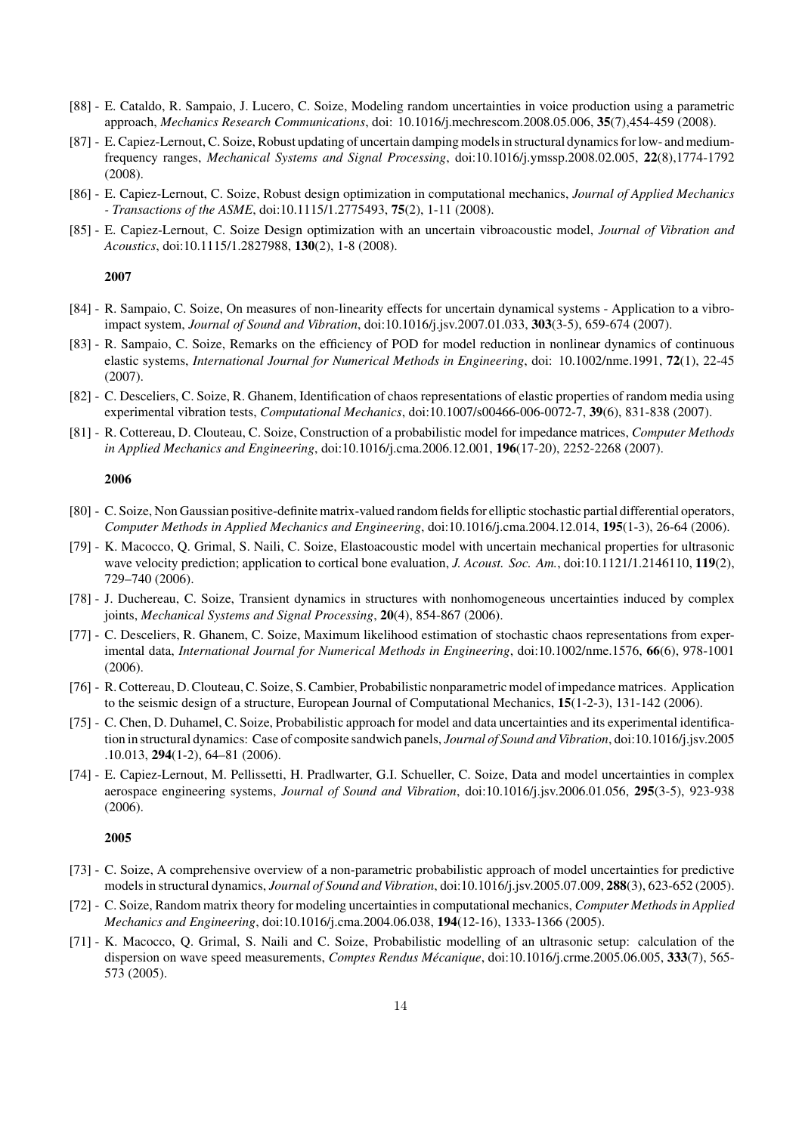- [88] E. Cataldo, R. Sampaio, J. Lucero, C. Soize, Modeling random uncertainties in voice production using a parametric approach, *Mechanics Research Communications*, doi: 10.1016/j.mechrescom.2008.05.006, 35(7),454-459 (2008).
- [87] E. Capiez-Lernout, C. Soize, Robust updating of uncertain damping models in structural dynamics for low- and mediumfrequency ranges, *Mechanical Systems and Signal Processing*, doi:10.1016/j.ymssp.2008.02.005, 22(8),1774-1792 (2008).
- [86] E. Capiez-Lernout, C. Soize, Robust design optimization in computational mechanics, *Journal of Applied Mechanics - Transactions of the ASME*, doi:10.1115/1.2775493, 75(2), 1-11 (2008).
- [85] E. Capiez-Lernout, C. Soize Design optimization with an uncertain vibroacoustic model, *Journal of Vibration and Acoustics*, doi:10.1115/1.2827988, 130(2), 1-8 (2008).

- [84] R. Sampaio, C. Soize, On measures of non-linearity effects for uncertain dynamical systems Application to a vibroimpact system, *Journal of Sound and Vibration*, doi:10.1016/j.jsv.2007.01.033, 303(3-5), 659-674 (2007).
- [83] R. Sampaio, C. Soize, Remarks on the efficiency of POD for model reduction in nonlinear dynamics of continuous elastic systems, *International Journal for Numerical Methods in Engineering*, doi: 10.1002/nme.1991, 72(1), 22-45 (2007).
- [82] C. Desceliers, C. Soize, R. Ghanem, Identification of chaos representations of elastic properties of random media using experimental vibration tests, *Computational Mechanics*, doi:10.1007/s00466-006-0072-7, 39(6), 831-838 (2007).
- [81] R. Cottereau, D. Clouteau, C. Soize, Construction of a probabilistic model for impedance matrices, *Computer Methods in Applied Mechanics and Engineering*, doi:10.1016/j.cma.2006.12.001, 196(17-20), 2252-2268 (2007).

### 2006

- [80] C. Soize, Non Gaussian positive-definite matrix-valued random fields for elliptic stochastic partial differential operators, *Computer Methods in Applied Mechanics and Engineering*, doi:10.1016/j.cma.2004.12.014, 195(1-3), 26-64 (2006).
- [79] K. Macocco, Q. Grimal, S. Naili, C. Soize, Elastoacoustic model with uncertain mechanical properties for ultrasonic wave velocity prediction; application to cortical bone evaluation, *J. Acoust. Soc. Am.*, doi:10.1121/1.2146110, 119(2), 729–740 (2006).
- [78] J. Duchereau, C. Soize, Transient dynamics in structures with nonhomogeneous uncertainties induced by complex joints, *Mechanical Systems and Signal Processing*, 20(4), 854-867 (2006).
- [77] C. Desceliers, R. Ghanem, C. Soize, Maximum likelihood estimation of stochastic chaos representations from experimental data, *International Journal for Numerical Methods in Engineering*, doi:10.1002/nme.1576, 66(6), 978-1001 (2006).
- [76] R. Cottereau, D. Clouteau, C. Soize, S. Cambier, Probabilistic nonparametric model of impedance matrices. Application to the seismic design of a structure, European Journal of Computational Mechanics, 15(1-2-3), 131-142 (2006).
- [75] C. Chen, D. Duhamel, C. Soize, Probabilistic approach for model and data uncertainties and its experimental identification in structural dynamics: Case of composite sandwich panels, *Journal of Sound and Vibration*, doi:10.1016/j.jsv.2005 .10.013, 294(1-2), 64–81 (2006).
- [74] E. Capiez-Lernout, M. Pellissetti, H. Pradlwarter, G.I. Schueller, C. Soize, Data and model uncertainties in complex aerospace engineering systems, *Journal of Sound and Vibration*, doi:10.1016/j.jsv.2006.01.056, 295(3-5), 923-938 (2006).

- [73] C. Soize, A comprehensive overview of a non-parametric probabilistic approach of model uncertainties for predictive models in structural dynamics, *Journal of Sound and Vibration*, doi:10.1016/j.jsv.2005.07.009, 288(3), 623-652 (2005).
- [72] C. Soize, Random matrix theory for modeling uncertainties in computational mechanics, *Computer Methods in Applied Mechanics and Engineering*, doi:10.1016/j.cma.2004.06.038, 194(12-16), 1333-1366 (2005).
- [71] K. Macocco, Q. Grimal, S. Naili and C. Soize, Probabilistic modelling of an ultrasonic setup: calculation of the dispersion on wave speed measurements, *Comptes Rendus Mécanique*, doi:10.1016/j.crme.2005.06.005, 333(7), 565-573 (2005).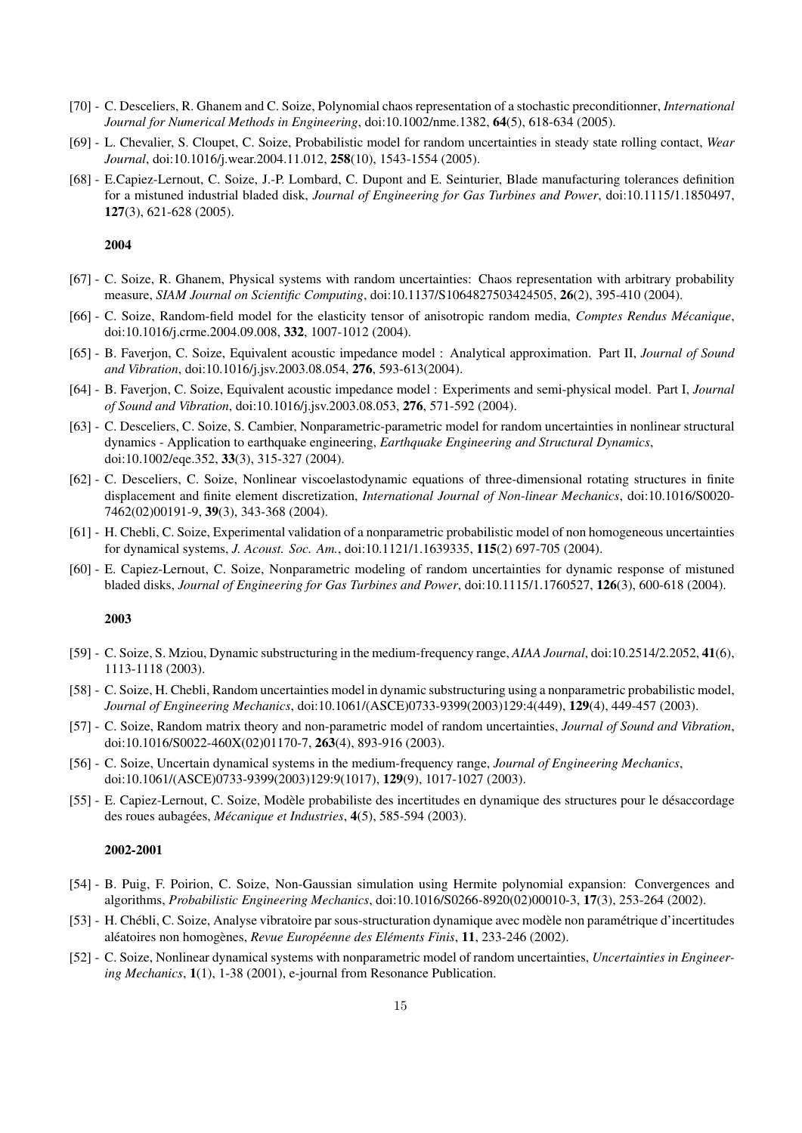- [70] C. Desceliers, R. Ghanem and C. Soize, Polynomial chaos representation of a stochastic preconditionner, *International Journal for Numerical Methods in Engineering*, doi:10.1002/nme.1382, 64(5), 618-634 (2005).
- [69] L. Chevalier, S. Cloupet, C. Soize, Probabilistic model for random uncertainties in steady state rolling contact, *Wear Journal*, doi:10.1016/j.wear.2004.11.012, 258(10), 1543-1554 (2005).
- [68] E.Capiez-Lernout, C. Soize, J.-P. Lombard, C. Dupont and E. Seinturier, Blade manufacturing tolerances definition for a mistuned industrial bladed disk, *Journal of Engineering for Gas Turbines and Power*, doi:10.1115/1.1850497, 127(3), 621-628 (2005).

- [67] C. Soize, R. Ghanem, Physical systems with random uncertainties: Chaos representation with arbitrary probability measure, *SIAM Journal on Scientific Computing*, doi:10.1137/S1064827503424505, 26(2), 395-410 (2004).
- [66] C. Soize, Random-field model for the elasticity tensor of anisotropic random media, *Comptes Rendus Mécanique*, doi:10.1016/j.crme.2004.09.008, 332, 1007-1012 (2004).
- [65] B. Faverjon, C. Soize, Equivalent acoustic impedance model : Analytical approximation. Part II, *Journal of Sound and Vibration*, doi:10.1016/j.jsv.2003.08.054, 276, 593-613(2004).
- [64] B. Faverjon, C. Soize, Equivalent acoustic impedance model : Experiments and semi-physical model. Part I, *Journal of Sound and Vibration*, doi:10.1016/j.jsv.2003.08.053, 276, 571-592 (2004).
- [63] C. Desceliers, C. Soize, S. Cambier, Nonparametric-parametric model for random uncertainties in nonlinear structural dynamics - Application to earthquake engineering, *Earthquake Engineering and Structural Dynamics*, doi:10.1002/eqe.352, 33(3), 315-327 (2004).
- [62] C. Desceliers, C. Soize, Nonlinear viscoelastodynamic equations of three-dimensional rotating structures in finite displacement and finite element discretization, *International Journal of Non-linear Mechanics*, doi:10.1016/S0020- 7462(02)00191-9, 39(3), 343-368 (2004).
- [61] H. Chebli, C. Soize, Experimental validation of a nonparametric probabilistic model of non homogeneous uncertainties for dynamical systems, *J. Acoust. Soc. Am.*, doi:10.1121/1.1639335, 115(2) 697-705 (2004).
- [60] E. Capiez-Lernout, C. Soize, Nonparametric modeling of random uncertainties for dynamic response of mistuned bladed disks, *Journal of Engineering for Gas Turbines and Power*, doi:10.1115/1.1760527, 126(3), 600-618 (2004).

#### 2003

- [59] C. Soize, S. Mziou, Dynamic substructuring in the medium-frequency range, *AIAA Journal*, doi:10.2514/2.2052, 41(6), 1113-1118 (2003).
- [58] C. Soize, H. Chebli, Random uncertainties model in dynamic substructuring using a nonparametric probabilistic model, *Journal of Engineering Mechanics*, doi:10.1061/(ASCE)0733-9399(2003)129:4(449), 129(4), 449-457 (2003).
- [57] C. Soize, Random matrix theory and non-parametric model of random uncertainties, *Journal of Sound and Vibration*, doi:10.1016/S0022-460X(02)01170-7, 263(4), 893-916 (2003).
- [56] C. Soize, Uncertain dynamical systems in the medium-frequency range, *Journal of Engineering Mechanics*, doi:10.1061/(ASCE)0733-9399(2003)129:9(1017), 129(9), 1017-1027 (2003).
- [55] E. Capiez-Lernout, C. Soize, Modèle probabiliste des incertitudes en dynamique des structures pour le désaccordage des roues aubagées, *Mécanique et Industries*, 4(5), 585-594 (2003).

- [54] B. Puig, F. Poirion, C. Soize, Non-Gaussian simulation using Hermite polynomial expansion: Convergences and algorithms, *Probabilistic Engineering Mechanics*, doi:10.1016/S0266-8920(02)00010-3, 17(3), 253-264 (2002).
- [53] H. Chébli, C. Soize, Analyse vibratoire par sous-structuration dynamique avec modèle non paramétrique d'incertitudes aléatoires non homogènes, *Revue Européenne des Eléments Finis*, 11, 233-246 (2002).
- [52] C. Soize, Nonlinear dynamical systems with nonparametric model of random uncertainties, *Uncertainties in Engineering Mechanics*, 1(1), 1-38 (2001), e-journal from Resonance Publication.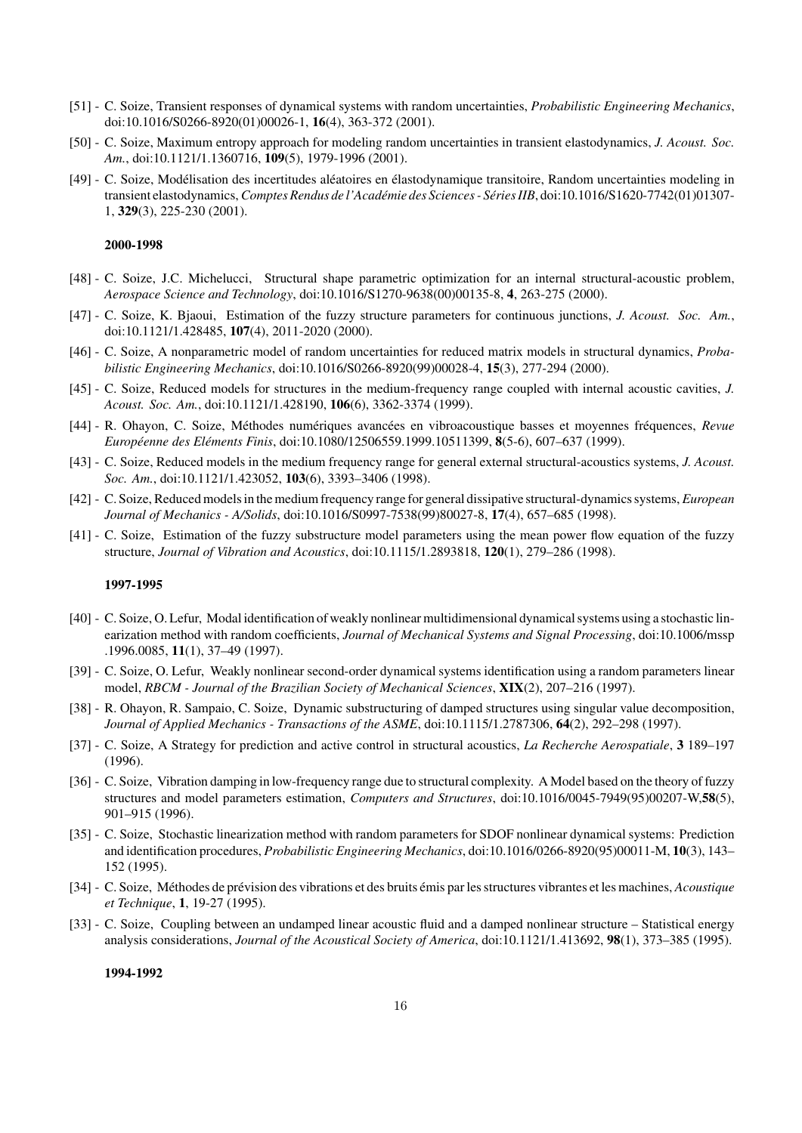- [51] C. Soize, Transient responses of dynamical systems with random uncertainties, *Probabilistic Engineering Mechanics*, doi:10.1016/S0266-8920(01)00026-1, 16(4), 363-372 (2001).
- [50] C. Soize, Maximum entropy approach for modeling random uncertainties in transient elastodynamics, *J. Acoust. Soc. Am.*, doi:10.1121/1.1360716, 109(5), 1979-1996 (2001).
- [49] C. Soize, Modélisation des incertitudes aléatoires en élastodynamique transitoire, Random uncertainties modeling in transient elastodynamics, *Comptes Rendus de l'Académie des Sciences - Séries IIB*, doi:10.1016/S1620-7742(01)01307-1, 329(3), 225-230 (2001).

- [48] C. Soize, J.C. Michelucci, Structural shape parametric optimization for an internal structural-acoustic problem, *Aerospace Science and Technology*, doi:10.1016/S1270-9638(00)00135-8, 4, 263-275 (2000).
- [47] C. Soize, K. Bjaoui, Estimation of the fuzzy structure parameters for continuous junctions, *J. Acoust. Soc. Am.*, doi:10.1121/1.428485, 107(4), 2011-2020 (2000).
- [46] C. Soize, A nonparametric model of random uncertainties for reduced matrix models in structural dynamics, *Probabilistic Engineering Mechanics*, doi:10.1016/S0266-8920(99)00028-4, 15(3), 277-294 (2000).
- [45] C. Soize, Reduced models for structures in the medium-frequency range coupled with internal acoustic cavities, *J. Acoust. Soc. Am.*, doi:10.1121/1.428190, 106(6), 3362-3374 (1999).
- [44] R. Ohayon, C. Soize, M´ethodes num´eriques avanc´ees en vibroacoustique basses et moyennes fr´equences, *Revue Europ´eenne des El´ements Finis*, doi:10.1080/12506559.1999.10511399, 8(5-6), 607–637 (1999).
- [43] C. Soize, Reduced models in the medium frequency range for general external structural-acoustics systems, *J. Acoust. Soc. Am.*, doi:10.1121/1.423052, 103(6), 3393–3406 (1998).
- [42] C. Soize, Reduced models in the medium frequency range for general dissipative structural-dynamics systems, *European Journal of Mechanics - A/Solids*, doi:10.1016/S0997-7538(99)80027-8, 17(4), 657–685 (1998).
- [41] C. Soize, Estimation of the fuzzy substructure model parameters using the mean power flow equation of the fuzzy structure, *Journal of Vibration and Acoustics*, doi:10.1115/1.2893818, 120(1), 279–286 (1998).

#### 1997-1995

- [40] C. Soize, O. Lefur, Modal identification of weakly nonlinear multidimensional dynamical systems using a stochastic linearization method with random coefficients, *Journal of Mechanical Systems and Signal Processing*, doi:10.1006/mssp .1996.0085, 11(1), 37–49 (1997).
- [39] C. Soize, O. Lefur, Weakly nonlinear second-order dynamical systems identification using a random parameters linear model, *RBCM - Journal of the Brazilian Society of Mechanical Sciences*, XIX(2), 207–216 (1997).
- [38] R. Ohayon, R. Sampaio, C. Soize, Dynamic substructuring of damped structures using singular value decomposition, *Journal of Applied Mechanics - Transactions of the ASME*, doi:10.1115/1.2787306, 64(2), 292–298 (1997).
- [37] C. Soize, A Strategy for prediction and active control in structural acoustics, *La Recherche Aerospatiale*, 3 189–197 (1996).
- [36] C. Soize, Vibration damping in low-frequency range due to structural complexity. A Model based on the theory of fuzzy structures and model parameters estimation, *Computers and Structures*, doi:10.1016/0045-7949(95)00207-W,58(5), 901–915 (1996).
- [35] C. Soize, Stochastic linearization method with random parameters for SDOF nonlinear dynamical systems: Prediction and identification procedures, *Probabilistic Engineering Mechanics*, doi:10.1016/0266-8920(95)00011-M, 10(3), 143– 152 (1995).
- [34] C. Soize, M´ethodes de pr´evision des vibrations et des bruits ´emis par les structures vibrantes et les machines, *Acoustique et Technique*, 1, 19-27 (1995).
- [33] C. Soize, Coupling between an undamped linear acoustic fluid and a damped nonlinear structure Statistical energy analysis considerations, *Journal of the Acoustical Society of America*, doi:10.1121/1.413692, 98(1), 373–385 (1995).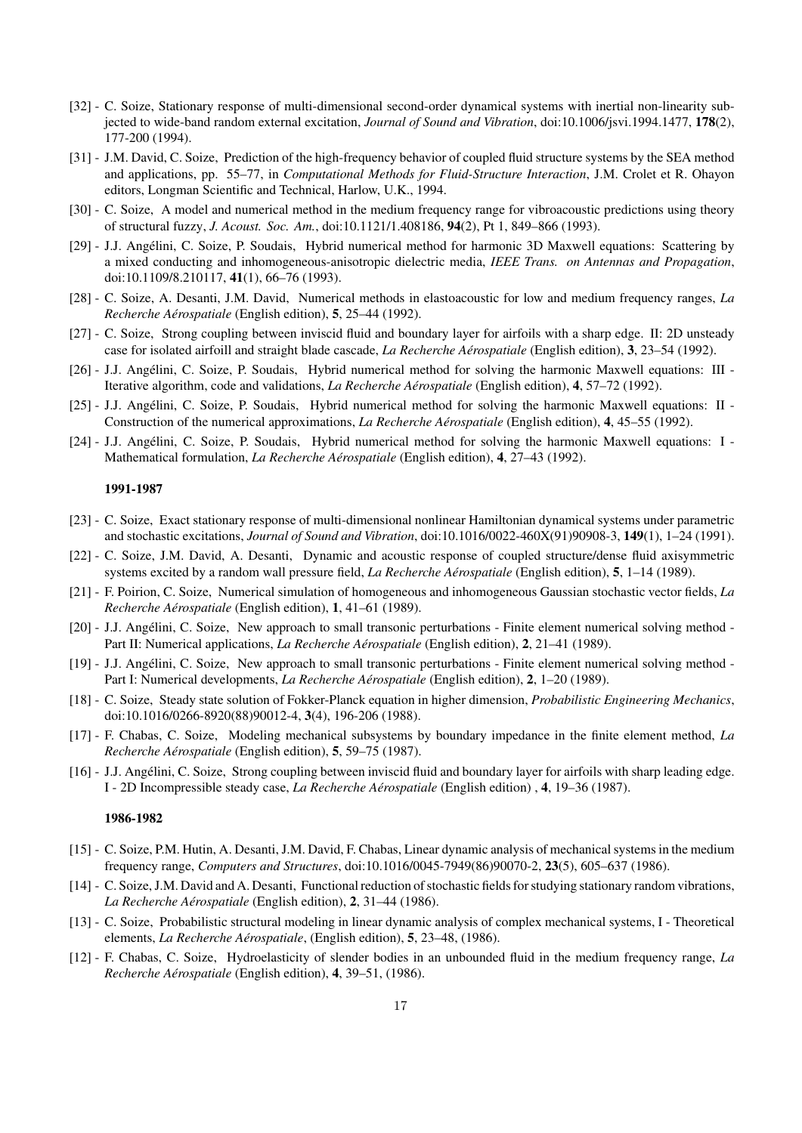- [32] C. Soize, Stationary response of multi-dimensional second-order dynamical systems with inertial non-linearity subjected to wide-band random external excitation, *Journal of Sound and Vibration*, doi:10.1006/jsvi.1994.1477, 178(2), 177-200 (1994).
- [31] J.M. David, C. Soize, Prediction of the high-frequency behavior of coupled fluid structure systems by the SEA method and applications, pp. 55–77, in *Computational Methods for Fluid-Structure Interaction*, J.M. Crolet et R. Ohayon editors, Longman Scientific and Technical, Harlow, U.K., 1994.
- [30] C. Soize, A model and numerical method in the medium frequency range for vibroacoustic predictions using theory of structural fuzzy, *J. Acoust. Soc. Am.*, doi:10.1121/1.408186, 94(2), Pt 1, 849–866 (1993).
- [29] J.J. Angélini, C. Soize, P. Soudais, Hybrid numerical method for harmonic 3D Maxwell equations: Scattering by a mixed conducting and inhomogeneous-anisotropic dielectric media, *IEEE Trans. on Antennas and Propagation*, doi:10.1109/8.210117, 41(1), 66–76 (1993).
- [28] C. Soize, A. Desanti, J.M. David, Numerical methods in elastoacoustic for low and medium frequency ranges, *La Recherche A´erospatiale* (English edition), 5, 25–44 (1992).
- [27] C. Soize, Strong coupling between inviscid fluid and boundary layer for airfoils with a sharp edge. II: 2D unsteady case for isolated airfoill and straight blade cascade, *La Recherche A´erospatiale* (English edition), 3, 23–54 (1992).
- [26] J.J. Angélini, C. Soize, P. Soudais, Hybrid numerical method for solving the harmonic Maxwell equations: III -Iterative algorithm, code and validations, *La Recherche A´erospatiale* (English edition), 4, 57–72 (1992).
- [25] J.J. Angélini, C. Soize, P. Soudais, Hybrid numerical method for solving the harmonic Maxwell equations: II -Construction of the numerical approximations, *La Recherche A´erospatiale* (English edition), 4, 45–55 (1992).
- [24] J.J. Angélini, C. Soize, P. Soudais, Hybrid numerical method for solving the harmonic Maxwell equations: I -Mathematical formulation, *La Recherche Aérospatiale* (English edition), **4**, 27–43 (1992).

- [23] C. Soize, Exact stationary response of multi-dimensional nonlinear Hamiltonian dynamical systems under parametric and stochastic excitations, *Journal of Sound and Vibration*, doi:10.1016/0022-460X(91)90908-3, 149(1), 1–24 (1991).
- [22] C. Soize, J.M. David, A. Desanti, Dynamic and acoustic response of coupled structure/dense fluid axisymmetric systems excited by a random wall pressure field, *La Recherche Aérospatiale* (English edition), **5**, 1–14 (1989).
- [21] F. Poirion, C. Soize, Numerical simulation of homogeneous and inhomogeneous Gaussian stochastic vector fields, *La Recherche A´erospatiale* (English edition), 1, 41–61 (1989).
- [20] J.J. Angélini, C. Soize, New approach to small transonic perturbations Finite element numerical solving method -Part II: Numerical applications, *La Recherche Aérospatiale* (English edition), 2, 21–41 (1989).
- [19] J.J. Angélini, C. Soize, New approach to small transonic perturbations Finite element numerical solving method -Part I: Numerical developments, *La Recherche A´erospatiale* (English edition), 2, 1–20 (1989).
- [18] C. Soize, Steady state solution of Fokker-Planck equation in higher dimension, *Probabilistic Engineering Mechanics*, doi:10.1016/0266-8920(88)90012-4, 3(4), 196-206 (1988).
- [17] F. Chabas, C. Soize, Modeling mechanical subsystems by boundary impedance in the finite element method, *La Recherche A´erospatiale* (English edition), 5, 59–75 (1987).
- [16] J.J. Angélini, C. Soize, Strong coupling between inviscid fluid and boundary layer for airfoils with sharp leading edge. I - 2D Incompressible steady case, *La Recherche A´erospatiale* (English edition) , 4, 19–36 (1987).

- [15] C. Soize, P.M. Hutin, A. Desanti, J.M. David, F. Chabas, Linear dynamic analysis of mechanical systems in the medium frequency range, *Computers and Structures*, doi:10.1016/0045-7949(86)90070-2, 23(5), 605–637 (1986).
- [14] C. Soize, J.M. David and A. Desanti, Functional reduction of stochastic fields for studying stationary random vibrations, *La Recherche A´erospatiale* (English edition), 2, 31–44 (1986).
- [13] C. Soize, Probabilistic structural modeling in linear dynamic analysis of complex mechanical systems, I Theoretical elements, *La Recherche Aérospatiale*, (English edition), **5**, 23–48, (1986).
- [12] F. Chabas, C. Soize, Hydroelasticity of slender bodies in an unbounded fluid in the medium frequency range, *La Recherche A´erospatiale* (English edition), 4, 39–51, (1986).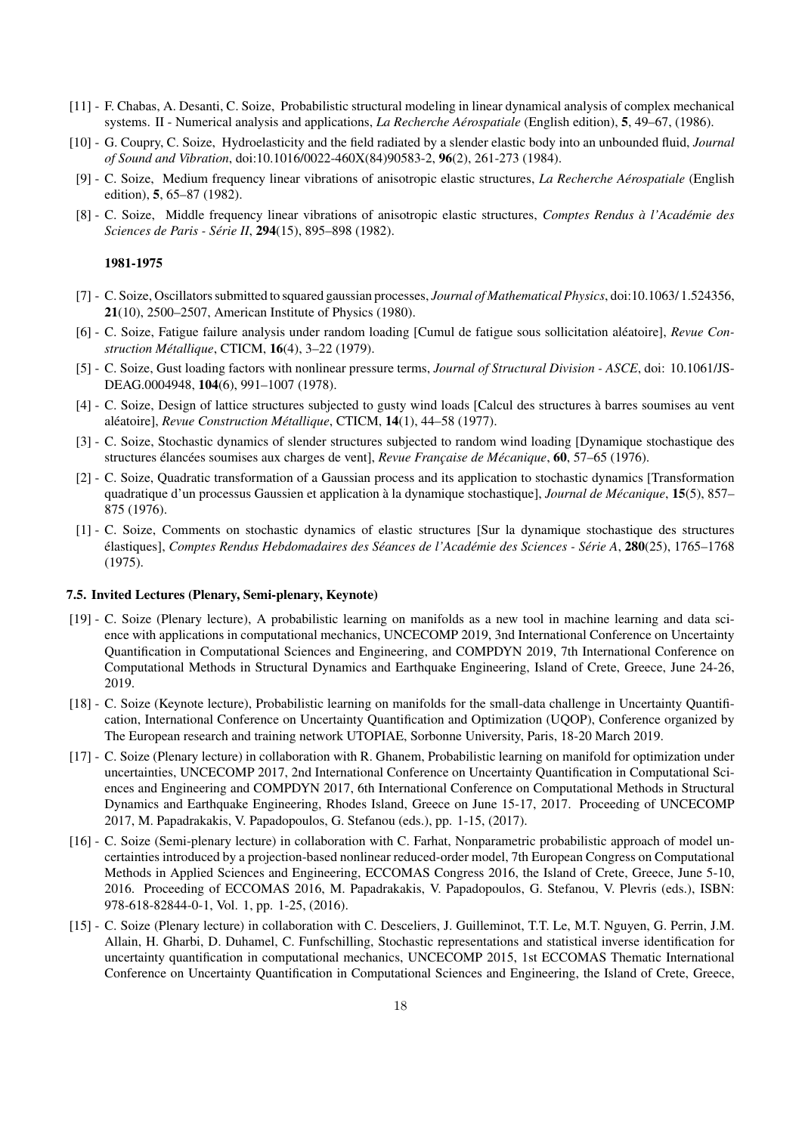- [11] F. Chabas, A. Desanti, C. Soize, Probabilistic structural modeling in linear dynamical analysis of complex mechanical systems. II - Numerical analysis and applications, *La Recherche A´erospatiale* (English edition), 5, 49–67, (1986).
- [10] G. Coupry, C. Soize, Hydroelasticity and the field radiated by a slender elastic body into an unbounded fluid, *Journal of Sound and Vibration*, doi:10.1016/0022-460X(84)90583-2, 96(2), 261-273 (1984).
- [9] C. Soize, Medium frequency linear vibrations of anisotropic elastic structures, *La Recherche A´erospatiale* (English edition), 5, 65–87 (1982).
- [8] C. Soize, Middle frequency linear vibrations of anisotropic elastic structures, *Comptes Rendus `a l'Acad´emie des Sciences de Paris - Série II*, 294(15), 895–898 (1982).

- [7] C. Soize, Oscillators submitted to squared gaussian processes, *Journal of Mathematical Physics*, doi:10.1063/ 1.524356, 21(10), 2500–2507, American Institute of Physics (1980).
- [6] C. Soize, Fatigue failure analysis under random loading [Cumul de fatigue sous sollicitation al´eatoire], *Revue Construction M´etallique*, CTICM, 16(4), 3–22 (1979).
- [5] C. Soize, Gust loading factors with nonlinear pressure terms, *Journal of Structural Division ASCE*, doi: 10.1061/JS-DEAG.0004948, 104(6), 991–1007 (1978).
- [4] C. Soize, Design of lattice structures subjected to gusty wind loads [Calcul des structures à barres soumises au vent aléatoire], *Revue Construction Métallique*, CTICM, 14(1), 44–58 (1977).
- [3] C. Soize, Stochastic dynamics of slender structures subjected to random wind loading [Dynamique stochastique des structures élancées soumises aux charges de vent], *Revue Française de Mécanique*, 60, 57–65 (1976).
- [2] C. Soize, Quadratic transformation of a Gaussian process and its application to stochastic dynamics [Transformation quadratique d'un processus Gaussien et application à la dynamique stochastique], *Journal de Mécanique*, 15(5), 857– 875 (1976).
- [1] C. Soize, Comments on stochastic dynamics of elastic structures [Sur la dynamique stochastique des structures ´elastiques], *Comptes Rendus Hebdomadaires des S´eances de l'Acad´emie des Sciences - S´erie A*, 280(25), 1765–1768 (1975).

### 7.5. Invited Lectures (Plenary, Semi-plenary, Keynote)

- [19] C. Soize (Plenary lecture), A probabilistic learning on manifolds as a new tool in machine learning and data science with applications in computational mechanics, UNCECOMP 2019, 3nd International Conference on Uncertainty Quantification in Computational Sciences and Engineering, and COMPDYN 2019, 7th International Conference on Computational Methods in Structural Dynamics and Earthquake Engineering, Island of Crete, Greece, June 24-26, 2019.
- [18] C. Soize (Keynote lecture), Probabilistic learning on manifolds for the small-data challenge in Uncertainty Quantification, International Conference on Uncertainty Quantification and Optimization (UQOP), Conference organized by The European research and training network UTOPIAE, Sorbonne University, Paris, 18-20 March 2019.
- [17] C. Soize (Plenary lecture) in collaboration with R. Ghanem, Probabilistic learning on manifold for optimization under uncertainties, UNCECOMP 2017, 2nd International Conference on Uncertainty Quantification in Computational Sciences and Engineering and COMPDYN 2017, 6th International Conference on Computational Methods in Structural Dynamics and Earthquake Engineering, Rhodes Island, Greece on June 15-17, 2017. Proceeding of UNCECOMP 2017, M. Papadrakakis, V. Papadopoulos, G. Stefanou (eds.), pp. 1-15, (2017).
- [16] C. Soize (Semi-plenary lecture) in collaboration with C. Farhat, Nonparametric probabilistic approach of model uncertainties introduced by a projection-based nonlinear reduced-order model, 7th European Congress on Computational Methods in Applied Sciences and Engineering, ECCOMAS Congress 2016, the Island of Crete, Greece, June 5-10, 2016. Proceeding of ECCOMAS 2016, M. Papadrakakis, V. Papadopoulos, G. Stefanou, V. Plevris (eds.), ISBN: 978-618-82844-0-1, Vol. 1, pp. 1-25, (2016).
- [15] C. Soize (Plenary lecture) in collaboration with C. Desceliers, J. Guilleminot, T.T. Le, M.T. Nguyen, G. Perrin, J.M. Allain, H. Gharbi, D. Duhamel, C. Funfschilling, Stochastic representations and statistical inverse identification for uncertainty quantification in computational mechanics, UNCECOMP 2015, 1st ECCOMAS Thematic International Conference on Uncertainty Quantification in Computational Sciences and Engineering, the Island of Crete, Greece,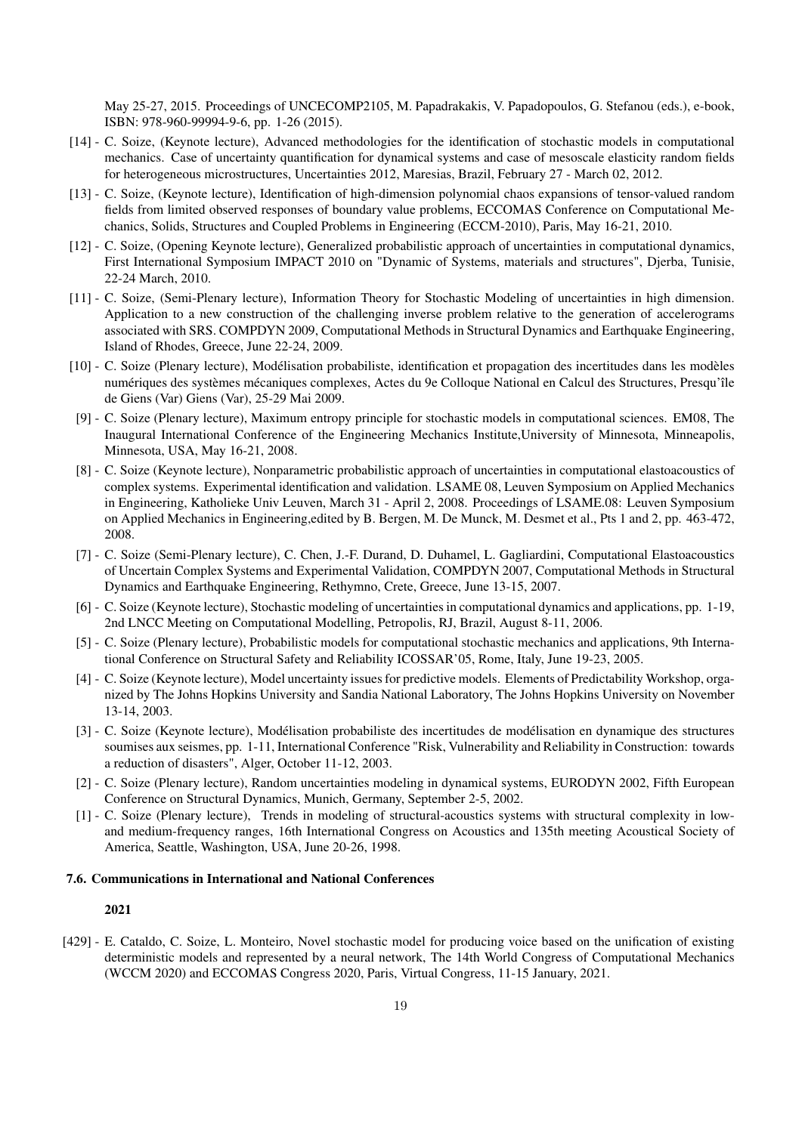May 25-27, 2015. Proceedings of UNCECOMP2105, M. Papadrakakis, V. Papadopoulos, G. Stefanou (eds.), e-book, ISBN: 978-960-99994-9-6, pp. 1-26 (2015).

- [14] C. Soize, (Keynote lecture), Advanced methodologies for the identification of stochastic models in computational mechanics. Case of uncertainty quantification for dynamical systems and case of mesoscale elasticity random fields for heterogeneous microstructures, Uncertainties 2012, Maresias, Brazil, February 27 - March 02, 2012.
- [13] C. Soize, (Keynote lecture), Identification of high-dimension polynomial chaos expansions of tensor-valued random fields from limited observed responses of boundary value problems, ECCOMAS Conference on Computational Mechanics, Solids, Structures and Coupled Problems in Engineering (ECCM-2010), Paris, May 16-21, 2010.
- [12] C. Soize, (Opening Keynote lecture), Generalized probabilistic approach of uncertainties in computational dynamics, First International Symposium IMPACT 2010 on "Dynamic of Systems, materials and structures", Djerba, Tunisie, 22-24 March, 2010.
- [11] C. Soize, (Semi-Plenary lecture), Information Theory for Stochastic Modeling of uncertainties in high dimension. Application to a new construction of the challenging inverse problem relative to the generation of accelerograms associated with SRS. COMPDYN 2009, Computational Methods in Structural Dynamics and Earthquake Engineering, Island of Rhodes, Greece, June 22-24, 2009.
- [10] C. Soize (Plenary lecture), Modélisation probabiliste, identification et propagation des incertitudes dans les modèles numériques des systèmes mécaniques complexes, Actes du 9e Colloque National en Calcul des Structures, Presqu'île de Giens (Var) Giens (Var), 25-29 Mai 2009.
- [9] C. Soize (Plenary lecture), Maximum entropy principle for stochastic models in computational sciences. EM08, The Inaugural International Conference of the Engineering Mechanics Institute,University of Minnesota, Minneapolis, Minnesota, USA, May 16-21, 2008.
- [8] C. Soize (Keynote lecture), Nonparametric probabilistic approach of uncertainties in computational elastoacoustics of complex systems. Experimental identification and validation. LSAME 08, Leuven Symposium on Applied Mechanics in Engineering, Katholieke Univ Leuven, March 31 - April 2, 2008. Proceedings of LSAME.08: Leuven Symposium on Applied Mechanics in Engineering,edited by B. Bergen, M. De Munck, M. Desmet et al., Pts 1 and 2, pp. 463-472, 2008.
- [7] C. Soize (Semi-Plenary lecture), C. Chen, J.-F. Durand, D. Duhamel, L. Gagliardini, Computational Elastoacoustics of Uncertain Complex Systems and Experimental Validation, COMPDYN 2007, Computational Methods in Structural Dynamics and Earthquake Engineering, Rethymno, Crete, Greece, June 13-15, 2007.
- [6] C. Soize (Keynote lecture), Stochastic modeling of uncertainties in computational dynamics and applications, pp. 1-19, 2nd LNCC Meeting on Computational Modelling, Petropolis, RJ, Brazil, August 8-11, 2006.
- [5] C. Soize (Plenary lecture), Probabilistic models for computational stochastic mechanics and applications, 9th International Conference on Structural Safety and Reliability ICOSSAR'05, Rome, Italy, June 19-23, 2005.
- [4] C. Soize (Keynote lecture), Model uncertainty issues for predictive models. Elements of Predictability Workshop, organized by The Johns Hopkins University and Sandia National Laboratory, The Johns Hopkins University on November 13-14, 2003.
- [3] C. Soize (Keynote lecture), Modélisation probabiliste des incertitudes de modélisation en dynamique des structures soumises aux seismes, pp. 1-11, International Conference "Risk, Vulnerability and Reliability in Construction: towards a reduction of disasters", Alger, October 11-12, 2003.
- [2] C. Soize (Plenary lecture), Random uncertainties modeling in dynamical systems, EURODYN 2002, Fifth European Conference on Structural Dynamics, Munich, Germany, September 2-5, 2002.
- [1] C. Soize (Plenary lecture), Trends in modeling of structural-acoustics systems with structural complexity in lowand medium-frequency ranges, 16th International Congress on Acoustics and 135th meeting Acoustical Society of America, Seattle, Washington, USA, June 20-26, 1998.

## 7.6. Communications in International and National Conferences

## 2021

[429] - E. Cataldo, C. Soize, L. Monteiro, Novel stochastic model for producing voice based on the unification of existing deterministic models and represented by a neural network, The 14th World Congress of Computational Mechanics (WCCM 2020) and ECCOMAS Congress 2020, Paris, Virtual Congress, 11-15 January, 2021.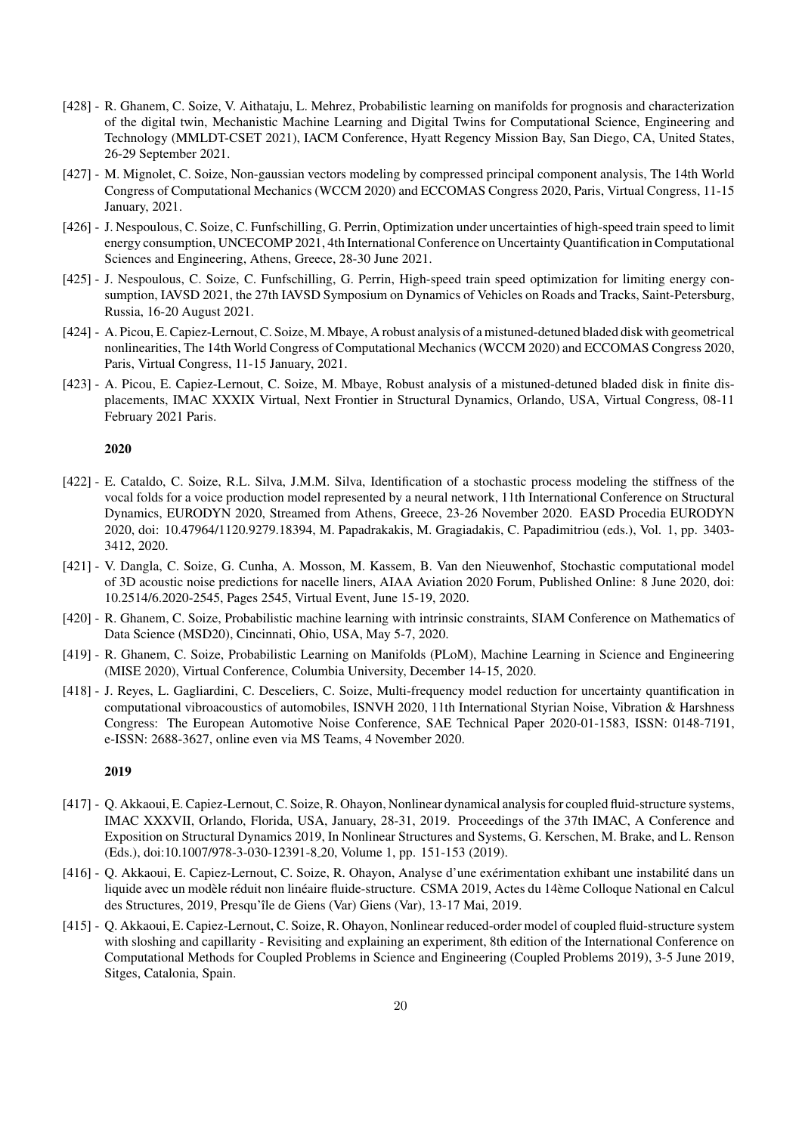- [428] R. Ghanem, C. Soize, V. Aithataju, L. Mehrez, Probabilistic learning on manifolds for prognosis and characterization of the digital twin, Mechanistic Machine Learning and Digital Twins for Computational Science, Engineering and Technology (MMLDT-CSET 2021), IACM Conference, Hyatt Regency Mission Bay, San Diego, CA, United States, 26-29 September 2021.
- [427] M. Mignolet, C. Soize, Non-gaussian vectors modeling by compressed principal component analysis, The 14th World Congress of Computational Mechanics (WCCM 2020) and ECCOMAS Congress 2020, Paris, Virtual Congress, 11-15 January, 2021.
- [426] J. Nespoulous, C. Soize, C. Funfschilling, G. Perrin, Optimization under uncertainties of high-speed train speed to limit energy consumption, UNCECOMP 2021, 4th International Conference on Uncertainty Quantification in Computational Sciences and Engineering, Athens, Greece, 28-30 June 2021.
- [425] J. Nespoulous, C. Soize, C. Funfschilling, G. Perrin, High-speed train speed optimization for limiting energy consumption, IAVSD 2021, the 27th IAVSD Symposium on Dynamics of Vehicles on Roads and Tracks, Saint-Petersburg, Russia, 16-20 August 2021.
- [424] A. Picou, E. Capiez-Lernout, C. Soize, M. Mbaye, A robust analysis of a mistuned-detuned bladed disk with geometrical nonlinearities, The 14th World Congress of Computational Mechanics (WCCM 2020) and ECCOMAS Congress 2020, Paris, Virtual Congress, 11-15 January, 2021.
- [423] A. Picou, E. Capiez-Lernout, C. Soize, M. Mbaye, Robust analysis of a mistuned-detuned bladed disk in finite displacements, IMAC XXXIX Virtual, Next Frontier in Structural Dynamics, Orlando, USA, Virtual Congress, 08-11 February 2021 Paris.

- [422] E. Cataldo, C. Soize, R.L. Silva, J.M.M. Silva, Identification of a stochastic process modeling the stiffness of the vocal folds for a voice production model represented by a neural network, 11th International Conference on Structural Dynamics, EURODYN 2020, Streamed from Athens, Greece, 23-26 November 2020. EASD Procedia EURODYN 2020, doi: 10.47964/1120.9279.18394, M. Papadrakakis, M. Gragiadakis, C. Papadimitriou (eds.), Vol. 1, pp. 3403- 3412, 2020.
- [421] V. Dangla, C. Soize, G. Cunha, A. Mosson, M. Kassem, B. Van den Nieuwenhof, Stochastic computational model of 3D acoustic noise predictions for nacelle liners, AIAA Aviation 2020 Forum, Published Online: 8 June 2020, doi: 10.2514/6.2020-2545, Pages 2545, Virtual Event, June 15-19, 2020.
- [420] R. Ghanem, C. Soize, Probabilistic machine learning with intrinsic constraints, SIAM Conference on Mathematics of Data Science (MSD20), Cincinnati, Ohio, USA, May 5-7, 2020.
- [419] R. Ghanem, C. Soize, Probabilistic Learning on Manifolds (PLoM), Machine Learning in Science and Engineering (MISE 2020), Virtual Conference, Columbia University, December 14-15, 2020.
- [418] J. Reyes, L. Gagliardini, C. Desceliers, C. Soize, Multi-frequency model reduction for uncertainty quantification in computational vibroacoustics of automobiles, ISNVH 2020, 11th International Styrian Noise, Vibration & Harshness Congress: The European Automotive Noise Conference, SAE Technical Paper 2020-01-1583, ISSN: 0148-7191, e-ISSN: 2688-3627, online even via MS Teams, 4 November 2020.

- [417] Q. Akkaoui, E. Capiez-Lernout, C. Soize, R. Ohayon, Nonlinear dynamical analysis for coupled fluid-structure systems, IMAC XXXVII, Orlando, Florida, USA, January, 28-31, 2019. Proceedings of the 37th IMAC, A Conference and Exposition on Structural Dynamics 2019, In Nonlinear Structures and Systems, G. Kerschen, M. Brake, and L. Renson (Eds.), doi:10.1007/978-3-030-12391-8 20, Volume 1, pp. 151-153 (2019).
- [416] Q. Akkaoui, E. Capiez-Lernout, C. Soize, R. Ohayon, Analyse d'une exérimentation exhibant une instabilité dans un liquide avec un modèle réduit non linéaire fluide-structure. CSMA 2019, Actes du 14ème Colloque National en Calcul des Structures, 2019, Presqu'île de Giens (Var) Giens (Var), 13-17 Mai, 2019.
- [415] Q. Akkaoui, E. Capiez-Lernout, C. Soize, R. Ohayon, Nonlinear reduced-order model of coupled fluid-structure system with sloshing and capillarity - Revisiting and explaining an experiment, 8th edition of the International Conference on Computational Methods for Coupled Problems in Science and Engineering (Coupled Problems 2019), 3-5 June 2019, Sitges, Catalonia, Spain.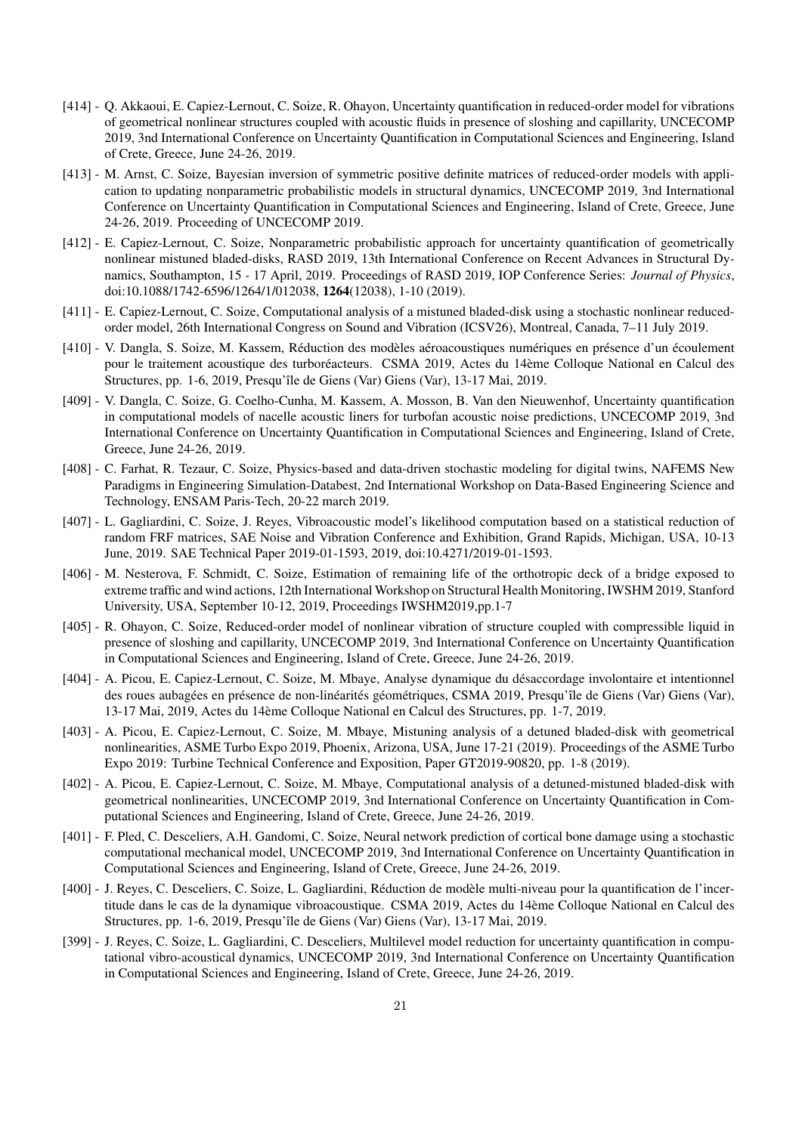- [414] Q. Akkaoui, E. Capiez-Lernout, C. Soize, R. Ohayon, Uncertainty quantification in reduced-order model for vibrations of geometrical nonlinear structures coupled with acoustic fluids in presence of sloshing and capillarity, UNCECOMP 2019, 3nd International Conference on Uncertainty Quantification in Computational Sciences and Engineering, Island of Crete, Greece, June 24-26, 2019.
- [413] M. Arnst, C. Soize, Bayesian inversion of symmetric positive definite matrices of reduced-order models with application to updating nonparametric probabilistic models in structural dynamics, UNCECOMP 2019, 3nd International Conference on Uncertainty Quantification in Computational Sciences and Engineering, Island of Crete, Greece, June 24-26, 2019. Proceeding of UNCECOMP 2019.
- [412] E. Capiez-Lernout, C. Soize, Nonparametric probabilistic approach for uncertainty quantification of geometrically nonlinear mistuned bladed-disks, RASD 2019, 13th International Conference on Recent Advances in Structural Dynamics, Southampton, 15 - 17 April, 2019. Proceedings of RASD 2019, IOP Conference Series: *Journal of Physics*, doi:10.1088/1742-6596/1264/1/012038, 1264(12038), 1-10 (2019).
- [411] E. Capiez-Lernout, C. Soize, Computational analysis of a mistuned bladed-disk using a stochastic nonlinear reducedorder model, 26th International Congress on Sound and Vibration (ICSV26), Montreal, Canada, 7–11 July 2019.
- [410] V. Dangla, S. Soize, M. Kassem, Réduction des modèles aéroacoustiques numériques en présence d'un écoulement pour le traitement acoustique des turboréacteurs. CSMA 2019, Actes du 14ème Colloque National en Calcul des Structures, pp. 1-6, 2019, Presqu'île de Giens (Var) Giens (Var), 13-17 Mai, 2019.
- [409] V. Dangla, C. Soize, G. Coelho-Cunha, M. Kassem, A. Mosson, B. Van den Nieuwenhof, Uncertainty quantification in computational models of nacelle acoustic liners for turbofan acoustic noise predictions, UNCECOMP 2019, 3nd International Conference on Uncertainty Quantification in Computational Sciences and Engineering, Island of Crete, Greece, June 24-26, 2019.
- [408] C. Farhat, R. Tezaur, C. Soize, Physics-based and data-driven stochastic modeling for digital twins, NAFEMS New Paradigms in Engineering Simulation-Databest, 2nd International Workshop on Data-Based Engineering Science and Technology, ENSAM Paris-Tech, 20-22 march 2019.
- [407] L. Gagliardini, C. Soize, J. Reyes, Vibroacoustic model's likelihood computation based on a statistical reduction of random FRF matrices, SAE Noise and Vibration Conference and Exhibition, Grand Rapids, Michigan, USA, 10-13 June, 2019. SAE Technical Paper 2019-01-1593, 2019, doi:10.4271/2019-01-1593.
- [406] M. Nesterova, F. Schmidt, C. Soize, Estimation of remaining life of the orthotropic deck of a bridge exposed to extreme traffic and wind actions, 12th International Workshop on Structural Health Monitoring, IWSHM 2019, Stanford University, USA, September 10-12, 2019, Proceedings IWSHM2019,pp.1-7
- [405] R. Ohayon, C. Soize, Reduced-order model of nonlinear vibration of structure coupled with compressible liquid in presence of sloshing and capillarity, UNCECOMP 2019, 3nd International Conference on Uncertainty Quantification in Computational Sciences and Engineering, Island of Crete, Greece, June 24-26, 2019.
- [404] A. Picou, E. Capiez-Lernout, C. Soize, M. Mbaye, Analyse dynamique du désaccordage involontaire et intentionnel des roues aubagées en présence de non-linéarités géométriques, CSMA 2019, Presqu'île de Giens (Var) Giens (Var), 13-17 Mai, 2019, Actes du 14`eme Colloque National en Calcul des Structures, pp. 1-7, 2019.
- [403] A. Picou, E. Capiez-Lernout, C. Soize, M. Mbaye, Mistuning analysis of a detuned bladed-disk with geometrical nonlinearities, ASME Turbo Expo 2019, Phoenix, Arizona, USA, June 17-21 (2019). Proceedings of the ASME Turbo Expo 2019: Turbine Technical Conference and Exposition, Paper GT2019-90820, pp. 1-8 (2019).
- [402] A. Picou, E. Capiez-Lernout, C. Soize, M. Mbaye, Computational analysis of a detuned-mistuned bladed-disk with geometrical nonlinearities, UNCECOMP 2019, 3nd International Conference on Uncertainty Quantification in Computational Sciences and Engineering, Island of Crete, Greece, June 24-26, 2019.
- [401] F. Pled, C. Desceliers, A.H. Gandomi, C. Soize, Neural network prediction of cortical bone damage using a stochastic computational mechanical model, UNCECOMP 2019, 3nd International Conference on Uncertainty Quantification in Computational Sciences and Engineering, Island of Crete, Greece, June 24-26, 2019.
- [400] J. Reyes, C. Desceliers, C. Soize, L. Gagliardini, Réduction de modèle multi-niveau pour la quantification de l'incertitude dans le cas de la dynamique vibroacoustique. CSMA 2019, Actes du 14ème Colloque National en Calcul des Structures, pp. 1-6, 2019, Presqu'île de Giens (Var) Giens (Var), 13-17 Mai, 2019.
- [399] J. Reyes, C. Soize, L. Gagliardini, C. Desceliers, Multilevel model reduction for uncertainty quantification in computational vibro-acoustical dynamics, UNCECOMP 2019, 3nd International Conference on Uncertainty Quantification in Computational Sciences and Engineering, Island of Crete, Greece, June 24-26, 2019.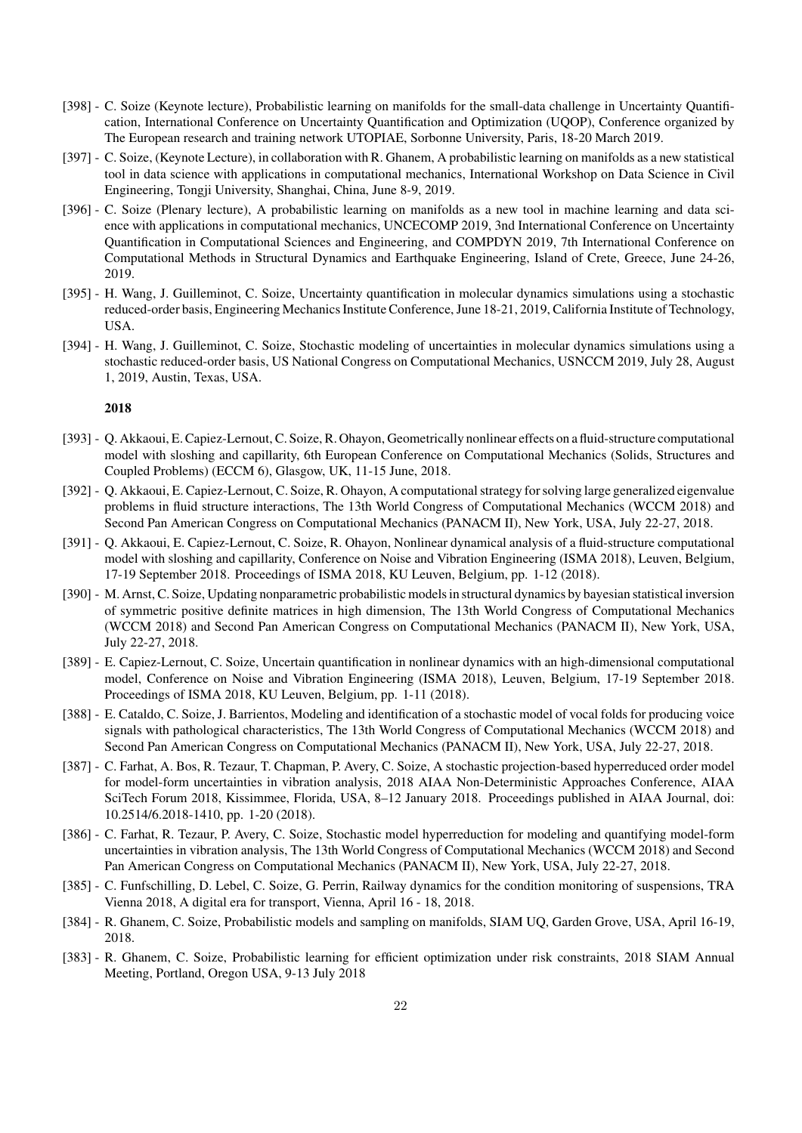- [398] C. Soize (Keynote lecture), Probabilistic learning on manifolds for the small-data challenge in Uncertainty Quantification, International Conference on Uncertainty Quantification and Optimization (UQOP), Conference organized by The European research and training network UTOPIAE, Sorbonne University, Paris, 18-20 March 2019.
- [397] C. Soize, (Keynote Lecture), in collaboration with R. Ghanem, A probabilistic learning on manifolds as a new statistical tool in data science with applications in computational mechanics, International Workshop on Data Science in Civil Engineering, Tongji University, Shanghai, China, June 8-9, 2019.
- [396] C. Soize (Plenary lecture), A probabilistic learning on manifolds as a new tool in machine learning and data science with applications in computational mechanics, UNCECOMP 2019, 3nd International Conference on Uncertainty Quantification in Computational Sciences and Engineering, and COMPDYN 2019, 7th International Conference on Computational Methods in Structural Dynamics and Earthquake Engineering, Island of Crete, Greece, June 24-26, 2019.
- [395] H. Wang, J. Guilleminot, C. Soize, Uncertainty quantification in molecular dynamics simulations using a stochastic reduced-order basis, Engineering Mechanics Institute Conference, June 18-21, 2019, California Institute of Technology, USA.
- [394] H. Wang, J. Guilleminot, C. Soize, Stochastic modeling of uncertainties in molecular dynamics simulations using a stochastic reduced-order basis, US National Congress on Computational Mechanics, USNCCM 2019, July 28, August 1, 2019, Austin, Texas, USA.

- [393] Q. Akkaoui, E. Capiez-Lernout, C. Soize, R. Ohayon, Geometrically nonlinear effects on a fluid-structure computational model with sloshing and capillarity, 6th European Conference on Computational Mechanics (Solids, Structures and Coupled Problems) (ECCM 6), Glasgow, UK, 11-15 June, 2018.
- [392] Q. Akkaoui, E. Capiez-Lernout, C. Soize, R. Ohayon, A computational strategy for solving large generalized eigenvalue problems in fluid structure interactions, The 13th World Congress of Computational Mechanics (WCCM 2018) and Second Pan American Congress on Computational Mechanics (PANACM II), New York, USA, July 22-27, 2018.
- [391] Q. Akkaoui, E. Capiez-Lernout, C. Soize, R. Ohayon, Nonlinear dynamical analysis of a fluid-structure computational model with sloshing and capillarity, Conference on Noise and Vibration Engineering (ISMA 2018), Leuven, Belgium, 17-19 September 2018. Proceedings of ISMA 2018, KU Leuven, Belgium, pp. 1-12 (2018).
- [390] M. Arnst, C. Soize, Updating nonparametric probabilistic models in structural dynamics by bayesian statistical inversion of symmetric positive definite matrices in high dimension, The 13th World Congress of Computational Mechanics (WCCM 2018) and Second Pan American Congress on Computational Mechanics (PANACM II), New York, USA, July 22-27, 2018.
- [389] E. Capiez-Lernout, C. Soize, Uncertain quantification in nonlinear dynamics with an high-dimensional computational model, Conference on Noise and Vibration Engineering (ISMA 2018), Leuven, Belgium, 17-19 September 2018. Proceedings of ISMA 2018, KU Leuven, Belgium, pp. 1-11 (2018).
- [388] E. Cataldo, C. Soize, J. Barrientos, Modeling and identification of a stochastic model of vocal folds for producing voice signals with pathological characteristics, The 13th World Congress of Computational Mechanics (WCCM 2018) and Second Pan American Congress on Computational Mechanics (PANACM II), New York, USA, July 22-27, 2018.
- [387] C. Farhat, A. Bos, R. Tezaur, T. Chapman, P. Avery, C. Soize, A stochastic projection-based hyperreduced order model for model-form uncertainties in vibration analysis, 2018 AIAA Non-Deterministic Approaches Conference, AIAA SciTech Forum 2018, Kissimmee, Florida, USA, 8–12 January 2018. Proceedings published in AIAA Journal, doi: 10.2514/6.2018-1410, pp. 1-20 (2018).
- [386] C. Farhat, R. Tezaur, P. Avery, C. Soize, Stochastic model hyperreduction for modeling and quantifying model-form uncertainties in vibration analysis, The 13th World Congress of Computational Mechanics (WCCM 2018) and Second Pan American Congress on Computational Mechanics (PANACM II), New York, USA, July 22-27, 2018.
- [385] C. Funfschilling, D. Lebel, C. Soize, G. Perrin, Railway dynamics for the condition monitoring of suspensions, TRA Vienna 2018, A digital era for transport, Vienna, April 16 - 18, 2018.
- [384] R. Ghanem, C. Soize, Probabilistic models and sampling on manifolds, SIAM UQ, Garden Grove, USA, April 16-19, 2018.
- [383] R. Ghanem, C. Soize, Probabilistic learning for efficient optimization under risk constraints, 2018 SIAM Annual Meeting, Portland, Oregon USA, 9-13 July 2018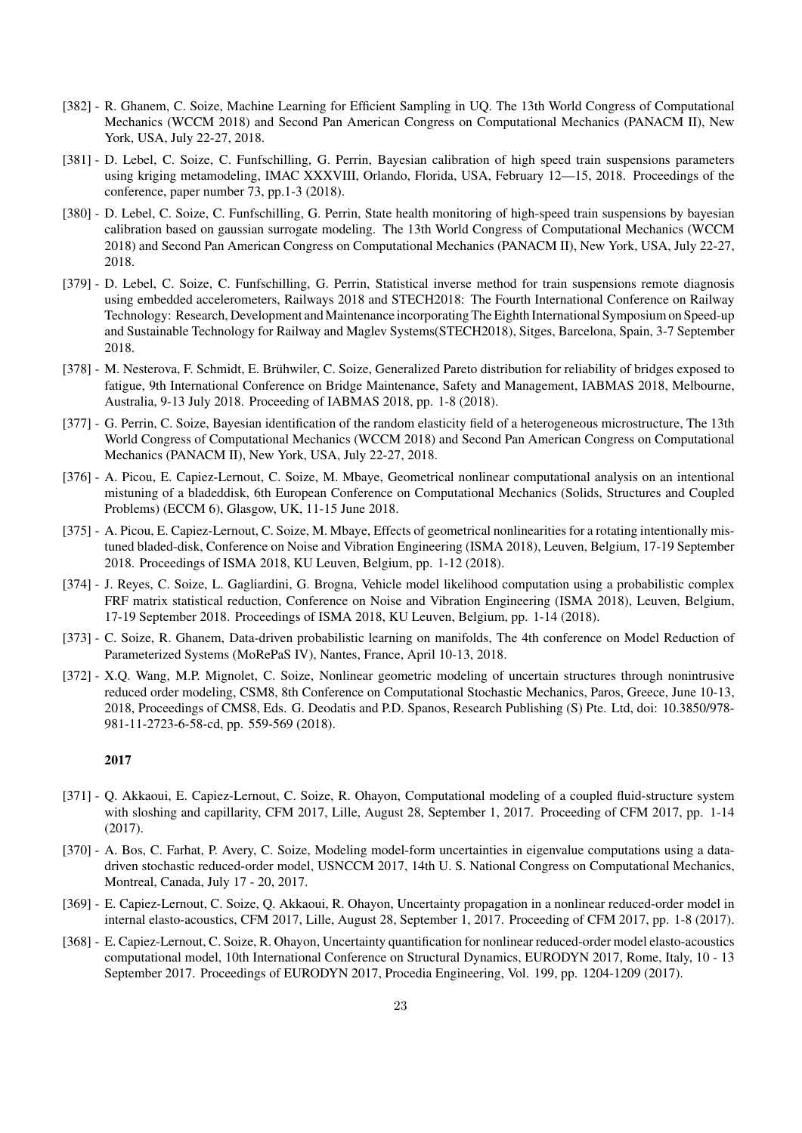- [382] R. Ghanem, C. Soize, Machine Learning for Efficient Sampling in UQ. The 13th World Congress of Computational Mechanics (WCCM 2018) and Second Pan American Congress on Computational Mechanics (PANACM II), New York, USA, July 22-27, 2018.
- [381] D. Lebel, C. Soize, C. Funfschilling, G. Perrin, Bayesian calibration of high speed train suspensions parameters using kriging metamodeling, IMAC XXXVIII, Orlando, Florida, USA, February 12—15, 2018. Proceedings of the conference, paper number 73, pp.1-3 (2018).
- [380] D. Lebel, C. Soize, C. Funfschilling, G. Perrin, State health monitoring of high-speed train suspensions by bayesian calibration based on gaussian surrogate modeling. The 13th World Congress of Computational Mechanics (WCCM 2018) and Second Pan American Congress on Computational Mechanics (PANACM II), New York, USA, July 22-27, 2018.
- [379] D. Lebel, C. Soize, C. Funfschilling, G. Perrin, Statistical inverse method for train suspensions remote diagnosis using embedded accelerometers, Railways 2018 and STECH2018: The Fourth International Conference on Railway Technology: Research, Development and Maintenance incorporating The Eighth International Symposium on Speed-up and Sustainable Technology for Railway and Maglev Systems(STECH2018), Sitges, Barcelona, Spain, 3-7 September 2018.
- [378] M. Nesterova, F. Schmidt, E. Brühwiler, C. Soize, Generalized Pareto distribution for reliability of bridges exposed to fatigue, 9th International Conference on Bridge Maintenance, Safety and Management, IABMAS 2018, Melbourne, Australia, 9-13 July 2018. Proceeding of IABMAS 2018, pp. 1-8 (2018).
- [377] G. Perrin, C. Soize, Bayesian identification of the random elasticity field of a heterogeneous microstructure, The 13th World Congress of Computational Mechanics (WCCM 2018) and Second Pan American Congress on Computational Mechanics (PANACM II), New York, USA, July 22-27, 2018.
- [376] A. Picou, E. Capiez-Lernout, C. Soize, M. Mbaye, Geometrical nonlinear computational analysis on an intentional mistuning of a bladeddisk, 6th European Conference on Computational Mechanics (Solids, Structures and Coupled Problems) (ECCM 6), Glasgow, UK, 11-15 June 2018.
- [375] A. Picou, E. Capiez-Lernout, C. Soize, M. Mbaye, Effects of geometrical nonlinearities for a rotating intentionally mistuned bladed-disk, Conference on Noise and Vibration Engineering (ISMA 2018), Leuven, Belgium, 17-19 September 2018. Proceedings of ISMA 2018, KU Leuven, Belgium, pp. 1-12 (2018).
- [374] J. Reyes, C. Soize, L. Gagliardini, G. Brogna, Vehicle model likelihood computation using a probabilistic complex FRF matrix statistical reduction, Conference on Noise and Vibration Engineering (ISMA 2018), Leuven, Belgium, 17-19 September 2018. Proceedings of ISMA 2018, KU Leuven, Belgium, pp. 1-14 (2018).
- [373] C. Soize, R. Ghanem, Data-driven probabilistic learning on manifolds, The 4th conference on Model Reduction of Parameterized Systems (MoRePaS IV), Nantes, France, April 10-13, 2018.
- [372] X.Q. Wang, M.P. Mignolet, C. Soize, Nonlinear geometric modeling of uncertain structures through nonintrusive reduced order modeling, CSM8, 8th Conference on Computational Stochastic Mechanics, Paros, Greece, June 10-13, 2018, Proceedings of CMS8, Eds. G. Deodatis and P.D. Spanos, Research Publishing (S) Pte. Ltd, doi: 10.3850/978- 981-11-2723-6-58-cd, pp. 559-569 (2018).

- [371] Q. Akkaoui, E. Capiez-Lernout, C. Soize, R. Ohayon, Computational modeling of a coupled fluid-structure system with sloshing and capillarity, CFM 2017, Lille, August 28, September 1, 2017. Proceeding of CFM 2017, pp. 1-14 (2017).
- [370] A. Bos, C. Farhat, P. Avery, C. Soize, Modeling model-form uncertainties in eigenvalue computations using a datadriven stochastic reduced-order model, USNCCM 2017, 14th U. S. National Congress on Computational Mechanics, Montreal, Canada, July 17 - 20, 2017.
- [369] E. Capiez-Lernout, C. Soize, Q. Akkaoui, R. Ohayon, Uncertainty propagation in a nonlinear reduced-order model in internal elasto-acoustics, CFM 2017, Lille, August 28, September 1, 2017. Proceeding of CFM 2017, pp. 1-8 (2017).
- [368] E. Capiez-Lernout, C. Soize, R. Ohayon, Uncertainty quantification for nonlinear reduced-order model elasto-acoustics computational model, 10th International Conference on Structural Dynamics, EURODYN 2017, Rome, Italy, 10 - 13 September 2017. Proceedings of EURODYN 2017, Procedia Engineering, Vol. 199, pp. 1204-1209 (2017).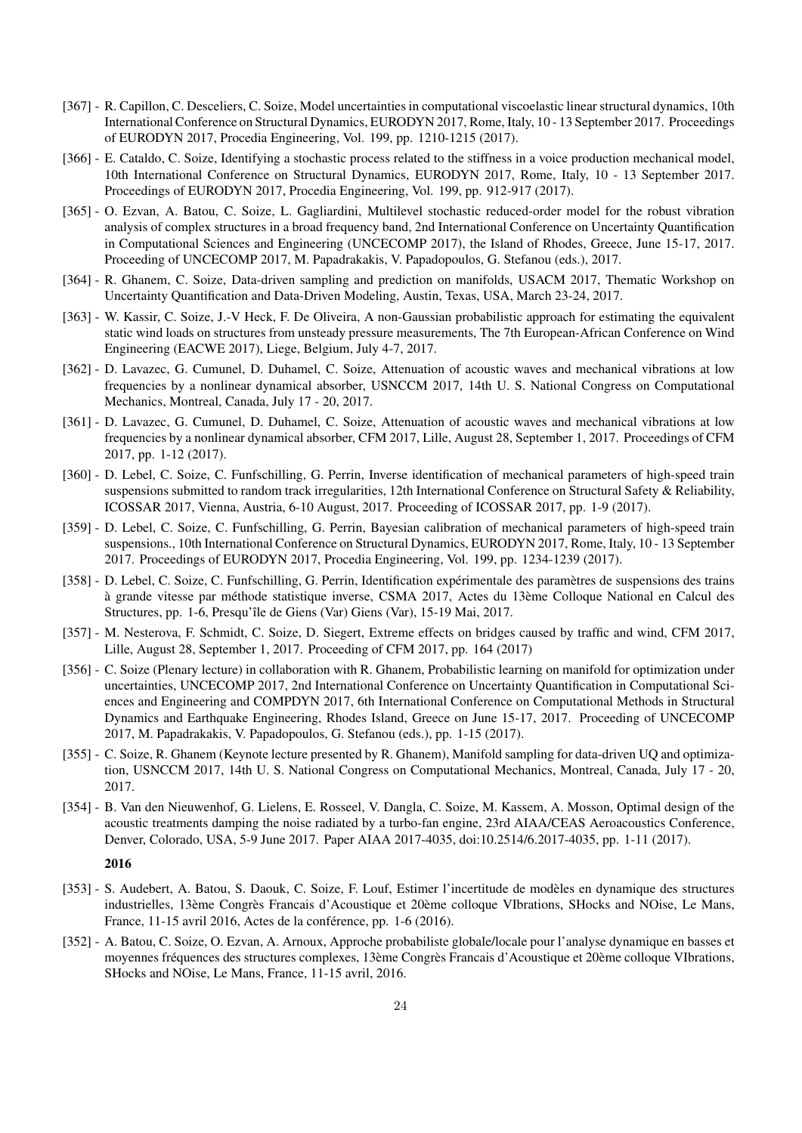- [367] R. Capillon, C. Desceliers, C. Soize, Model uncertainties in computational viscoelastic linear structural dynamics, 10th International Conference on Structural Dynamics, EURODYN 2017, Rome, Italy, 10 - 13 September 2017. Proceedings of EURODYN 2017, Procedia Engineering, Vol. 199, pp. 1210-1215 (2017).
- [366] E. Cataldo, C. Soize, Identifying a stochastic process related to the stiffness in a voice production mechanical model, 10th International Conference on Structural Dynamics, EURODYN 2017, Rome, Italy, 10 - 13 September 2017. Proceedings of EURODYN 2017, Procedia Engineering, Vol. 199, pp. 912-917 (2017).
- [365] O. Ezvan, A. Batou, C. Soize, L. Gagliardini, Multilevel stochastic reduced-order model for the robust vibration analysis of complex structures in a broad frequency band, 2nd International Conference on Uncertainty Quantification in Computational Sciences and Engineering (UNCECOMP 2017), the Island of Rhodes, Greece, June 15-17, 2017. Proceeding of UNCECOMP 2017, M. Papadrakakis, V. Papadopoulos, G. Stefanou (eds.), 2017.
- [364] R. Ghanem, C. Soize, Data-driven sampling and prediction on manifolds, USACM 2017, Thematic Workshop on Uncertainty Quantification and Data-Driven Modeling, Austin, Texas, USA, March 23-24, 2017.
- [363] W. Kassir, C. Soize, J.-V Heck, F. De Oliveira, A non-Gaussian probabilistic approach for estimating the equivalent static wind loads on structures from unsteady pressure measurements, The 7th European-African Conference on Wind Engineering (EACWE 2017), Liege, Belgium, July 4-7, 2017.
- [362] D. Lavazec, G. Cumunel, D. Duhamel, C. Soize, Attenuation of acoustic waves and mechanical vibrations at low frequencies by a nonlinear dynamical absorber, USNCCM 2017, 14th U. S. National Congress on Computational Mechanics, Montreal, Canada, July 17 - 20, 2017.
- [361] D. Lavazec, G. Cumunel, D. Duhamel, C. Soize, Attenuation of acoustic waves and mechanical vibrations at low frequencies by a nonlinear dynamical absorber, CFM 2017, Lille, August 28, September 1, 2017. Proceedings of CFM 2017, pp. 1-12 (2017).
- [360] D. Lebel, C. Soize, C. Funfschilling, G. Perrin, Inverse identification of mechanical parameters of high-speed train suspensions submitted to random track irregularities, 12th International Conference on Structural Safety & Reliability, ICOSSAR 2017, Vienna, Austria, 6-10 August, 2017. Proceeding of ICOSSAR 2017, pp. 1-9 (2017).
- [359] D. Lebel, C. Soize, C. Funfschilling, G. Perrin, Bayesian calibration of mechanical parameters of high-speed train suspensions., 10th International Conference on Structural Dynamics, EURODYN 2017, Rome, Italy, 10 - 13 September 2017. Proceedings of EURODYN 2017, Procedia Engineering, Vol. 199, pp. 1234-1239 (2017).
- [358] D. Lebel, C. Soize, C. Funfschilling, G. Perrin, Identification expérimentale des paramètres de suspensions des trains à grande vitesse par méthode statistique inverse, CSMA 2017, Actes du 13ème Colloque National en Calcul des Structures, pp. 1-6, Presqu'île de Giens (Var) Giens (Var), 15-19 Mai, 2017.
- [357] M. Nesterova, F. Schmidt, C. Soize, D. Siegert, Extreme effects on bridges caused by traffic and wind, CFM 2017, Lille, August 28, September 1, 2017. Proceeding of CFM 2017, pp. 164 (2017)
- [356] C. Soize (Plenary lecture) in collaboration with R. Ghanem, Probabilistic learning on manifold for optimization under uncertainties, UNCECOMP 2017, 2nd International Conference on Uncertainty Quantification in Computational Sciences and Engineering and COMPDYN 2017, 6th International Conference on Computational Methods in Structural Dynamics and Earthquake Engineering, Rhodes Island, Greece on June 15-17, 2017. Proceeding of UNCECOMP 2017, M. Papadrakakis, V. Papadopoulos, G. Stefanou (eds.), pp. 1-15 (2017).
- [355] C. Soize, R. Ghanem (Keynote lecture presented by R. Ghanem), Manifold sampling for data-driven UQ and optimization, USNCCM 2017, 14th U. S. National Congress on Computational Mechanics, Montreal, Canada, July 17 - 20, 2017.
- [354] B. Van den Nieuwenhof, G. Lielens, E. Rosseel, V. Dangla, C. Soize, M. Kassem, A. Mosson, Optimal design of the acoustic treatments damping the noise radiated by a turbo-fan engine, 23rd AIAA/CEAS Aeroacoustics Conference, Denver, Colorado, USA, 5-9 June 2017. Paper AIAA 2017-4035, doi:10.2514/6.2017-4035, pp. 1-11 (2017).

- [353] S. Audebert, A. Batou, S. Daouk, C. Soize, F. Louf, Estimer l'incertitude de modèles en dynamique des structures industrielles, 13ème Congrès Francais d'Acoustique et 20ème colloque VIbrations, SHocks and NOise, Le Mans, France, 11-15 avril 2016, Actes de la conférence, pp. 1-6 (2016).
- [352] A. Batou, C. Soize, O. Ezvan, A. Arnoux, Approche probabiliste globale/locale pour l'analyse dynamique en basses et moyennes fréquences des structures complexes, 13ème Congrès Francais d'Acoustique et 20ème colloque VIbrations, SHocks and NOise, Le Mans, France, 11-15 avril, 2016.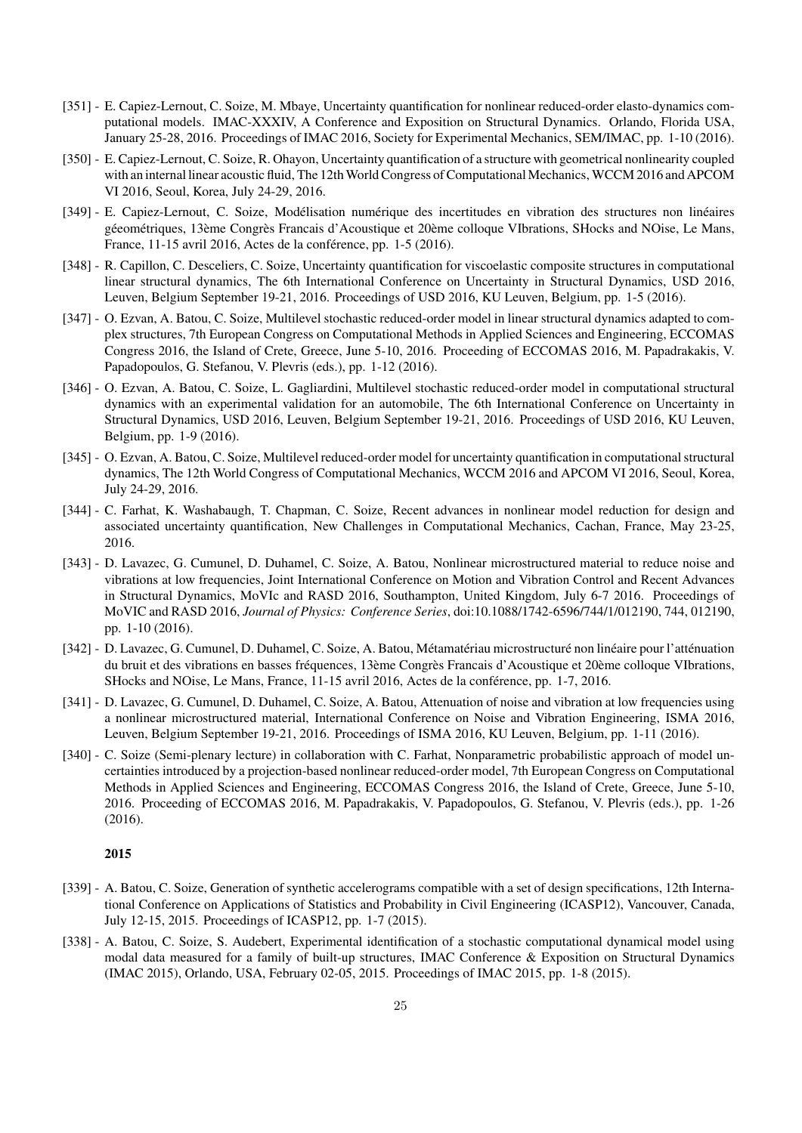- [351] E. Capiez-Lernout, C. Soize, M. Mbaye, Uncertainty quantification for nonlinear reduced-order elasto-dynamics computational models. IMAC-XXXIV, A Conference and Exposition on Structural Dynamics. Orlando, Florida USA, January 25-28, 2016. Proceedings of IMAC 2016, Society for Experimental Mechanics, SEM/IMAC, pp. 1-10 (2016).
- [350] E. Capiez-Lernout, C. Soize, R. Ohayon, Uncertainty quantification of a structure with geometrical nonlinearity coupled with an internal linear acoustic fluid, The 12th World Congress of Computational Mechanics, WCCM 2016 and APCOM VI 2016, Seoul, Korea, July 24-29, 2016.
- [349] E. Capiez-Lernout, C. Soize, Modélisation numérique des incertitudes en vibration des structures non linéaires géeométriques, 13ème Congrès Francais d'Acoustique et 20ème colloque VIbrations, SHocks and NOise, Le Mans, France, 11-15 avril 2016, Actes de la conférence, pp. 1-5 (2016).
- [348] R. Capillon, C. Desceliers, C. Soize, Uncertainty quantification for viscoelastic composite structures in computational linear structural dynamics, The 6th International Conference on Uncertainty in Structural Dynamics, USD 2016, Leuven, Belgium September 19-21, 2016. Proceedings of USD 2016, KU Leuven, Belgium, pp. 1-5 (2016).
- [347] O. Ezvan, A. Batou, C. Soize, Multilevel stochastic reduced-order model in linear structural dynamics adapted to complex structures, 7th European Congress on Computational Methods in Applied Sciences and Engineering, ECCOMAS Congress 2016, the Island of Crete, Greece, June 5-10, 2016. Proceeding of ECCOMAS 2016, M. Papadrakakis, V. Papadopoulos, G. Stefanou, V. Plevris (eds.), pp. 1-12 (2016).
- [346] O. Ezvan, A. Batou, C. Soize, L. Gagliardini, Multilevel stochastic reduced-order model in computational structural dynamics with an experimental validation for an automobile, The 6th International Conference on Uncertainty in Structural Dynamics, USD 2016, Leuven, Belgium September 19-21, 2016. Proceedings of USD 2016, KU Leuven, Belgium, pp. 1-9 (2016).
- [345] O. Ezvan, A. Batou, C. Soize, Multilevel reduced-order model for uncertainty quantification in computational structural dynamics, The 12th World Congress of Computational Mechanics, WCCM 2016 and APCOM VI 2016, Seoul, Korea, July 24-29, 2016.
- [344] C. Farhat, K. Washabaugh, T. Chapman, C. Soize, Recent advances in nonlinear model reduction for design and associated uncertainty quantification, New Challenges in Computational Mechanics, Cachan, France, May 23-25, 2016.
- [343] D. Lavazec, G. Cumunel, D. Duhamel, C. Soize, A. Batou, Nonlinear microstructured material to reduce noise and vibrations at low frequencies, Joint International Conference on Motion and Vibration Control and Recent Advances in Structural Dynamics, MoVIc and RASD 2016, Southampton, United Kingdom, July 6-7 2016. Proceedings of MoVIC and RASD 2016, *Journal of Physics: Conference Series*, doi:10.1088/1742-6596/744/1/012190, 744, 012190, pp. 1-10 (2016).
- [342] D. Lavazec, G. Cumunel, D. Duhamel, C. Soize, A. Batou, Métamatériau microstructuré non linéaire pour l'atténuation du bruit et des vibrations en basses fréquences, 13ème Congrès Francais d'Acoustique et 20ème colloque VIbrations, SHocks and NOise, Le Mans, France, 11-15 avril 2016, Actes de la conférence, pp. 1-7, 2016.
- [341] D. Lavazec, G. Cumunel, D. Duhamel, C. Soize, A. Batou, Attenuation of noise and vibration at low frequencies using a nonlinear microstructured material, International Conference on Noise and Vibration Engineering, ISMA 2016, Leuven, Belgium September 19-21, 2016. Proceedings of ISMA 2016, KU Leuven, Belgium, pp. 1-11 (2016).
- [340] C. Soize (Semi-plenary lecture) in collaboration with C. Farhat, Nonparametric probabilistic approach of model uncertainties introduced by a projection-based nonlinear reduced-order model, 7th European Congress on Computational Methods in Applied Sciences and Engineering, ECCOMAS Congress 2016, the Island of Crete, Greece, June 5-10, 2016. Proceeding of ECCOMAS 2016, M. Papadrakakis, V. Papadopoulos, G. Stefanou, V. Plevris (eds.), pp. 1-26 (2016).

- [339] A. Batou, C. Soize, Generation of synthetic accelerograms compatible with a set of design specifications, 12th International Conference on Applications of Statistics and Probability in Civil Engineering (ICASP12), Vancouver, Canada, July 12-15, 2015. Proceedings of ICASP12, pp. 1-7 (2015).
- [338] A. Batou, C. Soize, S. Audebert, Experimental identification of a stochastic computational dynamical model using modal data measured for a family of built-up structures, IMAC Conference & Exposition on Structural Dynamics (IMAC 2015), Orlando, USA, February 02-05, 2015. Proceedings of IMAC 2015, pp. 1-8 (2015).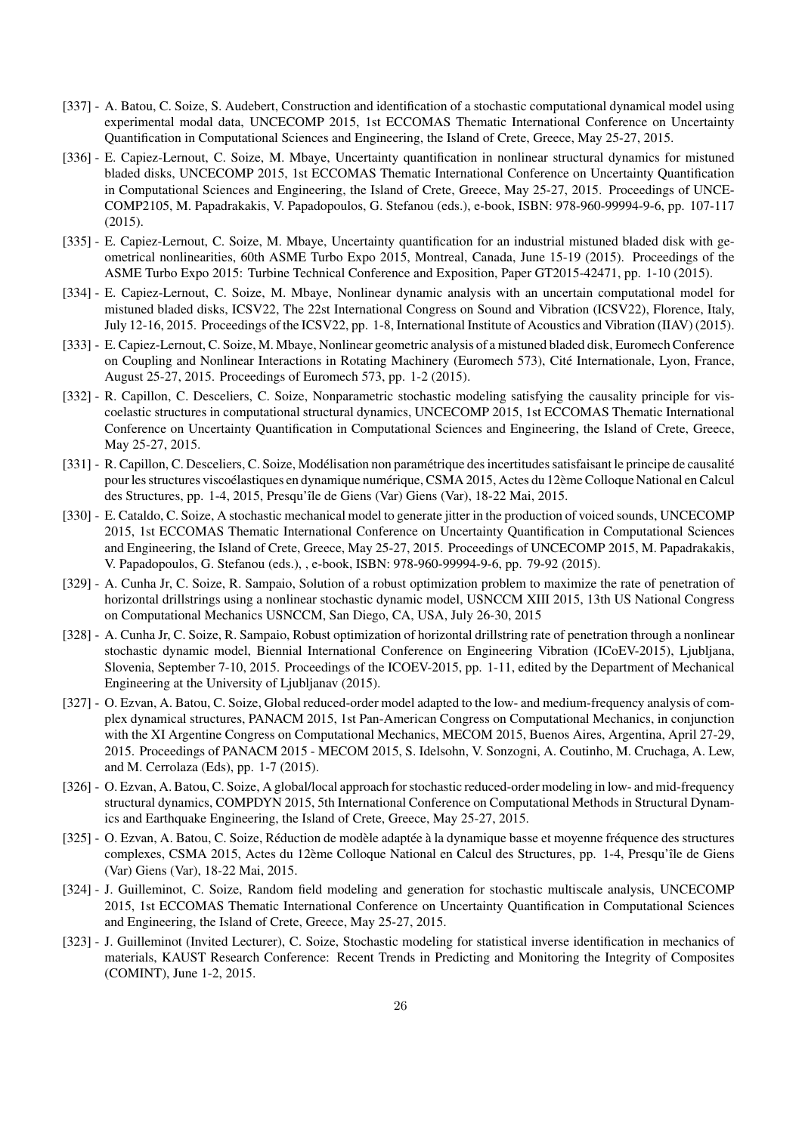- [337] A. Batou, C. Soize, S. Audebert, Construction and identification of a stochastic computational dynamical model using experimental modal data, UNCECOMP 2015, 1st ECCOMAS Thematic International Conference on Uncertainty Quantification in Computational Sciences and Engineering, the Island of Crete, Greece, May 25-27, 2015.
- [336] E. Capiez-Lernout, C. Soize, M. Mbaye, Uncertainty quantification in nonlinear structural dynamics for mistuned bladed disks, UNCECOMP 2015, 1st ECCOMAS Thematic International Conference on Uncertainty Quantification in Computational Sciences and Engineering, the Island of Crete, Greece, May 25-27, 2015. Proceedings of UNCE-COMP2105, M. Papadrakakis, V. Papadopoulos, G. Stefanou (eds.), e-book, ISBN: 978-960-99994-9-6, pp. 107-117 (2015).
- [335] E. Capiez-Lernout, C. Soize, M. Mbaye, Uncertainty quantification for an industrial mistuned bladed disk with geometrical nonlinearities, 60th ASME Turbo Expo 2015, Montreal, Canada, June 15-19 (2015). Proceedings of the ASME Turbo Expo 2015: Turbine Technical Conference and Exposition, Paper GT2015-42471, pp. 1-10 (2015).
- [334] E. Capiez-Lernout, C. Soize, M. Mbaye, Nonlinear dynamic analysis with an uncertain computational model for mistuned bladed disks, ICSV22, The 22st International Congress on Sound and Vibration (ICSV22), Florence, Italy, July 12-16, 2015. Proceedings of the ICSV22, pp. 1-8, International Institute of Acoustics and Vibration (IIAV) (2015).
- [333] E. Capiez-Lernout, C. Soize, M. Mbaye, Nonlinear geometric analysis of a mistuned bladed disk, Euromech Conference on Coupling and Nonlinear Interactions in Rotating Machinery (Euromech 573), Cité Internationale, Lyon, France, August 25-27, 2015. Proceedings of Euromech 573, pp. 1-2 (2015).
- [332] R. Capillon, C. Desceliers, C. Soize, Nonparametric stochastic modeling satisfying the causality principle for viscoelastic structures in computational structural dynamics, UNCECOMP 2015, 1st ECCOMAS Thematic International Conference on Uncertainty Quantification in Computational Sciences and Engineering, the Island of Crete, Greece, May 25-27, 2015.
- [331] R. Capillon, C. Desceliers, C. Soize, Modélisation non paramétrique des incertitudes satisfaisant le principe de causalité pour les structures viscoélastiques en dynamique numérique, CSMA 2015, Actes du 12ème Colloque National en Calcul des Structures, pp. 1-4, 2015, Presqu'île de Giens (Var) Giens (Var), 18-22 Mai, 2015.
- [330] E. Cataldo, C. Soize, A stochastic mechanical model to generate jitter in the production of voiced sounds, UNCECOMP 2015, 1st ECCOMAS Thematic International Conference on Uncertainty Quantification in Computational Sciences and Engineering, the Island of Crete, Greece, May 25-27, 2015. Proceedings of UNCECOMP 2015, M. Papadrakakis, V. Papadopoulos, G. Stefanou (eds.), , e-book, ISBN: 978-960-99994-9-6, pp. 79-92 (2015).
- [329] A. Cunha Jr, C. Soize, R. Sampaio, Solution of a robust optimization problem to maximize the rate of penetration of horizontal drillstrings using a nonlinear stochastic dynamic model, USNCCM XIII 2015, 13th US National Congress on Computational Mechanics USNCCM, San Diego, CA, USA, July 26-30, 2015
- [328] A. Cunha Jr, C. Soize, R. Sampaio, Robust optimization of horizontal drillstring rate of penetration through a nonlinear stochastic dynamic model, Biennial International Conference on Engineering Vibration (ICoEV-2015), Ljubljana, Slovenia, September 7-10, 2015. Proceedings of the ICOEV-2015, pp. 1-11, edited by the Department of Mechanical Engineering at the University of Ljubljanav (2015).
- [327] O. Ezvan, A. Batou, C. Soize, Global reduced-order model adapted to the low- and medium-frequency analysis of complex dynamical structures, PANACM 2015, 1st Pan-American Congress on Computational Mechanics, in conjunction with the XI Argentine Congress on Computational Mechanics, MECOM 2015, Buenos Aires, Argentina, April 27-29, 2015. Proceedings of PANACM 2015 - MECOM 2015, S. Idelsohn, V. Sonzogni, A. Coutinho, M. Cruchaga, A. Lew, and M. Cerrolaza (Eds), pp. 1-7 (2015).
- [326] O. Ezvan, A. Batou, C. Soize, A global/local approach for stochastic reduced-order modeling in low- and mid-frequency structural dynamics, COMPDYN 2015, 5th International Conference on Computational Methods in Structural Dynamics and Earthquake Engineering, the Island of Crete, Greece, May 25-27, 2015.
- [325] O. Ezvan, A. Batou, C. Soize, Réduction de modèle adaptée à la dynamique basse et moyenne fréquence des structures complexes, CSMA 2015, Actes du 12ème Colloque National en Calcul des Structures, pp. 1-4, Presqu'île de Giens (Var) Giens (Var), 18-22 Mai, 2015.
- [324] J. Guilleminot, C. Soize, Random field modeling and generation for stochastic multiscale analysis, UNCECOMP 2015, 1st ECCOMAS Thematic International Conference on Uncertainty Quantification in Computational Sciences and Engineering, the Island of Crete, Greece, May 25-27, 2015.
- [323] J. Guilleminot (Invited Lecturer), C. Soize, Stochastic modeling for statistical inverse identification in mechanics of materials, KAUST Research Conference: Recent Trends in Predicting and Monitoring the Integrity of Composites (COMINT), June 1-2, 2015.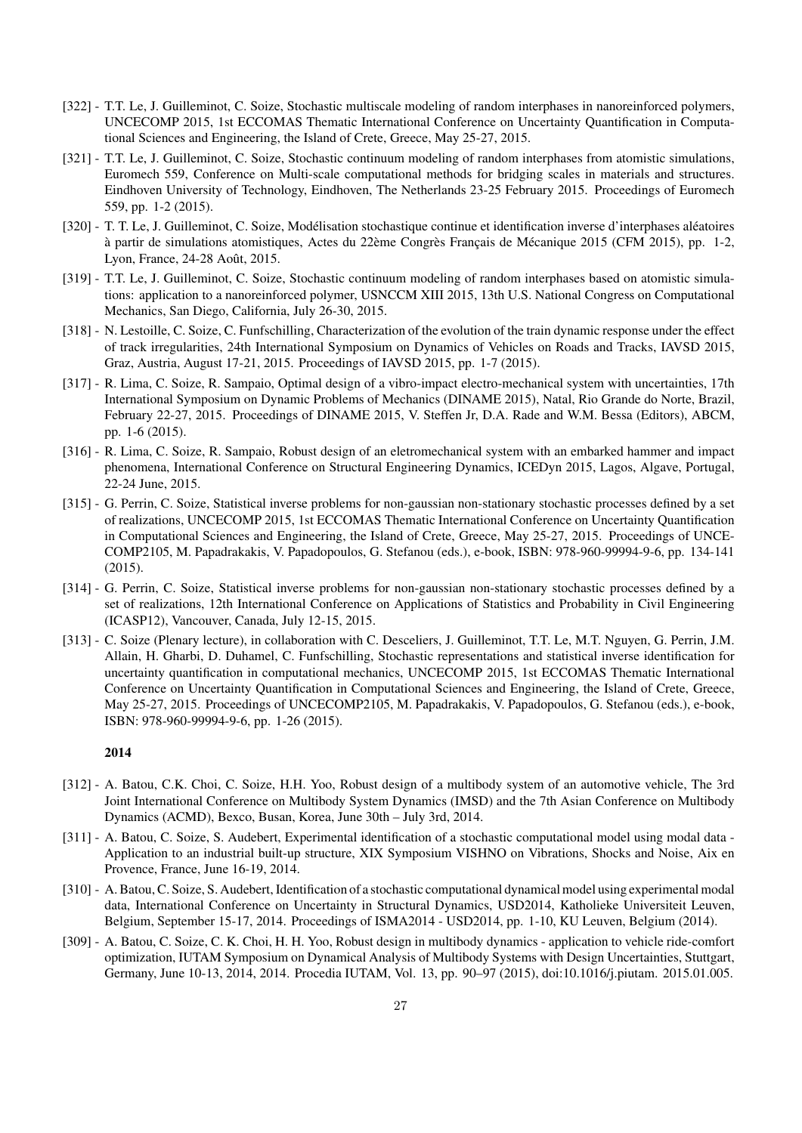- [322] T.T. Le, J. Guilleminot, C. Soize, Stochastic multiscale modeling of random interphases in nanoreinforced polymers, UNCECOMP 2015, 1st ECCOMAS Thematic International Conference on Uncertainty Quantification in Computational Sciences and Engineering, the Island of Crete, Greece, May 25-27, 2015.
- [321] T.T. Le, J. Guilleminot, C. Soize, Stochastic continuum modeling of random interphases from atomistic simulations, Euromech 559, Conference on Multi-scale computational methods for bridging scales in materials and structures. Eindhoven University of Technology, Eindhoven, The Netherlands 23-25 February 2015. Proceedings of Euromech 559, pp. 1-2 (2015).
- [320] T. T. Le, J. Guilleminot, C. Soize, Modélisation stochastique continue et identification inverse d'interphases aléatoires à partir de simulations atomistiques, Actes du 22ème Congrès Français de Mécanique 2015 (CFM 2015), pp. 1-2, Lyon, France, 24-28 Août, 2015.
- [319] T.T. Le, J. Guilleminot, C. Soize, Stochastic continuum modeling of random interphases based on atomistic simulations: application to a nanoreinforced polymer, USNCCM XIII 2015, 13th U.S. National Congress on Computational Mechanics, San Diego, California, July 26-30, 2015.
- [318] N. Lestoille, C. Soize, C. Funfschilling, Characterization of the evolution of the train dynamic response under the effect of track irregularities, 24th International Symposium on Dynamics of Vehicles on Roads and Tracks, IAVSD 2015, Graz, Austria, August 17-21, 2015. Proceedings of IAVSD 2015, pp. 1-7 (2015).
- [317] R. Lima, C. Soize, R. Sampaio, Optimal design of a vibro-impact electro-mechanical system with uncertainties, 17th International Symposium on Dynamic Problems of Mechanics (DINAME 2015), Natal, Rio Grande do Norte, Brazil, February 22-27, 2015. Proceedings of DINAME 2015, V. Steffen Jr, D.A. Rade and W.M. Bessa (Editors), ABCM, pp. 1-6 (2015).
- [316] R. Lima, C. Soize, R. Sampaio, Robust design of an eletromechanical system with an embarked hammer and impact phenomena, International Conference on Structural Engineering Dynamics, ICEDyn 2015, Lagos, Algave, Portugal, 22-24 June, 2015.
- [315] G. Perrin, C. Soize, Statistical inverse problems for non-gaussian non-stationary stochastic processes defined by a set of realizations, UNCECOMP 2015, 1st ECCOMAS Thematic International Conference on Uncertainty Quantification in Computational Sciences and Engineering, the Island of Crete, Greece, May 25-27, 2015. Proceedings of UNCE-COMP2105, M. Papadrakakis, V. Papadopoulos, G. Stefanou (eds.), e-book, ISBN: 978-960-99994-9-6, pp. 134-141 (2015).
- [314] G. Perrin, C. Soize, Statistical inverse problems for non-gaussian non-stationary stochastic processes defined by a set of realizations, 12th International Conference on Applications of Statistics and Probability in Civil Engineering (ICASP12), Vancouver, Canada, July 12-15, 2015.
- [313] C. Soize (Plenary lecture), in collaboration with C. Desceliers, J. Guilleminot, T.T. Le, M.T. Nguyen, G. Perrin, J.M. Allain, H. Gharbi, D. Duhamel, C. Funfschilling, Stochastic representations and statistical inverse identification for uncertainty quantification in computational mechanics, UNCECOMP 2015, 1st ECCOMAS Thematic International Conference on Uncertainty Quantification in Computational Sciences and Engineering, the Island of Crete, Greece, May 25-27, 2015. Proceedings of UNCECOMP2105, M. Papadrakakis, V. Papadopoulos, G. Stefanou (eds.), e-book, ISBN: 978-960-99994-9-6, pp. 1-26 (2015).

- [312] A. Batou, C.K. Choi, C. Soize, H.H. Yoo, Robust design of a multibody system of an automotive vehicle, The 3rd Joint International Conference on Multibody System Dynamics (IMSD) and the 7th Asian Conference on Multibody Dynamics (ACMD), Bexco, Busan, Korea, June 30th – July 3rd, 2014.
- [311] A. Batou, C. Soize, S. Audebert, Experimental identification of a stochastic computational model using modal data Application to an industrial built-up structure, XIX Symposium VISHNO on Vibrations, Shocks and Noise, Aix en Provence, France, June 16-19, 2014.
- [310] A. Batou, C. Soize, S. Audebert, Identification of a stochastic computational dynamical model using experimental modal data, International Conference on Uncertainty in Structural Dynamics, USD2014, Katholieke Universiteit Leuven, Belgium, September 15-17, 2014. Proceedings of ISMA2014 - USD2014, pp. 1-10, KU Leuven, Belgium (2014).
- [309] A. Batou, C. Soize, C. K. Choi, H. H. Yoo, Robust design in multibody dynamics application to vehicle ride-comfort optimization, IUTAM Symposium on Dynamical Analysis of Multibody Systems with Design Uncertainties, Stuttgart, Germany, June 10-13, 2014, 2014. Procedia IUTAM, Vol. 13, pp. 90–97 (2015), doi:10.1016/j.piutam. 2015.01.005.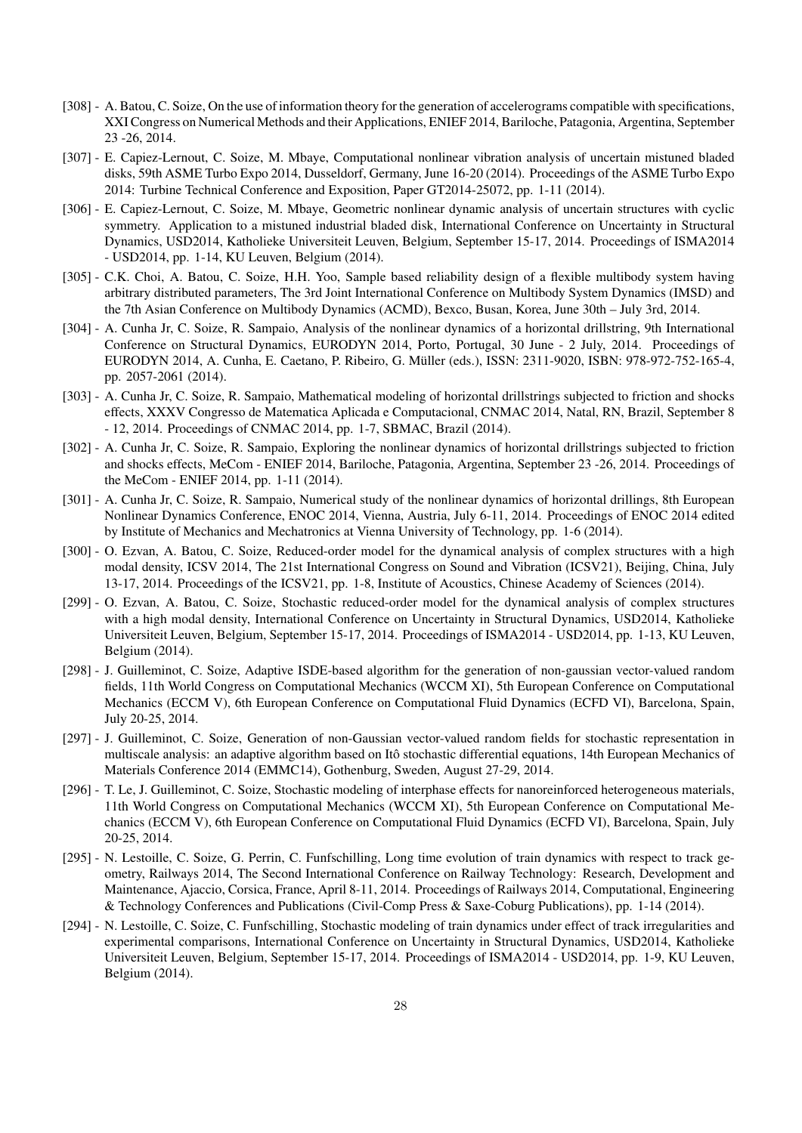- [308] A. Batou, C. Soize, On the use of information theory for the generation of accelerograms compatible with specifications, XXI Congress on Numerical Methods and their Applications, ENIEF 2014, Bariloche, Patagonia, Argentina, September 23 -26, 2014.
- [307] E. Capiez-Lernout, C. Soize, M. Mbaye, Computational nonlinear vibration analysis of uncertain mistuned bladed disks, 59th ASME Turbo Expo 2014, Dusseldorf, Germany, June 16-20 (2014). Proceedings of the ASME Turbo Expo 2014: Turbine Technical Conference and Exposition, Paper GT2014-25072, pp. 1-11 (2014).
- [306] E. Capiez-Lernout, C. Soize, M. Mbaye, Geometric nonlinear dynamic analysis of uncertain structures with cyclic symmetry. Application to a mistuned industrial bladed disk, International Conference on Uncertainty in Structural Dynamics, USD2014, Katholieke Universiteit Leuven, Belgium, September 15-17, 2014. Proceedings of ISMA2014 - USD2014, pp. 1-14, KU Leuven, Belgium (2014).
- [305] C.K. Choi, A. Batou, C. Soize, H.H. Yoo, Sample based reliability design of a flexible multibody system having arbitrary distributed parameters, The 3rd Joint International Conference on Multibody System Dynamics (IMSD) and the 7th Asian Conference on Multibody Dynamics (ACMD), Bexco, Busan, Korea, June 30th – July 3rd, 2014.
- [304] A. Cunha Jr, C. Soize, R. Sampaio, Analysis of the nonlinear dynamics of a horizontal drillstring, 9th International Conference on Structural Dynamics, EURODYN 2014, Porto, Portugal, 30 June - 2 July, 2014. Proceedings of EURODYN 2014, A. Cunha, E. Caetano, P. Ribeiro, G. Müller (eds.), ISSN: 2311-9020, ISBN: 978-972-752-165-4, pp. 2057-2061 (2014).
- [303] A. Cunha Jr, C. Soize, R. Sampaio, Mathematical modeling of horizontal drillstrings subjected to friction and shocks effects, XXXV Congresso de Matematica Aplicada e Computacional, CNMAC 2014, Natal, RN, Brazil, September 8 - 12, 2014. Proceedings of CNMAC 2014, pp. 1-7, SBMAC, Brazil (2014).
- [302] A. Cunha Jr, C. Soize, R. Sampaio, Exploring the nonlinear dynamics of horizontal drillstrings subjected to friction and shocks effects, MeCom - ENIEF 2014, Bariloche, Patagonia, Argentina, September 23 -26, 2014. Proceedings of the MeCom - ENIEF 2014, pp. 1-11 (2014).
- [301] A. Cunha Jr, C. Soize, R. Sampaio, Numerical study of the nonlinear dynamics of horizontal drillings, 8th European Nonlinear Dynamics Conference, ENOC 2014, Vienna, Austria, July 6-11, 2014. Proceedings of ENOC 2014 edited by Institute of Mechanics and Mechatronics at Vienna University of Technology, pp. 1-6 (2014).
- [300] O. Ezvan, A. Batou, C. Soize, Reduced-order model for the dynamical analysis of complex structures with a high modal density, ICSV 2014, The 21st International Congress on Sound and Vibration (ICSV21), Beijing, China, July 13-17, 2014. Proceedings of the ICSV21, pp. 1-8, Institute of Acoustics, Chinese Academy of Sciences (2014).
- [299] O. Ezvan, A. Batou, C. Soize, Stochastic reduced-order model for the dynamical analysis of complex structures with a high modal density, International Conference on Uncertainty in Structural Dynamics, USD2014, Katholieke Universiteit Leuven, Belgium, September 15-17, 2014. Proceedings of ISMA2014 - USD2014, pp. 1-13, KU Leuven, Belgium (2014).
- [298] J. Guilleminot, C. Soize, Adaptive ISDE-based algorithm for the generation of non-gaussian vector-valued random fields, 11th World Congress on Computational Mechanics (WCCM XI), 5th European Conference on Computational Mechanics (ECCM V), 6th European Conference on Computational Fluid Dynamics (ECFD VI), Barcelona, Spain, July 20-25, 2014.
- [297] J. Guilleminot, C. Soize, Generation of non-Gaussian vector-valued random fields for stochastic representation in multiscale analysis: an adaptive algorithm based on Itô stochastic differential equations, 14th European Mechanics of Materials Conference 2014 (EMMC14), Gothenburg, Sweden, August 27-29, 2014.
- [296] T. Le, J. Guilleminot, C. Soize, Stochastic modeling of interphase effects for nanoreinforced heterogeneous materials, 11th World Congress on Computational Mechanics (WCCM XI), 5th European Conference on Computational Mechanics (ECCM V), 6th European Conference on Computational Fluid Dynamics (ECFD VI), Barcelona, Spain, July 20-25, 2014.
- [295] N. Lestoille, C. Soize, G. Perrin, C. Funfschilling, Long time evolution of train dynamics with respect to track geometry, Railways 2014, The Second International Conference on Railway Technology: Research, Development and Maintenance, Ajaccio, Corsica, France, April 8-11, 2014. Proceedings of Railways 2014, Computational, Engineering & Technology Conferences and Publications (Civil-Comp Press & Saxe-Coburg Publications), pp. 1-14 (2014).
- [294] N. Lestoille, C. Soize, C. Funfschilling, Stochastic modeling of train dynamics under effect of track irregularities and experimental comparisons, International Conference on Uncertainty in Structural Dynamics, USD2014, Katholieke Universiteit Leuven, Belgium, September 15-17, 2014. Proceedings of ISMA2014 - USD2014, pp. 1-9, KU Leuven, Belgium (2014).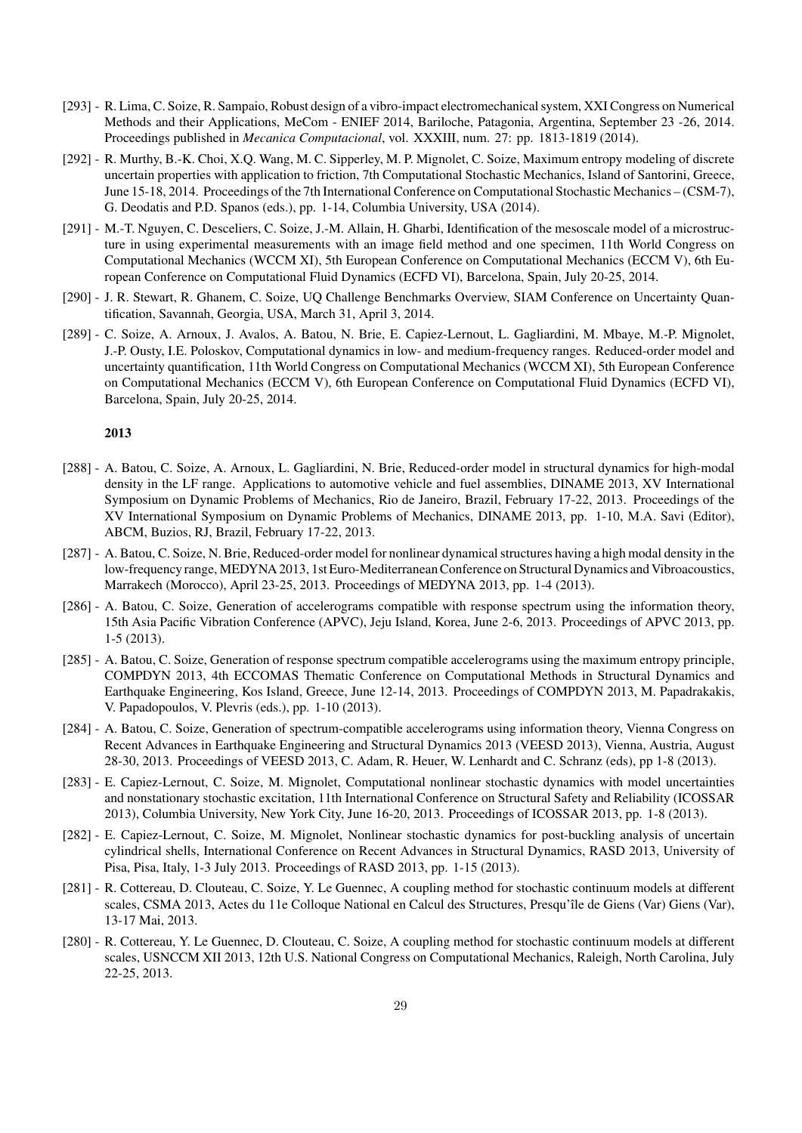- [293] R. Lima, C. Soize, R. Sampaio, Robust design of a vibro-impact electromechanical system, XXI Congress on Numerical Methods and their Applications, MeCom - ENIEF 2014, Bariloche, Patagonia, Argentina, September 23 -26, 2014. Proceedings published in *Mecanica Computacional*, vol. XXXIII, num. 27: pp. 1813-1819 (2014).
- [292] R. Murthy, B.-K. Choi, X.Q. Wang, M. C. Sipperley, M. P. Mignolet, C. Soize, Maximum entropy modeling of discrete uncertain properties with application to friction, 7th Computational Stochastic Mechanics, Island of Santorini, Greece, June 15-18, 2014. Proceedings of the 7th International Conference on Computational Stochastic Mechanics – (CSM-7), G. Deodatis and P.D. Spanos (eds.), pp. 1-14, Columbia University, USA (2014).
- [291] M.-T. Nguyen, C. Desceliers, C. Soize, J.-M. Allain, H. Gharbi, Identification of the mesoscale model of a microstructure in using experimental measurements with an image field method and one specimen, 11th World Congress on Computational Mechanics (WCCM XI), 5th European Conference on Computational Mechanics (ECCM V), 6th European Conference on Computational Fluid Dynamics (ECFD VI), Barcelona, Spain, July 20-25, 2014.
- [290] J. R. Stewart, R. Ghanem, C. Soize, UQ Challenge Benchmarks Overview, SIAM Conference on Uncertainty Quantification, Savannah, Georgia, USA, March 31, April 3, 2014.
- [289] C. Soize, A. Arnoux, J. Avalos, A. Batou, N. Brie, E. Capiez-Lernout, L. Gagliardini, M. Mbaye, M.-P. Mignolet, J.-P. Ousty, I.E. Poloskov, Computational dynamics in low- and medium-frequency ranges. Reduced-order model and uncertainty quantification, 11th World Congress on Computational Mechanics (WCCM XI), 5th European Conference on Computational Mechanics (ECCM V), 6th European Conference on Computational Fluid Dynamics (ECFD VI), Barcelona, Spain, July 20-25, 2014.

- [288] A. Batou, C. Soize, A. Arnoux, L. Gagliardini, N. Brie, Reduced-order model in structural dynamics for high-modal density in the LF range. Applications to automotive vehicle and fuel assemblies, DINAME 2013, XV International Symposium on Dynamic Problems of Mechanics, Rio de Janeiro, Brazil, February 17-22, 2013. Proceedings of the XV International Symposium on Dynamic Problems of Mechanics, DINAME 2013, pp. 1-10, M.A. Savi (Editor), ABCM, Buzios, RJ, Brazil, February 17-22, 2013.
- [287] A. Batou, C. Soize, N. Brie, Reduced-order model for nonlinear dynamical structures having a high modal density in the low-frequency range, MEDYNA 2013, 1st Euro-Mediterranean Conference on Structural Dynamics and Vibroacoustics, Marrakech (Morocco), April 23-25, 2013. Proceedings of MEDYNA 2013, pp. 1-4 (2013).
- [286] A. Batou, C. Soize, Generation of accelerograms compatible with response spectrum using the information theory, 15th Asia Pacific Vibration Conference (APVC), Jeju Island, Korea, June 2-6, 2013. Proceedings of APVC 2013, pp. 1-5 (2013).
- [285] A. Batou, C. Soize, Generation of response spectrum compatible accelerograms using the maximum entropy principle, COMPDYN 2013, 4th ECCOMAS Thematic Conference on Computational Methods in Structural Dynamics and Earthquake Engineering, Kos Island, Greece, June 12-14, 2013. Proceedings of COMPDYN 2013, M. Papadrakakis, V. Papadopoulos, V. Plevris (eds.), pp. 1-10 (2013).
- [284] A. Batou, C. Soize, Generation of spectrum-compatible accelerograms using information theory, Vienna Congress on Recent Advances in Earthquake Engineering and Structural Dynamics 2013 (VEESD 2013), Vienna, Austria, August 28-30, 2013. Proceedings of VEESD 2013, C. Adam, R. Heuer, W. Lenhardt and C. Schranz (eds), pp 1-8 (2013).
- [283] E. Capiez-Lernout, C. Soize, M. Mignolet, Computational nonlinear stochastic dynamics with model uncertainties and nonstationary stochastic excitation, 11th International Conference on Structural Safety and Reliability (ICOSSAR 2013), Columbia University, New York City, June 16-20, 2013. Proceedings of ICOSSAR 2013, pp. 1-8 (2013).
- [282] E. Capiez-Lernout, C. Soize, M. Mignolet, Nonlinear stochastic dynamics for post-buckling analysis of uncertain cylindrical shells, International Conference on Recent Advances in Structural Dynamics, RASD 2013, University of Pisa, Pisa, Italy, 1-3 July 2013. Proceedings of RASD 2013, pp. 1-15 (2013).
- [281] R. Cottereau, D. Clouteau, C. Soize, Y. Le Guennec, A coupling method for stochastic continuum models at different scales, CSMA 2013, Actes du 11e Colloque National en Calcul des Structures, Presqu'île de Giens (Var) Giens (Var), 13-17 Mai, 2013.
- [280] R. Cottereau, Y. Le Guennec, D. Clouteau, C. Soize, A coupling method for stochastic continuum models at different scales, USNCCM XII 2013, 12th U.S. National Congress on Computational Mechanics, Raleigh, North Carolina, July 22-25, 2013.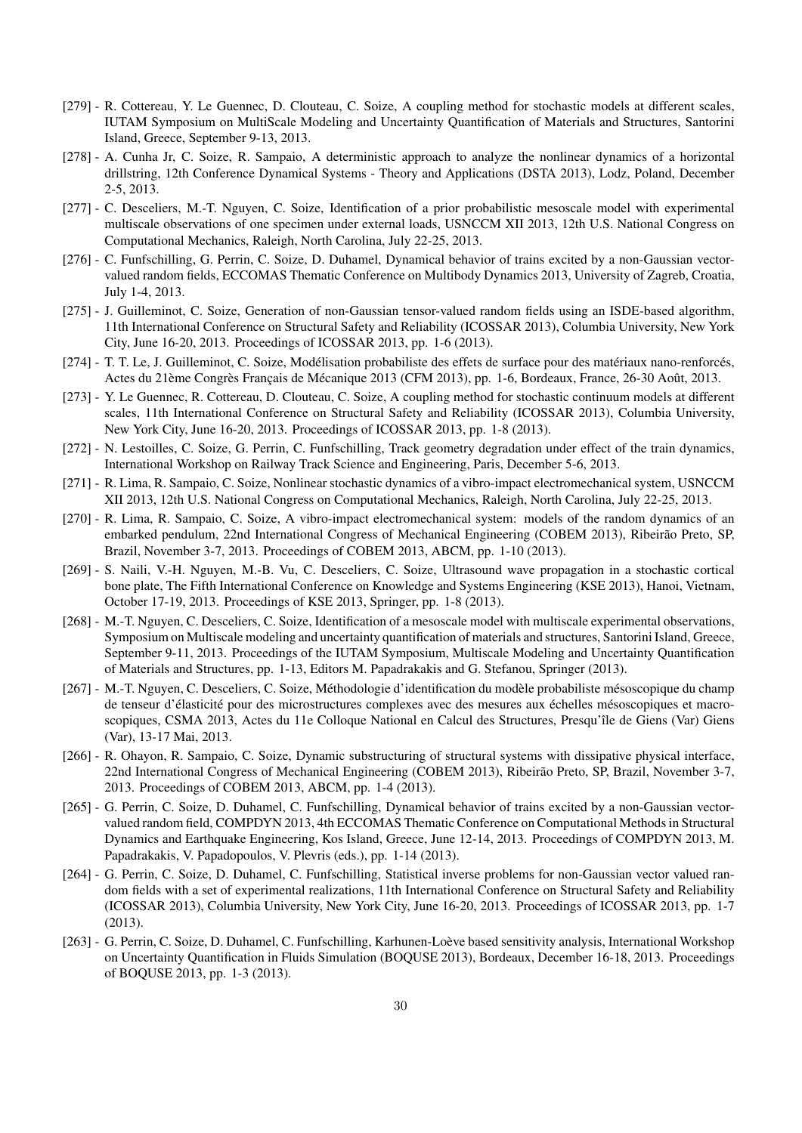- [279] R. Cottereau, Y. Le Guennec, D. Clouteau, C. Soize, A coupling method for stochastic models at different scales, IUTAM Symposium on MultiScale Modeling and Uncertainty Quantification of Materials and Structures, Santorini Island, Greece, September 9-13, 2013.
- [278] A. Cunha Jr, C. Soize, R. Sampaio, A deterministic approach to analyze the nonlinear dynamics of a horizontal drillstring, 12th Conference Dynamical Systems - Theory and Applications (DSTA 2013), Lodz, Poland, December 2-5, 2013.
- [277] C. Desceliers, M.-T. Nguyen, C. Soize, Identification of a prior probabilistic mesoscale model with experimental multiscale observations of one specimen under external loads, USNCCM XII 2013, 12th U.S. National Congress on Computational Mechanics, Raleigh, North Carolina, July 22-25, 2013.
- [276] C. Funfschilling, G. Perrin, C. Soize, D. Duhamel, Dynamical behavior of trains excited by a non-Gaussian vectorvalued random fields, ECCOMAS Thematic Conference on Multibody Dynamics 2013, University of Zagreb, Croatia, July 1-4, 2013.
- [275] J. Guilleminot, C. Soize, Generation of non-Gaussian tensor-valued random fields using an ISDE-based algorithm, 11th International Conference on Structural Safety and Reliability (ICOSSAR 2013), Columbia University, New York City, June 16-20, 2013. Proceedings of ICOSSAR 2013, pp. 1-6 (2013).
- [274] T. T. Le, J. Guilleminot, C. Soize, Modélisation probabiliste des effets de surface pour des matériaux nano-renforcés, Actes du 21ème Congrès Français de Mécanique 2013 (CFM 2013), pp. 1-6, Bordeaux, France, 26-30 Août, 2013.
- [273] Y. Le Guennec, R. Cottereau, D. Clouteau, C. Soize, A coupling method for stochastic continuum models at different scales, 11th International Conference on Structural Safety and Reliability (ICOSSAR 2013), Columbia University, New York City, June 16-20, 2013. Proceedings of ICOSSAR 2013, pp. 1-8 (2013).
- [272] N. Lestoilles, C. Soize, G. Perrin, C. Funfschilling, Track geometry degradation under effect of the train dynamics, International Workshop on Railway Track Science and Engineering, Paris, December 5-6, 2013.
- [271] R. Lima, R. Sampaio, C. Soize, Nonlinear stochastic dynamics of a vibro-impact electromechanical system, USNCCM XII 2013, 12th U.S. National Congress on Computational Mechanics, Raleigh, North Carolina, July 22-25, 2013.
- [270] R. Lima, R. Sampaio, C. Soize, A vibro-impact electromechanical system: models of the random dynamics of an embarked pendulum, 22nd International Congress of Mechanical Engineering (COBEM 2013), Ribeirão Preto, SP, Brazil, November 3-7, 2013. Proceedings of COBEM 2013, ABCM, pp. 1-10 (2013).
- [269] S. Naili, V.-H. Nguyen, M.-B. Vu, C. Desceliers, C. Soize, Ultrasound wave propagation in a stochastic cortical bone plate, The Fifth International Conference on Knowledge and Systems Engineering (KSE 2013), Hanoi, Vietnam, October 17-19, 2013. Proceedings of KSE 2013, Springer, pp. 1-8 (2013).
- [268] M.-T. Nguyen, C. Desceliers, C. Soize, Identification of a mesoscale model with multiscale experimental observations, Symposium on Multiscale modeling and uncertainty quantification of materials and structures, Santorini Island, Greece, September 9-11, 2013. Proceedings of the IUTAM Symposium, Multiscale Modeling and Uncertainty Quantification of Materials and Structures, pp. 1-13, Editors M. Papadrakakis and G. Stefanou, Springer (2013).
- [267] M.-T. Nguyen, C. Desceliers, C. Soize, Méthodologie d'identification du modèle probabiliste mésoscopique du champ de tenseur d'élasticité pour des microstructures complexes avec des mesures aux échelles mésoscopiques et macroscopiques, CSMA 2013, Actes du 11e Colloque National en Calcul des Structures, Presqu'île de Giens (Var) Giens (Var), 13-17 Mai, 2013.
- [266] R. Ohayon, R. Sampaio, C. Soize, Dynamic substructuring of structural systems with dissipative physical interface, 22nd International Congress of Mechanical Engineering (COBEM 2013), Ribeirão Preto, SP, Brazil, November 3-7, 2013. Proceedings of COBEM 2013, ABCM, pp. 1-4 (2013).
- [265] G. Perrin, C. Soize, D. Duhamel, C. Funfschilling, Dynamical behavior of trains excited by a non-Gaussian vectorvalued random field, COMPDYN 2013, 4th ECCOMAS Thematic Conference on Computational Methods in Structural Dynamics and Earthquake Engineering, Kos Island, Greece, June 12-14, 2013. Proceedings of COMPDYN 2013, M. Papadrakakis, V. Papadopoulos, V. Plevris (eds.), pp. 1-14 (2013).
- [264] G. Perrin, C. Soize, D. Duhamel, C. Funfschilling, Statistical inverse problems for non-Gaussian vector valued random fields with a set of experimental realizations, 11th International Conference on Structural Safety and Reliability (ICOSSAR 2013), Columbia University, New York City, June 16-20, 2013. Proceedings of ICOSSAR 2013, pp. 1-7 (2013).
- [263] G. Perrin, C. Soize, D. Duhamel, C. Funfschilling, Karhunen-Loève based sensitivity analysis, International Workshop on Uncertainty Quantification in Fluids Simulation (BOQUSE 2013), Bordeaux, December 16-18, 2013. Proceedings of BOQUSE 2013, pp. 1-3 (2013).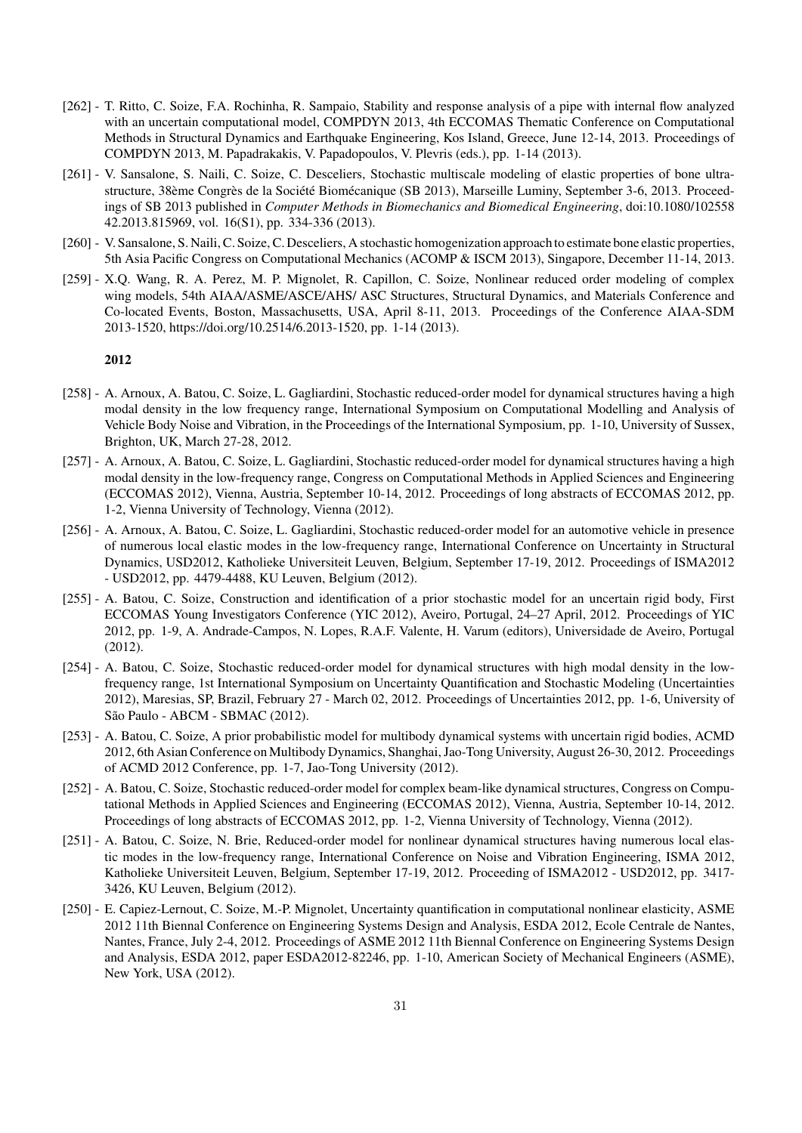- [262] T. Ritto, C. Soize, F.A. Rochinha, R. Sampaio, Stability and response analysis of a pipe with internal flow analyzed with an uncertain computational model, COMPDYN 2013, 4th ECCOMAS Thematic Conference on Computational Methods in Structural Dynamics and Earthquake Engineering, Kos Island, Greece, June 12-14, 2013. Proceedings of COMPDYN 2013, M. Papadrakakis, V. Papadopoulos, V. Plevris (eds.), pp. 1-14 (2013).
- [261] V. Sansalone, S. Naili, C. Soize, C. Desceliers, Stochastic multiscale modeling of elastic properties of bone ultrastructure, 38ème Congrès de la Société Biomécanique (SB 2013), Marseille Luminy, September 3-6, 2013. Proceedings of SB 2013 published in *Computer Methods in Biomechanics and Biomedical Engineering*, doi:10.1080/102558 42.2013.815969, vol. 16(S1), pp. 334-336 (2013).
- [260] V. Sansalone, S. Naili, C. Soize, C. Desceliers, A stochastic homogenization approach to estimate bone elastic properties, 5th Asia Pacific Congress on Computational Mechanics (ACOMP & ISCM 2013), Singapore, December 11-14, 2013.
- [259] X.Q. Wang, R. A. Perez, M. P. Mignolet, R. Capillon, C. Soize, Nonlinear reduced order modeling of complex wing models, 54th AIAA/ASME/ASCE/AHS/ ASC Structures, Structural Dynamics, and Materials Conference and Co-located Events, Boston, Massachusetts, USA, April 8-11, 2013. Proceedings of the Conference AIAA-SDM 2013-1520, https://doi.org/10.2514/6.2013-1520, pp. 1-14 (2013).

- [258] A. Arnoux, A. Batou, C. Soize, L. Gagliardini, Stochastic reduced-order model for dynamical structures having a high modal density in the low frequency range, International Symposium on Computational Modelling and Analysis of Vehicle Body Noise and Vibration, in the Proceedings of the International Symposium, pp. 1-10, University of Sussex, Brighton, UK, March 27-28, 2012.
- [257] A. Arnoux, A. Batou, C. Soize, L. Gagliardini, Stochastic reduced-order model for dynamical structures having a high modal density in the low-frequency range, Congress on Computational Methods in Applied Sciences and Engineering (ECCOMAS 2012), Vienna, Austria, September 10-14, 2012. Proceedings of long abstracts of ECCOMAS 2012, pp. 1-2, Vienna University of Technology, Vienna (2012).
- [256] A. Arnoux, A. Batou, C. Soize, L. Gagliardini, Stochastic reduced-order model for an automotive vehicle in presence of numerous local elastic modes in the low-frequency range, International Conference on Uncertainty in Structural Dynamics, USD2012, Katholieke Universiteit Leuven, Belgium, September 17-19, 2012. Proceedings of ISMA2012 - USD2012, pp. 4479-4488, KU Leuven, Belgium (2012).
- [255] A. Batou, C. Soize, Construction and identification of a prior stochastic model for an uncertain rigid body, First ECCOMAS Young Investigators Conference (YIC 2012), Aveiro, Portugal, 24–27 April, 2012. Proceedings of YIC 2012, pp. 1-9, A. Andrade-Campos, N. Lopes, R.A.F. Valente, H. Varum (editors), Universidade de Aveiro, Portugal (2012).
- [254] A. Batou, C. Soize, Stochastic reduced-order model for dynamical structures with high modal density in the lowfrequency range, 1st International Symposium on Uncertainty Quantification and Stochastic Modeling (Uncertainties 2012), Maresias, SP, Brazil, February 27 - March 02, 2012. Proceedings of Uncertainties 2012, pp. 1-6, University of São Paulo - ABCM - SBMAC (2012).
- [253] A. Batou, C. Soize, A prior probabilistic model for multibody dynamical systems with uncertain rigid bodies, ACMD 2012, 6th Asian Conference on Multibody Dynamics, Shanghai, Jao-Tong University, August 26-30, 2012. Proceedings of ACMD 2012 Conference, pp. 1-7, Jao-Tong University (2012).
- [252] A. Batou, C. Soize, Stochastic reduced-order model for complex beam-like dynamical structures, Congress on Computational Methods in Applied Sciences and Engineering (ECCOMAS 2012), Vienna, Austria, September 10-14, 2012. Proceedings of long abstracts of ECCOMAS 2012, pp. 1-2, Vienna University of Technology, Vienna (2012).
- [251] A. Batou, C. Soize, N. Brie, Reduced-order model for nonlinear dynamical structures having numerous local elastic modes in the low-frequency range, International Conference on Noise and Vibration Engineering, ISMA 2012, Katholieke Universiteit Leuven, Belgium, September 17-19, 2012. Proceeding of ISMA2012 - USD2012, pp. 3417- 3426, KU Leuven, Belgium (2012).
- [250] E. Capiez-Lernout, C. Soize, M.-P. Mignolet, Uncertainty quantification in computational nonlinear elasticity, ASME 2012 11th Biennal Conference on Engineering Systems Design and Analysis, ESDA 2012, Ecole Centrale de Nantes, Nantes, France, July 2-4, 2012. Proceedings of ASME 2012 11th Biennal Conference on Engineering Systems Design and Analysis, ESDA 2012, paper ESDA2012-82246, pp. 1-10, American Society of Mechanical Engineers (ASME), New York, USA (2012).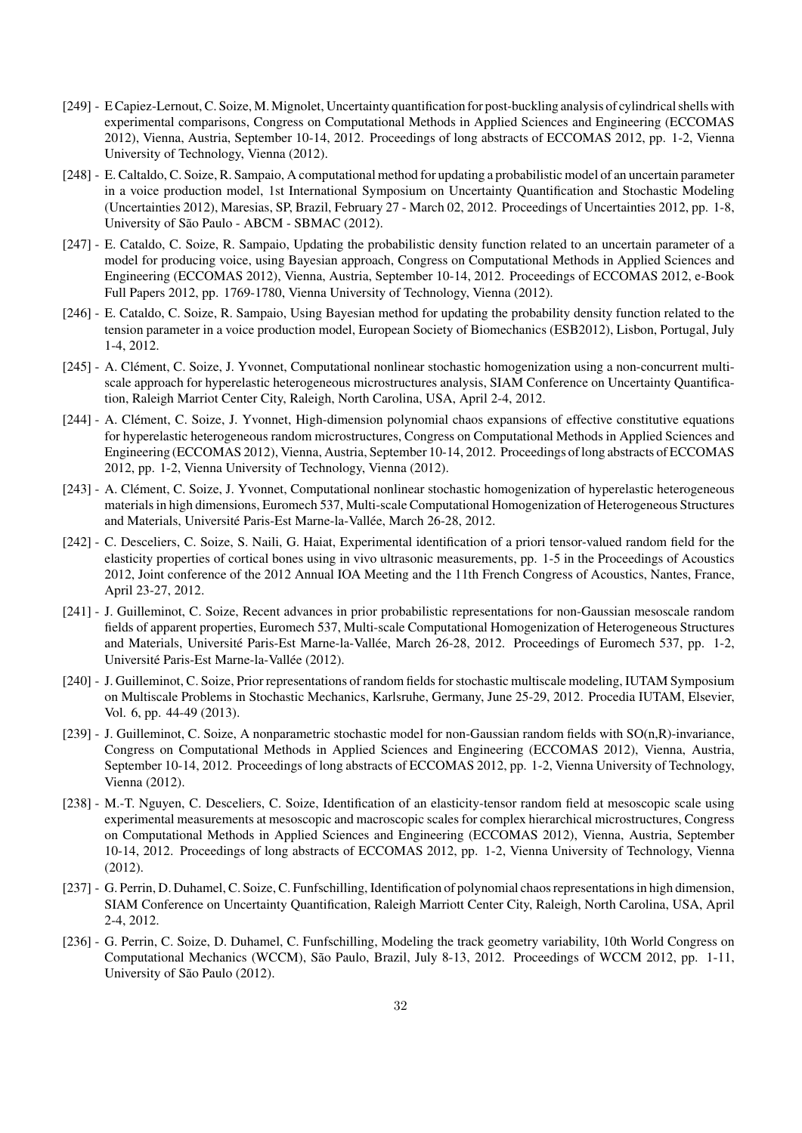- [249] E Capiez-Lernout, C. Soize, M.Mignolet, Uncertainty quantification for post-buckling analysis of cylindrical shells with experimental comparisons, Congress on Computational Methods in Applied Sciences and Engineering (ECCOMAS 2012), Vienna, Austria, September 10-14, 2012. Proceedings of long abstracts of ECCOMAS 2012, pp. 1-2, Vienna University of Technology, Vienna (2012).
- [248] E. Caltaldo, C. Soize, R. Sampaio, A computational method for updating a probabilistic model of an uncertain parameter in a voice production model, 1st International Symposium on Uncertainty Quantification and Stochastic Modeling (Uncertainties 2012), Maresias, SP, Brazil, February 27 - March 02, 2012. Proceedings of Uncertainties 2012, pp. 1-8, University of São Paulo - ABCM - SBMAC (2012).
- [247] E. Cataldo, C. Soize, R. Sampaio, Updating the probabilistic density function related to an uncertain parameter of a model for producing voice, using Bayesian approach, Congress on Computational Methods in Applied Sciences and Engineering (ECCOMAS 2012), Vienna, Austria, September 10-14, 2012. Proceedings of ECCOMAS 2012, e-Book Full Papers 2012, pp. 1769-1780, Vienna University of Technology, Vienna (2012).
- [246] E. Cataldo, C. Soize, R. Sampaio, Using Bayesian method for updating the probability density function related to the tension parameter in a voice production model, European Society of Biomechanics (ESB2012), Lisbon, Portugal, July 1-4, 2012.
- [245] A. Clément, C. Soize, J. Yvonnet, Computational nonlinear stochastic homogenization using a non-concurrent multiscale approach for hyperelastic heterogeneous microstructures analysis, SIAM Conference on Uncertainty Quantification, Raleigh Marriot Center City, Raleigh, North Carolina, USA, April 2-4, 2012.
- [244] A. Clément, C. Soize, J. Yvonnet, High-dimension polynomial chaos expansions of effective constitutive equations for hyperelastic heterogeneous random microstructures, Congress on Computational Methods in Applied Sciences and Engineering (ECCOMAS 2012), Vienna, Austria, September 10-14, 2012. Proceedings of long abstracts of ECCOMAS 2012, pp. 1-2, Vienna University of Technology, Vienna (2012).
- [243] A. Clément, C. Soize, J. Yvonnet, Computational nonlinear stochastic homogenization of hyperelastic heterogeneous materials in high dimensions, Euromech 537, Multi-scale Computational Homogenization of Heterogeneous Structures and Materials, Université Paris-Est Marne-la-Vallée, March 26-28, 2012.
- [242] C. Desceliers, C. Soize, S. Naili, G. Haiat, Experimental identification of a priori tensor-valued random field for the elasticity properties of cortical bones using in vivo ultrasonic measurements, pp. 1-5 in the Proceedings of Acoustics 2012, Joint conference of the 2012 Annual IOA Meeting and the 11th French Congress of Acoustics, Nantes, France, April 23-27, 2012.
- [241] J. Guilleminot, C. Soize, Recent advances in prior probabilistic representations for non-Gaussian mesoscale random fields of apparent properties, Euromech 537, Multi-scale Computational Homogenization of Heterogeneous Structures and Materials, Université Paris-Est Marne-la-Vallée, March 26-28, 2012. Proceedings of Euromech 537, pp. 1-2, Université Paris-Est Marne-la-Vallée (2012).
- [240] J. Guilleminot, C. Soize, Prior representations of random fields for stochastic multiscale modeling, IUTAM Symposium on Multiscale Problems in Stochastic Mechanics, Karlsruhe, Germany, June 25-29, 2012. Procedia IUTAM, Elsevier, Vol. 6, pp. 44-49 (2013).
- [239] J. Guilleminot, C. Soize, A nonparametric stochastic model for non-Gaussian random fields with  $SO(n, R)$ -invariance, Congress on Computational Methods in Applied Sciences and Engineering (ECCOMAS 2012), Vienna, Austria, September 10-14, 2012. Proceedings of long abstracts of ECCOMAS 2012, pp. 1-2, Vienna University of Technology, Vienna (2012).
- [238] M.-T. Nguyen, C. Desceliers, C. Soize, Identification of an elasticity-tensor random field at mesoscopic scale using experimental measurements at mesoscopic and macroscopic scales for complex hierarchical microstructures, Congress on Computational Methods in Applied Sciences and Engineering (ECCOMAS 2012), Vienna, Austria, September 10-14, 2012. Proceedings of long abstracts of ECCOMAS 2012, pp. 1-2, Vienna University of Technology, Vienna (2012).
- [237] G. Perrin, D. Duhamel, C. Soize, C. Funfschilling, Identification of polynomial chaos representations in high dimension, SIAM Conference on Uncertainty Quantification, Raleigh Marriott Center City, Raleigh, North Carolina, USA, April 2-4, 2012.
- [236] G. Perrin, C. Soize, D. Duhamel, C. Funfschilling, Modeling the track geometry variability, 10th World Congress on Computational Mechanics (WCCM), São Paulo, Brazil, July 8-13, 2012. Proceedings of WCCM 2012, pp. 1-11, University of São Paulo (2012).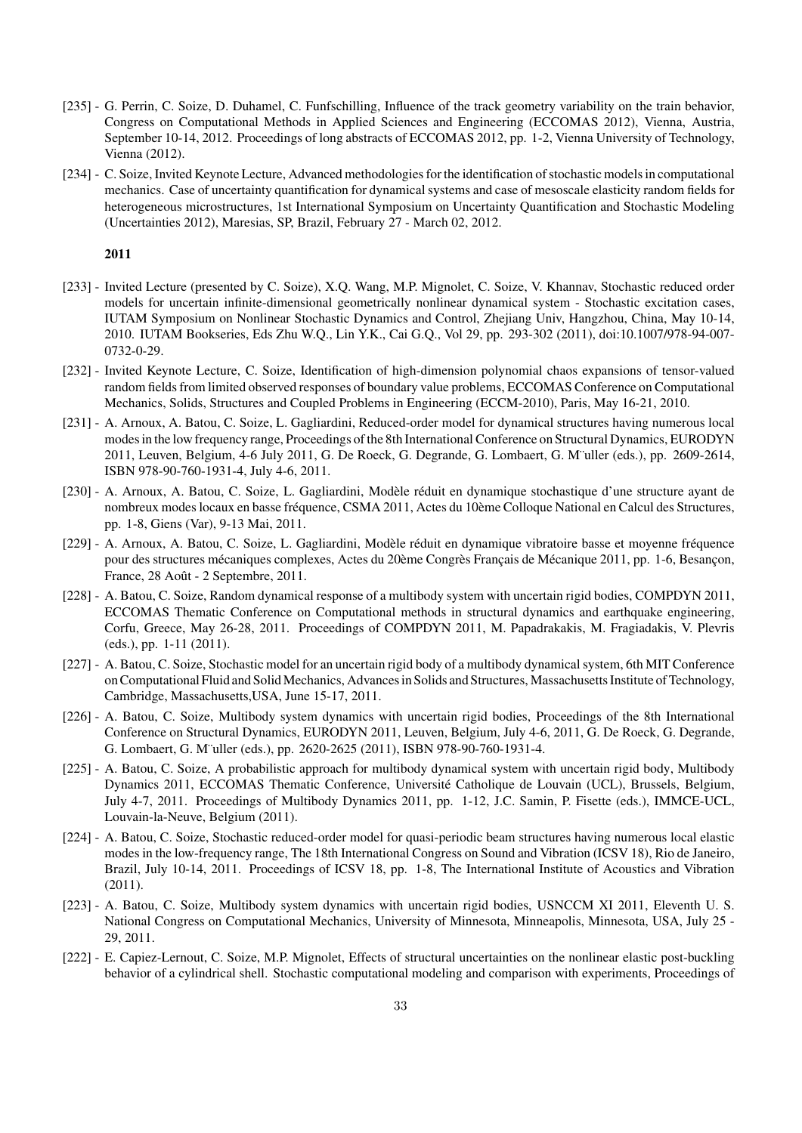- [235] G. Perrin, C. Soize, D. Duhamel, C. Funfschilling, Influence of the track geometry variability on the train behavior, Congress on Computational Methods in Applied Sciences and Engineering (ECCOMAS 2012), Vienna, Austria, September 10-14, 2012. Proceedings of long abstracts of ECCOMAS 2012, pp. 1-2, Vienna University of Technology, Vienna (2012).
- [234] C. Soize, Invited Keynote Lecture, Advanced methodologies for the identification of stochastic models in computational mechanics. Case of uncertainty quantification for dynamical systems and case of mesoscale elasticity random fields for heterogeneous microstructures, 1st International Symposium on Uncertainty Quantification and Stochastic Modeling (Uncertainties 2012), Maresias, SP, Brazil, February 27 - March 02, 2012.

- [233] Invited Lecture (presented by C. Soize), X.Q. Wang, M.P. Mignolet, C. Soize, V. Khannav, Stochastic reduced order models for uncertain infinite-dimensional geometrically nonlinear dynamical system - Stochastic excitation cases, IUTAM Symposium on Nonlinear Stochastic Dynamics and Control, Zhejiang Univ, Hangzhou, China, May 10-14, 2010. IUTAM Bookseries, Eds Zhu W.Q., Lin Y.K., Cai G.Q., Vol 29, pp. 293-302 (2011), doi:10.1007/978-94-007- 0732-0-29.
- [232] Invited Keynote Lecture, C. Soize, Identification of high-dimension polynomial chaos expansions of tensor-valued random fields from limited observed responses of boundary value problems, ECCOMAS Conference on Computational Mechanics, Solids, Structures and Coupled Problems in Engineering (ECCM-2010), Paris, May 16-21, 2010.
- [231] A. Arnoux, A. Batou, C. Soize, L. Gagliardini, Reduced-order model for dynamical structures having numerous local modes in the low frequency range, Proceedings of the 8th International Conference on Structural Dynamics, EURODYN 2011, Leuven, Belgium, 4-6 July 2011, G. De Roeck, G. Degrande, G. Lombaert, G. M¨uller (eds.), pp. 2609-2614, ISBN 978-90-760-1931-4, July 4-6, 2011.
- [230] A. Arnoux, A. Batou, C. Soize, L. Gagliardini, Modèle réduit en dynamique stochastique d'une structure ayant de nombreux modes locaux en basse fréquence, CSMA 2011, Actes du 10ème Colloque National en Calcul des Structures, pp. 1-8, Giens (Var), 9-13 Mai, 2011.
- [229] A. Arnoux, A. Batou, C. Soize, L. Gagliardini, Modèle réduit en dynamique vibratoire basse et moyenne fréquence pour des structures mécaniques complexes, Actes du 20ème Congrès Français de Mécanique 2011, pp. 1-6, Besançon, France, 28 Août - 2 Septembre, 2011.
- [228] A. Batou, C. Soize, Random dynamical response of a multibody system with uncertain rigid bodies, COMPDYN 2011, ECCOMAS Thematic Conference on Computational methods in structural dynamics and earthquake engineering, Corfu, Greece, May 26-28, 2011. Proceedings of COMPDYN 2011, M. Papadrakakis, M. Fragiadakis, V. Plevris (eds.), pp. 1-11 (2011).
- [227] A. Batou, C. Soize, Stochastic model for an uncertain rigid body of a multibody dynamical system, 6th MIT Conference on Computational Fluid and SolidMechanics, Advances in Solids and Structures, Massachusetts Institute of Technology, Cambridge, Massachusetts,USA, June 15-17, 2011.
- [226] A. Batou, C. Soize, Multibody system dynamics with uncertain rigid bodies, Proceedings of the 8th International Conference on Structural Dynamics, EURODYN 2011, Leuven, Belgium, July 4-6, 2011, G. De Roeck, G. Degrande, G. Lombaert, G. M¨uller (eds.), pp. 2620-2625 (2011), ISBN 978-90-760-1931-4.
- [225] A. Batou, C. Soize, A probabilistic approach for multibody dynamical system with uncertain rigid body, Multibody Dynamics 2011, ECCOMAS Thematic Conference, Université Catholique de Louvain (UCL), Brussels, Belgium, July 4-7, 2011. Proceedings of Multibody Dynamics 2011, pp. 1-12, J.C. Samin, P. Fisette (eds.), IMMCE-UCL, Louvain-la-Neuve, Belgium (2011).
- [224] A. Batou, C. Soize, Stochastic reduced-order model for quasi-periodic beam structures having numerous local elastic modes in the low-frequency range, The 18th International Congress on Sound and Vibration (ICSV 18), Rio de Janeiro, Brazil, July 10-14, 2011. Proceedings of ICSV 18, pp. 1-8, The International Institute of Acoustics and Vibration (2011).
- [223] A. Batou, C. Soize, Multibody system dynamics with uncertain rigid bodies, USNCCM XI 2011, Eleventh U. S. National Congress on Computational Mechanics, University of Minnesota, Minneapolis, Minnesota, USA, July 25 - 29, 2011.
- [222] E. Capiez-Lernout, C. Soize, M.P. Mignolet, Effects of structural uncertainties on the nonlinear elastic post-buckling behavior of a cylindrical shell. Stochastic computational modeling and comparison with experiments, Proceedings of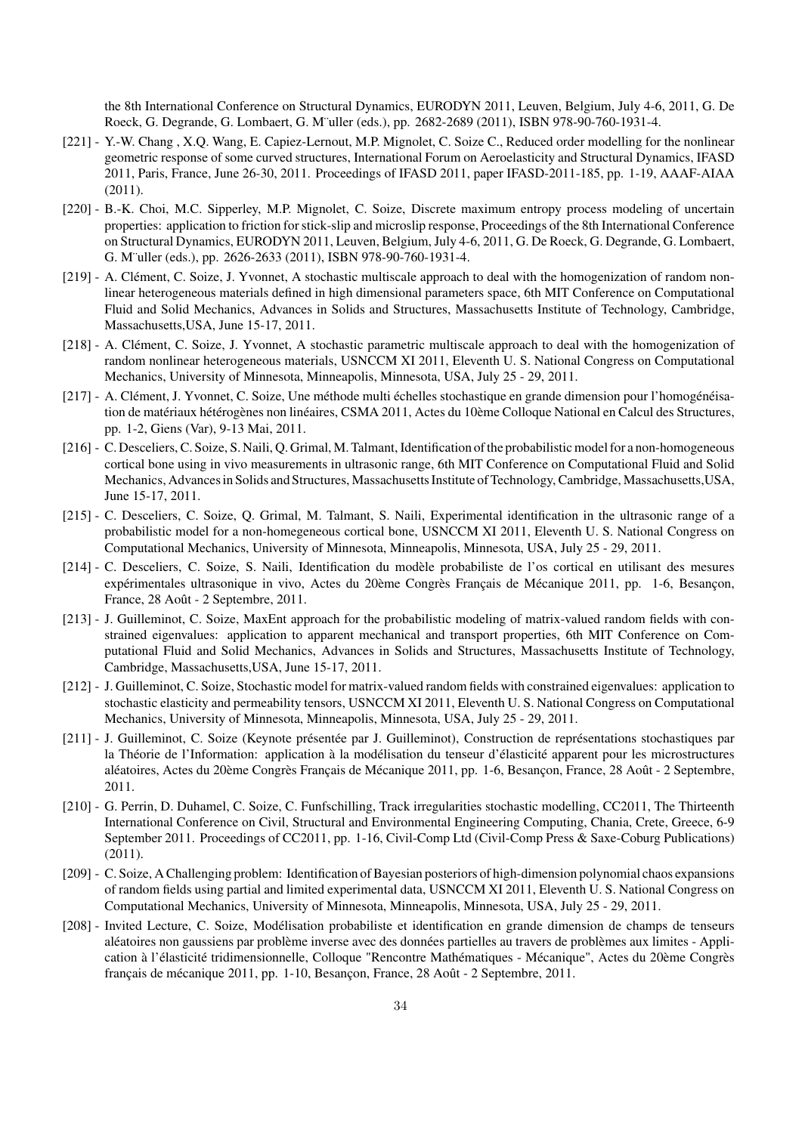the 8th International Conference on Structural Dynamics, EURODYN 2011, Leuven, Belgium, July 4-6, 2011, G. De Roeck, G. Degrande, G. Lombaert, G. M¨uller (eds.), pp. 2682-2689 (2011), ISBN 978-90-760-1931-4.

- [221] Y.-W. Chang , X.Q. Wang, E. Capiez-Lernout, M.P. Mignolet, C. Soize C., Reduced order modelling for the nonlinear geometric response of some curved structures, International Forum on Aeroelasticity and Structural Dynamics, IFASD 2011, Paris, France, June 26-30, 2011. Proceedings of IFASD 2011, paper IFASD-2011-185, pp. 1-19, AAAF-AIAA (2011).
- [220] B.-K. Choi, M.C. Sipperley, M.P. Mignolet, C. Soize, Discrete maximum entropy process modeling of uncertain properties: application to friction for stick-slip and microslip response, Proceedings of the 8th International Conference on Structural Dynamics, EURODYN 2011, Leuven, Belgium, July 4-6, 2011, G. De Roeck, G. Degrande, G. Lombaert, G. M¨uller (eds.), pp. 2626-2633 (2011), ISBN 978-90-760-1931-4.
- [219] A. Clément, C. Soize, J. Yvonnet, A stochastic multiscale approach to deal with the homogenization of random nonlinear heterogeneous materials defined in high dimensional parameters space, 6th MIT Conference on Computational Fluid and Solid Mechanics, Advances in Solids and Structures, Massachusetts Institute of Technology, Cambridge, Massachusetts,USA, June 15-17, 2011.
- [218] A. Clément, C. Soize, J. Yvonnet, A stochastic parametric multiscale approach to deal with the homogenization of random nonlinear heterogeneous materials, USNCCM XI 2011, Eleventh U. S. National Congress on Computational Mechanics, University of Minnesota, Minneapolis, Minnesota, USA, July 25 - 29, 2011.
- [217] A. Clément, J. Yvonnet, C. Soize, Une méthode multi échelles stochastique en grande dimension pour l'homogénéisation de matériaux hétérogènes non linéaires, CSMA 2011, Actes du 10ème Colloque National en Calcul des Structures, pp. 1-2, Giens (Var), 9-13 Mai, 2011.
- [216] C. Desceliers, C. Soize, S. Naili, Q. Grimal, M. Talmant, Identification of the probabilistic model for a non-homogeneous cortical bone using in vivo measurements in ultrasonic range, 6th MIT Conference on Computational Fluid and Solid Mechanics, Advances in Solids and Structures, Massachusetts Institute of Technology, Cambridge, Massachusetts,USA, June 15-17, 2011.
- [215] C. Desceliers, C. Soize, Q. Grimal, M. Talmant, S. Naili, Experimental identification in the ultrasonic range of a probabilistic model for a non-homegeneous cortical bone, USNCCM XI 2011, Eleventh U. S. National Congress on Computational Mechanics, University of Minnesota, Minneapolis, Minnesota, USA, July 25 - 29, 2011.
- [214] C. Desceliers, C. Soize, S. Naili, Identification du modèle probabiliste de l'os cortical en utilisant des mesures expérimentales ultrasonique in vivo, Actes du 20ème Congrès Français de Mécanique 2011, pp. 1-6, Besançon, France, 28 Août - 2 Septembre, 2011.
- [213] J. Guilleminot, C. Soize, MaxEnt approach for the probabilistic modeling of matrix-valued random fields with constrained eigenvalues: application to apparent mechanical and transport properties, 6th MIT Conference on Computational Fluid and Solid Mechanics, Advances in Solids and Structures, Massachusetts Institute of Technology, Cambridge, Massachusetts,USA, June 15-17, 2011.
- [212] J. Guilleminot, C. Soize, Stochastic model for matrix-valued random fields with constrained eigenvalues: application to stochastic elasticity and permeability tensors, USNCCM XI 2011, Eleventh U. S. National Congress on Computational Mechanics, University of Minnesota, Minneapolis, Minnesota, USA, July 25 - 29, 2011.
- [211] J. Guilleminot, C. Soize (Keynote présentée par J. Guilleminot), Construction de représentations stochastiques par la Théorie de l'Information: application à la modélisation du tenseur d'élasticité apparent pour les microstructures aléatoires, Actes du 20ème Congrès Français de Mécanique 2011, pp. 1-6, Besançon, France, 28 Août - 2 Septembre, 2011.
- [210] G. Perrin, D. Duhamel, C. Soize, C. Funfschilling, Track irregularities stochastic modelling, CC2011, The Thirteenth International Conference on Civil, Structural and Environmental Engineering Computing, Chania, Crete, Greece, 6-9 September 2011. Proceedings of CC2011, pp. 1-16, Civil-Comp Ltd (Civil-Comp Press & Saxe-Coburg Publications) (2011).
- [209] C. Soize, A Challenging problem: Identification of Bayesian posteriors of high-dimension polynomial chaos expansions of random fields using partial and limited experimental data, USNCCM XI 2011, Eleventh U. S. National Congress on Computational Mechanics, University of Minnesota, Minneapolis, Minnesota, USA, July 25 - 29, 2011.
- [208] Invited Lecture, C. Soize, Modélisation probabiliste et identification en grande dimension de champs de tenseurs aléatoires non gaussiens par problème inverse avec des données partielles au travers de problèmes aux limites - Application à l'élasticité tridimensionnelle, Colloque "Rencontre Mathématiques - Mécanique", Actes du 20ème Congrès français de mécanique 2011, pp. 1-10, Besançon, France, 28 Août - 2 Septembre, 2011.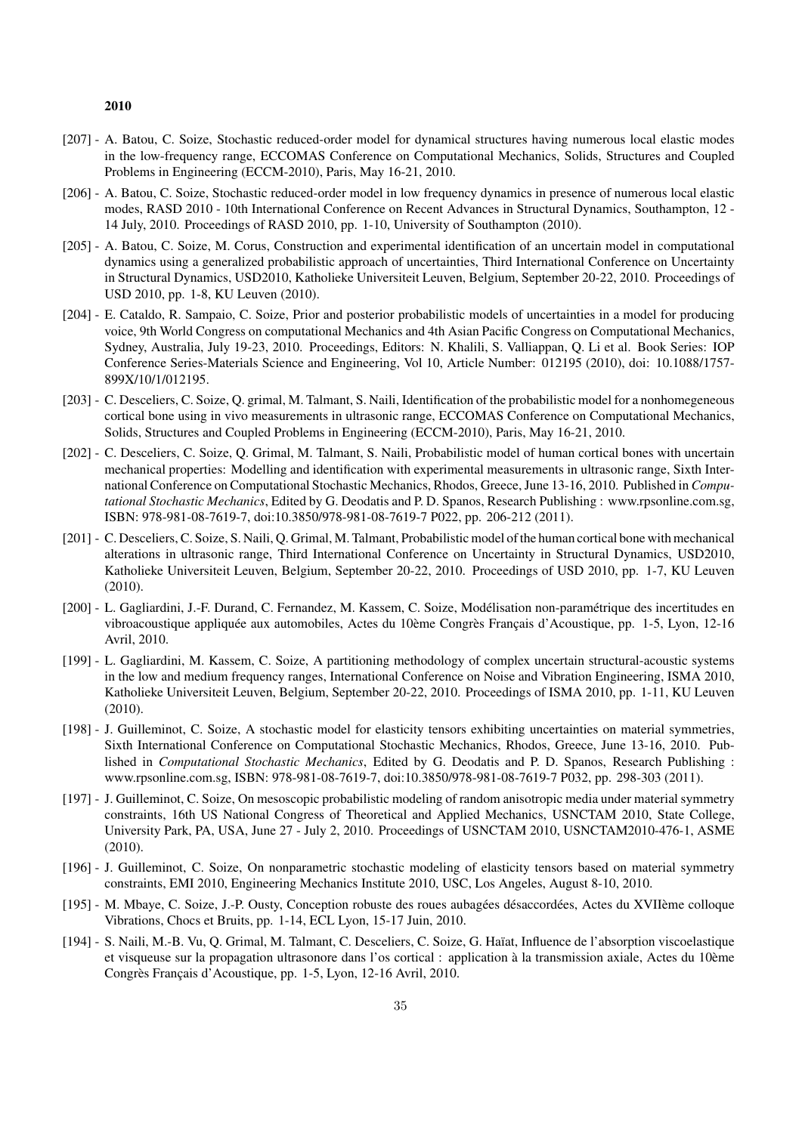- [207] A. Batou, C. Soize, Stochastic reduced-order model for dynamical structures having numerous local elastic modes in the low-frequency range, ECCOMAS Conference on Computational Mechanics, Solids, Structures and Coupled Problems in Engineering (ECCM-2010), Paris, May 16-21, 2010.
- [206] A. Batou, C. Soize, Stochastic reduced-order model in low frequency dynamics in presence of numerous local elastic modes, RASD 2010 - 10th International Conference on Recent Advances in Structural Dynamics, Southampton, 12 - 14 July, 2010. Proceedings of RASD 2010, pp. 1-10, University of Southampton (2010).
- [205] A. Batou, C. Soize, M. Corus, Construction and experimental identification of an uncertain model in computational dynamics using a generalized probabilistic approach of uncertainties, Third International Conference on Uncertainty in Structural Dynamics, USD2010, Katholieke Universiteit Leuven, Belgium, September 20-22, 2010. Proceedings of USD 2010, pp. 1-8, KU Leuven (2010).
- [204] E. Cataldo, R. Sampaio, C. Soize, Prior and posterior probabilistic models of uncertainties in a model for producing voice, 9th World Congress on computational Mechanics and 4th Asian Pacific Congress on Computational Mechanics, Sydney, Australia, July 19-23, 2010. Proceedings, Editors: N. Khalili, S. Valliappan, Q. Li et al. Book Series: IOP Conference Series-Materials Science and Engineering, Vol 10, Article Number: 012195 (2010), doi: 10.1088/1757- 899X/10/1/012195.
- [203] C. Desceliers, C. Soize, Q. grimal, M. Talmant, S. Naili, Identification of the probabilistic model for a nonhomegeneous cortical bone using in vivo measurements in ultrasonic range, ECCOMAS Conference on Computational Mechanics, Solids, Structures and Coupled Problems in Engineering (ECCM-2010), Paris, May 16-21, 2010.
- [202] C. Desceliers, C. Soize, Q. Grimal, M. Talmant, S. Naili, Probabilistic model of human cortical bones with uncertain mechanical properties: Modelling and identification with experimental measurements in ultrasonic range, Sixth International Conference on Computational Stochastic Mechanics, Rhodos, Greece, June 13-16, 2010. Published in *Computational Stochastic Mechanics*, Edited by G. Deodatis and P. D. Spanos, Research Publishing : www.rpsonline.com.sg, ISBN: 978-981-08-7619-7, doi:10.3850/978-981-08-7619-7 P022, pp. 206-212 (2011).
- [201] C. Desceliers, C. Soize, S. Naili, Q. Grimal, M. Talmant, Probabilistic model of the human cortical bone with mechanical alterations in ultrasonic range, Third International Conference on Uncertainty in Structural Dynamics, USD2010, Katholieke Universiteit Leuven, Belgium, September 20-22, 2010. Proceedings of USD 2010, pp. 1-7, KU Leuven (2010).
- [200] L. Gagliardini, J.-F. Durand, C. Fernandez, M. Kassem, C. Soize, Modélisation non-paramétrique des incertitudes en vibroacoustique appliquée aux automobiles, Actes du 10ème Congrès Français d'Acoustique, pp. 1-5, Lyon, 12-16 Avril, 2010.
- [199] L. Gagliardini, M. Kassem, C. Soize, A partitioning methodology of complex uncertain structural-acoustic systems in the low and medium frequency ranges, International Conference on Noise and Vibration Engineering, ISMA 2010, Katholieke Universiteit Leuven, Belgium, September 20-22, 2010. Proceedings of ISMA 2010, pp. 1-11, KU Leuven (2010).
- [198] J. Guilleminot, C. Soize, A stochastic model for elasticity tensors exhibiting uncertainties on material symmetries, Sixth International Conference on Computational Stochastic Mechanics, Rhodos, Greece, June 13-16, 2010. Published in *Computational Stochastic Mechanics*, Edited by G. Deodatis and P. D. Spanos, Research Publishing : www.rpsonline.com.sg, ISBN: 978-981-08-7619-7, doi:10.3850/978-981-08-7619-7 P032, pp. 298-303 (2011).
- [197] J. Guilleminot, C. Soize, On mesoscopic probabilistic modeling of random anisotropic media under material symmetry constraints, 16th US National Congress of Theoretical and Applied Mechanics, USNCTAM 2010, State College, University Park, PA, USA, June 27 - July 2, 2010. Proceedings of USNCTAM 2010, USNCTAM2010-476-1, ASME (2010).
- [196] J. Guilleminot, C. Soize, On nonparametric stochastic modeling of elasticity tensors based on material symmetry constraints, EMI 2010, Engineering Mechanics Institute 2010, USC, Los Angeles, August 8-10, 2010.
- [195] M. Mbaye, C. Soize, J.-P. Ousty, Conception robuste des roues aubagées désaccordées, Actes du XVIIème colloque Vibrations, Chocs et Bruits, pp. 1-14, ECL Lyon, 15-17 Juin, 2010.
- [194] S. Naili, M.-B. Vu, Q. Grimal, M. Talmant, C. Desceliers, C. Soize, G. Haïat, Influence de l'absorption viscoelastique et visqueuse sur la propagation ultrasonore dans l'os cortical : application à la transmission axiale, Actes du 10ème Congrès Français d'Acoustique, pp. 1-5, Lyon, 12-16 Avril, 2010.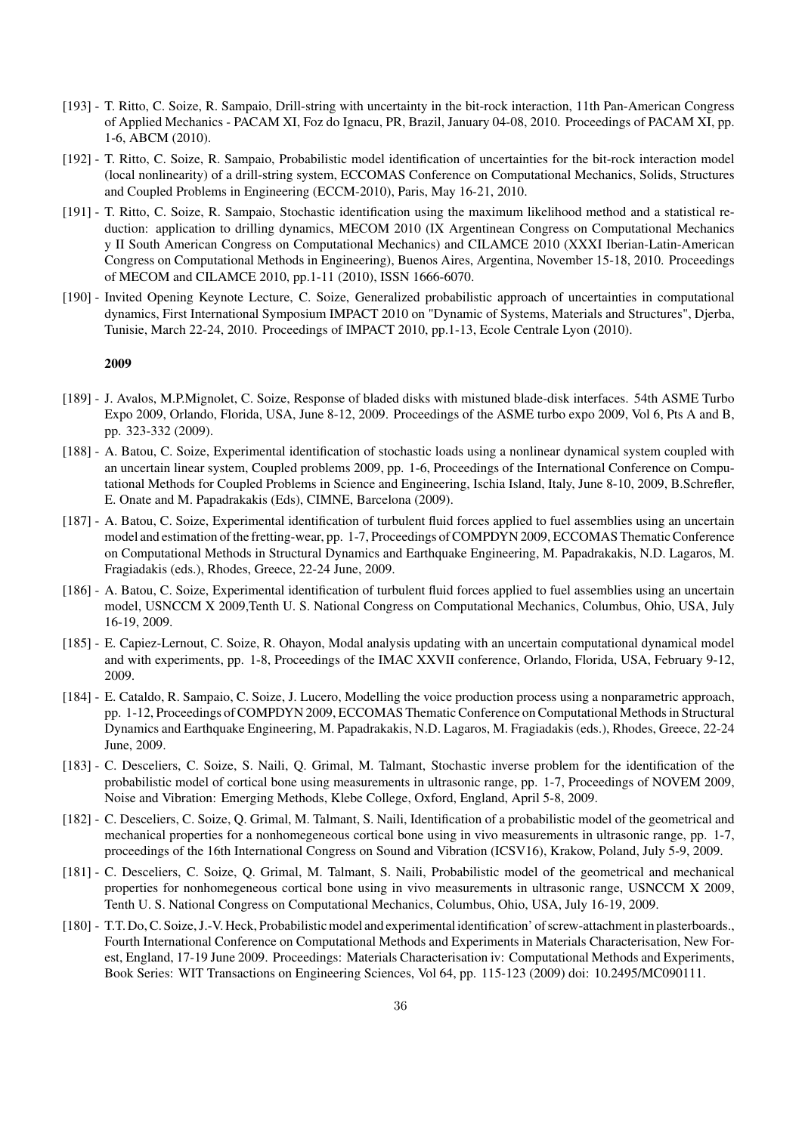- [193] T. Ritto, C. Soize, R. Sampaio, Drill-string with uncertainty in the bit-rock interaction, 11th Pan-American Congress of Applied Mechanics - PACAM XI, Foz do Ignacu, PR, Brazil, January 04-08, 2010. Proceedings of PACAM XI, pp. 1-6, ABCM (2010).
- [192] T. Ritto, C. Soize, R. Sampaio, Probabilistic model identification of uncertainties for the bit-rock interaction model (local nonlinearity) of a drill-string system, ECCOMAS Conference on Computational Mechanics, Solids, Structures and Coupled Problems in Engineering (ECCM-2010), Paris, May 16-21, 2010.
- [191] T. Ritto, C. Soize, R. Sampaio, Stochastic identification using the maximum likelihood method and a statistical reduction: application to drilling dynamics, MECOM 2010 (IX Argentinean Congress on Computational Mechanics y II South American Congress on Computational Mechanics) and CILAMCE 2010 (XXXI Iberian-Latin-American Congress on Computational Methods in Engineering), Buenos Aires, Argentina, November 15-18, 2010. Proceedings of MECOM and CILAMCE 2010, pp.1-11 (2010), ISSN 1666-6070.
- [190] Invited Opening Keynote Lecture, C. Soize, Generalized probabilistic approach of uncertainties in computational dynamics, First International Symposium IMPACT 2010 on "Dynamic of Systems, Materials and Structures", Djerba, Tunisie, March 22-24, 2010. Proceedings of IMPACT 2010, pp.1-13, Ecole Centrale Lyon (2010).

- [189] J. Avalos, M.P.Mignolet, C. Soize, Response of bladed disks with mistuned blade-disk interfaces. 54th ASME Turbo Expo 2009, Orlando, Florida, USA, June 8-12, 2009. Proceedings of the ASME turbo expo 2009, Vol 6, Pts A and B, pp. 323-332 (2009).
- [188] A. Batou, C. Soize, Experimental identification of stochastic loads using a nonlinear dynamical system coupled with an uncertain linear system, Coupled problems 2009, pp. 1-6, Proceedings of the International Conference on Computational Methods for Coupled Problems in Science and Engineering, Ischia Island, Italy, June 8-10, 2009, B.Schrefler, E. Onate and M. Papadrakakis (Eds), CIMNE, Barcelona (2009).
- [187] A. Batou, C. Soize, Experimental identification of turbulent fluid forces applied to fuel assemblies using an uncertain model and estimation of the fretting-wear, pp. 1-7, Proceedings of COMPDYN 2009, ECCOMAS Thematic Conference on Computational Methods in Structural Dynamics and Earthquake Engineering, M. Papadrakakis, N.D. Lagaros, M. Fragiadakis (eds.), Rhodes, Greece, 22-24 June, 2009.
- [186] A. Batou, C. Soize, Experimental identification of turbulent fluid forces applied to fuel assemblies using an uncertain model, USNCCM X 2009,Tenth U. S. National Congress on Computational Mechanics, Columbus, Ohio, USA, July 16-19, 2009.
- [185] E. Capiez-Lernout, C. Soize, R. Ohayon, Modal analysis updating with an uncertain computational dynamical model and with experiments, pp. 1-8, Proceedings of the IMAC XXVII conference, Orlando, Florida, USA, February 9-12, 2009.
- [184] E. Cataldo, R. Sampaio, C. Soize, J. Lucero, Modelling the voice production process using a nonparametric approach, pp. 1-12, Proceedings of COMPDYN 2009, ECCOMAS Thematic Conference on Computational Methods in Structural Dynamics and Earthquake Engineering, M. Papadrakakis, N.D. Lagaros, M. Fragiadakis (eds.), Rhodes, Greece, 22-24 June, 2009.
- [183] C. Desceliers, C. Soize, S. Naili, Q. Grimal, M. Talmant, Stochastic inverse problem for the identification of the probabilistic model of cortical bone using measurements in ultrasonic range, pp. 1-7, Proceedings of NOVEM 2009, Noise and Vibration: Emerging Methods, Klebe College, Oxford, England, April 5-8, 2009.
- [182] C. Desceliers, C. Soize, Q. Grimal, M. Talmant, S. Naili, Identification of a probabilistic model of the geometrical and mechanical properties for a nonhomegeneous cortical bone using in vivo measurements in ultrasonic range, pp. 1-7, proceedings of the 16th International Congress on Sound and Vibration (ICSV16), Krakow, Poland, July 5-9, 2009.
- [181] C. Desceliers, C. Soize, Q. Grimal, M. Talmant, S. Naili, Probabilistic model of the geometrical and mechanical properties for nonhomegeneous cortical bone using in vivo measurements in ultrasonic range, USNCCM X 2009, Tenth U. S. National Congress on Computational Mechanics, Columbus, Ohio, USA, July 16-19, 2009.
- [180] T.T. Do, C. Soize, J.-V. Heck, Probabilistic model and experimental identification' of screw-attachment in plasterboards., Fourth International Conference on Computational Methods and Experiments in Materials Characterisation, New Forest, England, 17-19 June 2009. Proceedings: Materials Characterisation iv: Computational Methods and Experiments, Book Series: WIT Transactions on Engineering Sciences, Vol 64, pp. 115-123 (2009) doi: 10.2495/MC090111.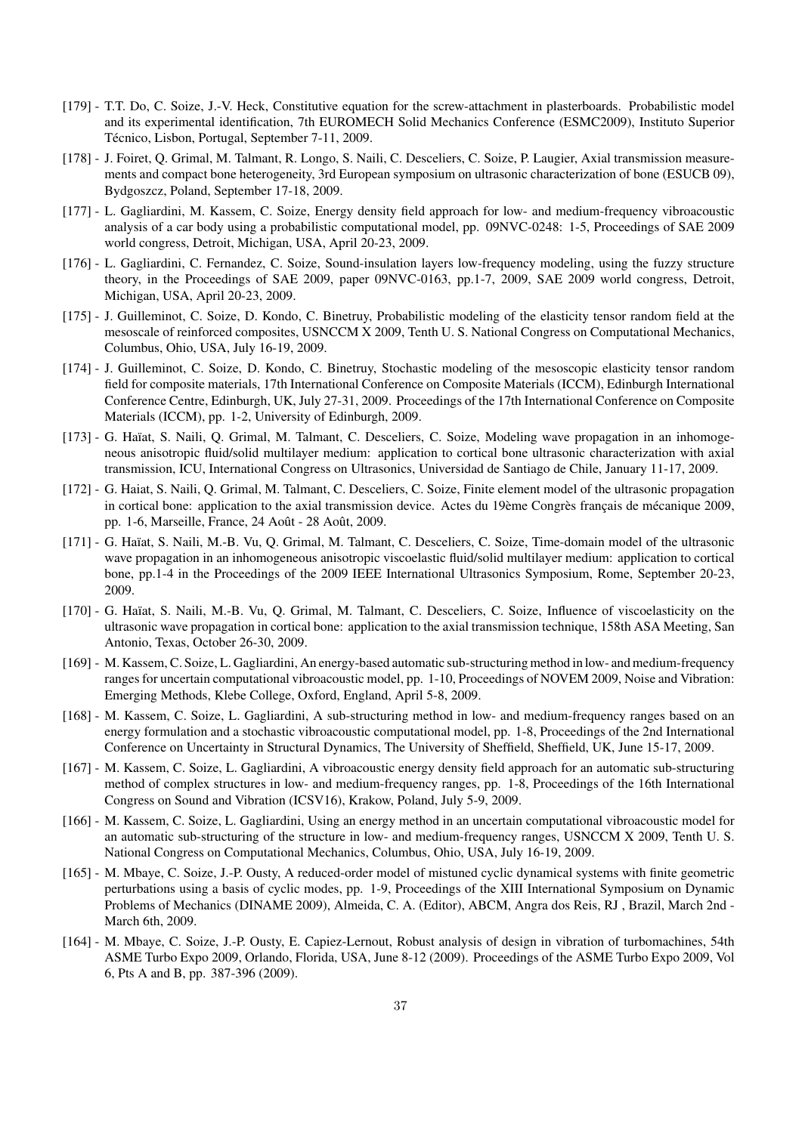- [179] T.T. Do, C. Soize, J.-V. Heck, Constitutive equation for the screw-attachment in plasterboards. Probabilistic model and its experimental identification, 7th EUROMECH Solid Mechanics Conference (ESMC2009), Instituto Superior Técnico, Lisbon, Portugal, September 7-11, 2009.
- [178] J. Foiret, Q. Grimal, M. Talmant, R. Longo, S. Naili, C. Desceliers, C. Soize, P. Laugier, Axial transmission measurements and compact bone heterogeneity, 3rd European symposium on ultrasonic characterization of bone (ESUCB 09), Bydgoszcz, Poland, September 17-18, 2009.
- [177] L. Gagliardini, M. Kassem, C. Soize, Energy density field approach for low- and medium-frequency vibroacoustic analysis of a car body using a probabilistic computational model, pp. 09NVC-0248: 1-5, Proceedings of SAE 2009 world congress, Detroit, Michigan, USA, April 20-23, 2009.
- [176] L. Gagliardini, C. Fernandez, C. Soize, Sound-insulation layers low-frequency modeling, using the fuzzy structure theory, in the Proceedings of SAE 2009, paper 09NVC-0163, pp.1-7, 2009, SAE 2009 world congress, Detroit, Michigan, USA, April 20-23, 2009.
- [175] J. Guilleminot, C. Soize, D. Kondo, C. Binetruy, Probabilistic modeling of the elasticity tensor random field at the mesoscale of reinforced composites, USNCCM X 2009, Tenth U. S. National Congress on Computational Mechanics, Columbus, Ohio, USA, July 16-19, 2009.
- [174] J. Guilleminot, C. Soize, D. Kondo, C. Binetruy, Stochastic modeling of the mesoscopic elasticity tensor random field for composite materials, 17th International Conference on Composite Materials (ICCM), Edinburgh International Conference Centre, Edinburgh, UK, July 27-31, 2009. Proceedings of the 17th International Conference on Composite Materials (ICCM), pp. 1-2, University of Edinburgh, 2009.
- [173] G. Haïat, S. Naili, Q. Grimal, M. Talmant, C. Desceliers, C. Soize, Modeling wave propagation in an inhomogeneous anisotropic fluid/solid multilayer medium: application to cortical bone ultrasonic characterization with axial transmission, ICU, International Congress on Ultrasonics, Universidad de Santiago de Chile, January 11-17, 2009.
- [172] G. Haiat, S. Naili, Q. Grimal, M. Talmant, C. Desceliers, C. Soize, Finite element model of the ultrasonic propagation in cortical bone: application to the axial transmission device. Actes du 19ème Congrès français de mécanique 2009, pp. 1-6, Marseille, France, 24 Août - 28 Août, 2009.
- [171] G. Haïat, S. Naili, M.-B. Vu, Q. Grimal, M. Talmant, C. Desceliers, C. Soize, Time-domain model of the ultrasonic wave propagation in an inhomogeneous anisotropic viscoelastic fluid/solid multilayer medium: application to cortical bone, pp.1-4 in the Proceedings of the 2009 IEEE International Ultrasonics Symposium, Rome, September 20-23, 2009.
- [170] G. Haïat, S. Naili, M.-B. Vu, Q. Grimal, M. Talmant, C. Desceliers, C. Soize, Influence of viscoelasticity on the ultrasonic wave propagation in cortical bone: application to the axial transmission technique, 158th ASA Meeting, San Antonio, Texas, October 26-30, 2009.
- [169] M. Kassem, C. Soize, L. Gagliardini, An energy-based automatic sub-structuring method in low- and medium-frequency ranges for uncertain computational vibroacoustic model, pp. 1-10, Proceedings of NOVEM 2009, Noise and Vibration: Emerging Methods, Klebe College, Oxford, England, April 5-8, 2009.
- [168] M. Kassem, C. Soize, L. Gagliardini, A sub-structuring method in low- and medium-frequency ranges based on an energy formulation and a stochastic vibroacoustic computational model, pp. 1-8, Proceedings of the 2nd International Conference on Uncertainty in Structural Dynamics, The University of Sheffield, Sheffield, UK, June 15-17, 2009.
- [167] M. Kassem, C. Soize, L. Gagliardini, A vibroacoustic energy density field approach for an automatic sub-structuring method of complex structures in low- and medium-frequency ranges, pp. 1-8, Proceedings of the 16th International Congress on Sound and Vibration (ICSV16), Krakow, Poland, July 5-9, 2009.
- [166] M. Kassem, C. Soize, L. Gagliardini, Using an energy method in an uncertain computational vibroacoustic model for an automatic sub-structuring of the structure in low- and medium-frequency ranges, USNCCM X 2009, Tenth U. S. National Congress on Computational Mechanics, Columbus, Ohio, USA, July 16-19, 2009.
- [165] M. Mbaye, C. Soize, J.-P. Ousty, A reduced-order model of mistuned cyclic dynamical systems with finite geometric perturbations using a basis of cyclic modes, pp. 1-9, Proceedings of the XIII International Symposium on Dynamic Problems of Mechanics (DINAME 2009), Almeida, C. A. (Editor), ABCM, Angra dos Reis, RJ , Brazil, March 2nd - March 6th, 2009.
- [164] M. Mbaye, C. Soize, J.-P. Ousty, E. Capiez-Lernout, Robust analysis of design in vibration of turbomachines, 54th ASME Turbo Expo 2009, Orlando, Florida, USA, June 8-12 (2009). Proceedings of the ASME Turbo Expo 2009, Vol 6, Pts A and B, pp. 387-396 (2009).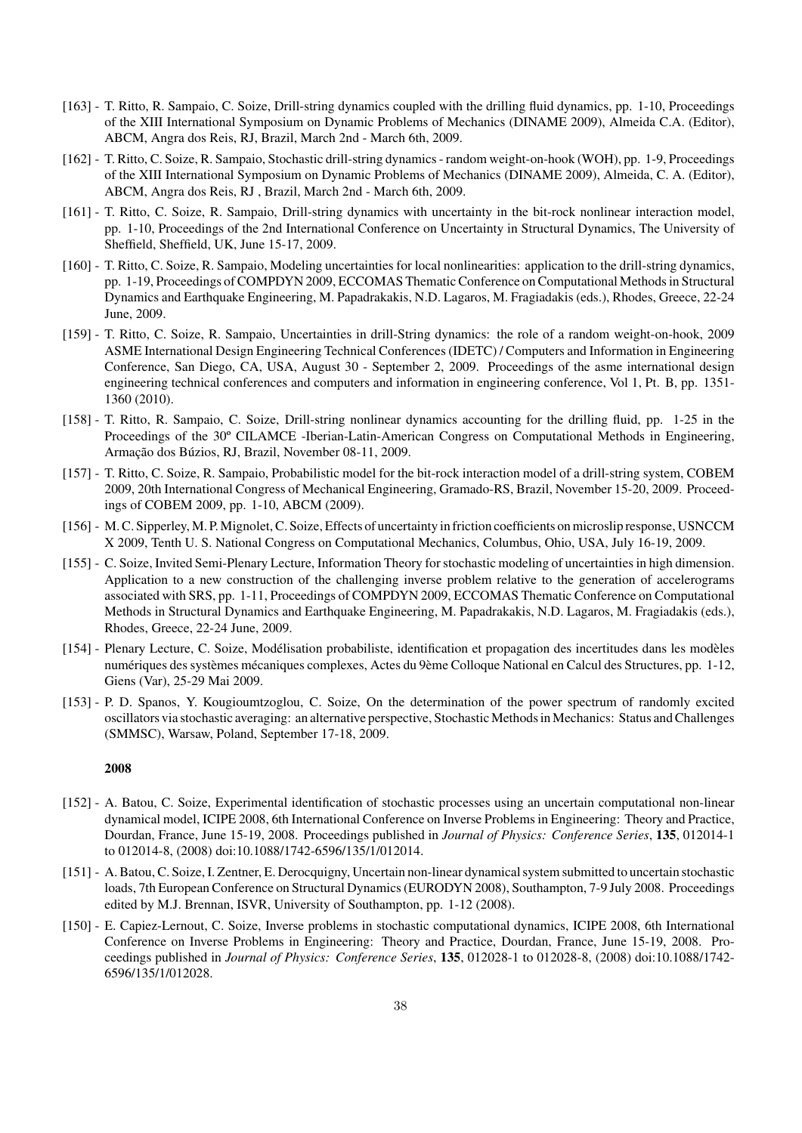- [163] T. Ritto, R. Sampaio, C. Soize, Drill-string dynamics coupled with the drilling fluid dynamics, pp. 1-10, Proceedings of the XIII International Symposium on Dynamic Problems of Mechanics (DINAME 2009), Almeida C.A. (Editor), ABCM, Angra dos Reis, RJ, Brazil, March 2nd - March 6th, 2009.
- [162] T. Ritto, C. Soize, R. Sampaio, Stochastic drill-string dynamics random weight-on-hook (WOH), pp. 1-9, Proceedings of the XIII International Symposium on Dynamic Problems of Mechanics (DINAME 2009), Almeida, C. A. (Editor), ABCM, Angra dos Reis, RJ , Brazil, March 2nd - March 6th, 2009.
- [161] T. Ritto, C. Soize, R. Sampaio, Drill-string dynamics with uncertainty in the bit-rock nonlinear interaction model, pp. 1-10, Proceedings of the 2nd International Conference on Uncertainty in Structural Dynamics, The University of Sheffield, Sheffield, UK, June 15-17, 2009.
- [160] T. Ritto, C. Soize, R. Sampaio, Modeling uncertainties for local nonlinearities: application to the drill-string dynamics, pp. 1-19, Proceedings of COMPDYN 2009, ECCOMAS Thematic Conference on Computational Methods in Structural Dynamics and Earthquake Engineering, M. Papadrakakis, N.D. Lagaros, M. Fragiadakis (eds.), Rhodes, Greece, 22-24 June, 2009.
- [159] T. Ritto, C. Soize, R. Sampaio, Uncertainties in drill-String dynamics: the role of a random weight-on-hook, 2009 ASME International Design Engineering Technical Conferences (IDETC) / Computers and Information in Engineering Conference, San Diego, CA, USA, August 30 - September 2, 2009. Proceedings of the asme international design engineering technical conferences and computers and information in engineering conference, Vol 1, Pt. B, pp. 1351- 1360 (2010).
- [158] T. Ritto, R. Sampaio, C. Soize, Drill-string nonlinear dynamics accounting for the drilling fluid, pp. 1-25 in the Proceedings of the 30º CILAMCE -Iberian-Latin-American Congress on Computational Methods in Engineering, Armação dos Búzios, RJ, Brazil, November 08-11, 2009.
- [157] T. Ritto, C. Soize, R. Sampaio, Probabilistic model for the bit-rock interaction model of a drill-string system, COBEM 2009, 20th International Congress of Mechanical Engineering, Gramado-RS, Brazil, November 15-20, 2009. Proceedings of COBEM 2009, pp. 1-10, ABCM (2009).
- [156] M. C. Sipperley, M. P.Mignolet, C. Soize, Effects of uncertainty in friction coefficients on microslip response, USNCCM X 2009, Tenth U. S. National Congress on Computational Mechanics, Columbus, Ohio, USA, July 16-19, 2009.
- [155] C. Soize, Invited Semi-Plenary Lecture, Information Theory for stochastic modeling of uncertainties in high dimension. Application to a new construction of the challenging inverse problem relative to the generation of accelerograms associated with SRS, pp. 1-11, Proceedings of COMPDYN 2009, ECCOMAS Thematic Conference on Computational Methods in Structural Dynamics and Earthquake Engineering, M. Papadrakakis, N.D. Lagaros, M. Fragiadakis (eds.), Rhodes, Greece, 22-24 June, 2009.
- [154] Plenary Lecture, C. Soize, Modélisation probabiliste, identification et propagation des incertitudes dans les modèles numériques des systèmes mécaniques complexes, Actes du 9ème Colloque National en Calcul des Structures, pp. 1-12, Giens (Var), 25-29 Mai 2009.
- [153] P. D. Spanos, Y. Kougioumtzoglou, C. Soize, On the determination of the power spectrum of randomly excited oscillators via stochastic averaging: an alternative perspective, StochasticMethods inMechanics: Status and Challenges (SMMSC), Warsaw, Poland, September 17-18, 2009.

- [152] A. Batou, C. Soize, Experimental identification of stochastic processes using an uncertain computational non-linear dynamical model, ICIPE 2008, 6th International Conference on Inverse Problems in Engineering: Theory and Practice, Dourdan, France, June 15-19, 2008. Proceedings published in *Journal of Physics: Conference Series*, 135, 012014-1 to 012014-8, (2008) doi:10.1088/1742-6596/135/1/012014.
- [151] A. Batou, C. Soize, I. Zentner, E. Derocquigny, Uncertain non-linear dynamical system submitted to uncertain stochastic loads, 7th European Conference on Structural Dynamics (EURODYN 2008), Southampton, 7-9 July 2008. Proceedings edited by M.J. Brennan, ISVR, University of Southampton, pp. 1-12 (2008).
- [150] E. Capiez-Lernout, C. Soize, Inverse problems in stochastic computational dynamics, ICIPE 2008, 6th International Conference on Inverse Problems in Engineering: Theory and Practice, Dourdan, France, June 15-19, 2008. Proceedings published in *Journal of Physics: Conference Series*, 135, 012028-1 to 012028-8, (2008) doi:10.1088/1742- 6596/135/1/012028.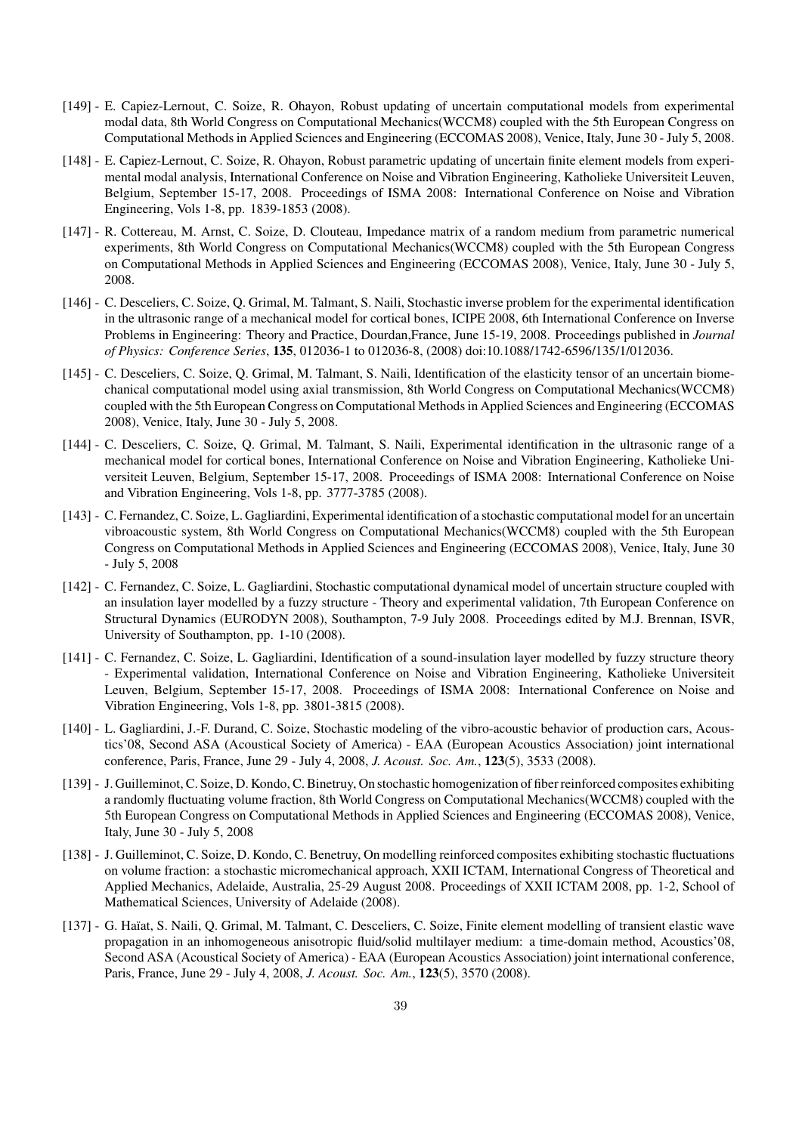- [149] E. Capiez-Lernout, C. Soize, R. Ohayon, Robust updating of uncertain computational models from experimental modal data, 8th World Congress on Computational Mechanics(WCCM8) coupled with the 5th European Congress on Computational Methods in Applied Sciences and Engineering (ECCOMAS 2008), Venice, Italy, June 30 - July 5, 2008.
- [148] E. Capiez-Lernout, C. Soize, R. Ohayon, Robust parametric updating of uncertain finite element models from experimental modal analysis, International Conference on Noise and Vibration Engineering, Katholieke Universiteit Leuven, Belgium, September 15-17, 2008. Proceedings of ISMA 2008: International Conference on Noise and Vibration Engineering, Vols 1-8, pp. 1839-1853 (2008).
- [147] R. Cottereau, M. Arnst, C. Soize, D. Clouteau, Impedance matrix of a random medium from parametric numerical experiments, 8th World Congress on Computational Mechanics(WCCM8) coupled with the 5th European Congress on Computational Methods in Applied Sciences and Engineering (ECCOMAS 2008), Venice, Italy, June 30 - July 5, 2008.
- [146] C. Desceliers, C. Soize, Q. Grimal, M. Talmant, S. Naili, Stochastic inverse problem for the experimental identification in the ultrasonic range of a mechanical model for cortical bones, ICIPE 2008, 6th International Conference on Inverse Problems in Engineering: Theory and Practice, Dourdan,France, June 15-19, 2008. Proceedings published in *Journal of Physics: Conference Series*, 135, 012036-1 to 012036-8, (2008) doi:10.1088/1742-6596/135/1/012036.
- [145] C. Desceliers, C. Soize, Q. Grimal, M. Talmant, S. Naili, Identification of the elasticity tensor of an uncertain biomechanical computational model using axial transmission, 8th World Congress on Computational Mechanics(WCCM8) coupled with the 5th European Congress on Computational Methods in Applied Sciences and Engineering (ECCOMAS 2008), Venice, Italy, June 30 - July 5, 2008.
- [144] C. Desceliers, C. Soize, Q. Grimal, M. Talmant, S. Naili, Experimental identification in the ultrasonic range of a mechanical model for cortical bones, International Conference on Noise and Vibration Engineering, Katholieke Universiteit Leuven, Belgium, September 15-17, 2008. Proceedings of ISMA 2008: International Conference on Noise and Vibration Engineering, Vols 1-8, pp. 3777-3785 (2008).
- [143] C. Fernandez, C. Soize, L. Gagliardini, Experimental identification of a stochastic computational model for an uncertain vibroacoustic system, 8th World Congress on Computational Mechanics(WCCM8) coupled with the 5th European Congress on Computational Methods in Applied Sciences and Engineering (ECCOMAS 2008), Venice, Italy, June 30 - July 5, 2008
- [142] C. Fernandez, C. Soize, L. Gagliardini, Stochastic computational dynamical model of uncertain structure coupled with an insulation layer modelled by a fuzzy structure - Theory and experimental validation, 7th European Conference on Structural Dynamics (EURODYN 2008), Southampton, 7-9 July 2008. Proceedings edited by M.J. Brennan, ISVR, University of Southampton, pp. 1-10 (2008).
- [141] C. Fernandez, C. Soize, L. Gagliardini, Identification of a sound-insulation layer modelled by fuzzy structure theory - Experimental validation, International Conference on Noise and Vibration Engineering, Katholieke Universiteit Leuven, Belgium, September 15-17, 2008. Proceedings of ISMA 2008: International Conference on Noise and Vibration Engineering, Vols 1-8, pp. 3801-3815 (2008).
- [140] L. Gagliardini, J.-F. Durand, C. Soize, Stochastic modeling of the vibro-acoustic behavior of production cars, Acoustics'08, Second ASA (Acoustical Society of America) - EAA (European Acoustics Association) joint international conference, Paris, France, June 29 - July 4, 2008, *J. Acoust. Soc. Am.*, 123(5), 3533 (2008).
- [139] J. Guilleminot, C. Soize, D. Kondo, C. Binetruy, On stochastic homogenization of fiber reinforced composites exhibiting a randomly fluctuating volume fraction, 8th World Congress on Computational Mechanics(WCCM8) coupled with the 5th European Congress on Computational Methods in Applied Sciences and Engineering (ECCOMAS 2008), Venice, Italy, June 30 - July 5, 2008
- [138] J. Guilleminot, C. Soize, D. Kondo, C. Benetruy, On modelling reinforced composites exhibiting stochastic fluctuations on volume fraction: a stochastic micromechanical approach, XXII ICTAM, International Congress of Theoretical and Applied Mechanics, Adelaide, Australia, 25-29 August 2008. Proceedings of XXII ICTAM 2008, pp. 1-2, School of Mathematical Sciences, University of Adelaide (2008).
- [137] G. Haïat, S. Naili, Q. Grimal, M. Talmant, C. Desceliers, C. Soize, Finite element modelling of transient elastic wave propagation in an inhomogeneous anisotropic fluid/solid multilayer medium: a time-domain method, Acoustics'08, Second ASA (Acoustical Society of America) - EAA (European Acoustics Association) joint international conference, Paris, France, June 29 - July 4, 2008, *J. Acoust. Soc. Am.*, 123(5), 3570 (2008).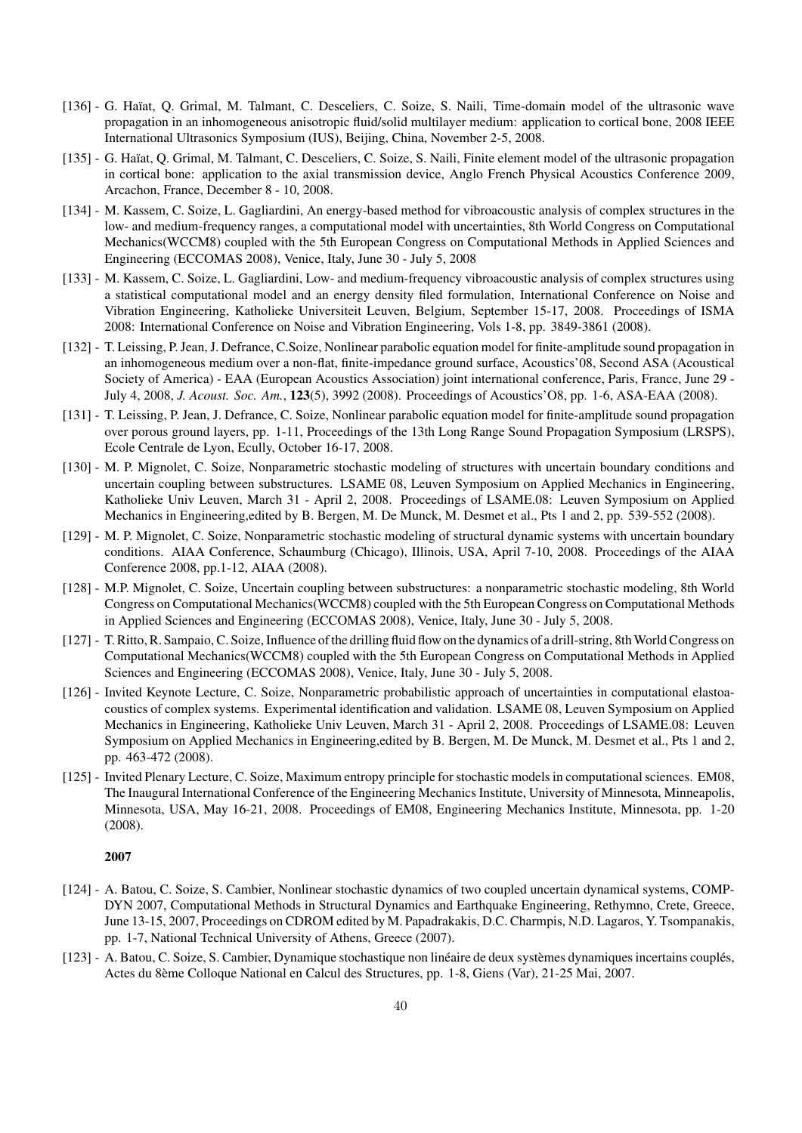- [136] G. Haïat, Q. Grimal, M. Talmant, C. Desceliers, C. Soize, S. Naili, Time-domain model of the ultrasonic wave propagation in an inhomogeneous anisotropic fluid/solid multilayer medium: application to cortical bone, 2008 IEEE International Ultrasonics Symposium (IUS), Beijing, China, November 2-5, 2008.
- [135] G. Haïat, Q. Grimal, M. Talmant, C. Desceliers, C. Soize, S. Naili, Finite element model of the ultrasonic propagation in cortical bone: application to the axial transmission device, Anglo French Physical Acoustics Conference 2009, Arcachon, France, December 8 - 10, 2008.
- [134] M. Kassem, C. Soize, L. Gagliardini, An energy-based method for vibroacoustic analysis of complex structures in the low- and medium-frequency ranges, a computational model with uncertainties, 8th World Congress on Computational Mechanics(WCCM8) coupled with the 5th European Congress on Computational Methods in Applied Sciences and Engineering (ECCOMAS 2008), Venice, Italy, June 30 - July 5, 2008
- [133] M. Kassem, C. Soize, L. Gagliardini, Low- and medium-frequency vibroacoustic analysis of complex structures using a statistical computational model and an energy density filed formulation, International Conference on Noise and Vibration Engineering, Katholieke Universiteit Leuven, Belgium, September 15-17, 2008. Proceedings of ISMA 2008: International Conference on Noise and Vibration Engineering, Vols 1-8, pp. 3849-3861 (2008).
- [132] T. Leissing, P. Jean, J. Defrance, C.Soize, Nonlinear parabolic equation model for finite-amplitude sound propagation in an inhomogeneous medium over a non-flat, finite-impedance ground surface, Acoustics'08, Second ASA (Acoustical Society of America) - EAA (European Acoustics Association) joint international conference, Paris, France, June 29 - July 4, 2008, *J. Acoust. Soc. Am.*, 123(5), 3992 (2008). Proceedings of Acoustics'O8, pp. 1-6, ASA-EAA (2008).
- [131] T. Leissing, P. Jean, J. Defrance, C. Soize, Nonlinear parabolic equation model for finite-amplitude sound propagation over porous ground layers, pp. 1-11, Proceedings of the 13th Long Range Sound Propagation Symposium (LRSPS), Ecole Centrale de Lyon, Ecully, October 16-17, 2008.
- [130] M. P. Mignolet, C. Soize, Nonparametric stochastic modeling of structures with uncertain boundary conditions and uncertain coupling between substructures. LSAME 08, Leuven Symposium on Applied Mechanics in Engineering, Katholieke Univ Leuven, March 31 - April 2, 2008. Proceedings of LSAME.08: Leuven Symposium on Applied Mechanics in Engineering,edited by B. Bergen, M. De Munck, M. Desmet et al., Pts 1 and 2, pp. 539-552 (2008).
- [129] M. P. Mignolet, C. Soize, Nonparametric stochastic modeling of structural dynamic systems with uncertain boundary conditions. AIAA Conference, Schaumburg (Chicago), Illinois, USA, April 7-10, 2008. Proceedings of the AIAA Conference 2008, pp.1-12, AIAA (2008).
- [128] M.P. Mignolet, C. Soize, Uncertain coupling between substructures: a nonparametric stochastic modeling, 8th World Congress on Computational Mechanics(WCCM8) coupled with the 5th European Congress on Computational Methods in Applied Sciences and Engineering (ECCOMAS 2008), Venice, Italy, June 30 - July 5, 2008.
- [127] T. Ritto, R. Sampaio, C. Soize, Influence of the drilling fluid flow on the dynamics of a drill-string, 8thWorld Congress on Computational Mechanics(WCCM8) coupled with the 5th European Congress on Computational Methods in Applied Sciences and Engineering (ECCOMAS 2008), Venice, Italy, June 30 - July 5, 2008.
- [126] Invited Keynote Lecture, C. Soize, Nonparametric probabilistic approach of uncertainties in computational elastoacoustics of complex systems. Experimental identification and validation. LSAME 08, Leuven Symposium on Applied Mechanics in Engineering, Katholieke Univ Leuven, March 31 - April 2, 2008. Proceedings of LSAME.08: Leuven Symposium on Applied Mechanics in Engineering,edited by B. Bergen, M. De Munck, M. Desmet et al., Pts 1 and 2, pp. 463-472 (2008).
- [125] Invited Plenary Lecture, C. Soize, Maximum entropy principle for stochastic models in computational sciences. EM08, The Inaugural International Conference of the Engineering Mechanics Institute, University of Minnesota, Minneapolis, Minnesota, USA, May 16-21, 2008. Proceedings of EM08, Engineering Mechanics Institute, Minnesota, pp. 1-20 (2008).

- [124] A. Batou, C. Soize, S. Cambier, Nonlinear stochastic dynamics of two coupled uncertain dynamical systems, COMP-DYN 2007, Computational Methods in Structural Dynamics and Earthquake Engineering, Rethymno, Crete, Greece, June 13-15, 2007, Proceedings on CDROM edited by M. Papadrakakis, D.C. Charmpis, N.D. Lagaros, Y. Tsompanakis, pp. 1-7, National Technical University of Athens, Greece (2007).
- [123] A. Batou, C. Soize, S. Cambier, Dynamique stochastique non linéaire de deux systèmes dynamiques incertains couplés, Actes du 8`eme Colloque National en Calcul des Structures, pp. 1-8, Giens (Var), 21-25 Mai, 2007.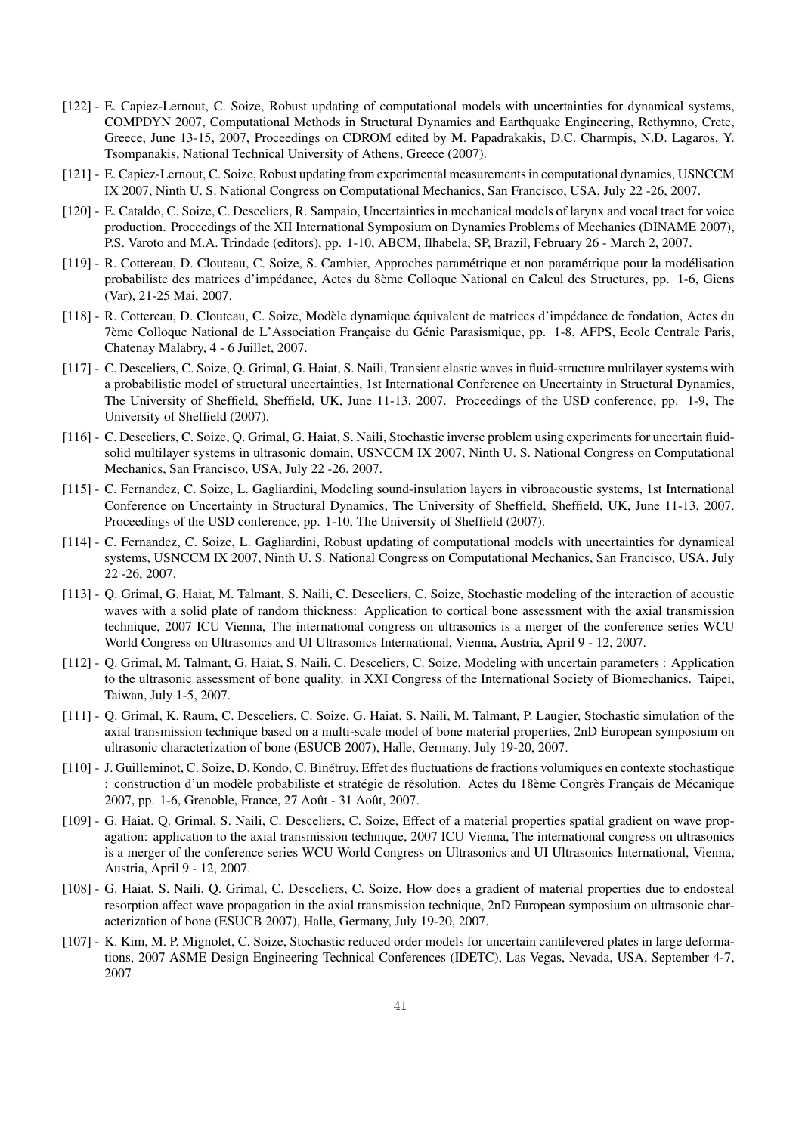- [122] E. Capiez-Lernout, C. Soize, Robust updating of computational models with uncertainties for dynamical systems, COMPDYN 2007, Computational Methods in Structural Dynamics and Earthquake Engineering, Rethymno, Crete, Greece, June 13-15, 2007, Proceedings on CDROM edited by M. Papadrakakis, D.C. Charmpis, N.D. Lagaros, Y. Tsompanakis, National Technical University of Athens, Greece (2007).
- [121] E. Capiez-Lernout, C. Soize, Robust updating from experimental measurements in computational dynamics, USNCCM IX 2007, Ninth U. S. National Congress on Computational Mechanics, San Francisco, USA, July 22 -26, 2007.
- [120] E. Cataldo, C. Soize, C. Desceliers, R. Sampaio, Uncertainties in mechanical models of larynx and vocal tract for voice production. Proceedings of the XII International Symposium on Dynamics Problems of Mechanics (DINAME 2007), P.S. Varoto and M.A. Trindade (editors), pp. 1-10, ABCM, Ilhabela, SP, Brazil, February 26 - March 2, 2007.
- [119] R. Cottereau, D. Clouteau, C. Soize, S. Cambier, Approches param´etrique et non param´etrique pour la mod´elisation probabiliste des matrices d'impédance, Actes du 8ème Colloque National en Calcul des Structures, pp. 1-6, Giens (Var), 21-25 Mai, 2007.
- [118] R. Cottereau, D. Clouteau, C. Soize, Modèle dynamique équivalent de matrices d'impédance de fondation, Actes du 7ème Colloque National de L'Association Française du Génie Parasismique, pp. 1-8, AFPS, Ecole Centrale Paris, Chatenay Malabry, 4 - 6 Juillet, 2007.
- [117] C. Desceliers, C. Soize, Q. Grimal, G. Haiat, S. Naili, Transient elastic waves in fluid-structure multilayer systems with a probabilistic model of structural uncertainties, 1st International Conference on Uncertainty in Structural Dynamics, The University of Sheffield, Sheffield, UK, June 11-13, 2007. Proceedings of the USD conference, pp. 1-9, The University of Sheffield (2007).
- [116] C. Desceliers, C. Soize, Q. Grimal, G. Haiat, S. Naili, Stochastic inverse problem using experiments for uncertain fluidsolid multilayer systems in ultrasonic domain, USNCCM IX 2007, Ninth U. S. National Congress on Computational Mechanics, San Francisco, USA, July 22 -26, 2007.
- [115] C. Fernandez, C. Soize, L. Gagliardini, Modeling sound-insulation layers in vibroacoustic systems, 1st International Conference on Uncertainty in Structural Dynamics, The University of Sheffield, Sheffield, UK, June 11-13, 2007. Proceedings of the USD conference, pp. 1-10, The University of Sheffield (2007).
- [114] C. Fernandez, C. Soize, L. Gagliardini, Robust updating of computational models with uncertainties for dynamical systems, USNCCM IX 2007, Ninth U. S. National Congress on Computational Mechanics, San Francisco, USA, July 22 -26, 2007.
- [113] Q. Grimal, G. Haiat, M. Talmant, S. Naili, C. Desceliers, C. Soize, Stochastic modeling of the interaction of acoustic waves with a solid plate of random thickness: Application to cortical bone assessment with the axial transmission technique, 2007 ICU Vienna, The international congress on ultrasonics is a merger of the conference series WCU World Congress on Ultrasonics and UI Ultrasonics International, Vienna, Austria, April 9 - 12, 2007.
- [112] Q. Grimal, M. Talmant, G. Haiat, S. Naili, C. Desceliers, C. Soize, Modeling with uncertain parameters : Application to the ultrasonic assessment of bone quality. in XXI Congress of the International Society of Biomechanics. Taipei, Taiwan, July 1-5, 2007.
- [111] Q. Grimal, K. Raum, C. Desceliers, C. Soize, G. Haiat, S. Naili, M. Talmant, P. Laugier, Stochastic simulation of the axial transmission technique based on a multi-scale model of bone material properties, 2nD European symposium on ultrasonic characterization of bone (ESUCB 2007), Halle, Germany, July 19-20, 2007.
- [110] J. Guilleminot, C. Soize, D. Kondo, C. Bin´etruy, Effet des fluctuations de fractions volumiques en contexte stochastique : construction d'un modèle probabiliste et stratégie de résolution. Actes du 18ème Congrès Français de Mécanique 2007, pp. 1-6, Grenoble, France, 27 Août - 31 Août, 2007.
- [109] G. Haiat, Q. Grimal, S. Naili, C. Desceliers, C. Soize, Effect of a material properties spatial gradient on wave propagation: application to the axial transmission technique, 2007 ICU Vienna, The international congress on ultrasonics is a merger of the conference series WCU World Congress on Ultrasonics and UI Ultrasonics International, Vienna, Austria, April 9 - 12, 2007.
- [108] G. Haiat, S. Naili, Q. Grimal, C. Desceliers, C. Soize, How does a gradient of material properties due to endosteal resorption affect wave propagation in the axial transmission technique, 2nD European symposium on ultrasonic characterization of bone (ESUCB 2007), Halle, Germany, July 19-20, 2007.
- [107] K. Kim, M. P. Mignolet, C. Soize, Stochastic reduced order models for uncertain cantilevered plates in large deformations, 2007 ASME Design Engineering Technical Conferences (IDETC), Las Vegas, Nevada, USA, September 4-7, 2007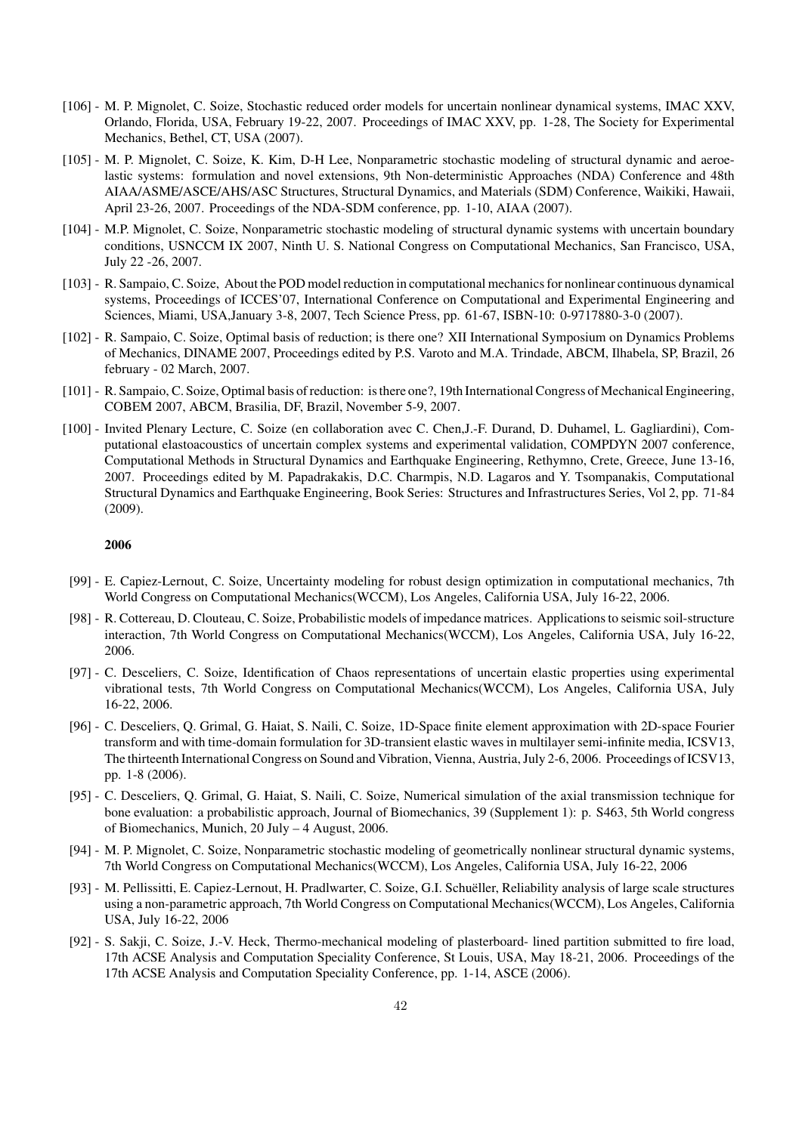- [106] M. P. Mignolet, C. Soize, Stochastic reduced order models for uncertain nonlinear dynamical systems, IMAC XXV, Orlando, Florida, USA, February 19-22, 2007. Proceedings of IMAC XXV, pp. 1-28, The Society for Experimental Mechanics, Bethel, CT, USA (2007).
- [105] M. P. Mignolet, C. Soize, K. Kim, D-H Lee, Nonparametric stochastic modeling of structural dynamic and aeroelastic systems: formulation and novel extensions, 9th Non-deterministic Approaches (NDA) Conference and 48th AIAA/ASME/ASCE/AHS/ASC Structures, Structural Dynamics, and Materials (SDM) Conference, Waikiki, Hawaii, April 23-26, 2007. Proceedings of the NDA-SDM conference, pp. 1-10, AIAA (2007).
- [104] M.P. Mignolet, C. Soize, Nonparametric stochastic modeling of structural dynamic systems with uncertain boundary conditions, USNCCM IX 2007, Ninth U. S. National Congress on Computational Mechanics, San Francisco, USA, July 22 -26, 2007.
- [103] R. Sampaio, C. Soize, About the POD model reduction in computational mechanics for nonlinear continuous dynamical systems, Proceedings of ICCES'07, International Conference on Computational and Experimental Engineering and Sciences, Miami, USA,January 3-8, 2007, Tech Science Press, pp. 61-67, ISBN-10: 0-9717880-3-0 (2007).
- [102] R. Sampaio, C. Soize, Optimal basis of reduction; is there one? XII International Symposium on Dynamics Problems of Mechanics, DINAME 2007, Proceedings edited by P.S. Varoto and M.A. Trindade, ABCM, Ilhabela, SP, Brazil, 26 february - 02 March, 2007.
- [101] R. Sampaio, C. Soize, Optimal basis of reduction: is there one?, 19th International Congress of Mechanical Engineering, COBEM 2007, ABCM, Brasilia, DF, Brazil, November 5-9, 2007.
- [100] Invited Plenary Lecture, C. Soize (en collaboration avec C. Chen,J.-F. Durand, D. Duhamel, L. Gagliardini), Computational elastoacoustics of uncertain complex systems and experimental validation, COMPDYN 2007 conference, Computational Methods in Structural Dynamics and Earthquake Engineering, Rethymno, Crete, Greece, June 13-16, 2007. Proceedings edited by M. Papadrakakis, D.C. Charmpis, N.D. Lagaros and Y. Tsompanakis, Computational Structural Dynamics and Earthquake Engineering, Book Series: Structures and Infrastructures Series, Vol 2, pp. 71-84 (2009).

- [99] E. Capiez-Lernout, C. Soize, Uncertainty modeling for robust design optimization in computational mechanics, 7th World Congress on Computational Mechanics(WCCM), Los Angeles, California USA, July 16-22, 2006.
- [98] R. Cottereau, D. Clouteau, C. Soize, Probabilistic models of impedance matrices. Applications to seismic soil-structure interaction, 7th World Congress on Computational Mechanics(WCCM), Los Angeles, California USA, July 16-22, 2006.
- [97] C. Desceliers, C. Soize, Identification of Chaos representations of uncertain elastic properties using experimental vibrational tests, 7th World Congress on Computational Mechanics(WCCM), Los Angeles, California USA, July 16-22, 2006.
- [96] C. Desceliers, Q. Grimal, G. Haiat, S. Naili, C. Soize, 1D-Space finite element approximation with 2D-space Fourier transform and with time-domain formulation for 3D-transient elastic waves in multilayer semi-infinite media, ICSV13, The thirteenth International Congress on Sound and Vibration, Vienna, Austria, July 2-6, 2006. Proceedings of ICSV13, pp. 1-8 (2006).
- [95] C. Desceliers, Q. Grimal, G. Haiat, S. Naili, C. Soize, Numerical simulation of the axial transmission technique for bone evaluation: a probabilistic approach, Journal of Biomechanics, 39 (Supplement 1): p. S463, 5th World congress of Biomechanics, Munich, 20 July – 4 August, 2006.
- [94] M. P. Mignolet, C. Soize, Nonparametric stochastic modeling of geometrically nonlinear structural dynamic systems, 7th World Congress on Computational Mechanics(WCCM), Los Angeles, California USA, July 16-22, 2006
- [93] M. Pellissitti, E. Capiez-Lernout, H. Pradlwarter, C. Soize, G.I. Schuëller, Reliability analysis of large scale structures using a non-parametric approach, 7th World Congress on Computational Mechanics(WCCM), Los Angeles, California USA, July 16-22, 2006
- [92] S. Sakji, C. Soize, J.-V. Heck, Thermo-mechanical modeling of plasterboard- lined partition submitted to fire load, 17th ACSE Analysis and Computation Speciality Conference, St Louis, USA, May 18-21, 2006. Proceedings of the 17th ACSE Analysis and Computation Speciality Conference, pp. 1-14, ASCE (2006).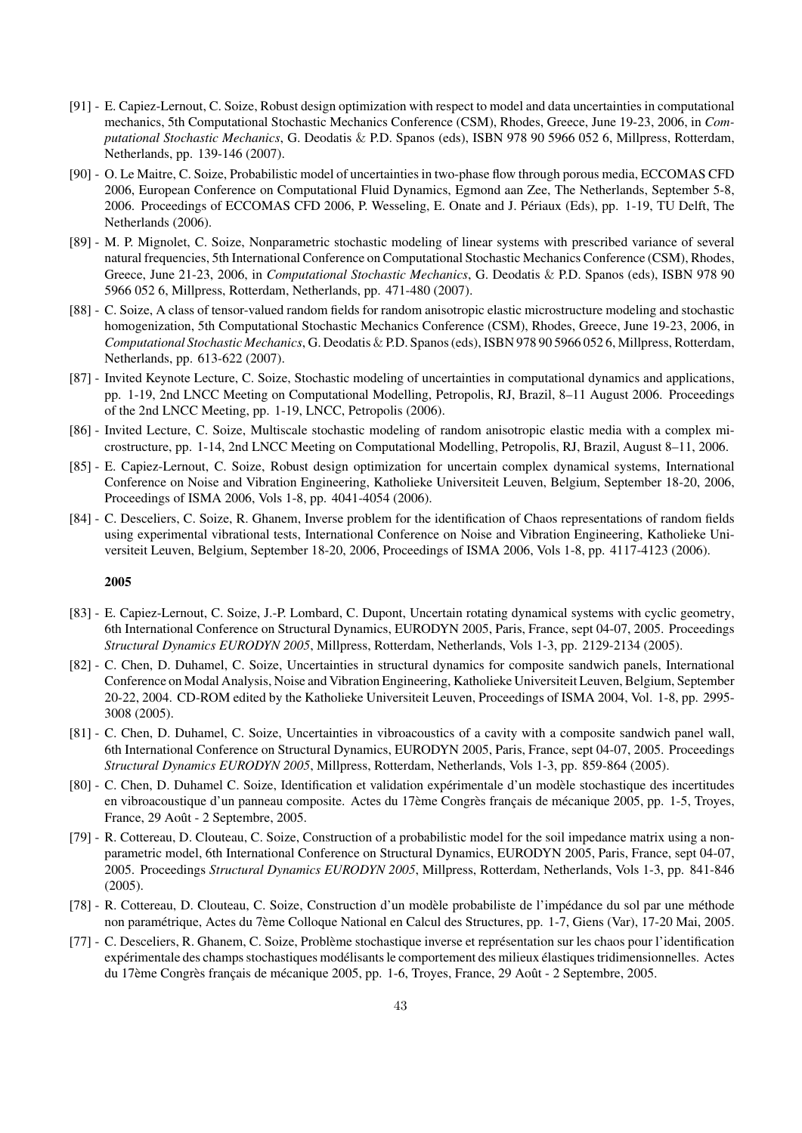- [91] E. Capiez-Lernout, C. Soize, Robust design optimization with respect to model and data uncertainties in computational mechanics, 5th Computational Stochastic Mechanics Conference (CSM), Rhodes, Greece, June 19-23, 2006, in *Computational Stochastic Mechanics*, G. Deodatis & P.D. Spanos (eds), ISBN 978 90 5966 052 6, Millpress, Rotterdam, Netherlands, pp. 139-146 (2007).
- [90] O. Le Maitre, C. Soize, Probabilistic model of uncertainties in two-phase flow through porous media, ECCOMAS CFD 2006, European Conference on Computational Fluid Dynamics, Egmond aan Zee, The Netherlands, September 5-8, 2006. Proceedings of ECCOMAS CFD 2006, P. Wesseling, E. Onate and J. Périaux (Eds), pp. 1-19, TU Delft, The Netherlands (2006).
- [89] M. P. Mignolet, C. Soize, Nonparametric stochastic modeling of linear systems with prescribed variance of several natural frequencies, 5th International Conference on Computational Stochastic Mechanics Conference (CSM), Rhodes, Greece, June 21-23, 2006, in *Computational Stochastic Mechanics*, G. Deodatis & P.D. Spanos (eds), ISBN 978 90 5966 052 6, Millpress, Rotterdam, Netherlands, pp. 471-480 (2007).
- [88] C. Soize, A class of tensor-valued random fields for random anisotropic elastic microstructure modeling and stochastic homogenization, 5th Computational Stochastic Mechanics Conference (CSM), Rhodes, Greece, June 19-23, 2006, in *Computational Stochastic Mechanics*, G. Deodatis & P.D. Spanos (eds), ISBN 978 90 5966 052 6, Millpress, Rotterdam, Netherlands, pp. 613-622 (2007).
- [87] Invited Keynote Lecture, C. Soize, Stochastic modeling of uncertainties in computational dynamics and applications, pp. 1-19, 2nd LNCC Meeting on Computational Modelling, Petropolis, RJ, Brazil, 8–11 August 2006. Proceedings of the 2nd LNCC Meeting, pp. 1-19, LNCC, Petropolis (2006).
- [86] Invited Lecture, C. Soize, Multiscale stochastic modeling of random anisotropic elastic media with a complex microstructure, pp. 1-14, 2nd LNCC Meeting on Computational Modelling, Petropolis, RJ, Brazil, August 8–11, 2006.
- [85] E. Capiez-Lernout, C. Soize, Robust design optimization for uncertain complex dynamical systems, International Conference on Noise and Vibration Engineering, Katholieke Universiteit Leuven, Belgium, September 18-20, 2006, Proceedings of ISMA 2006, Vols 1-8, pp. 4041-4054 (2006).
- [84] C. Desceliers, C. Soize, R. Ghanem, Inverse problem for the identification of Chaos representations of random fields using experimental vibrational tests, International Conference on Noise and Vibration Engineering, Katholieke Universiteit Leuven, Belgium, September 18-20, 2006, Proceedings of ISMA 2006, Vols 1-8, pp. 4117-4123 (2006).

- [83] E. Capiez-Lernout, C. Soize, J.-P. Lombard, C. Dupont, Uncertain rotating dynamical systems with cyclic geometry, 6th International Conference on Structural Dynamics, EURODYN 2005, Paris, France, sept 04-07, 2005. Proceedings *Structural Dynamics EURODYN 2005*, Millpress, Rotterdam, Netherlands, Vols 1-3, pp. 2129-2134 (2005).
- [82] C. Chen, D. Duhamel, C. Soize, Uncertainties in structural dynamics for composite sandwich panels, International Conference on Modal Analysis, Noise and Vibration Engineering, Katholieke Universiteit Leuven, Belgium, September 20-22, 2004. CD-ROM edited by the Katholieke Universiteit Leuven, Proceedings of ISMA 2004, Vol. 1-8, pp. 2995- 3008 (2005).
- [81] C. Chen, D. Duhamel, C. Soize, Uncertainties in vibroacoustics of a cavity with a composite sandwich panel wall, 6th International Conference on Structural Dynamics, EURODYN 2005, Paris, France, sept 04-07, 2005. Proceedings *Structural Dynamics EURODYN 2005*, Millpress, Rotterdam, Netherlands, Vols 1-3, pp. 859-864 (2005).
- [80] C. Chen, D. Duhamel C. Soize, Identification et validation expérimentale d'un modèle stochastique des incertitudes en vibroacoustique d'un panneau composite. Actes du 17ème Congrès français de mécanique 2005, pp. 1-5, Troyes, France, 29 Août - 2 Septembre, 2005.
- [79] R. Cottereau, D. Clouteau, C. Soize, Construction of a probabilistic model for the soil impedance matrix using a nonparametric model, 6th International Conference on Structural Dynamics, EURODYN 2005, Paris, France, sept 04-07, 2005. Proceedings *Structural Dynamics EURODYN 2005*, Millpress, Rotterdam, Netherlands, Vols 1-3, pp. 841-846 (2005).
- [78] R. Cottereau, D. Clouteau, C. Soize, Construction d'un modèle probabiliste de l'impédance du sol par une méthode non paramétrique, Actes du 7ème Colloque National en Calcul des Structures, pp. 1-7, Giens (Var), 17-20 Mai, 2005.
- [77] C. Desceliers, R. Ghanem, C. Soize, Problème stochastique inverse et représentation sur les chaos pour l'identification expérimentale des champs stochastiques modélisants le comportement des milieux élastiques tridimensionnelles. Actes du 17ème Congrès français de mécanique 2005, pp. 1-6, Troyes, France, 29 Août - 2 Septembre, 2005.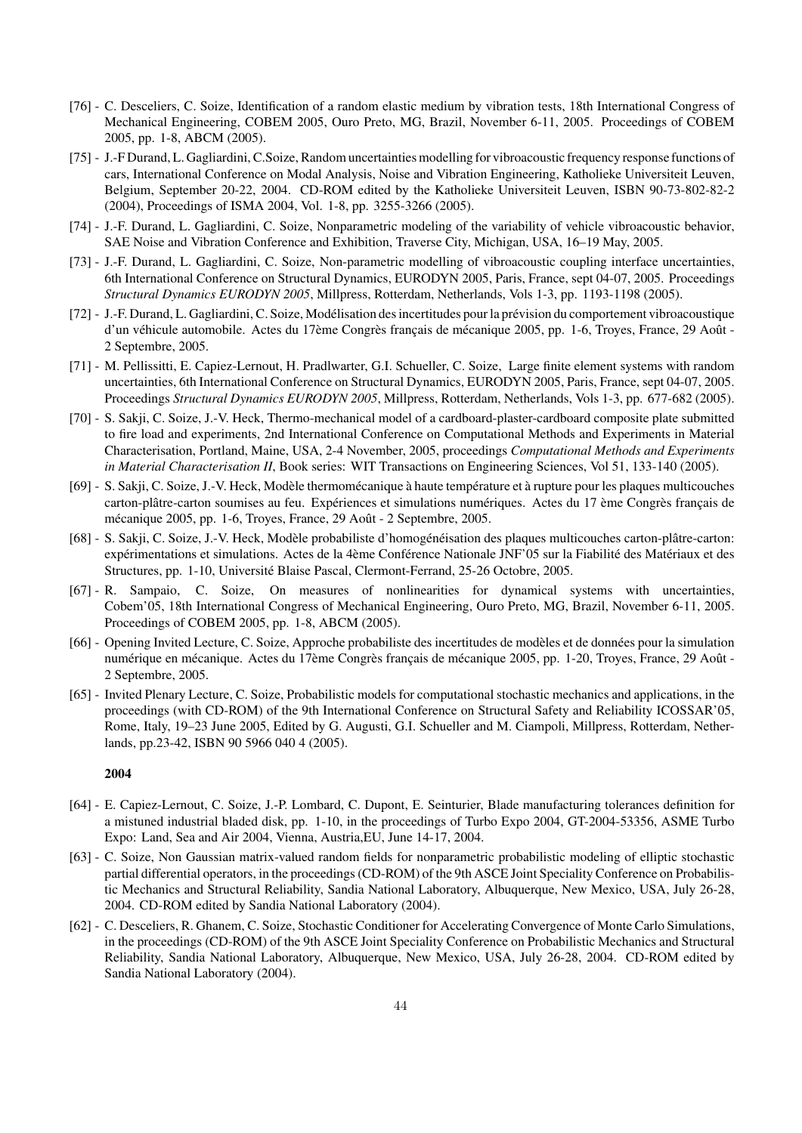- [76] C. Desceliers, C. Soize, Identification of a random elastic medium by vibration tests, 18th International Congress of Mechanical Engineering, COBEM 2005, Ouro Preto, MG, Brazil, November 6-11, 2005. Proceedings of COBEM 2005, pp. 1-8, ABCM (2005).
- [75] J.-F Durand, L. Gagliardini, C.Soize, Random uncertainties modelling for vibroacoustic frequency response functions of cars, International Conference on Modal Analysis, Noise and Vibration Engineering, Katholieke Universiteit Leuven, Belgium, September 20-22, 2004. CD-ROM edited by the Katholieke Universiteit Leuven, ISBN 90-73-802-82-2 (2004), Proceedings of ISMA 2004, Vol. 1-8, pp. 3255-3266 (2005).
- [74] J.-F. Durand, L. Gagliardini, C. Soize, Nonparametric modeling of the variability of vehicle vibroacoustic behavior, SAE Noise and Vibration Conference and Exhibition, Traverse City, Michigan, USA, 16–19 May, 2005.
- [73] J.-F. Durand, L. Gagliardini, C. Soize, Non-parametric modelling of vibroacoustic coupling interface uncertainties, 6th International Conference on Structural Dynamics, EURODYN 2005, Paris, France, sept 04-07, 2005. Proceedings *Structural Dynamics EURODYN 2005*, Millpress, Rotterdam, Netherlands, Vols 1-3, pp. 1193-1198 (2005).
- [72] J.-F. Durand, L. Gagliardini, C. Soize, Modélisation des incertitudes pour la prévision du comportement vibroacoustique d'un véhicule automobile. Actes du 17ème Congrès français de mécanique 2005, pp. 1-6, Troyes, France, 29 Août -2 Septembre, 2005.
- [71] M. Pellissitti, E. Capiez-Lernout, H. Pradlwarter, G.I. Schueller, C. Soize, Large finite element systems with random uncertainties, 6th International Conference on Structural Dynamics, EURODYN 2005, Paris, France, sept 04-07, 2005. Proceedings *Structural Dynamics EURODYN 2005*, Millpress, Rotterdam, Netherlands, Vols 1-3, pp. 677-682 (2005).
- [70] S. Sakji, C. Soize, J.-V. Heck, Thermo-mechanical model of a cardboard-plaster-cardboard composite plate submitted to fire load and experiments, 2nd International Conference on Computational Methods and Experiments in Material Characterisation, Portland, Maine, USA, 2-4 November, 2005, proceedings *Computational Methods and Experiments in Material Characterisation II*, Book series: WIT Transactions on Engineering Sciences, Vol 51, 133-140 (2005).
- [69] S. Sakji, C. Soize, J.-V. Heck, Modèle thermomécanique à haute température et à rupture pour les plaques multicouches carton-plâtre-carton soumises au feu. Expériences et simulations numériques. Actes du 17 ème Congrès français de mécanique 2005, pp. 1-6, Troyes, France, 29 Août - 2 Septembre, 2005.
- [68] S. Sakji, C. Soize, J.-V. Heck, Modèle probabiliste d'homogénéisation des plaques multicouches carton-plâtre-carton: expérimentations et simulations. Actes de la 4ème Conférence Nationale JNF'05 sur la Fiabilité des Matériaux et des Structures, pp. 1-10, Université Blaise Pascal, Clermont-Ferrand, 25-26 Octobre, 2005.
- [67] R. Sampaio, C. Soize, On measures of nonlinearities for dynamical systems with uncertainties, Cobem'05, 18th International Congress of Mechanical Engineering, Ouro Preto, MG, Brazil, November 6-11, 2005. Proceedings of COBEM 2005, pp. 1-8, ABCM (2005).
- [66] Opening Invited Lecture, C. Soize, Approche probabiliste des incertitudes de modèles et de données pour la simulation numérique en mécanique. Actes du 17ème Congrès français de mécanique 2005, pp. 1-20, Troyes, France, 29 Août -2 Septembre, 2005.
- [65] Invited Plenary Lecture, C. Soize, Probabilistic models for computational stochastic mechanics and applications, in the proceedings (with CD-ROM) of the 9th International Conference on Structural Safety and Reliability ICOSSAR'05, Rome, Italy, 19–23 June 2005, Edited by G. Augusti, G.I. Schueller and M. Ciampoli, Millpress, Rotterdam, Netherlands, pp.23-42, ISBN 90 5966 040 4 (2005).

- [64] E. Capiez-Lernout, C. Soize, J.-P. Lombard, C. Dupont, E. Seinturier, Blade manufacturing tolerances definition for a mistuned industrial bladed disk, pp. 1-10, in the proceedings of Turbo Expo 2004, GT-2004-53356, ASME Turbo Expo: Land, Sea and Air 2004, Vienna, Austria,EU, June 14-17, 2004.
- [63] C. Soize, Non Gaussian matrix-valued random fields for nonparametric probabilistic modeling of elliptic stochastic partial differential operators, in the proceedings (CD-ROM) of the 9th ASCE Joint Speciality Conference on Probabilistic Mechanics and Structural Reliability, Sandia National Laboratory, Albuquerque, New Mexico, USA, July 26-28, 2004. CD-ROM edited by Sandia National Laboratory (2004).
- [62] C. Desceliers, R. Ghanem, C. Soize, Stochastic Conditioner for Accelerating Convergence of Monte Carlo Simulations, in the proceedings (CD-ROM) of the 9th ASCE Joint Speciality Conference on Probabilistic Mechanics and Structural Reliability, Sandia National Laboratory, Albuquerque, New Mexico, USA, July 26-28, 2004. CD-ROM edited by Sandia National Laboratory (2004).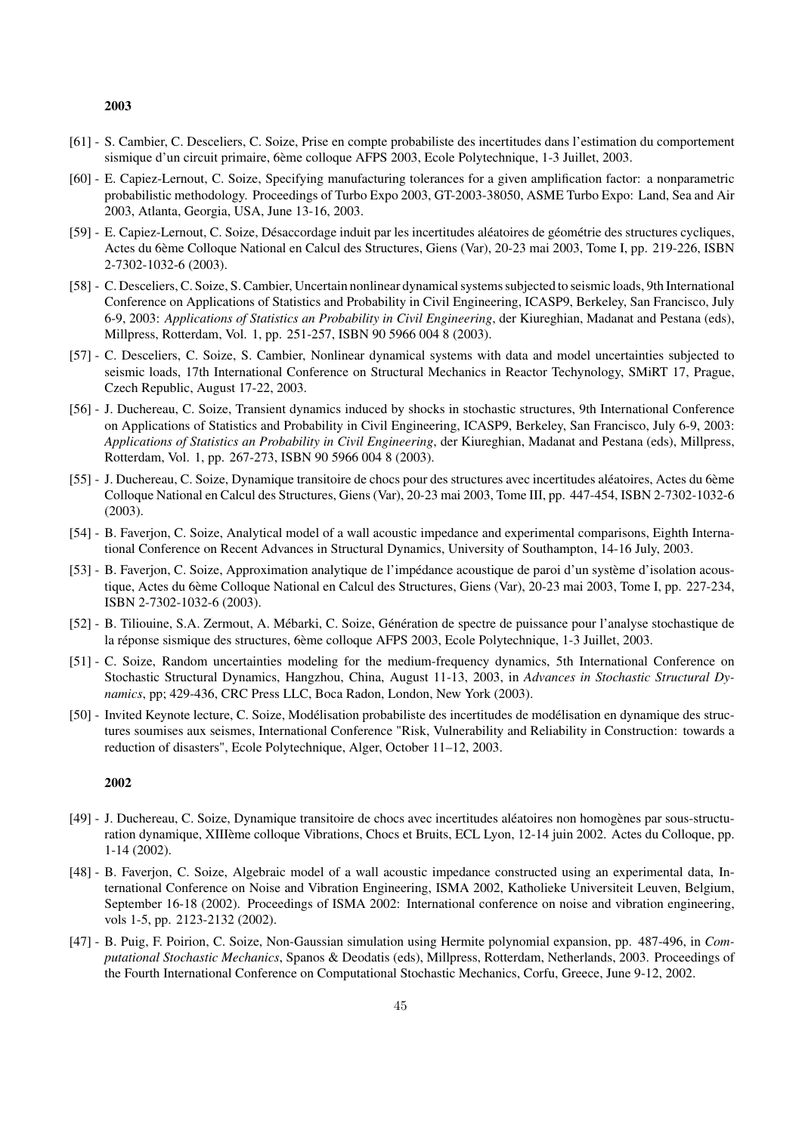- [61] S. Cambier, C. Desceliers, C. Soize, Prise en compte probabiliste des incertitudes dans l'estimation du comportement sismique d'un circuit primaire, 6ème colloque AFPS 2003, Ecole Polytechnique, 1-3 Juillet, 2003.
- [60] E. Capiez-Lernout, C. Soize, Specifying manufacturing tolerances for a given amplification factor: a nonparametric probabilistic methodology. Proceedings of Turbo Expo 2003, GT-2003-38050, ASME Turbo Expo: Land, Sea and Air 2003, Atlanta, Georgia, USA, June 13-16, 2003.
- [59] E. Capiez-Lernout, C. Soize, Désaccordage induit par les incertitudes aléatoires de géométrie des structures cycliques, Actes du 6ème Colloque National en Calcul des Structures, Giens (Var), 20-23 mai 2003, Tome I, pp. 219-226, ISBN 2-7302-1032-6 (2003).
- [58] C. Desceliers, C. Soize, S. Cambier, Uncertain nonlinear dynamical systems subjected to seismic loads, 9th International Conference on Applications of Statistics and Probability in Civil Engineering, ICASP9, Berkeley, San Francisco, July 6-9, 2003: *Applications of Statistics an Probability in Civil Engineering*, der Kiureghian, Madanat and Pestana (eds), Millpress, Rotterdam, Vol. 1, pp. 251-257, ISBN 90 5966 004 8 (2003).
- [57] C. Desceliers, C. Soize, S. Cambier, Nonlinear dynamical systems with data and model uncertainties subjected to seismic loads, 17th International Conference on Structural Mechanics in Reactor Techynology, SMiRT 17, Prague, Czech Republic, August 17-22, 2003.
- [56] J. Duchereau, C. Soize, Transient dynamics induced by shocks in stochastic structures, 9th International Conference on Applications of Statistics and Probability in Civil Engineering, ICASP9, Berkeley, San Francisco, July 6-9, 2003: *Applications of Statistics an Probability in Civil Engineering*, der Kiureghian, Madanat and Pestana (eds), Millpress, Rotterdam, Vol. 1, pp. 267-273, ISBN 90 5966 004 8 (2003).
- [55] J. Duchereau, C. Soize, Dynamique transitoire de chocs pour des structures avec incertitudes aléatoires, Actes du 6ème Colloque National en Calcul des Structures, Giens (Var), 20-23 mai 2003, Tome III, pp. 447-454, ISBN 2-7302-1032-6 (2003).
- [54] B. Faverjon, C. Soize, Analytical model of a wall acoustic impedance and experimental comparisons, Eighth International Conference on Recent Advances in Structural Dynamics, University of Southampton, 14-16 July, 2003.
- [53] B. Faverjon, C. Soize, Approximation analytique de l'impédance acoustique de paroi d'un système d'isolation acoustique, Actes du 6ème Colloque National en Calcul des Structures, Giens (Var), 20-23 mai 2003, Tome I, pp. 227-234, ISBN 2-7302-1032-6 (2003).
- [52] B. Tiliouine, S.A. Zermout, A. Mébarki, C. Soize, Génération de spectre de puissance pour l'analyse stochastique de la réponse sismique des structures, 6ème colloque AFPS 2003, Ecole Polytechnique, 1-3 Juillet, 2003.
- [51] C. Soize, Random uncertainties modeling for the medium-frequency dynamics, 5th International Conference on Stochastic Structural Dynamics, Hangzhou, China, August 11-13, 2003, in *Advances in Stochastic Structural Dynamics*, pp; 429-436, CRC Press LLC, Boca Radon, London, New York (2003).
- [50] Invited Keynote lecture, C. Soize, Modélisation probabiliste des incertitudes de modélisation en dynamique des structures soumises aux seismes, International Conference "Risk, Vulnerability and Reliability in Construction: towards a reduction of disasters", Ecole Polytechnique, Alger, October 11–12, 2003.

- [49] J. Duchereau, C. Soize, Dynamique transitoire de chocs avec incertitudes aléatoires non homogènes par sous-structuration dynamique, XIIIème colloque Vibrations, Chocs et Bruits, ECL Lyon, 12-14 juin 2002. Actes du Colloque, pp. 1-14 (2002).
- [48] B. Faverjon, C. Soize, Algebraic model of a wall acoustic impedance constructed using an experimental data, International Conference on Noise and Vibration Engineering, ISMA 2002, Katholieke Universiteit Leuven, Belgium, September 16-18 (2002). Proceedings of ISMA 2002: International conference on noise and vibration engineering, vols 1-5, pp. 2123-2132 (2002).
- [47] B. Puig, F. Poirion, C. Soize, Non-Gaussian simulation using Hermite polynomial expansion, pp. 487-496, in *Computational Stochastic Mechanics*, Spanos & Deodatis (eds), Millpress, Rotterdam, Netherlands, 2003. Proceedings of the Fourth International Conference on Computational Stochastic Mechanics, Corfu, Greece, June 9-12, 2002.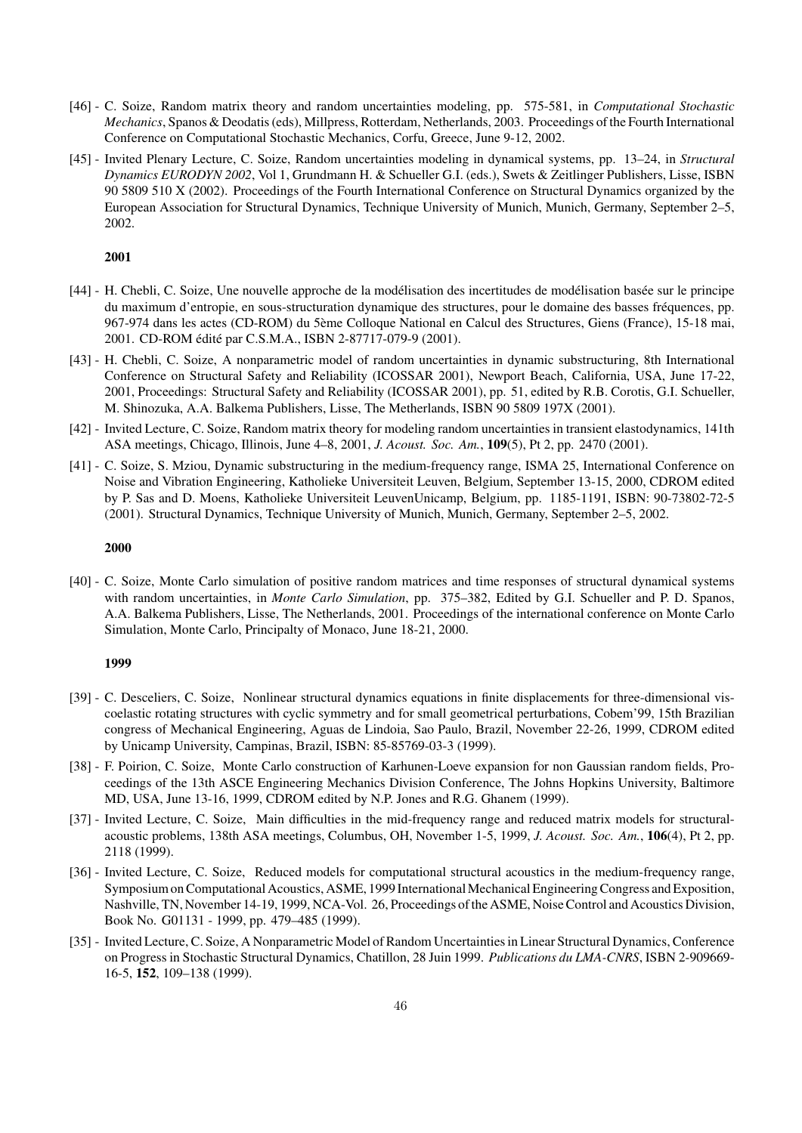- [46] C. Soize, Random matrix theory and random uncertainties modeling, pp. 575-581, in *Computational Stochastic Mechanics*, Spanos & Deodatis (eds), Millpress, Rotterdam, Netherlands, 2003. Proceedings of the Fourth International Conference on Computational Stochastic Mechanics, Corfu, Greece, June 9-12, 2002.
- [45] Invited Plenary Lecture, C. Soize, Random uncertainties modeling in dynamical systems, pp. 13–24, in *Structural Dynamics EURODYN 2002*, Vol 1, Grundmann H. & Schueller G.I. (eds.), Swets & Zeitlinger Publishers, Lisse, ISBN 90 5809 510 X (2002). Proceedings of the Fourth International Conference on Structural Dynamics organized by the European Association for Structural Dynamics, Technique University of Munich, Munich, Germany, September 2–5, 2002.

- [44] H. Chebli, C. Soize, Une nouvelle approche de la modélisation des incertitudes de modélisation basée sur le principe du maximum d'entropie, en sous-structuration dynamique des structures, pour le domaine des basses fréquences, pp. 967-974 dans les actes (CD-ROM) du 5ème Colloque National en Calcul des Structures, Giens (France), 15-18 mai, 2001. CD-ROM édité par C.S.M.A., ISBN 2-87717-079-9 (2001).
- [43] H. Chebli, C. Soize, A nonparametric model of random uncertainties in dynamic substructuring, 8th International Conference on Structural Safety and Reliability (ICOSSAR 2001), Newport Beach, California, USA, June 17-22, 2001, Proceedings: Structural Safety and Reliability (ICOSSAR 2001), pp. 51, edited by R.B. Corotis, G.I. Schueller, M. Shinozuka, A.A. Balkema Publishers, Lisse, The Metherlands, ISBN 90 5809 197X (2001).
- [42] Invited Lecture, C. Soize, Random matrix theory for modeling random uncertainties in transient elastodynamics, 141th ASA meetings, Chicago, Illinois, June 4–8, 2001, *J. Acoust. Soc. Am.*, 109(5), Pt 2, pp. 2470 (2001).
- [41] C. Soize, S. Mziou, Dynamic substructuring in the medium-frequency range, ISMA 25, International Conference on Noise and Vibration Engineering, Katholieke Universiteit Leuven, Belgium, September 13-15, 2000, CDROM edited by P. Sas and D. Moens, Katholieke Universiteit LeuvenUnicamp, Belgium, pp. 1185-1191, ISBN: 90-73802-72-5 (2001). Structural Dynamics, Technique University of Munich, Munich, Germany, September 2–5, 2002.

#### 2000

[40] - C. Soize, Monte Carlo simulation of positive random matrices and time responses of structural dynamical systems with random uncertainties, in *Monte Carlo Simulation*, pp. 375–382, Edited by G.I. Schueller and P. D. Spanos, A.A. Balkema Publishers, Lisse, The Netherlands, 2001. Proceedings of the international conference on Monte Carlo Simulation, Monte Carlo, Principalty of Monaco, June 18-21, 2000.

- [39] C. Desceliers, C. Soize, Nonlinear structural dynamics equations in finite displacements for three-dimensional viscoelastic rotating structures with cyclic symmetry and for small geometrical perturbations, Cobem'99, 15th Brazilian congress of Mechanical Engineering, Aguas de Lindoia, Sao Paulo, Brazil, November 22-26, 1999, CDROM edited by Unicamp University, Campinas, Brazil, ISBN: 85-85769-03-3 (1999).
- [38] F. Poirion, C. Soize, Monte Carlo construction of Karhunen-Loeve expansion for non Gaussian random fields, Proceedings of the 13th ASCE Engineering Mechanics Division Conference, The Johns Hopkins University, Baltimore MD, USA, June 13-16, 1999, CDROM edited by N.P. Jones and R.G. Ghanem (1999).
- [37] Invited Lecture, C. Soize, Main difficulties in the mid-frequency range and reduced matrix models for structuralacoustic problems, 138th ASA meetings, Columbus, OH, November 1-5, 1999, *J. Acoust. Soc. Am.*, 106(4), Pt 2, pp. 2118 (1999).
- [36] Invited Lecture, C. Soize, Reduced models for computational structural acoustics in the medium-frequency range, Symposium on Computational Acoustics, ASME, 1999 International Mechanical Engineering Congress and Exposition, Nashville, TN, November 14-19, 1999, NCA-Vol. 26, Proceedings of the ASME, Noise Control and Acoustics Division, Book No. G01131 - 1999, pp. 479–485 (1999).
- [35] Invited Lecture, C. Soize, A Nonparametric Model of Random Uncertainties in Linear Structural Dynamics, Conference on Progress in Stochastic Structural Dynamics, Chatillon, 28 Juin 1999. *Publications du LMA-CNRS*, ISBN 2-909669- 16-5, 152, 109–138 (1999).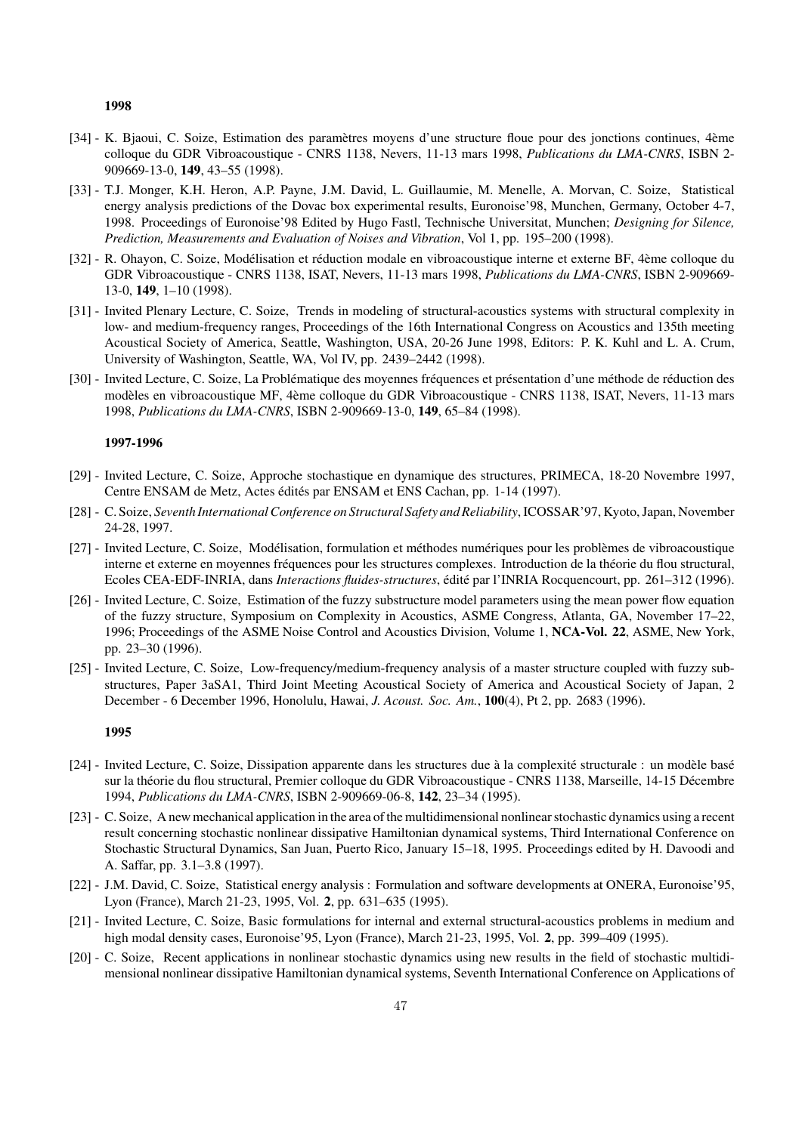- [34] K. Bjaoui, C. Soize, Estimation des paramètres moyens d'une structure floue pour des jonctions continues, 4ème colloque du GDR Vibroacoustique - CNRS 1138, Nevers, 11-13 mars 1998, *Publications du LMA-CNRS*, ISBN 2- 909669-13-0, 149, 43–55 (1998).
- [33] T.J. Monger, K.H. Heron, A.P. Payne, J.M. David, L. Guillaumie, M. Menelle, A. Morvan, C. Soize, Statistical energy analysis predictions of the Dovac box experimental results, Euronoise'98, Munchen, Germany, October 4-7, 1998. Proceedings of Euronoise'98 Edited by Hugo Fastl, Technische Universitat, Munchen; *Designing for Silence, Prediction, Measurements and Evaluation of Noises and Vibration*, Vol 1, pp. 195–200 (1998).
- [32] R. Ohayon, C. Soize, Modélisation et réduction modale en vibroacoustique interne et externe BF, 4ème colloque du GDR Vibroacoustique - CNRS 1138, ISAT, Nevers, 11-13 mars 1998, *Publications du LMA-CNRS*, ISBN 2-909669- 13-0, 149, 1–10 (1998).
- [31] Invited Plenary Lecture, C. Soize, Trends in modeling of structural-acoustics systems with structural complexity in low- and medium-frequency ranges, Proceedings of the 16th International Congress on Acoustics and 135th meeting Acoustical Society of America, Seattle, Washington, USA, 20-26 June 1998, Editors: P. K. Kuhl and L. A. Crum, University of Washington, Seattle, WA, Vol IV, pp. 2439–2442 (1998).
- [30] Invited Lecture, C. Soize, La Problématique des moyennes fréquences et présentation d'une méthode de réduction des modèles en vibroacoustique MF, 4ème colloque du GDR Vibroacoustique - CNRS 1138, ISAT, Nevers, 11-13 mars 1998, *Publications du LMA-CNRS*, ISBN 2-909669-13-0, 149, 65–84 (1998).

#### 1997-1996

- [29] Invited Lecture, C. Soize, Approche stochastique en dynamique des structures, PRIMECA, 18-20 Novembre 1997, Centre ENSAM de Metz, Actes édités par ENSAM et ENS Cachan, pp. 1-14 (1997).
- [28] C. Soize, *Seventh International Conference on Structural Safety and Reliability*, ICOSSAR'97, Kyoto, Japan, November 24-28, 1997.
- [27] Invited Lecture, C. Soize, Modélisation, formulation et méthodes numériques pour les problèmes de vibroacoustique interne et externe en moyennes fréquences pour les structures complexes. Introduction de la théorie du flou structural, Ecoles CEA-EDF-INRIA, dans *Interactions fluides-structures*, édité par l'INRIA Rocquencourt, pp. 261–312 (1996).
- [26] Invited Lecture, C. Soize, Estimation of the fuzzy substructure model parameters using the mean power flow equation of the fuzzy structure, Symposium on Complexity in Acoustics, ASME Congress, Atlanta, GA, November 17–22, 1996; Proceedings of the ASME Noise Control and Acoustics Division, Volume 1, NCA-Vol. 22, ASME, New York, pp. 23–30 (1996).
- [25] Invited Lecture, C. Soize, Low-frequency/medium-frequency analysis of a master structure coupled with fuzzy substructures, Paper 3aSA1, Third Joint Meeting Acoustical Society of America and Acoustical Society of Japan, 2 December - 6 December 1996, Honolulu, Hawai, *J. Acoust. Soc. Am.*, 100(4), Pt 2, pp. 2683 (1996).

- [24] Invited Lecture, C. Soize, Dissipation apparente dans les structures due à la complexité structurale : un modèle basé sur la théorie du flou structural, Premier colloque du GDR Vibroacoustique - CNRS 1138, Marseille, 14-15 Décembre 1994, *Publications du LMA-CNRS*, ISBN 2-909669-06-8, 142, 23–34 (1995).
- [23] C. Soize, A new mechanical application in the area of the multidimensional nonlinear stochastic dynamics using a recent result concerning stochastic nonlinear dissipative Hamiltonian dynamical systems, Third International Conference on Stochastic Structural Dynamics, San Juan, Puerto Rico, January 15–18, 1995. Proceedings edited by H. Davoodi and A. Saffar, pp. 3.1–3.8 (1997).
- [22] J.M. David, C. Soize, Statistical energy analysis : Formulation and software developments at ONERA, Euronoise'95, Lyon (France), March 21-23, 1995, Vol. 2, pp. 631–635 (1995).
- [21] Invited Lecture, C. Soize, Basic formulations for internal and external structural-acoustics problems in medium and high modal density cases, Euronoise'95, Lyon (France), March 21-23, 1995, Vol. 2, pp. 399–409 (1995).
- [20] C. Soize, Recent applications in nonlinear stochastic dynamics using new results in the field of stochastic multidimensional nonlinear dissipative Hamiltonian dynamical systems, Seventh International Conference on Applications of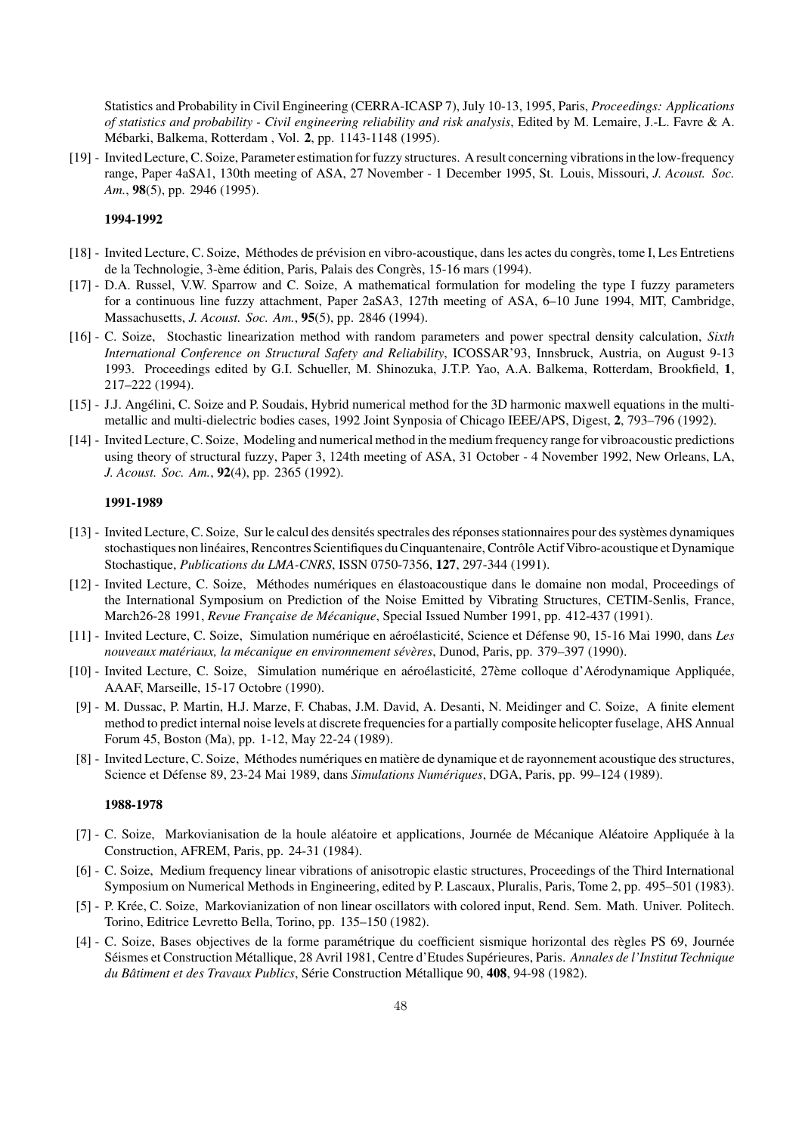Statistics and Probability in Civil Engineering (CERRA-ICASP 7), July 10-13, 1995, Paris, *Proceedings: Applications of statistics and probability - Civil engineering reliability and risk analysis*, Edited by M. Lemaire, J.-L. Favre & A. Mébarki, Balkema, Rotterdam , Vol. 2, pp. 1143-1148 (1995).

[19] - Invited Lecture, C. Soize, Parameter estimation for fuzzy structures. A result concerning vibrations in the low-frequency range, Paper 4aSA1, 130th meeting of ASA, 27 November - 1 December 1995, St. Louis, Missouri, *J. Acoust. Soc. Am.*, 98(5), pp. 2946 (1995).

## 1994-1992

- [18] Invited Lecture, C. Soize, Méthodes de prévision en vibro-acoustique, dans les actes du congrès, tome I, Les Entretiens de la Technologie, 3-ème édition, Paris, Palais des Congrès, 15-16 mars (1994).
- [17] D.A. Russel, V.W. Sparrow and C. Soize, A mathematical formulation for modeling the type I fuzzy parameters for a continuous line fuzzy attachment, Paper 2aSA3, 127th meeting of ASA, 6–10 June 1994, MIT, Cambridge, Massachusetts, *J. Acoust. Soc. Am.*, 95(5), pp. 2846 (1994).
- [16] C. Soize, Stochastic linearization method with random parameters and power spectral density calculation, *Sixth International Conference on Structural Safety and Reliability*, ICOSSAR'93, Innsbruck, Austria, on August 9-13 1993. Proceedings edited by G.I. Schueller, M. Shinozuka, J.T.P. Yao, A.A. Balkema, Rotterdam, Brookfield, 1, 217–222 (1994).
- [15] J.J. Angélini, C. Soize and P. Soudais, Hybrid numerical method for the 3D harmonic maxwell equations in the multimetallic and multi-dielectric bodies cases, 1992 Joint Synposia of Chicago IEEE/APS, Digest, 2, 793–796 (1992).
- [14] Invited Lecture, C. Soize, Modeling and numerical method in the medium frequency range for vibroacoustic predictions using theory of structural fuzzy, Paper 3, 124th meeting of ASA, 31 October - 4 November 1992, New Orleans, LA, *J. Acoust. Soc. Am.*, 92(4), pp. 2365 (1992).

#### 1991-1989

- [13] Invited Lecture, C. Soize, Sur le calcul des densités spectrales des réponses stationnaires pour des systèmes dynamiques stochastiques non linéaires, Rencontres Scientifiques du Cinquantenaire, Contrôle Actif Vibro-acoustique et Dynamique Stochastique, *Publications du LMA-CNRS*, ISSN 0750-7356, 127, 297-344 (1991).
- [12] Invited Lecture, C. Soize, Méthodes numériques en élastoacoustique dans le domaine non modal, Proceedings of the International Symposium on Prediction of the Noise Emitted by Vibrating Structures, CETIM-Senlis, France, March26-28 1991, Revue Française de Mécanique, Special Issued Number 1991, pp. 412-437 (1991).
- [11] Invited Lecture, C. Soize, Simulation num´erique en a´ero´elasticit´e, Science et D´efense 90, 15-16 Mai 1990, dans *Les* nouveaux matériaux, la mécanique en environnement sévères, Dunod, Paris, pp. 379-397 (1990).
- [10] Invited Lecture, C. Soize, Simulation numérique en aéroélasticité, 27ème colloque d'Aérodynamique Appliquée, AAAF, Marseille, 15-17 Octobre (1990).
- [9] M. Dussac, P. Martin, H.J. Marze, F. Chabas, J.M. David, A. Desanti, N. Meidinger and C. Soize, A finite element method to predict internal noise levels at discrete frequencies for a partially composite helicopter fuselage, AHS Annual Forum 45, Boston (Ma), pp. 1-12, May 22-24 (1989).
- [8] Invited Lecture, C. Soize, Méthodes numériques en matière de dynamique et de rayonnement acoustique des structures, Science et D´efense 89, 23-24 Mai 1989, dans *Simulations Num´eriques*, DGA, Paris, pp. 99–124 (1989).

- [7] C. Soize, Markovianisation de la houle aléatoire et applications, Journée de Mécanique Aléatoire Appliquée à la Construction, AFREM, Paris, pp. 24-31 (1984).
- [6] C. Soize, Medium frequency linear vibrations of anisotropic elastic structures, Proceedings of the Third International Symposium on Numerical Methods in Engineering, edited by P. Lascaux, Pluralis, Paris, Tome 2, pp. 495–501 (1983).
- [5] P. Kr´ee, C. Soize, Markovianization of non linear oscillators with colored input, Rend. Sem. Math. Univer. Politech. Torino, Editrice Levretto Bella, Torino, pp. 135–150 (1982).
- [4] C. Soize, Bases objectives de la forme param´etrique du coefficient sismique horizontal des r`egles PS 69, Journ´ee Séismes et Construction Métallique, 28 Avril 1981, Centre d'Etudes Supérieures, Paris. Annales de l'Institut Technique *du Bâtiment et des Travaux Publics*, Série Construction Métallique 90, 408, 94-98 (1982).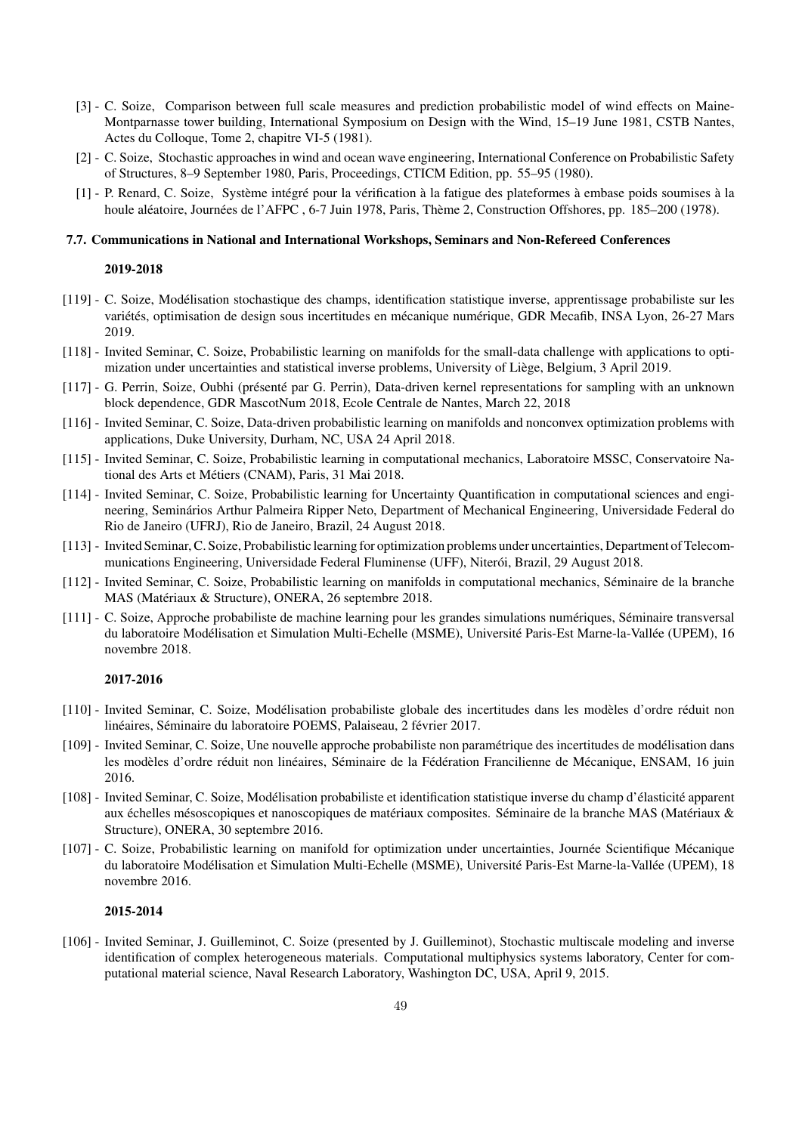- [3] C. Soize, Comparison between full scale measures and prediction probabilistic model of wind effects on Maine-Montparnasse tower building, International Symposium on Design with the Wind, 15–19 June 1981, CSTB Nantes, Actes du Colloque, Tome 2, chapitre VI-5 (1981).
- [2] C. Soize, Stochastic approaches in wind and ocean wave engineering, International Conference on Probabilistic Safety of Structures, 8–9 September 1980, Paris, Proceedings, CTICM Edition, pp. 55–95 (1980).
- [1] P. Renard, C. Soize, Système intégré pour la vérification à la fatigue des plateformes à embase poids soumises à la houle aléatoire, Journées de l'AFPC , 6-7 Juin 1978, Paris, Thème 2, Construction Offshores, pp. 185–200 (1978).

#### 7.7. Communications in National and International Workshops, Seminars and Non-Refereed Conferences

#### 2019-2018

- [119] C. Soize, Mod´elisation stochastique des champs, identification statistique inverse, apprentissage probabiliste sur les variétés, optimisation de design sous incertitudes en mécanique numérique, GDR Mecafib, INSA Lyon, 26-27 Mars 2019.
- [118] Invited Seminar, C. Soize, Probabilistic learning on manifolds for the small-data challenge with applications to optimization under uncertainties and statistical inverse problems, University of Liège, Belgium, 3 April 2019.
- [117] G. Perrin, Soize, Oubhi (présenté par G. Perrin), Data-driven kernel representations for sampling with an unknown block dependence, GDR MascotNum 2018, Ecole Centrale de Nantes, March 22, 2018
- [116] Invited Seminar, C. Soize, Data-driven probabilistic learning on manifolds and nonconvex optimization problems with applications, Duke University, Durham, NC, USA 24 April 2018.
- [115] Invited Seminar, C. Soize, Probabilistic learning in computational mechanics, Laboratoire MSSC, Conservatoire National des Arts et Métiers (CNAM), Paris, 31 Mai 2018.
- [114] Invited Seminar, C. Soize, Probabilistic learning for Uncertainty Quantification in computational sciences and engineering, Semin´arios Arthur Palmeira Ripper Neto, Department of Mechanical Engineering, Universidade Federal do Rio de Janeiro (UFRJ), Rio de Janeiro, Brazil, 24 August 2018.
- [113] Invited Seminar, C. Soize, Probabilistic learning for optimization problems under uncertainties, Department of Telecommunications Engineering, Universidade Federal Fluminense (UFF), Niterói, Brazil, 29 August 2018.
- [112] Invited Seminar, C. Soize, Probabilistic learning on manifolds in computational mechanics, Séminaire de la branche MAS (Matériaux & Structure), ONERA, 26 septembre 2018.
- [111] C. Soize, Approche probabiliste de machine learning pour les grandes simulations numériques, S´eminaire transversal du laboratoire Modélisation et Simulation Multi-Echelle (MSME), Université Paris-Est Marne-la-Vallée (UPEM), 16 novembre 2018.

#### 2017-2016

- [110] Invited Seminar, C. Soize, Modélisation probabiliste globale des incertitudes dans les modèles d'ordre réduit non linéaires, Séminaire du laboratoire POEMS, Palaiseau, 2 février 2017.
- [109] Invited Seminar, C. Soize, Une nouvelle approche probabiliste non paramétrique des incertitudes de modélisation dans les modèles d'ordre réduit non linéaires, Séminaire de la Fédération Francilienne de Mécanique, ENSAM, 16 juin 2016.
- [108] Invited Seminar, C. Soize, Modélisation probabiliste et identification statistique inverse du champ d'élasticité apparent aux échelles mésoscopiques et nanoscopiques de matériaux composites. Séminaire de la branche MAS (Matériaux & Structure), ONERA, 30 septembre 2016.
- [107] C. Soize, Probabilistic learning on manifold for optimization under uncertainties, Journ´ee Scientifique M´ecanique du laboratoire Modélisation et Simulation Multi-Echelle (MSME), Université Paris-Est Marne-la-Vallée (UPEM), 18 novembre 2016.

## 2015-2014

[106] - Invited Seminar, J. Guilleminot, C. Soize (presented by J. Guilleminot), Stochastic multiscale modeling and inverse identification of complex heterogeneous materials. Computational multiphysics systems laboratory, Center for computational material science, Naval Research Laboratory, Washington DC, USA, April 9, 2015.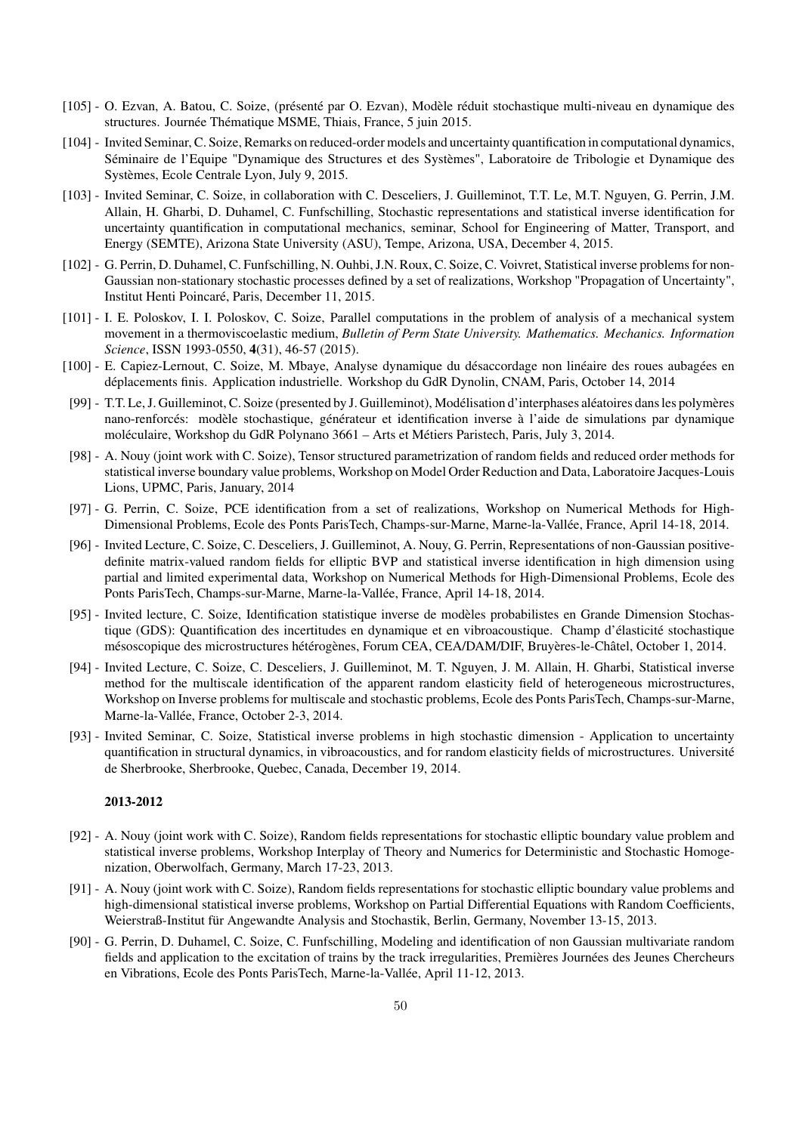- [105] O. Ezvan, A. Batou, C. Soize, (présenté par O. Ezvan), Modèle réduit stochastique multi-niveau en dynamique des structures. Journée Thématique MSME, Thiais, France, 5 juin 2015.
- [104] Invited Seminar, C. Soize, Remarks on reduced-order models and uncertainty quantification in computational dynamics, Séminaire de l'Equipe "Dynamique des Structures et des Systèmes", Laboratoire de Tribologie et Dynamique des Systèmes, Ecole Centrale Lyon, July 9, 2015.
- [103] Invited Seminar, C. Soize, in collaboration with C. Desceliers, J. Guilleminot, T.T. Le, M.T. Nguyen, G. Perrin, J.M. Allain, H. Gharbi, D. Duhamel, C. Funfschilling, Stochastic representations and statistical inverse identification for uncertainty quantification in computational mechanics, seminar, School for Engineering of Matter, Transport, and Energy (SEMTE), Arizona State University (ASU), Tempe, Arizona, USA, December 4, 2015.
- [102] G. Perrin, D. Duhamel, C. Funfschilling, N. Ouhbi, J.N. Roux, C. Soize, C. Voivret, Statistical inverse problems for non-Gaussian non-stationary stochastic processes defined by a set of realizations, Workshop "Propagation of Uncertainty", Institut Henti Poincaré, Paris, December 11, 2015.
- [101] I. E. Poloskov, I. I. Poloskov, C. Soize, Parallel computations in the problem of analysis of a mechanical system movement in a thermoviscoelastic medium, *Bulletin of Perm State University. Mathematics. Mechanics. Information Science*, ISSN 1993-0550, 4(31), 46-57 (2015).
- [100] E. Capiez-Lernout, C. Soize, M. Mbaye, Analyse dynamique du désaccordage non linéaire des roues aubagées en d´eplacements finis. Application industrielle. Workshop du GdR Dynolin, CNAM, Paris, October 14, 2014
- [99] T.T. Le, J. Guilleminot, C. Soize (presented by J. Guilleminot), Modélisation d'interphases aléatoires dans les polymères nano-renforcés: modèle stochastique, générateur et identification inverse à l'aide de simulations par dynamique moléculaire, Workshop du GdR Polynano 3661 – Arts et Métiers Paristech, Paris, July 3, 2014.
- [98] A. Nouy (joint work with C. Soize), Tensor structured parametrization of random fields and reduced order methods for statistical inverse boundary value problems, Workshop on Model Order Reduction and Data, Laboratoire Jacques-Louis Lions, UPMC, Paris, January, 2014
- [97] G. Perrin, C. Soize, PCE identification from a set of realizations, Workshop on Numerical Methods for High-Dimensional Problems, Ecole des Ponts ParisTech, Champs-sur-Marne, Marne-la-Vallée, France, April 14-18, 2014.
- [96] Invited Lecture, C. Soize, C. Desceliers, J. Guilleminot, A. Nouy, G. Perrin, Representations of non-Gaussian positivedefinite matrix-valued random fields for elliptic BVP and statistical inverse identification in high dimension using partial and limited experimental data, Workshop on Numerical Methods for High-Dimensional Problems, Ecole des Ponts ParisTech, Champs-sur-Marne, Marne-la-Vallée, France, April 14-18, 2014.
- [95] Invited lecture, C. Soize, Identification statistique inverse de modèles probabilistes en Grande Dimension Stochastique (GDS): Quantification des incertitudes en dynamique et en vibroacoustique. Champ d'élasticité stochastique mésoscopique des microstructures hétérogènes, Forum CEA, CEA/DAM/DIF, Bruyères-le-Châtel, October 1, 2014.
- [94] Invited Lecture, C. Soize, C. Desceliers, J. Guilleminot, M. T. Nguyen, J. M. Allain, H. Gharbi, Statistical inverse method for the multiscale identification of the apparent random elasticity field of heterogeneous microstructures, Workshop on Inverse problems for multiscale and stochastic problems, Ecole des Ponts ParisTech, Champs-sur-Marne, Marne-la-Vallée, France, October 2-3, 2014.
- [93] Invited Seminar, C. Soize, Statistical inverse problems in high stochastic dimension Application to uncertainty quantification in structural dynamics, in vibroacoustics, and for random elasticity fields of microstructures. Université de Sherbrooke, Sherbrooke, Quebec, Canada, December 19, 2014.

- [92] A. Nouy (joint work with C. Soize), Random fields representations for stochastic elliptic boundary value problem and statistical inverse problems, Workshop Interplay of Theory and Numerics for Deterministic and Stochastic Homogenization, Oberwolfach, Germany, March 17-23, 2013.
- [91] A. Nouy (joint work with C. Soize), Random fields representations for stochastic elliptic boundary value problems and high-dimensional statistical inverse problems, Workshop on Partial Differential Equations with Random Coefficients, Weierstraß-Institut für Angewandte Analysis and Stochastik, Berlin, Germany, November 13-15, 2013.
- [90] G. Perrin, D. Duhamel, C. Soize, C. Funfschilling, Modeling and identification of non Gaussian multivariate random fields and application to the excitation of trains by the track irregularities, Premières Journées des Jeunes Chercheurs en Vibrations, Ecole des Ponts ParisTech, Marne-la-Vallée, April 11-12, 2013.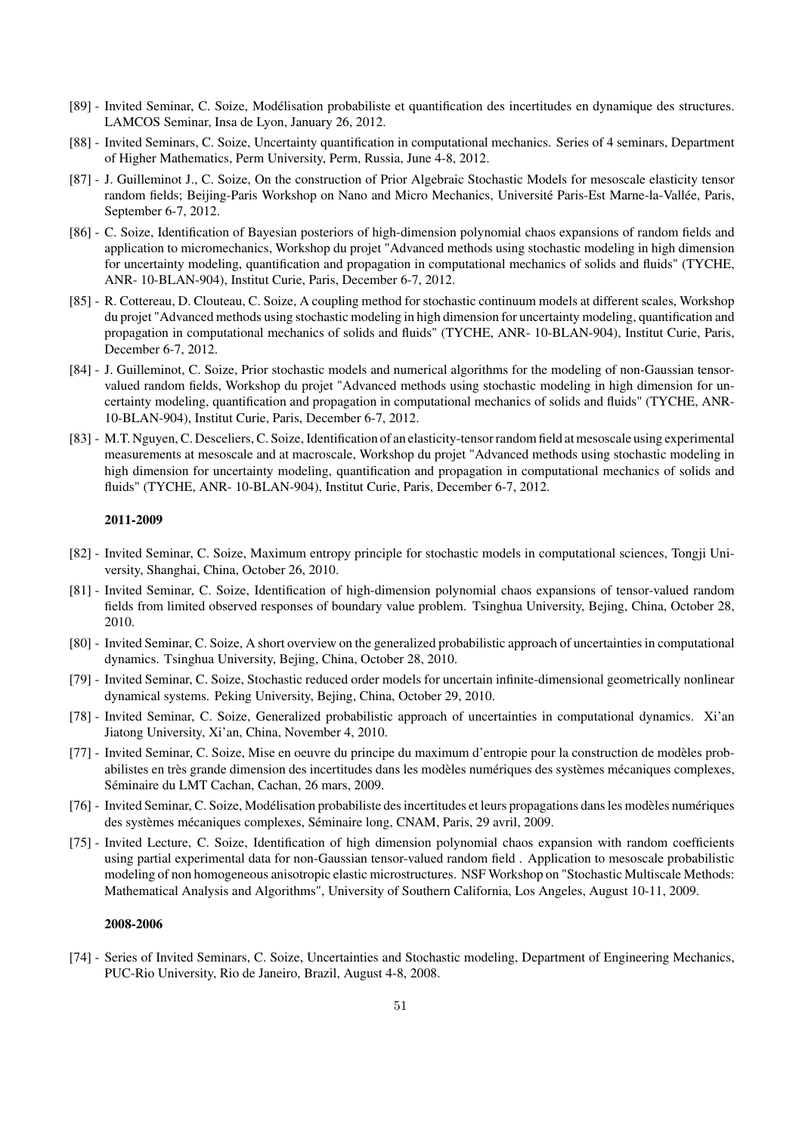- [89] Invited Seminar, C. Soize, Modélisation probabiliste et quantification des incertitudes en dynamique des structures. LAMCOS Seminar, Insa de Lyon, January 26, 2012.
- [88] Invited Seminars, C. Soize, Uncertainty quantification in computational mechanics. Series of 4 seminars, Department of Higher Mathematics, Perm University, Perm, Russia, June 4-8, 2012.
- [87] J. Guilleminot J., C. Soize, On the construction of Prior Algebraic Stochastic Models for mesoscale elasticity tensor random fields; Beijing-Paris Workshop on Nano and Micro Mechanics, Université Paris-Est Marne-la-Vallée, Paris, September 6-7, 2012.
- [86] C. Soize, Identification of Bayesian posteriors of high-dimension polynomial chaos expansions of random fields and application to micromechanics, Workshop du projet "Advanced methods using stochastic modeling in high dimension for uncertainty modeling, quantification and propagation in computational mechanics of solids and fluids" (TYCHE, ANR- 10-BLAN-904), Institut Curie, Paris, December 6-7, 2012.
- [85] R. Cottereau, D. Clouteau, C. Soize, A coupling method for stochastic continuum models at different scales, Workshop du projet "Advanced methods using stochastic modeling in high dimension for uncertainty modeling, quantification and propagation in computational mechanics of solids and fluids" (TYCHE, ANR- 10-BLAN-904), Institut Curie, Paris, December 6-7, 2012.
- [84] J. Guilleminot, C. Soize, Prior stochastic models and numerical algorithms for the modeling of non-Gaussian tensorvalued random fields, Workshop du projet "Advanced methods using stochastic modeling in high dimension for uncertainty modeling, quantification and propagation in computational mechanics of solids and fluids" (TYCHE, ANR-10-BLAN-904), Institut Curie, Paris, December 6-7, 2012.
- [83] M.T. Nguyen, C. Desceliers, C. Soize, Identification of an elasticity-tensor random field at mesoscale using experimental measurements at mesoscale and at macroscale, Workshop du projet "Advanced methods using stochastic modeling in high dimension for uncertainty modeling, quantification and propagation in computational mechanics of solids and fluids" (TYCHE, ANR- 10-BLAN-904), Institut Curie, Paris, December 6-7, 2012.

- [82] Invited Seminar, C. Soize, Maximum entropy principle for stochastic models in computational sciences, Tongji University, Shanghai, China, October 26, 2010.
- [81] Invited Seminar, C. Soize, Identification of high-dimension polynomial chaos expansions of tensor-valued random fields from limited observed responses of boundary value problem. Tsinghua University, Bejing, China, October 28, 2010.
- [80] Invited Seminar, C. Soize, A short overview on the generalized probabilistic approach of uncertainties in computational dynamics. Tsinghua University, Bejing, China, October 28, 2010.
- [79] Invited Seminar, C. Soize, Stochastic reduced order models for uncertain infinite-dimensional geometrically nonlinear dynamical systems. Peking University, Bejing, China, October 29, 2010.
- [78] Invited Seminar, C. Soize, Generalized probabilistic approach of uncertainties in computational dynamics. Xi'an Jiatong University, Xi'an, China, November 4, 2010.
- [77] Invited Seminar, C. Soize, Mise en oeuvre du principe du maximum d'entropie pour la construction de modèles probabilistes en très grande dimension des incertitudes dans les modèles numériques des systèmes mécaniques complexes, Séminaire du LMT Cachan, Cachan, 26 mars, 2009.
- [76] Invited Seminar, C. Soize, Modélisation probabiliste des incertitudes et leurs propagations dans les modèles numériques des systèmes mécaniques complexes, Séminaire long, CNAM, Paris, 29 avril, 2009.
- [75] Invited Lecture, C. Soize, Identification of high dimension polynomial chaos expansion with random coefficients using partial experimental data for non-Gaussian tensor-valued random field . Application to mesoscale probabilistic modeling of non homogeneous anisotropic elastic microstructures. NSF Workshop on "Stochastic Multiscale Methods: Mathematical Analysis and Algorithms", University of Southern California, Los Angeles, August 10-11, 2009.

#### 2008-2006

[74] - Series of Invited Seminars, C. Soize, Uncertainties and Stochastic modeling, Department of Engineering Mechanics, PUC-Rio University, Rio de Janeiro, Brazil, August 4-8, 2008.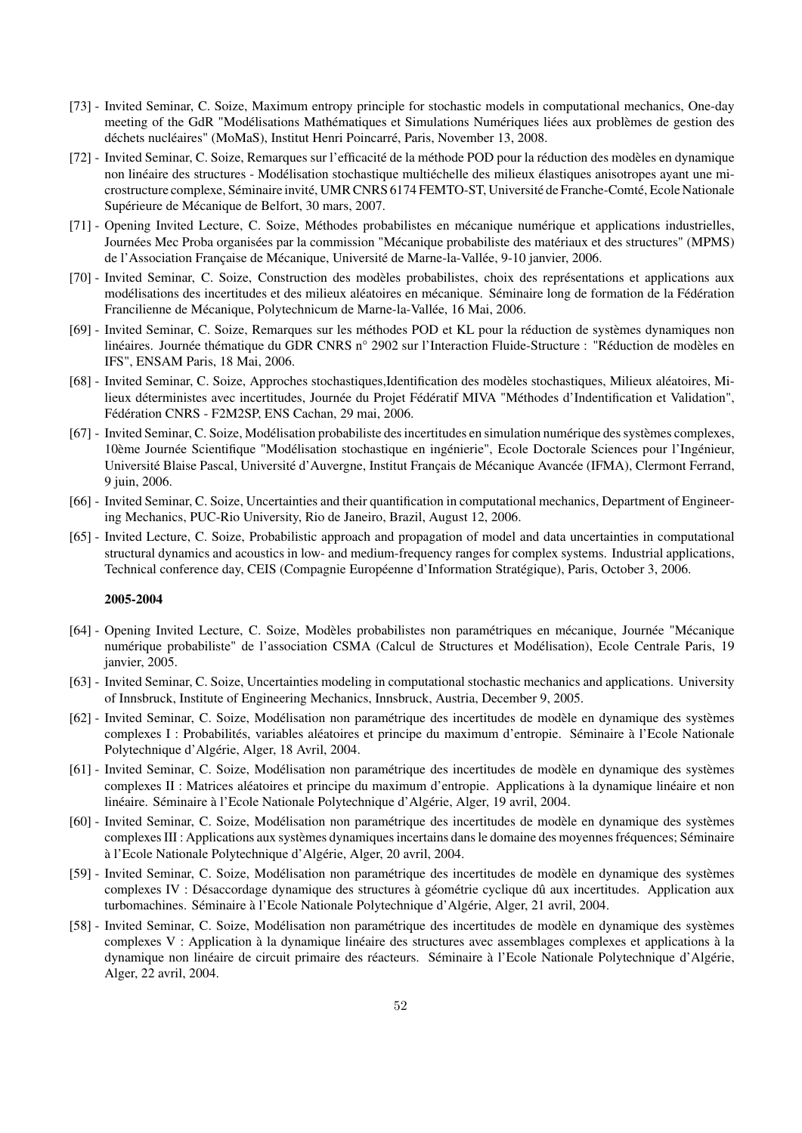- [73] Invited Seminar, C. Soize, Maximum entropy principle for stochastic models in computational mechanics, One-day meeting of the GdR "Modélisations Mathématiques et Simulations Numériques liées aux problèmes de gestion des déchets nucléaires" (MoMaS), Institut Henri Poincarré, Paris, November 13, 2008.
- [72] Invited Seminar, C. Soize, Remarques sur l'efficacité de la méthode POD pour la réduction des modèles en dynamique non linéaire des structures - Modélisation stochastique multiéchelle des milieux élastiques anisotropes ayant une microstructure complexe, Séminaire invité, UMR CNRS 6174 FEMTO-ST, Université de Franche-Comté, Ecole Nationale Supérieure de Mécanique de Belfort, 30 mars, 2007.
- [71] Opening Invited Lecture, C. Soize, Méthodes probabilistes en mécanique numérique et applications industrielles, Journées Mec Proba organisées par la commission "Mécanique probabiliste des matériaux et des structures" (MPMS) de l'Association Française de Mécanique, Université de Marne-la-Vallée, 9-10 janvier, 2006.
- [70] Invited Seminar, C. Soize, Construction des modèles probabilistes, choix des représentations et applications aux modélisations des incertitudes et des milieux aléatoires en mécanique. Séminaire long de formation de la Fédération Francilienne de Mécanique, Polytechnicum de Marne-la-Vallée, 16 Mai, 2006.
- [69] Invited Seminar, C. Soize, Remarques sur les méthodes POD et KL pour la réduction de systèmes dynamiques non linéaires. Journée thématique du GDR CNRS n° 2902 sur l'Interaction Fluide-Structure : "Réduction de modèles en IFS", ENSAM Paris, 18 Mai, 2006.
- [68] Invited Seminar, C. Soize, Approches stochastiques, Identification des modèles stochastiques, Milieux aléatoires, Milieux déterministes avec incertitudes, Journée du Projet Fédératif MIVA "Méthodes d'Indentification et Validation", Fédération CNRS - F2M2SP, ENS Cachan, 29 mai, 2006.
- [67] Invited Seminar, C. Soize, Modélisation probabiliste des incertitudes en simulation numérique des systèmes complexes, 10ème Journée Scientifique "Modélisation stochastique en ingénierie", Ecole Doctorale Sciences pour l'Ingénieur, Université Blaise Pascal, Université d'Auvergne, Institut Français de Mécanique Avancée (IFMA), Clermont Ferrand, 9 juin, 2006.
- [66] Invited Seminar, C. Soize, Uncertainties and their quantification in computational mechanics, Department of Engineering Mechanics, PUC-Rio University, Rio de Janeiro, Brazil, August 12, 2006.
- [65] Invited Lecture, C. Soize, Probabilistic approach and propagation of model and data uncertainties in computational structural dynamics and acoustics in low- and medium-frequency ranges for complex systems. Industrial applications, Technical conference day, CEIS (Compagnie Européenne d'Information Stratégique), Paris, October 3, 2006.

- [64] Opening Invited Lecture, C. Soize, Modèles probabilistes non paramétriques en mécanique, Journée "Mécanique numérique probabiliste" de l'association CSMA (Calcul de Structures et Modélisation), Ecole Centrale Paris, 19 janvier, 2005.
- [63] Invited Seminar, C. Soize, Uncertainties modeling in computational stochastic mechanics and applications. University of Innsbruck, Institute of Engineering Mechanics, Innsbruck, Austria, December 9, 2005.
- [62] Invited Seminar, C. Soize, Modélisation non paramétrique des incertitudes de modèle en dynamique des systèmes complexes I : Probabilités, variables aléatoires et principe du maximum d'entropie. Séminaire à l'Ecole Nationale Polytechnique d'Algérie, Alger, 18 Avril, 2004.
- [61] Invited Seminar, C. Soize, Modélisation non paramétrique des incertitudes de modèle en dynamique des systèmes complexes II : Matrices aléatoires et principe du maximum d'entropie. Applications à la dynamique linéaire et non linéaire. Séminaire à l'Ecole Nationale Polytechnique d'Algérie, Alger, 19 avril, 2004.
- [60] Invited Seminar, C. Soize, Modélisation non paramétrique des incertitudes de modèle en dynamique des systèmes complexes III : Applications aux systèmes dynamiques incertains dans le domaine des moyennes fréquences; Séminaire à l'Ecole Nationale Polytechnique d'Algérie, Alger, 20 avril, 2004.
- [59] Invited Seminar, C. Soize, Modélisation non paramétrique des incertitudes de modèle en dynamique des systèmes complexes IV : Désaccordage dynamique des structures à géométrie cyclique dû aux incertitudes. Application aux turbomachines. Séminaire à l'Ecole Nationale Polytechnique d'Algérie, Alger, 21 avril, 2004.
- [58] Invited Seminar, C. Soize, Modélisation non paramétrique des incertitudes de modèle en dynamique des systèmes complexes V : Application à la dynamique linéaire des structures avec assemblages complexes et applications à la dynamique non linéaire de circuit primaire des réacteurs. Séminaire à l'Ecole Nationale Polytechnique d'Algérie, Alger, 22 avril, 2004.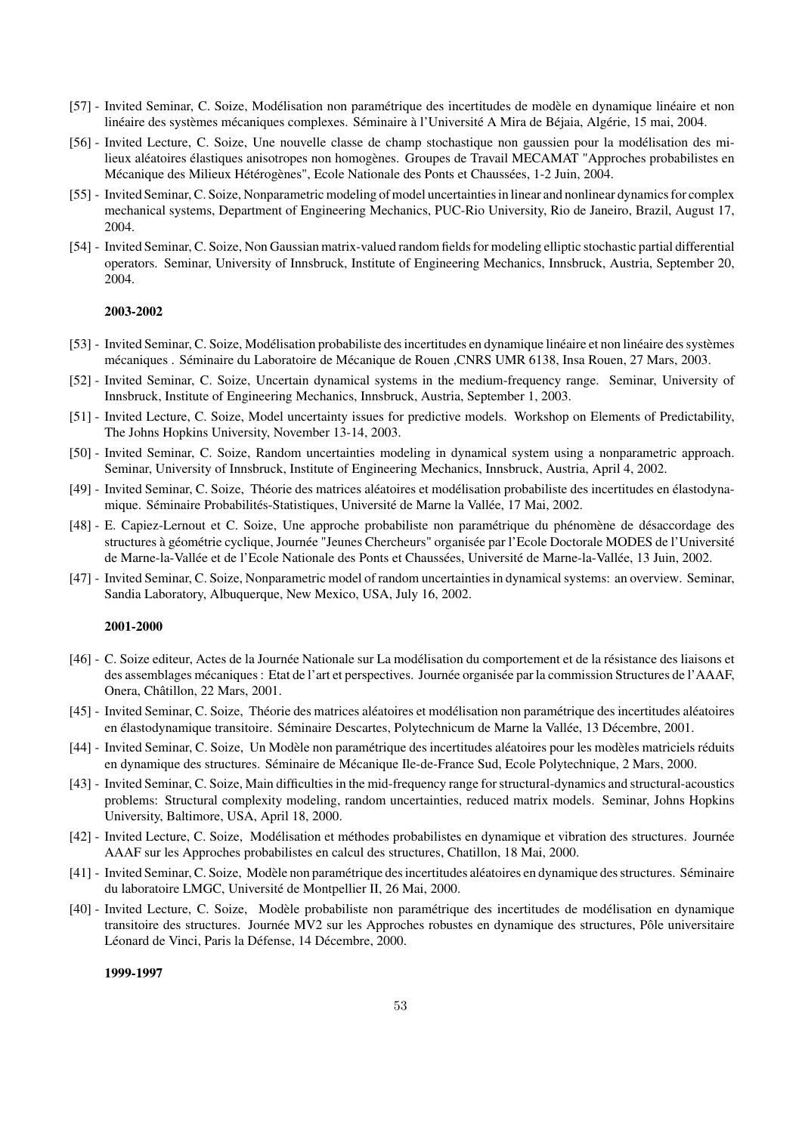- [57] Invited Seminar, C. Soize, Modélisation non paramétrique des incertitudes de modèle en dynamique linéaire et non linéaire des systèmes mécaniques complexes. Séminaire à l'Université A Mira de Béjaia, Algérie, 15 mai, 2004.
- [56] Invited Lecture, C. Soize, Une nouvelle classe de champ stochastique non gaussien pour la modélisation des milieux aléatoires élastiques anisotropes non homogènes. Groupes de Travail MECAMAT "Approches probabilistes en Mécanique des Milieux Hétérogènes", Ecole Nationale des Ponts et Chaussées, 1-2 Juin, 2004.
- [55] Invited Seminar, C. Soize, Nonparametric modeling of model uncertainties in linear and nonlinear dynamics for complex mechanical systems, Department of Engineering Mechanics, PUC-Rio University, Rio de Janeiro, Brazil, August 17, 2004.
- [54] Invited Seminar, C. Soize, Non Gaussian matrix-valued random fields for modeling elliptic stochastic partial differential operators. Seminar, University of Innsbruck, Institute of Engineering Mechanics, Innsbruck, Austria, September 20, 2004.

- [53] Invited Seminar, C. Soize, Modélisation probabiliste des incertitudes en dynamique linéaire et non linéaire des systèmes mécaniques . Séminaire du Laboratoire de Mécanique de Rouen ,CNRS UMR 6138, Insa Rouen, 27 Mars, 2003.
- [52] Invited Seminar, C. Soize, Uncertain dynamical systems in the medium-frequency range. Seminar, University of Innsbruck, Institute of Engineering Mechanics, Innsbruck, Austria, September 1, 2003.
- [51] Invited Lecture, C. Soize, Model uncertainty issues for predictive models. Workshop on Elements of Predictability, The Johns Hopkins University, November 13-14, 2003.
- [50] Invited Seminar, C. Soize, Random uncertainties modeling in dynamical system using a nonparametric approach. Seminar, University of Innsbruck, Institute of Engineering Mechanics, Innsbruck, Austria, April 4, 2002.
- [49] Invited Seminar, C. Soize, Théorie des matrices aléatoires et modélisation probabiliste des incertitudes en élastodynamique. Séminaire Probabilités-Statistiques, Université de Marne la Vallée, 17 Mai, 2002.
- [48] E. Capiez-Lernout et C. Soize, Une approche probabiliste non paramétrique du phénomène de désaccordage des structures à géométrie cyclique, Journée "Jeunes Chercheurs" organisée par l'Ecole Doctorale MODES de l'Université de Marne-la-Vallée et de l'Ecole Nationale des Ponts et Chaussées, Université de Marne-la-Vallée, 13 Juin, 2002.
- [47] Invited Seminar, C. Soize, Nonparametric model of random uncertainties in dynamical systems: an overview. Seminar, Sandia Laboratory, Albuquerque, New Mexico, USA, July 16, 2002.

#### 2001-2000

- [46] C. Soize editeur, Actes de la Journée Nationale sur La modélisation du comportement et de la résistance des liaisons et des assemblages mécaniques : Etat de l'art et perspectives. Journée organisée par la commission Structures de l'AAAF, Onera, Châtillon, 22 Mars, 2001.
- [45] Invited Seminar, C. Soize, Théorie des matrices aléatoires et modélisation non paramétrique des incertitudes aléatoires en élastodynamique transitoire. Séminaire Descartes, Polytechnicum de Marne la Vallée, 13 Décembre, 2001.
- [44] Invited Seminar, C. Soize, Un Modèle non paramétrique des incertitudes aléatoires pour les modèles matriciels réduits en dynamique des structures. Séminaire de Mécanique Ile-de-France Sud, Ecole Polytechnique, 2 Mars, 2000.
- [43] Invited Seminar, C. Soize, Main difficulties in the mid-frequency range for structural-dynamics and structural-acoustics problems: Structural complexity modeling, random uncertainties, reduced matrix models. Seminar, Johns Hopkins University, Baltimore, USA, April 18, 2000.
- [42] Invited Lecture, C. Soize, Modélisation et méthodes probabilistes en dynamique et vibration des structures. Journée AAAF sur les Approches probabilistes en calcul des structures, Chatillon, 18 Mai, 2000.
- [41] Invited Seminar, C. Soize, Modèle non paramétrique des incertitudes aléatoires en dynamique des structures. Séminaire du laboratoire LMGC, Université de Montpellier II, 26 Mai, 2000.
- [40] Invited Lecture, C. Soize, Modèle probabiliste non paramétrique des incertitudes de modélisation en dynamique transitoire des structures. Journée MV2 sur les Approches robustes en dynamique des structures, Pôle universitaire Léonard de Vinci, Paris la Défense, 14 Décembre, 2000.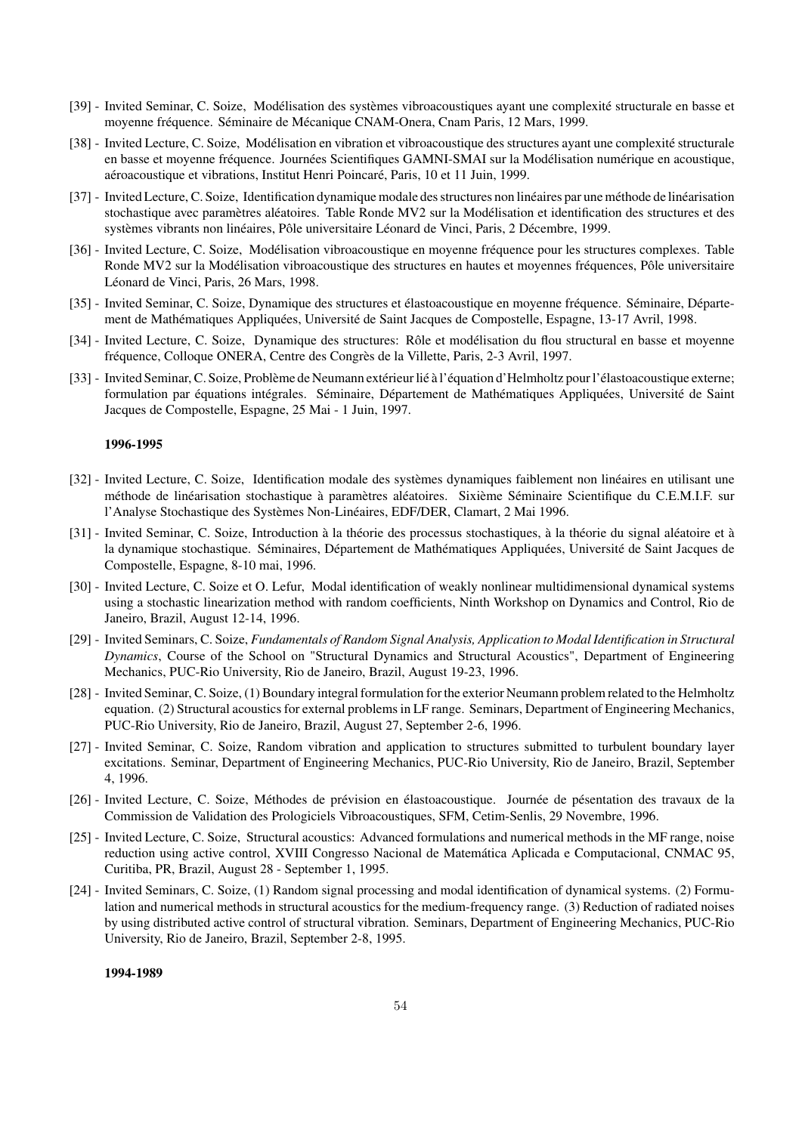- [39] Invited Seminar, C. Soize, Modélisation des systèmes vibroacoustiques ayant une complexité structurale en basse et moyenne fréquence. Séminaire de Mécanique CNAM-Onera, Cnam Paris, 12 Mars, 1999.
- [38] Invited Lecture, C. Soize, Modélisation en vibration et vibroacoustique des structures ayant une complexité structurale en basse et moyenne fréquence. Journées Scientifiques GAMNI-SMAI sur la Modélisation numérique en acoustique, aéroacoustique et vibrations, Institut Henri Poincaré, Paris, 10 et 11 Juin, 1999.
- [37] Invited Lecture, C. Soize, Identification dynamique modale des structures non linéaires par une méthode de linéarisation stochastique avec paramètres aléatoires. Table Ronde MV2 sur la Modélisation et identification des structures et des systèmes vibrants non linéaires, Pôle universitaire Léonard de Vinci, Paris, 2 Décembre, 1999.
- [36] Invited Lecture, C. Soize, Modélisation vibroacoustique en moyenne fréquence pour les structures complexes. Table Ronde MV2 sur la Modélisation vibroacoustique des structures en hautes et moyennes fréquences, Pôle universitaire Léonard de Vinci, Paris, 26 Mars, 1998.
- [35] Invited Seminar, C. Soize, Dynamique des structures et élastoacoustique en moyenne fréquence. Séminaire, Département de Mathématiques Appliquées, Université de Saint Jacques de Compostelle, Espagne, 13-17 Avril, 1998.
- [34] Invited Lecture, C. Soize, Dynamique des structures: Rôle et modélisation du flou structural en basse et moyenne fréquence, Colloque ONERA, Centre des Congrès de la Villette, Paris, 2-3 Avril, 1997.
- [33] Invited Seminar, C. Soize, Problème de Neumann extérieur lié à l'équation d'Helmholtz pour l'élastoacoustique externe; formulation par équations intégrales. Séminaire, Département de Mathématiques Appliquées, Université de Saint Jacques de Compostelle, Espagne, 25 Mai - 1 Juin, 1997.

- [32] Invited Lecture, C. Soize, Identification modale des systèmes dynamiques faiblement non linéaires en utilisant une méthode de linéarisation stochastique à paramètres aléatoires. Sixième Séminaire Scientifique du C.E.M.I.F. sur l'Analyse Stochastique des Systèmes Non-Linéaires, EDF/DER, Clamart, 2 Mai 1996.
- [31] Invited Seminar, C. Soize, Introduction à la théorie des processus stochastiques, à la théorie du signal aléatoire et à la dynamique stochastique. Séminaires, Département de Mathématiques Appliquées, Université de Saint Jacques de Compostelle, Espagne, 8-10 mai, 1996.
- [30] Invited Lecture, C. Soize et O. Lefur, Modal identification of weakly nonlinear multidimensional dynamical systems using a stochastic linearization method with random coefficients, Ninth Workshop on Dynamics and Control, Rio de Janeiro, Brazil, August 12-14, 1996.
- [29] Invited Seminars, C. Soize, *Fundamentals of Random Signal Analysis, Application to Modal Identification in Structural Dynamics*, Course of the School on "Structural Dynamics and Structural Acoustics", Department of Engineering Mechanics, PUC-Rio University, Rio de Janeiro, Brazil, August 19-23, 1996.
- [28] Invited Seminar, C. Soize, (1) Boundary integral formulation for the exterior Neumann problem related to the Helmholtz equation. (2) Structural acoustics for external problems in LF range. Seminars, Department of Engineering Mechanics, PUC-Rio University, Rio de Janeiro, Brazil, August 27, September 2-6, 1996.
- [27] Invited Seminar, C. Soize, Random vibration and application to structures submitted to turbulent boundary layer excitations. Seminar, Department of Engineering Mechanics, PUC-Rio University, Rio de Janeiro, Brazil, September 4, 1996.
- [26] Invited Lecture, C. Soize, Méthodes de prévision en élastoacoustique. Journée de pésentation des travaux de la Commission de Validation des Prologiciels Vibroacoustiques, SFM, Cetim-Senlis, 29 Novembre, 1996.
- [25] Invited Lecture, C. Soize, Structural acoustics: Advanced formulations and numerical methods in the MF range, noise reduction using active control, XVIII Congresso Nacional de Matem´atica Aplicada e Computacional, CNMAC 95, Curitiba, PR, Brazil, August 28 - September 1, 1995.
- [24] Invited Seminars, C. Soize, (1) Random signal processing and modal identification of dynamical systems. (2) Formulation and numerical methods in structural acoustics for the medium-frequency range. (3) Reduction of radiated noises by using distributed active control of structural vibration. Seminars, Department of Engineering Mechanics, PUC-Rio University, Rio de Janeiro, Brazil, September 2-8, 1995.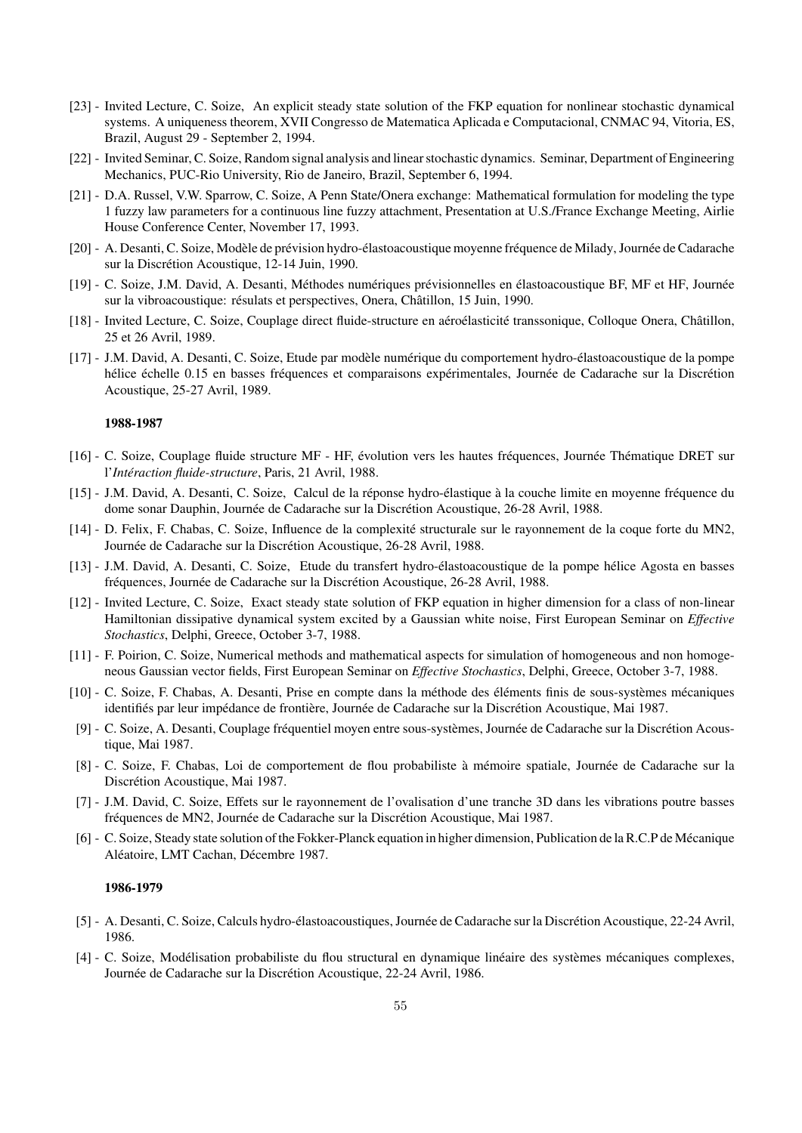- [23] Invited Lecture, C. Soize, An explicit steady state solution of the FKP equation for nonlinear stochastic dynamical systems. A uniqueness theorem, XVII Congresso de Matematica Aplicada e Computacional, CNMAC 94, Vitoria, ES, Brazil, August 29 - September 2, 1994.
- [22] Invited Seminar, C. Soize, Random signal analysis and linear stochastic dynamics. Seminar, Department of Engineering Mechanics, PUC-Rio University, Rio de Janeiro, Brazil, September 6, 1994.
- [21] D.A. Russel, V.W. Sparrow, C. Soize, A Penn State/Onera exchange: Mathematical formulation for modeling the type 1 fuzzy law parameters for a continuous line fuzzy attachment, Presentation at U.S./France Exchange Meeting, Airlie House Conference Center, November 17, 1993.
- [20] A. Desanti, C. Soize, Modèle de prévision hydro-élastoacoustique moyenne fréquence de Milady, Journée de Cadarache sur la Discrétion Acoustique, 12-14 Juin, 1990.
- [19] C. Soize, J.M. David, A. Desanti, Méthodes numériques prévisionnelles en élastoacoustique BF, MF et HF, Journée sur la vibroacoustique: résulats et perspectives, Onera, Châtillon, 15 Juin, 1990.
- [18] Invited Lecture, C. Soize, Couplage direct fluide-structure en aéroélasticité transsonique, Colloque Onera, Châtillon, 25 et 26 Avril, 1989.
- [17] J.M. David, A. Desanti, C. Soize, Etude par modèle numérique du comportement hydro-élastoacoustique de la pompe hélice échelle 0.15 en basses fréquences et comparaisons expérimentales, Journée de Cadarache sur la Discrétion Acoustique, 25-27 Avril, 1989.

- [16] C. Soize, Couplage fluide structure MF HF, évolution vers les hautes fréquences, Journée Thématique DRET sur l'*Intéraction fluide-structure*, Paris, 21 Avril, 1988.
- [15] J.M. David, A. Desanti, C. Soize, Calcul de la réponse hydro-élastique à la couche limite en moyenne fréquence du dome sonar Dauphin, Journée de Cadarache sur la Discrétion Acoustique, 26-28 Avril, 1988.
- [14] D. Felix, F. Chabas, C. Soize, Influence de la complexité structurale sur le rayonnement de la coque forte du MN2, Journée de Cadarache sur la Discrétion Acoustique, 26-28 Avril, 1988.
- [13] J.M. David, A. Desanti, C. Soize, Etude du transfert hydro-élastoacoustique de la pompe hélice Agosta en basses fréquences, Journée de Cadarache sur la Discrétion Acoustique, 26-28 Avril, 1988.
- [12] Invited Lecture, C. Soize, Exact steady state solution of FKP equation in higher dimension for a class of non-linear Hamiltonian dissipative dynamical system excited by a Gaussian white noise, First European Seminar on *Effective Stochastics*, Delphi, Greece, October 3-7, 1988.
- [11] F. Poirion, C. Soize, Numerical methods and mathematical aspects for simulation of homogeneous and non homogeneous Gaussian vector fields, First European Seminar on *Effective Stochastics*, Delphi, Greece, October 3-7, 1988.
- [10] C. Soize, F. Chabas, A. Desanti, Prise en compte dans la méthode des éléments finis de sous-systèmes mécaniques identifiés par leur impédance de frontière, Journée de Cadarache sur la Discrétion Acoustique, Mai 1987.
- [9] C. Soize, A. Desanti, Couplage fréquentiel moyen entre sous-systèmes, Journée de Cadarache sur la Discrétion Acoustique, Mai 1987.
- [8] C. Soize, F. Chabas, Loi de comportement de flou probabiliste à mémoire spatiale, Journée de Cadarache sur la Discrétion Acoustique, Mai 1987.
- [7] J.M. David, C. Soize, Effets sur le rayonnement de l'ovalisation d'une tranche 3D dans les vibrations poutre basses fréquences de MN2, Journée de Cadarache sur la Discrétion Acoustique, Mai 1987.
- [6] C. Soize, Steady state solution of the Fokker-Planck equation in higher dimension, Publication de la R.C.P de M´ecanique Aléatoire, LMT Cachan, Décembre 1987.

- [5] A. Desanti, C. Soize, Calculs hydro-élastoacoustiques, Journée de Cadarache sur la Discrétion Acoustique, 22-24 Avril, 1986.
- [4] C. Soize, Modélisation probabiliste du flou structural en dynamique linéaire des systèmes mécaniques complexes, Journée de Cadarache sur la Discrétion Acoustique, 22-24 Avril, 1986.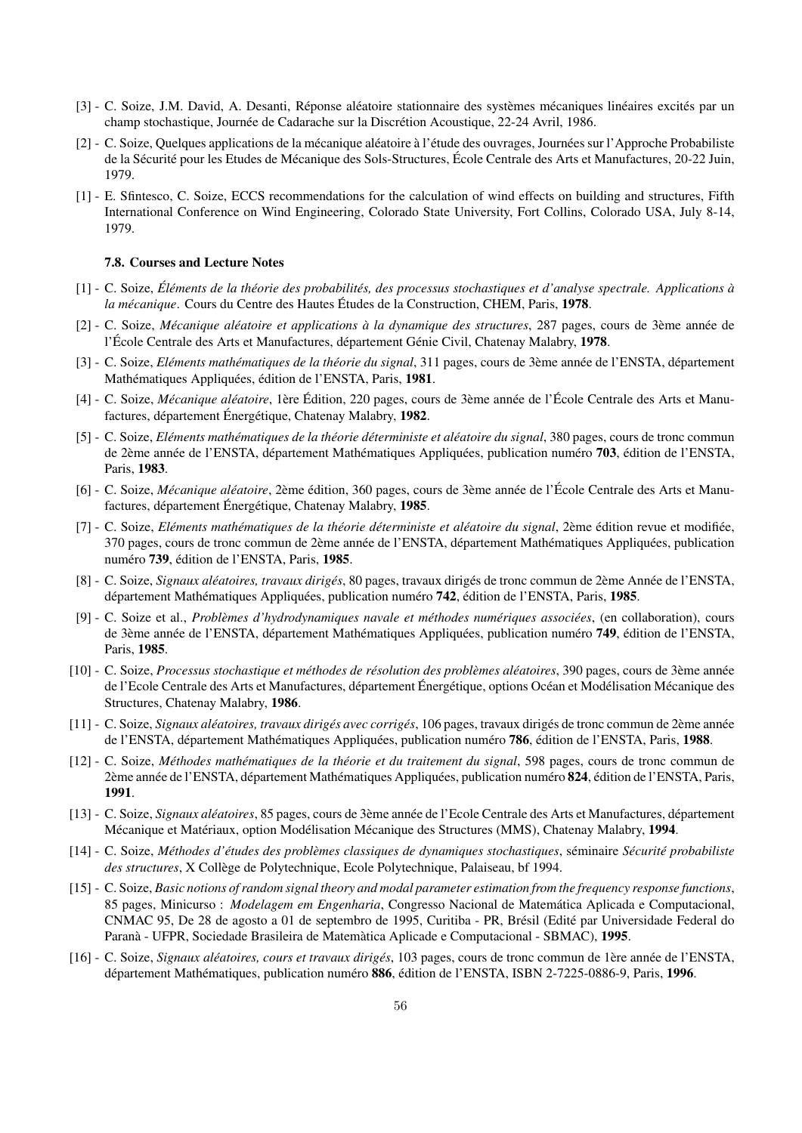- [3] C. Soize, J.M. David, A. Desanti, Réponse aléatoire stationnaire des systèmes mécaniques linéaires excités par un champ stochastique, Journée de Cadarache sur la Discrétion Acoustique, 22-24 Avril, 1986.
- [2] C. Soize, Quelques applications de la mécanique aléatoire à l'étude des ouvrages, Journées sur l'Approche Probabiliste de la Sécurité pour les Etudes de Mécanique des Sols-Structures, École Centrale des Arts et Manufactures, 20-22 Juin, 1979.
- [1] E. Sfintesco, C. Soize, ECCS recommendations for the calculation of wind effects on building and structures, Fifth International Conference on Wind Engineering, Colorado State University, Fort Collins, Colorado USA, July 8-14, 1979.

#### 7.8. Courses and Lecture Notes

- [1] C. Soize, *El´ements de la th´eorie des probabilit´es, des processus stochastiques et d'analyse spectrale. Applications `a ´ la mécanique*. Cours du Centre des Hautes Études de la Construction, CHEM, Paris, 1978.
- [2] C. Soize, *M´ecanique al´eatoire et applications `a la dynamique des structures*, 287 pages, cours de 3`eme ann´ee de l'École Centrale des Arts et Manufactures, département Génie Civil, Chatenay Malabry, 1978.
- [3] C. Soize, *Eléments mathématiques de la théorie du signal*, 311 pages, cours de 3ème année de l'ENSTA, département Mathématiques Appliquées, édition de l'ENSTA, Paris, 1981.
- [4] C. Soize, *Mécanique aléatoire*, 1ère Édition, 220 pages, cours de 3ème année de l'École Centrale des Arts et Manufactures, département Énergétique, Chatenay Malabry, 1982.
- [5] C. Soize, *El´ements math´ematiques de la th´eorie d´eterministe et al´eatoire du signal*, 380 pages, cours de tronc commun de 2ème année de l'ENSTA, département Mathématiques Appliquées, publication numéro 703, édition de l'ENSTA, Paris, 1983.
- [6] C. Soize, *Mécanique aléatoire*, 2ème édition, 360 pages, cours de 3ème année de l'École Centrale des Arts et Manufactures, département Énergétique, Chatenay Malabry, 1985.
- [7] C. Soize, *Eléments mathématiques de la théorie déterministe et aléatoire du signal*, 2ème édition revue et modifiée, 370 pages, cours de tronc commun de 2ème année de l'ENSTA, département Mathématiques Appliquées, publication numéro 739, édition de l'ENSTA, Paris, 1985.
- [8] C. Soize, *Signaux aléatoires, travaux dirigés*, 80 pages, travaux dirigés de tronc commun de 2ème Année de l'ENSTA, département Mathématiques Appliquées, publication numéro 742, édition de l'ENSTA, Paris, 1985.
- [9] C. Soize et al., *Problèmes d'hydrodynamiques navale et méthodes numériques associées*, (en collaboration), cours de 3ème année de l'ENSTA, département Mathématiques Appliquées, publication numéro 749, édition de l'ENSTA, Paris, 1985.
- [10] C. Soize, *Processus stochastique et méthodes de résolution des problèmes aléatoires*, 390 pages, cours de 3ème année de l'Ecole Centrale des Arts et Manufactures, département Énergétique, options Océan et Modélisation Mécanique des Structures, Chatenay Malabry, 1986.
- [11] C. Soize, *Signaux al´eatoires, travaux dirig´es avec corrig´es*, 106 pages, travaux dirig´es de tronc commun de 2`eme ann´ee de l'ENSTA, département Mathématiques Appliquées, publication numéro 786, édition de l'ENSTA, Paris, 1988.
- [12] C. Soize, *M´ethodes math´ematiques de la th´eorie et du traitement du signal*, 598 pages, cours de tronc commun de 2ème année de l'ENSTA, département Mathématiques Appliquées, publication numéro 824, édition de l'ENSTA, Paris, 1991.
- [13] C. Soize, *Signaux aléatoires*, 85 pages, cours de 3ème année de l'Ecole Centrale des Arts et Manufactures, département Mécanique et Matériaux, option Modélisation Mécanique des Structures (MMS), Chatenay Malabry, 1994.
- [14] C. Soize, *M´ethodes d'´etudes des probl`emes classiques de dynamiques stochastiques*, s´eminaire *S´ecurit´e probabiliste des structures*, X Collège de Polytechnique, Ecole Polytechnique, Palaiseau, bf 1994.
- [15] C. Soize, *Basic notions of random signal theory and modal parameter estimation from the frequency response functions*, 85 pages, Minicurso : *Modelagem em Engenharia*, Congresso Nacional de Matemática Aplicada e Computacional, CNMAC 95, De 28 de agosto a 01 de septembro de 1995, Curitiba - PR, Brésil (Edité par Universidade Federal do Paranà - UFPR, Sociedade Brasileira de Matemàtica Aplicade e Computacional - SBMAC), 1995.
- [16] C. Soize, *Signaux al´eatoires, cours et travaux dirig´es*, 103 pages, cours de tronc commun de 1`ere ann´ee de l'ENSTA, département Mathématiques, publication numéro 886, édition de l'ENSTA, ISBN 2-7225-0886-9, Paris, 1996.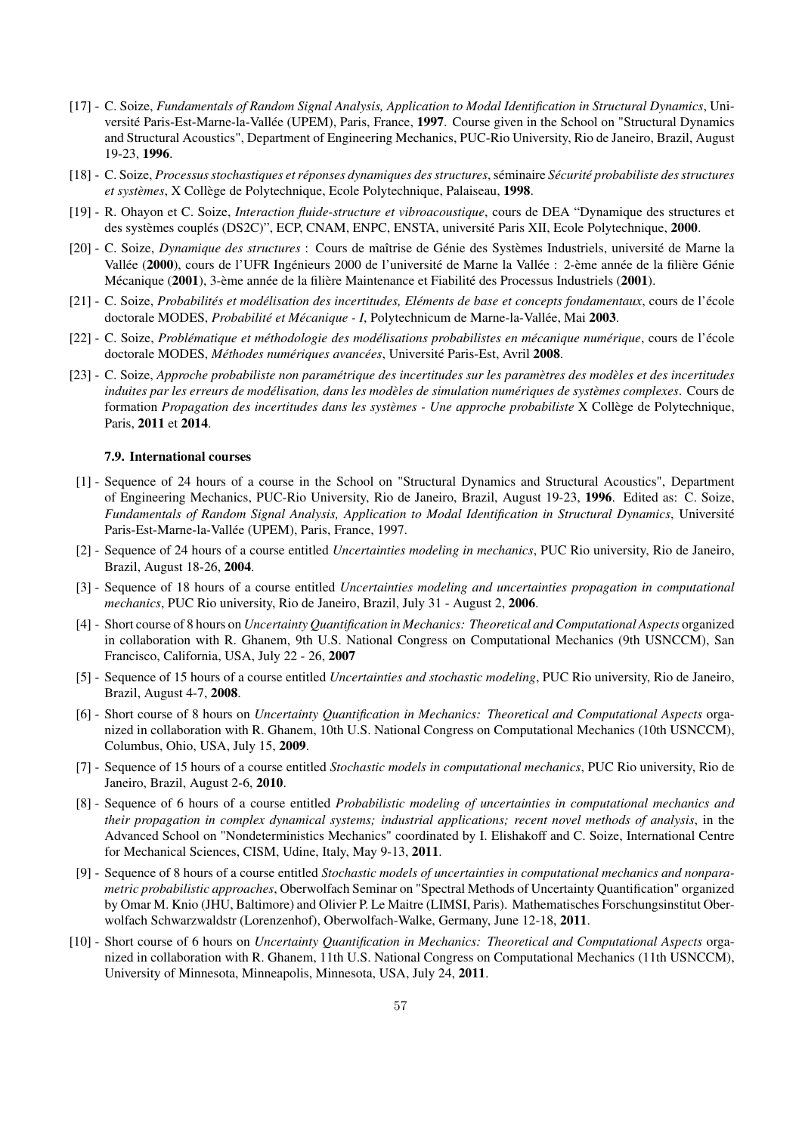- [17] C. Soize, *Fundamentals of Random Signal Analysis, Application to Modal Identification in Structural Dynamics*, Université Paris-Est-Marne-la-Vallée (UPEM), Paris, France, 1997. Course given in the School on "Structural Dynamics and Structural Acoustics", Department of Engineering Mechanics, PUC-Rio University, Rio de Janeiro, Brazil, August 19-23, 1996.
- [18] C. Soize, *Processus stochastiques et r´eponses dynamiques des structures*, s´eminaire *S´ecurit´e probabiliste des structures et systèmes*, X Collège de Polytechnique, Ecole Polytechnique, Palaiseau, 1998.
- [19] R. Ohayon et C. Soize, *Interaction fluide-structure et vibroacoustique*, cours de DEA "Dynamique des structures et des systèmes couplés (DS2C)", ECP, CNAM, ENPC, ENSTA, université Paris XII, Ecole Polytechnique, 2000.
- [20] C. Soize, *Dynamique des structures* : Cours de maîtrise de Génie des Systèmes Industriels, université de Marne la Vallée (2000), cours de l'UFR Ingénieurs 2000 de l'université de Marne la Vallée : 2-ème année de la filière Génie Mécanique (2001), 3-ème année de la filière Maintenance et Fiabilité des Processus Industriels (2001).
- [21] C. Soize, Probabilités et modélisation des incertitudes, Eléments de base et concepts fondamentaux, cours de l'école doctorale MODES, *Probabilité et Mécanique - I*, Polytechnicum de Marne-la-Vallée, Mai 2003.
- [22] C. Soize, *Problématique et méthodologie des modélisations probabilistes en mécanique numérique*, cours de l'´ecole doctorale MODES, *Méthodes numériques avancées*, Université Paris-Est, Avril 2008.
- [23] C. Soize, *Approche probabiliste non paramétrique des incertitudes sur les paramètres des modèles et des incertitudes induites par les erreurs de modélisation, dans les modèles de simulation numériques de systèmes complexes*. Cours de formation *Propagation des incertitudes dans les systèmes - Une approche probabiliste* X Collège de Polytechnique, Paris, 2011 et 2014.

#### 7.9. International courses

- [1] Sequence of 24 hours of a course in the School on "Structural Dynamics and Structural Acoustics", Department of Engineering Mechanics, PUC-Rio University, Rio de Janeiro, Brazil, August 19-23, 1996. Edited as: C. Soize, *Fundamentals of Random Signal Analysis, Application to Modal Identification in Structural Dynamics*, Université Paris-Est-Marne-la-Vallée (UPEM), Paris, France, 1997.
- [2] Sequence of 24 hours of a course entitled *Uncertainties modeling in mechanics*, PUC Rio university, Rio de Janeiro, Brazil, August 18-26, 2004.
- [3] Sequence of 18 hours of a course entitled *Uncertainties modeling and uncertainties propagation in computational mechanics*, PUC Rio university, Rio de Janeiro, Brazil, July 31 - August 2, 2006.
- [4] Short course of 8 hours on *Uncertainty Quantification in Mechanics: Theoretical and Computational Aspects* organized in collaboration with R. Ghanem, 9th U.S. National Congress on Computational Mechanics (9th USNCCM), San Francisco, California, USA, July 22 - 26, 2007
- [5] Sequence of 15 hours of a course entitled *Uncertainties and stochastic modeling*, PUC Rio university, Rio de Janeiro, Brazil, August 4-7, 2008.
- [6] Short course of 8 hours on *Uncertainty Quantification in Mechanics: Theoretical and Computational Aspects* organized in collaboration with R. Ghanem, 10th U.S. National Congress on Computational Mechanics (10th USNCCM), Columbus, Ohio, USA, July 15, 2009.
- [7] Sequence of 15 hours of a course entitled *Stochastic models in computational mechanics*, PUC Rio university, Rio de Janeiro, Brazil, August 2-6, 2010.
- [8] Sequence of 6 hours of a course entitled *Probabilistic modeling of uncertainties in computational mechanics and their propagation in complex dynamical systems; industrial applications; recent novel methods of analysis*, in the Advanced School on "Nondeterministics Mechanics" coordinated by I. Elishakoff and C. Soize, International Centre for Mechanical Sciences, CISM, Udine, Italy, May 9-13, 2011.
- [9] Sequence of 8 hours of a course entitled *Stochastic models of uncertainties in computational mechanics and nonparametric probabilistic approaches*, Oberwolfach Seminar on "Spectral Methods of Uncertainty Quantification" organized by Omar M. Knio (JHU, Baltimore) and Olivier P. Le Maitre (LIMSI, Paris). Mathematisches Forschungsinstitut Oberwolfach Schwarzwaldstr (Lorenzenhof), Oberwolfach-Walke, Germany, June 12-18, 2011.
- [10] Short course of 6 hours on *Uncertainty Quantification in Mechanics: Theoretical and Computational Aspects* organized in collaboration with R. Ghanem, 11th U.S. National Congress on Computational Mechanics (11th USNCCM), University of Minnesota, Minneapolis, Minnesota, USA, July 24, 2011.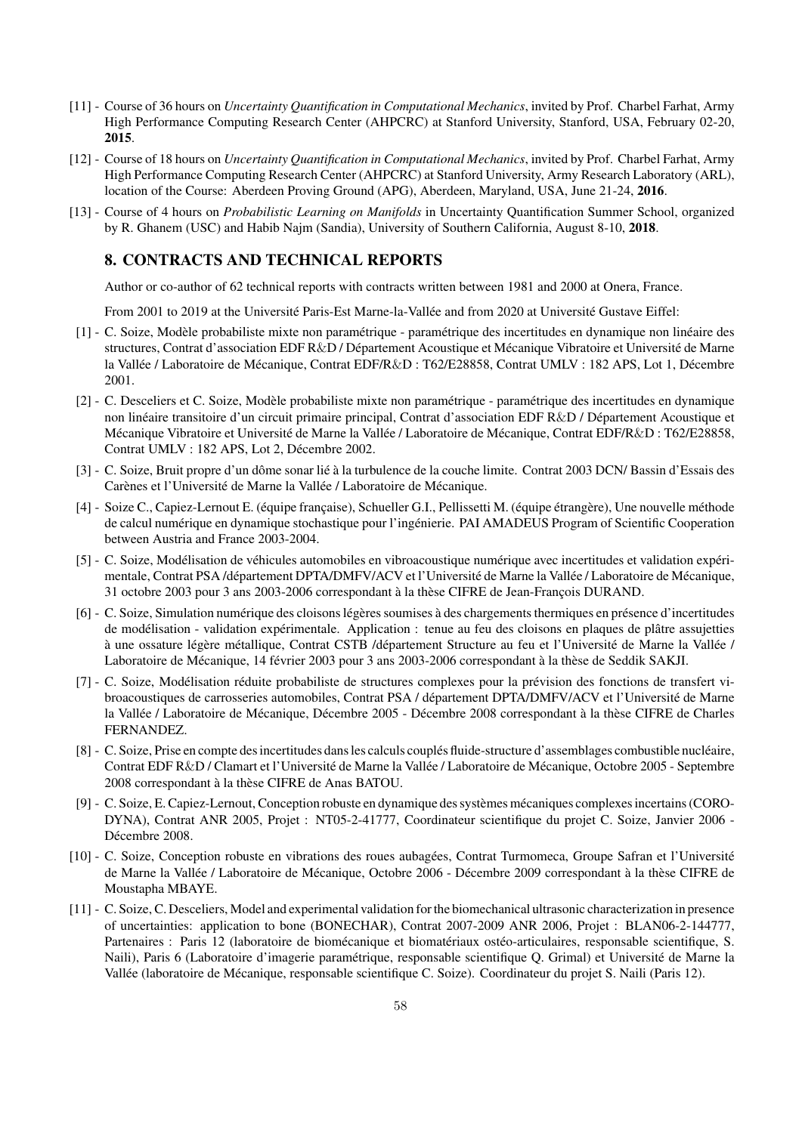- [11] Course of 36 hours on *Uncertainty Quantification in Computational Mechanics*, invited by Prof. Charbel Farhat, Army High Performance Computing Research Center (AHPCRC) at Stanford University, Stanford, USA, February 02-20, 2015.
- [12] Course of 18 hours on *Uncertainty Quantification in Computational Mechanics*, invited by Prof. Charbel Farhat, Army High Performance Computing Research Center (AHPCRC) at Stanford University, Army Research Laboratory (ARL), location of the Course: Aberdeen Proving Ground (APG), Aberdeen, Maryland, USA, June 21-24, 2016.
- [13] Course of 4 hours on *Probabilistic Learning on Manifolds* in Uncertainty Quantification Summer School, organized by R. Ghanem (USC) and Habib Najm (Sandia), University of Southern California, August 8-10, 2018.

# 8. CONTRACTS AND TECHNICAL REPORTS

Author or co-author of 62 technical reports with contracts written between 1981 and 2000 at Onera, France.

From 2001 to 2019 at the Université Paris-Est Marne-la-Vallée and from 2020 at Université Gustave Eiffel:

- [1] C. Soize, Modèle probabiliste mixte non paramétrique paramétrique des incertitudes en dynamique non linéaire des structures, Contrat d'association EDF R&D / Département Acoustique et Mécanique Vibratoire et Université de Marne la Vallée / Laboratoire de Mécanique, Contrat EDF/R&D : T62/E28858, Contrat UMLV : 182 APS, Lot 1, Décembre 2001.
- [2] C. Desceliers et C. Soize, Modèle probabiliste mixte non paramétrique paramétrique des incertitudes en dynamique non linéaire transitoire d'un circuit primaire principal, Contrat d'association EDF R&D / Département Acoustique et Mécanique Vibratoire et Université de Marne la Vallée / Laboratoire de Mécanique, Contrat EDF/R&D : T62/E28858, Contrat UMLV : 182 APS, Lot 2, Décembre 2002.
- [3] C. Soize, Bruit propre d'un dôme sonar lié à la turbulence de la couche limite. Contrat 2003 DCN/ Bassin d'Essais des Carènes et l'Université de Marne la Vallée / Laboratoire de Mécanique.
- [4] Soize C., Capiez-Lernout E. (équipe française), Schueller G.I., Pellissetti M. (équipe étrangère), Une nouvelle méthode de calcul numérique en dynamique stochastique pour l'ingénierie. PAI AMADEUS Program of Scientific Cooperation between Austria and France 2003-2004.
- [5] C. Soize, Modélisation de véhicules automobiles en vibroacoustique numérique avec incertitudes et validation expérimentale, Contrat PSA /département DPTA/DMFV/ACV et l'Université de Marne la Vallée / Laboratoire de Mécanique, 31 octobre 2003 pour 3 ans 2003-2006 correspondant à la thèse CIFRE de Jean-François DURAND.
- [6] C. Soize, Simulation numérique des cloisons légères soumises à des chargements thermiques en présence d'incertitudes de modélisation - validation expérimentale. Application : tenue au feu des cloisons en plaques de plâtre assujetties à une ossature légère métallique, Contrat CSTB /département Structure au feu et l'Université de Marne la Vallée / Laboratoire de Mécanique, 14 février 2003 pour 3 ans 2003-2006 correspondant à la thèse de Seddik SAKJI.
- [7] C. Soize, Modélisation réduite probabiliste de structures complexes pour la prévision des fonctions de transfert vibroacoustiques de carrosseries automobiles, Contrat PSA / département DPTA/DMFV/ACV et l'Université de Marne la Vallée / Laboratoire de Mécanique, Décembre 2005 - Décembre 2008 correspondant à la thèse CIFRE de Charles FERNANDEZ.
- [8] C. Soize, Prise en compte des incertitudes dans les calculs couplés fluide-structure d'assemblages combustible nucléaire, Contrat EDF R&D / Clamart et l'Université de Marne la Vallée / Laboratoire de Mécanique, Octobre 2005 - Septembre 2008 correspondant à la thèse CIFRE de Anas BATOU.
- [9] C. Soize, E. Capiez-Lernout, Conception robuste en dynamique des systèmes mécaniques complexes incertains (CORO-DYNA), Contrat ANR 2005, Projet : NT05-2-41777, Coordinateur scientifique du projet C. Soize, Janvier 2006 - Décembre 2008.
- [10] C. Soize, Conception robuste en vibrations des roues aubagées, Contrat Turmomeca, Groupe Safran et l'Université de Marne la Vallée / Laboratoire de Mécanique, Octobre 2006 - Décembre 2009 correspondant à la thèse CIFRE de Moustapha MBAYE.
- [11] C. Soize, C. Desceliers, Model and experimental validation for the biomechanical ultrasonic characterization in presence of uncertainties: application to bone (BONECHAR), Contrat 2007-2009 ANR 2006, Projet : BLAN06-2-144777, Partenaires : Paris 12 (laboratoire de biomécanique et biomatériaux ostéo-articulaires, responsable scientifique, S. Naili), Paris 6 (Laboratoire d'imagerie paramétrique, responsable scientifique Q. Grimal) et Université de Marne la Vallée (laboratoire de Mécanique, responsable scientifique C. Soize). Coordinateur du projet S. Naili (Paris 12).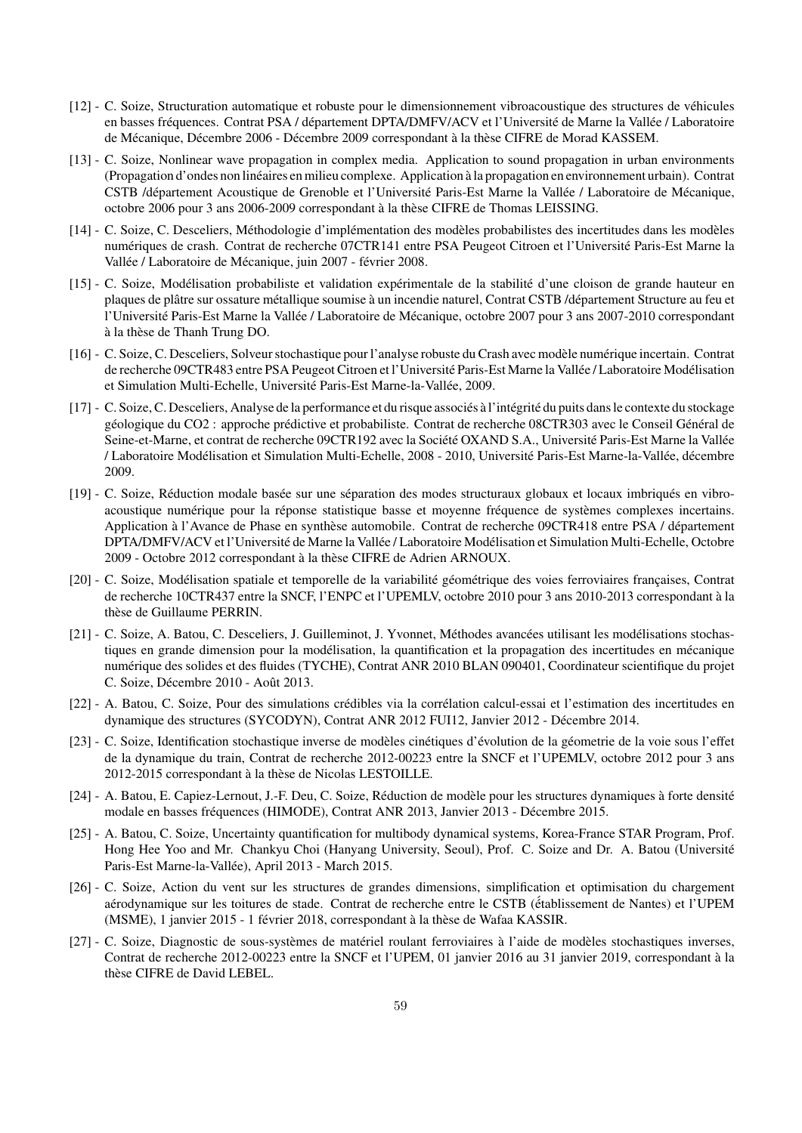- [12] C. Soize, Structuration automatique et robuste pour le dimensionnement vibroacoustique des structures de véhicules en basses fréquences. Contrat PSA / département DPTA/DMFV/ACV et l'Université de Marne la Vallée / Laboratoire de Mécanique, Décembre 2006 - Décembre 2009 correspondant à la thèse CIFRE de Morad KASSEM.
- [13] C. Soize, Nonlinear wave propagation in complex media. Application to sound propagation in urban environments (Propagation d'ondes non linéaires en milieu complexe. Application à la propagation en environnement urbain). Contrat CSTB /département Acoustique de Grenoble et l'Université Paris-Est Marne la Vallée / Laboratoire de Mécanique, octobre 2006 pour 3 ans 2006-2009 correspondant à la thèse CIFRE de Thomas LEISSING.
- [14] C. Soize, C. Desceliers, Méthodologie d'implémentation des modèles probabilistes des incertitudes dans les modèles numériques de crash. Contrat de recherche 07CTR141 entre PSA Peugeot Citroen et l'Université Paris-Est Marne la Vallée / Laboratoire de Mécanique, juin 2007 - février 2008.
- [15] C. Soize, Modélisation probabiliste et validation expérimentale de la stabilité d'une cloison de grande hauteur en plaques de plâtre sur ossature métallique soumise à un incendie naturel, Contrat CSTB /département Structure au feu et l'Université Paris-Est Marne la Vallée / Laboratoire de Mécanique, octobre 2007 pour 3 ans 2007-2010 correspondant à la thèse de Thanh Trung DO.
- [16] C. Soize, C. Desceliers, Solveur stochastique pour l'analyse robuste du Crash avec mod`ele num´erique incertain. Contrat de recherche 09CTR483 entre PSA Peugeot Citroen et l'Université Paris-Est Marne la Vallée / Laboratoire Modélisation et Simulation Multi-Echelle, Université Paris-Est Marne-la-Vallée, 2009.
- [17] C. Soize, C. Desceliers, Analyse de la performance et du risque associés à l'intégrité du puits dans le contexte du stockage géologique du CO2 : approche prédictive et probabiliste. Contrat de recherche 08CTR303 avec le Conseil Général de Seine-et-Marne, et contrat de recherche 09CTR192 avec la Société OXAND S.A., Université Paris-Est Marne la Vallée / Laboratoire Modélisation et Simulation Multi-Echelle, 2008 - 2010, Université Paris-Est Marne-la-Vallée, décembre 2009.
- [19] C. Soize, Réduction modale basée sur une séparation des modes structuraux globaux et locaux imbriqués en vibroacoustique numérique pour la réponse statistique basse et moyenne fréquence de systèmes complexes incertains. Application à l'Avance de Phase en synthèse automobile. Contrat de recherche 09CTR418 entre PSA / département DPTA/DMFV/ACV et l'Université de Marne la Vallée / Laboratoire Modélisation et Simulation Multi-Echelle, Octobre 2009 - Octobre 2012 correspondant à la thèse CIFRE de Adrien ARNOUX.
- [20] C. Soize, Modélisation spatiale et temporelle de la variabilité géométrique des voies ferroviaires françaises, Contrat de recherche 10CTR437 entre la SNCF, l'ENPC et l'UPEMLV, octobre 2010 pour 3 ans 2010-2013 correspondant à la thèse de Guillaume PERRIN.
- [21] C. Soize, A. Batou, C. Desceliers, J. Guilleminot, J. Yvonnet, Méthodes avancées utilisant les modélisations stochastiques en grande dimension pour la modélisation, la quantification et la propagation des incertitudes en mécanique numérique des solides et des fluides (TYCHE), Contrat ANR 2010 BLAN 090401, Coordinateur scientifique du projet C. Soize, Décembre 2010 - Août 2013.
- [22] A. Batou, C. Soize, Pour des simulations crédibles via la corrélation calcul-essai et l'estimation des incertitudes en dynamique des structures (SYCODYN), Contrat ANR 2012 FUI12, Janvier 2012 - Décembre 2014.
- [23] C. Soize, Identification stochastique inverse de modèles cinétiques d'évolution de la géometrie de la voie sous l'effet de la dynamique du train, Contrat de recherche 2012-00223 entre la SNCF et l'UPEMLV, octobre 2012 pour 3 ans 2012-2015 correspondant à la thèse de Nicolas LESTOILLE.
- [24] A. Batou, E. Capiez-Lernout, J.-F. Deu, C. Soize, Réduction de modèle pour les structures dynamiques à forte densité modale en basses fréquences (HIMODE), Contrat ANR 2013, Janvier 2013 - Décembre 2015.
- [25] A. Batou, C. Soize, Uncertainty quantification for multibody dynamical systems, Korea-France STAR Program, Prof. Hong Hee Yoo and Mr. Chankyu Choi (Hanyang University, Seoul), Prof. C. Soize and Dr. A. Batou (Université Paris-Est Marne-la-Vallée), April 2013 - March 2015.
- [26] C. Soize, Action du vent sur les structures de grandes dimensions, simplification et optimisation du chargement aérodynamique sur les toitures de stade. Contrat de recherche entre le CSTB (établissement de Nantes) et l'UPEM (MSME), 1 janvier 2015 - 1 février 2018, correspondant à la thèse de Wafaa KASSIR.
- [27] C. Soize, Diagnostic de sous-systèmes de matériel roulant ferroviaires à l'aide de modèles stochastiques inverses, Contrat de recherche 2012-00223 entre la SNCF et l'UPEM, 01 janvier 2016 au 31 janvier 2019, correspondant à la thèse CIFRE de David LEBEL.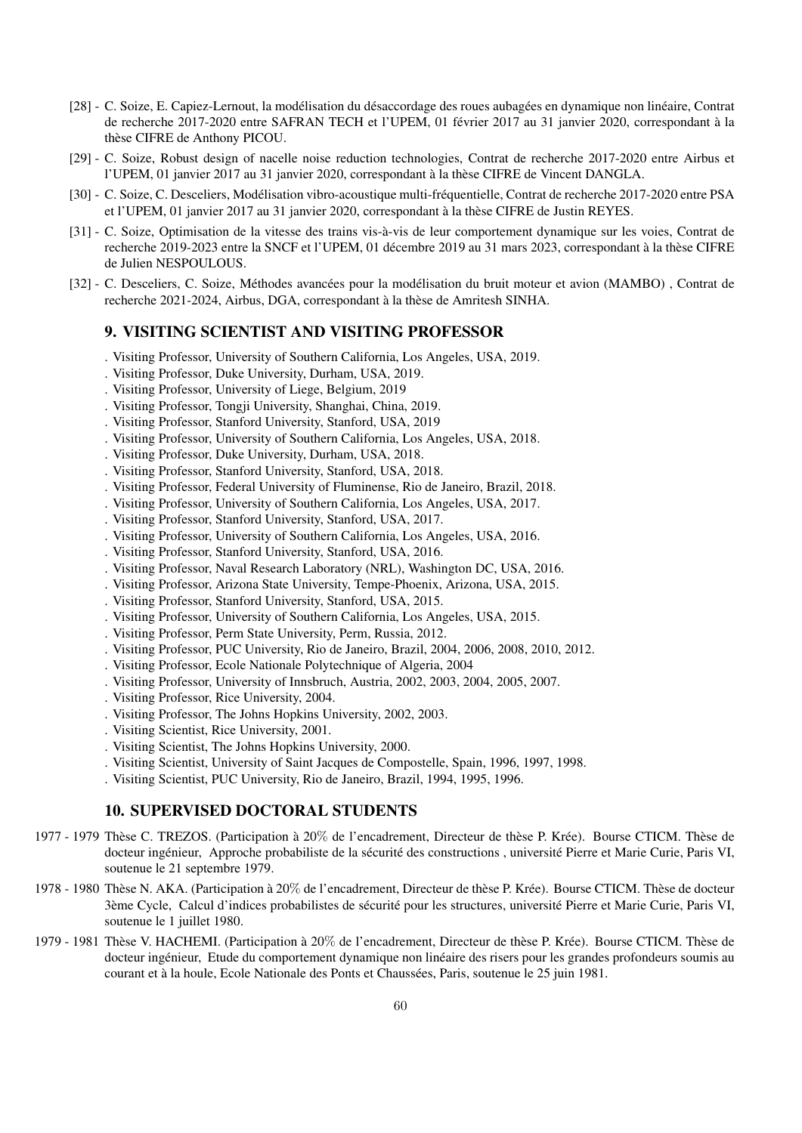- [28] C. Soize, E. Capiez-Lernout, la modélisation du désaccordage des roues aubagées en dynamique non linéaire, Contrat de recherche 2017-2020 entre SAFRAN TECH et l'UPEM, 01 février 2017 au 31 janvier 2020, correspondant à la thèse CIFRE de Anthony PICOU.
- [29] C. Soize, Robust design of nacelle noise reduction technologies, Contrat de recherche 2017-2020 entre Airbus et l'UPEM, 01 janvier 2017 au 31 janvier 2020, correspondant à la thèse CIFRE de Vincent DANGLA.
- [30] C. Soize, C. Desceliers, Modélisation vibro-acoustique multi-fréquentielle, Contrat de recherche 2017-2020 entre PSA et l'UPEM, 01 janvier 2017 au 31 janvier 2020, correspondant à la thèse CIFRE de Justin REYES.
- [31] C. Soize, Optimisation de la vitesse des trains vis-à-vis de leur comportement dynamique sur les voies, Contrat de recherche 2019-2023 entre la SNCF et l'UPEM, 01 décembre 2019 au 31 mars 2023, correspondant à la thèse CIFRE de Julien NESPOULOUS.
- [32] C. Desceliers, C. Soize, Méthodes avancées pour la modélisation du bruit moteur et avion (MAMBO), Contrat de recherche 2021-2024, Airbus, DGA, correspondant à la thèse de Amritesh SINHA.

# 9. VISITING SCIENTIST AND VISITING PROFESSOR

- . Visiting Professor, University of Southern California, Los Angeles, USA, 2019.
- . Visiting Professor, Duke University, Durham, USA, 2019.
- . Visiting Professor, University of Liege, Belgium, 2019
- . Visiting Professor, Tongji University, Shanghai, China, 2019.
- . Visiting Professor, Stanford University, Stanford, USA, 2019
- . Visiting Professor, University of Southern California, Los Angeles, USA, 2018.
- . Visiting Professor, Duke University, Durham, USA, 2018.
- . Visiting Professor, Stanford University, Stanford, USA, 2018.
- . Visiting Professor, Federal University of Fluminense, Rio de Janeiro, Brazil, 2018.
- . Visiting Professor, University of Southern California, Los Angeles, USA, 2017.
- . Visiting Professor, Stanford University, Stanford, USA, 2017.
- . Visiting Professor, University of Southern California, Los Angeles, USA, 2016.
- . Visiting Professor, Stanford University, Stanford, USA, 2016.
- . Visiting Professor, Naval Research Laboratory (NRL), Washington DC, USA, 2016.
- . Visiting Professor, Arizona State University, Tempe-Phoenix, Arizona, USA, 2015.
- . Visiting Professor, Stanford University, Stanford, USA, 2015.
- . Visiting Professor, University of Southern California, Los Angeles, USA, 2015.
- . Visiting Professor, Perm State University, Perm, Russia, 2012.
- . Visiting Professor, PUC University, Rio de Janeiro, Brazil, 2004, 2006, 2008, 2010, 2012.
- . Visiting Professor, Ecole Nationale Polytechnique of Algeria, 2004
- . Visiting Professor, University of Innsbruch, Austria, 2002, 2003, 2004, 2005, 2007.
- . Visiting Professor, Rice University, 2004.
- . Visiting Professor, The Johns Hopkins University, 2002, 2003.
- . Visiting Scientist, Rice University, 2001.
- . Visiting Scientist, The Johns Hopkins University, 2000.
- . Visiting Scientist, University of Saint Jacques de Compostelle, Spain, 1996, 1997, 1998.
- . Visiting Scientist, PUC University, Rio de Janeiro, Brazil, 1994, 1995, 1996.

## 10. SUPERVISED DOCTORAL STUDENTS

- 1977 1979 Thèse C. TREZOS. (Participation à 20% de l'encadrement, Directeur de thèse P. Krée). Bourse CTICM. Thèse de docteur ingénieur, Approche probabiliste de la sécurité des constructions , université Pierre et Marie Curie, Paris VI, soutenue le 21 septembre 1979.
- 1978 1980 Thèse N. AKA. (Participation à 20% de l'encadrement, Directeur de thèse P. Krée). Bourse CTICM. Thèse de docteur 3ème Cycle, Calcul d'indices probabilistes de sécurité pour les structures, université Pierre et Marie Curie, Paris VI, soutenue le 1 juillet 1980.
- 1979 1981 Thèse V. HACHEMI. (Participation à 20% de l'encadrement, Directeur de thèse P. Krée). Bourse CTICM. Thèse de docteur ingénieur, Etude du comportement dynamique non linéaire des risers pour les grandes profondeurs soumis au courant et à la houle, Ecole Nationale des Ponts et Chaussées, Paris, soutenue le 25 juin 1981.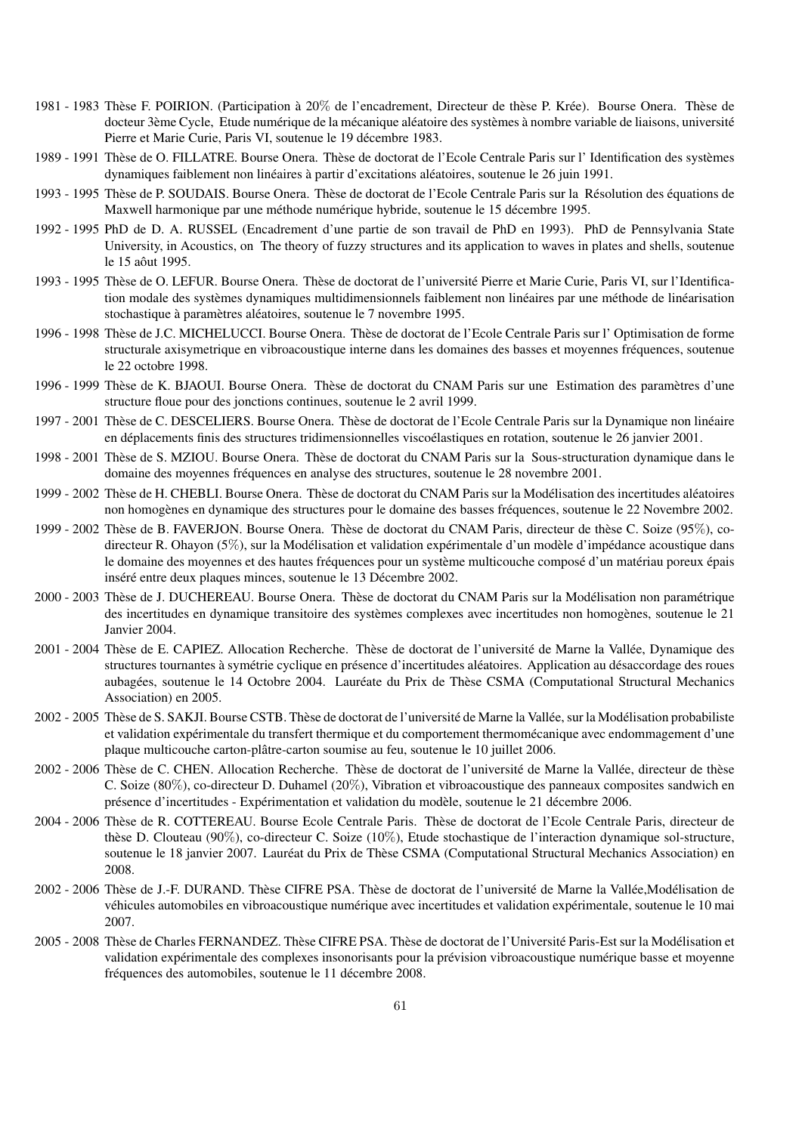- 1981 1983 Thèse F. POIRION. (Participation à 20% de l'encadrement, Directeur de thèse P. Krée). Bourse Onera. Thèse de docteur 3ème Cycle, Etude numérique de la mécanique aléatoire des systèmes à nombre variable de liaisons, université Pierre et Marie Curie, Paris VI, soutenue le 19 décembre 1983.
- 1989 1991 Thèse de O. FILLATRE. Bourse Onera. Thèse de doctorat de l'Ecole Centrale Paris sur l'Identification des systèmes dynamiques faiblement non linéaires à partir d'excitations aléatoires, soutenue le 26 juin 1991.
- 1993 1995 Thèse de P. SOUDAIS. Bourse Onera. Thèse de doctorat de l'Ecole Centrale Paris sur la Résolution des équations de Maxwell harmonique par une méthode numérique hybride, soutenue le 15 décembre 1995.
- 1992 1995 PhD de D. A. RUSSEL (Encadrement d'une partie de son travail de PhD en 1993). PhD de Pennsylvania State University, in Acoustics, on The theory of fuzzy structures and its application to waves in plates and shells, soutenue le 15 aôut 1995.
- 1993 1995 Thèse de O. LEFUR. Bourse Onera. Thèse de doctorat de l'université Pierre et Marie Curie, Paris VI, sur l'Identification modale des systèmes dynamiques multidimensionnels faiblement non linéaires par une méthode de linéarisation stochastique à paramètres aléatoires, soutenue le 7 novembre 1995.
- 1996 1998 Thèse de J.C. MICHELUCCI. Bourse Onera. Thèse de doctorat de l'Ecole Centrale Paris sur l' Optimisation de forme structurale axisymetrique en vibroacoustique interne dans les domaines des basses et moyennes fréquences, soutenue le 22 octobre 1998.
- 1996 1999 Thèse de K. BJAOUI. Bourse Onera. Thèse de doctorat du CNAM Paris sur une Estimation des paramètres d'une structure floue pour des jonctions continues, soutenue le 2 avril 1999.
- 1997 2001 Thèse de C. DESCELIERS. Bourse Onera. Thèse de doctorat de l'Ecole Centrale Paris sur la Dynamique non linéaire en déplacements finis des structures tridimensionnelles viscoélastiques en rotation, soutenue le 26 janvier 2001.
- 1998 2001 Thèse de S. MZIOU. Bourse Onera. Thèse de doctorat du CNAM Paris sur la Sous-structuration dynamique dans le domaine des moyennes fréquences en analyse des structures, soutenue le 28 novembre 2001.
- 1999 2002 Thèse de H. CHEBLI. Bourse Onera. Thèse de doctorat du CNAM Paris sur la Modélisation des incertitudes aléatoires non homogènes en dynamique des structures pour le domaine des basses fréquences, soutenue le 22 Novembre 2002.
- 1999 2002 Thèse de B. FAVERJON. Bourse Onera. Thèse de doctorat du CNAM Paris, directeur de thèse C. Soize (95%), codirecteur R. Ohayon (5%), sur la Modélisation et validation expérimentale d'un modèle d'impédance acoustique dans le domaine des moyennes et des hautes fréquences pour un système multicouche composé d'un matériau poreux épais inséré entre deux plaques minces, soutenue le 13 Décembre 2002.
- 2000 2003 Thèse de J. DUCHEREAU. Bourse Onera. Thèse de doctorat du CNAM Paris sur la Modélisation non paramétrique des incertitudes en dynamique transitoire des systèmes complexes avec incertitudes non homogènes, soutenue le 21 Janvier 2004.
- 2001 2004 Thèse de E. CAPIEZ. Allocation Recherche. Thèse de doctorat de l'université de Marne la Vallée, Dynamique des structures tournantes à symétrie cyclique en présence d'incertitudes aléatoires. Application au désaccordage des roues aubagées, soutenue le 14 Octobre 2004. Lauréate du Prix de Thèse CSMA (Computational Structural Mechanics Association) en 2005.
- 2002 2005 Thèse de S. SAKJI. Bourse CSTB. Thèse de doctorat de l'université de Marne la Vallée, sur la Modélisation probabiliste et validation expérimentale du transfert thermique et du comportement thermomécanique avec endommagement d'une plaque multicouche carton-plâtre-carton soumise au feu, soutenue le 10 juillet 2006.
- 2002 2006 Thèse de C. CHEN. Allocation Recherche. Thèse de doctorat de l'université de Marne la Vallée, directeur de thèse C. Soize (80%), co-directeur D. Duhamel (20%), Vibration et vibroacoustique des panneaux composites sandwich en présence d'incertitudes - Expérimentation et validation du modèle, soutenue le 21 décembre 2006.
- 2004 2006 Thèse de R. COTTEREAU. Bourse Ecole Centrale Paris. Thèse de doctorat de l'Ecole Centrale Paris, directeur de thèse D. Clouteau (90%), co-directeur C. Soize (10%), Etude stochastique de l'interaction dynamique sol-structure, soutenue le 18 janvier 2007. Lauréat du Prix de Thèse CSMA (Computational Structural Mechanics Association) en 2008.
- 2002 2006 Thèse de J.-F. DURAND. Thèse CIFRE PSA. Thèse de doctorat de l'université de Marne la Vallée,Modélisation de véhicules automobiles en vibroacoustique numérique avec incertitudes et validation expérimentale, soutenue le 10 mai 2007.
- 2005 2008 Thèse de Charles FERNANDEZ. Thèse CIFRE PSA. Thèse de doctorat de l'Université Paris-Est sur la Modélisation et validation expérimentale des complexes insonorisants pour la prévision vibroacoustique numérique basse et moyenne fréquences des automobiles, soutenue le 11 décembre 2008.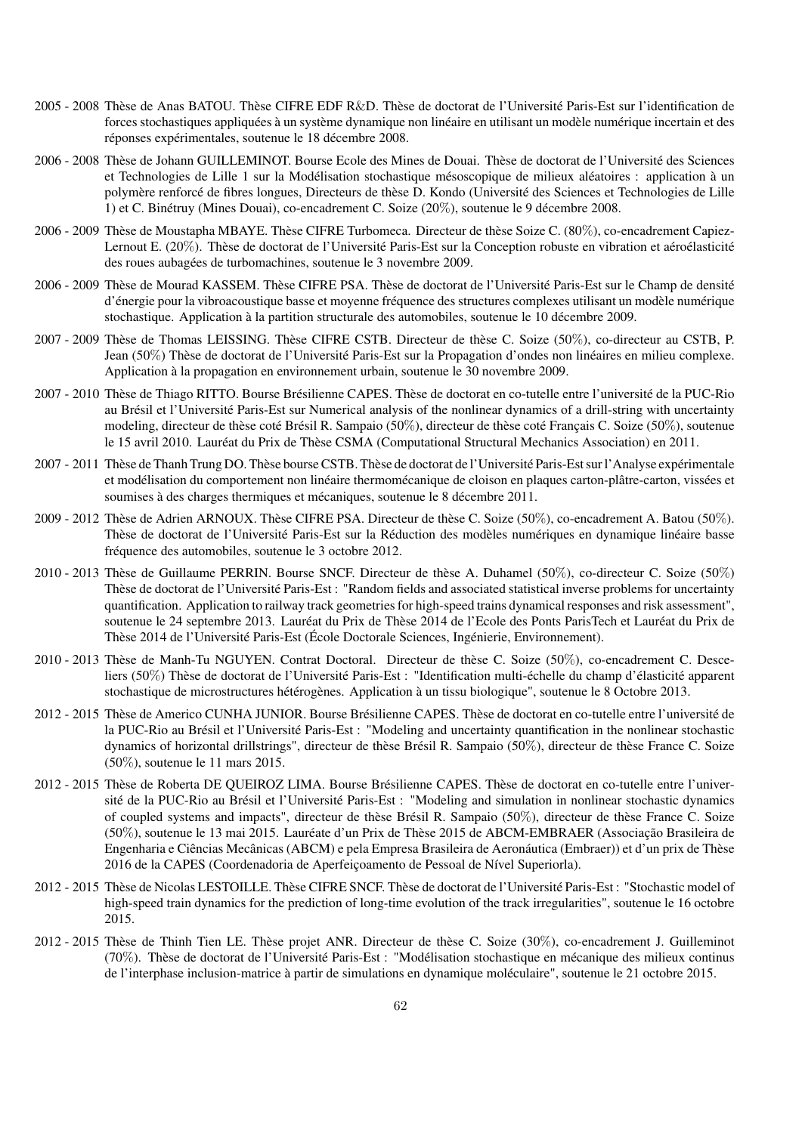- 2005 2008 Thèse de Anas BATOU. Thèse CIFRE EDF R&D. Thèse de doctorat de l'Université Paris-Est sur l'identification de forces stochastiques appliquées à un système dynamique non linéaire en utilisant un modèle numérique incertain et des réponses expérimentales, soutenue le 18 décembre 2008.
- 2006 2008 Thèse de Johann GUILLEMINOT. Bourse Ecole des Mines de Douai. Thèse de doctorat de l'Université des Sciences et Technologies de Lille 1 sur la Modélisation stochastique mésoscopique de milieux aléatoires : application à un polym`ere renforc´e de fibres longues, Directeurs de thèse D. Kondo (Université des Sciences et Technologies de Lille 1) et C. Binétruy (Mines Douai), co-encadrement C. Soize (20%), soutenue le 9 décembre 2008.
- 2006 2009 Thèse de Moustapha MBAYE. Thèse CIFRE Turbomeca. Directeur de thèse Soize C. (80%), co-encadrement Capiez-Lernout E. (20%). Thèse de doctorat de l'Université Paris-Est sur la Conception robuste en vibration et aéroélasticité des roues aubagées de turbomachines, soutenue le 3 novembre 2009.
- 2006 2009 Thèse de Mourad KASSEM. Thèse CIFRE PSA. Thèse de doctorat de l'Université Paris-Est sur le Champ de densité d'énergie pour la vibroacoustique basse et moyenne fréquence des structures complexes utilisant un modèle numérique stochastique. Application à la partition structurale des automobiles, soutenue le 10 décembre 2009.
- 2007 2009 Thèse de Thomas LEISSING. Thèse CIFRE CSTB. Directeur de thèse C. Soize (50%), co-directeur au CSTB, P. Jean (50%) Thèse de doctorat de l'Université Paris-Est sur la Propagation d'ondes non linéaires en milieu complexe. Application à la propagation en environnement urbain, soutenue le 30 novembre 2009.
- 2007 2010 Thèse de Thiago RITTO. Bourse Brésilienne CAPES. Thèse de doctorat en co-tutelle entre l'université de la PUC-Rio au Brésil et l'Université Paris-Est sur Numerical analysis of the nonlinear dynamics of a drill-string with uncertainty modeling, directeur de thèse coté Brésil R. Sampaio (50%), directeur de thèse coté Français C. Soize (50%), soutenue le 15 avril 2010. Lauréat du Prix de Thèse CSMA (Computational Structural Mechanics Association) en 2011.
- 2007 2011 Thèse de Thanh Trung DO. Thèse bourse CSTB. Thèse de doctorat de l'Université Paris-Est sur l'Analyse expérimentale et modélisation du comportement non linéaire thermomécanique de cloison en plaques carton-plâtre-carton, vissées et soumises à des charges thermiques et mécaniques, soutenue le 8 décembre 2011.
- 2009 2012 Thèse de Adrien ARNOUX. Thèse CIFRE PSA. Directeur de thèse C. Soize (50%), co-encadrement A. Batou (50%). Thèse de doctorat de l'Université Paris-Est sur la Réduction des modèles numériques en dynamique linéaire basse fréquence des automobiles, soutenue le 3 octobre 2012.
- 2010 2013 Thèse de Guillaume PERRIN. Bourse SNCF. Directeur de thèse A. Duhamel (50%), co-directeur C. Soize (50%) Thèse de doctorat de l'Université Paris-Est : "Random fields and associated statistical inverse problems for uncertainty quantification. Application to railway track geometries for high-speed trains dynamical responses and risk assessment", soutenue le 24 septembre 2013. Lauréat du Prix de Thèse 2014 de l'Ecole des Ponts ParisTech et Lauréat du Prix de Thèse 2014 de l'Université Paris-Est (École Doctorale Sciences, Ingénierie, Environnement).
- 2010 2013 Thèse de Manh-Tu NGUYEN. Contrat Doctoral. Directeur de thèse C. Soize (50%), co-encadrement C. Desceliers (50%) Thèse de doctorat de l'Université Paris-Est : "Identification multi-échelle du champ d'élasticité apparent stochastique de microstructures hétérogènes. Application à un tissu biologique", soutenue le 8 Octobre 2013.
- 2012 2015 Thèse de Americo CUNHA JUNIOR. Bourse Brésilienne CAPES. Thèse de doctorat en co-tutelle entre l'université de la PUC-Rio au Brésil et l'Université Paris-Est : "Modeling and uncertainty quantification in the nonlinear stochastic dynamics of horizontal drillstrings", directeur de thèse Brésil R. Sampaio (50%), directeur de thèse France C. Soize (50%), soutenue le 11 mars 2015.
- 2012 2015 Thèse de Roberta DE QUEIROZ LIMA. Bourse Brésilienne CAPES. Thèse de doctorat en co-tutelle entre l'université de la PUC-Rio au Brésil et l'Université Paris-Est : "Modeling and simulation in nonlinear stochastic dynamics of coupled systems and impacts", directeur de thèse Brésil R. Sampaio (50%), directeur de thèse France C. Soize (50%), soutenue le 13 mai 2015. Lauréate d'un Prix de Thèse 2015 de ABCM-EMBRAER (Associação Brasileira de Engenharia e Ciências Mecânicas (ABCM) e pela Empresa Brasileira de Aeronáutica (Embraer)) et d'un prix de Thèse 2016 de la CAPES (Coordenadoria de Aperfeiçoamento de Pessoal de Nível Superiorla).
- 2012 2015 Thèse de Nicolas LESTOILLE. Thèse CIFRE SNCF. Thèse de doctorat de l'Université Paris-Est : "Stochastic model of high-speed train dynamics for the prediction of long-time evolution of the track irregularities", soutenue le 16 octobre 2015.
- 2012 2015 Thèse de Thinh Tien LE. Thèse projet ANR. Directeur de thèse C. Soize (30%), co-encadrement J. Guilleminot (70%). Thèse de doctorat de l'Université Paris-Est : "Modélisation stochastique en mécanique des milieux continus de l'interphase inclusion-matrice à partir de simulations en dynamique moléculaire", soutenue le 21 octobre 2015.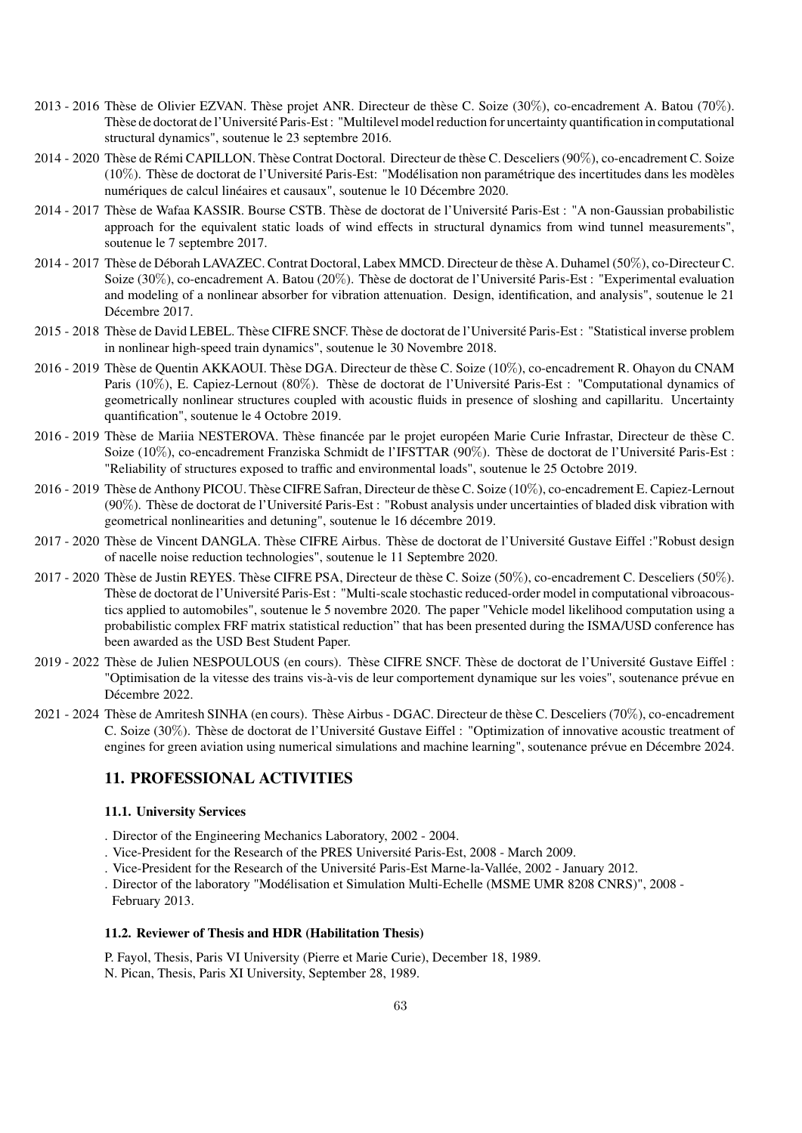- 2013 2016 Thèse de Olivier EZVAN. Thèse projet ANR. Directeur de thèse C. Soize  $(30\%)$ , co-encadrement A. Batou (70%). Thèse de doctorat de l'Université Paris-Est : "Multilevel model reduction for uncertainty quantification in computational structural dynamics", soutenue le 23 septembre 2016.
- 2014 2020 Thèse de Rémi CAPILLON. Thèse Contrat Doctoral. Directeur de thèse C. Desceliers (90%), co-encadrement C. Soize (10%). Thèse de doctorat de l'Université Paris-Est: "Modélisation non paramétrique des incertitudes dans les modèles numériques de calcul linéaires et causaux", soutenue le 10 Décembre 2020.
- 2014 2017 Thèse de Wafaa KASSIR. Bourse CSTB. Thèse de doctorat de l'Université Paris-Est : "A non-Gaussian probabilistic approach for the equivalent static loads of wind effects in structural dynamics from wind tunnel measurements", soutenue le 7 septembre 2017.
- 2014 2017 Thèse de Déborah LAVAZEC. Contrat Doctoral, Labex MMCD. Directeur de thèse A. Duhamel (50%), co-Directeur C. Soize  $(30\%)$ , co-encadrement A. Batou  $(20\%)$ . Thèse de doctorat de l'Université Paris-Est : "Experimental evaluation and modeling of a nonlinear absorber for vibration attenuation. Design, identification, and analysis", soutenue le 21 Décembre 2017.
- 2015 2018 Thèse de David LEBEL. Thèse CIFRE SNCF. Thèse de doctorat de l'Université Paris-Est : "Statistical inverse problem in nonlinear high-speed train dynamics", soutenue le 30 Novembre 2018.
- 2016 2019 Thèse de Quentin AKKAOUI. Thèse DGA. Directeur de thèse C. Soize (10%), co-encadrement R. Ohayon du CNAM Paris (10%), E. Capiez-Lernout (80%). Thèse de doctorat de l'Université Paris-Est : "Computational dynamics of geometrically nonlinear structures coupled with acoustic fluids in presence of sloshing and capillaritu. Uncertainty quantification", soutenue le 4 Octobre 2019.
- 2016 2019 Thèse de Mariia NESTEROVA. Thèse financée par le projet européen Marie Curie Infrastar, Directeur de thèse C. Soize (10%), co-encadrement Franziska Schmidt de l'IFSTTAR (90%). Thèse de doctorat de l'Université Paris-Est : "Reliability of structures exposed to traffic and environmental loads", soutenue le 25 Octobre 2019.
- 2016 2019 Thèse de Anthony PICOU. Thèse CIFRE Safran, Directeur de thèse C. Soize (10%), co-encadrement E. Capiez-Lernout (90%). Thèse de doctorat de l'Université Paris-Est : "Robust analysis under uncertainties of bladed disk vibration with geometrical nonlinearities and detuning", soutenue le 16 décembre 2019.
- 2017 2020 Thèse de Vincent DANGLA. Thèse CIFRE Airbus. Thèse de doctorat de l'Université Gustave Eiffel :"Robust design of nacelle noise reduction technologies", soutenue le 11 Septembre 2020.
- 2017 2020 Thèse de Justin REYES. Thèse CIFRE PSA, Directeur de thèse C. Soize (50%), co-encadrement C. Desceliers (50%). Thèse de doctorat de l'Université Paris-Est : "Multi-scale stochastic reduced-order model in computational vibroacoustics applied to automobiles", soutenue le 5 novembre 2020. The paper "Vehicle model likelihood computation using a probabilistic complex FRF matrix statistical reduction" that has been presented during the ISMA/USD conference has been awarded as the USD Best Student Paper.
- 2019 2022 Thèse de Julien NESPOULOUS (en cours). Thèse CIFRE SNCF. Thèse de doctorat de l'Université Gustave Eiffel : "Optimisation de la vitesse des trains vis-à-vis de leur comportement dynamique sur les voies", soutenance prévue en Décembre 2022.
- 2021 2024 Thèse de Amritesh SINHA (en cours). Thèse Airbus DGAC. Directeur de thèse C. Desceliers (70%), co-encadrement C. Soize (30%). Thèse de doctorat de l'Université Gustave Eiffel : "Optimization of innovative acoustic treatment of engines for green aviation using numerical simulations and machine learning", soutenance prévue en Décembre 2024.

# 11. PROFESSIONAL ACTIVITIES

## 11.1. University Services

- . Director of the Engineering Mechanics Laboratory, 2002 2004.
- . Vice-President for the Research of the PRES Université Paris-Est, 2008 March 2009.
- . Vice-President for the Research of the Université Paris-Est Marne-la-Vallée, 2002 January 2012.
- . Director of the laboratory "Modélisation et Simulation Multi-Echelle (MSME UMR 8208 CNRS)", 2008 February 2013.

### 11.2. Reviewer of Thesis and HDR (Habilitation Thesis)

P. Fayol, Thesis, Paris VI University (Pierre et Marie Curie), December 18, 1989. N. Pican, Thesis, Paris XI University, September 28, 1989.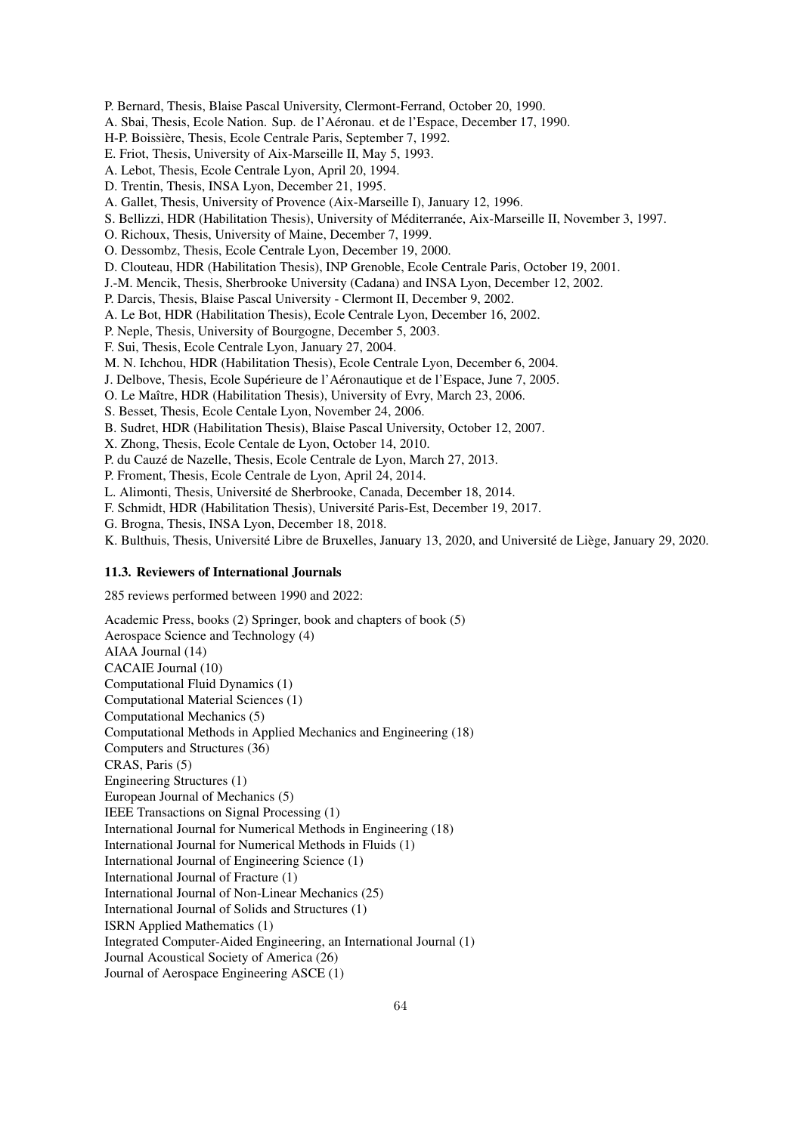P. Bernard, Thesis, Blaise Pascal University, Clermont-Ferrand, October 20, 1990.

A. Sbai, Thesis, Ecole Nation. Sup. de l'Aéronau. et de l'Espace, December 17, 1990.

H-P. Boissière, Thesis, Ecole Centrale Paris, September 7, 1992.

E. Friot, Thesis, University of Aix-Marseille II, May 5, 1993.

A. Lebot, Thesis, Ecole Centrale Lyon, April 20, 1994.

D. Trentin, Thesis, INSA Lyon, December 21, 1995.

A. Gallet, Thesis, University of Provence (Aix-Marseille I), January 12, 1996.

S. Bellizzi, HDR (Habilitation Thesis), University of Méditerranée, Aix-Marseille II, November 3, 1997.

O. Richoux, Thesis, University of Maine, December 7, 1999.

O. Dessombz, Thesis, Ecole Centrale Lyon, December 19, 2000.

D. Clouteau, HDR (Habilitation Thesis), INP Grenoble, Ecole Centrale Paris, October 19, 2001.

J.-M. Mencik, Thesis, Sherbrooke University (Cadana) and INSA Lyon, December 12, 2002.

P. Darcis, Thesis, Blaise Pascal University - Clermont II, December 9, 2002.

A. Le Bot, HDR (Habilitation Thesis), Ecole Centrale Lyon, December 16, 2002.

P. Neple, Thesis, University of Bourgogne, December 5, 2003.

F. Sui, Thesis, Ecole Centrale Lyon, January 27, 2004.

M. N. Ichchou, HDR (Habilitation Thesis), Ecole Centrale Lyon, December 6, 2004.

J. Delbove, Thesis, Ecole Supérieure de l'Aéronautique et de l'Espace, June 7, 2005.

O. Le Maˆıtre, HDR (Habilitation Thesis), University of Evry, March 23, 2006.

S. Besset, Thesis, Ecole Centale Lyon, November 24, 2006.

B. Sudret, HDR (Habilitation Thesis), Blaise Pascal University, October 12, 2007.

X. Zhong, Thesis, Ecole Centale de Lyon, October 14, 2010.

P. du Cauzé de Nazelle, Thesis, Ecole Centrale de Lyon, March 27, 2013.

P. Froment, Thesis, Ecole Centrale de Lyon, April 24, 2014.

L. Alimonti, Thesis, Université de Sherbrooke, Canada, December 18, 2014.

F. Schmidt, HDR (Habilitation Thesis), Université Paris-Est, December 19, 2017.

G. Brogna, Thesis, INSA Lyon, December 18, 2018.

K. Bulthuis, Thesis, Université Libre de Bruxelles, January 13, 2020, and Université de Liège, January 29, 2020.

#### 11.3. Reviewers of International Journals

285 reviews performed between 1990 and 2022:

Academic Press, books (2) Springer, book and chapters of book (5) Aerospace Science and Technology (4) AIAA Journal (14) CACAIE Journal (10) Computational Fluid Dynamics (1) Computational Material Sciences (1) Computational Mechanics (5) Computational Methods in Applied Mechanics and Engineering (18) Computers and Structures (36) CRAS, Paris (5) Engineering Structures (1) European Journal of Mechanics (5) IEEE Transactions on Signal Processing (1) International Journal for Numerical Methods in Engineering (18) International Journal for Numerical Methods in Fluids (1) International Journal of Engineering Science (1) International Journal of Fracture (1) International Journal of Non-Linear Mechanics (25) International Journal of Solids and Structures (1) ISRN Applied Mathematics (1) Integrated Computer-Aided Engineering, an International Journal (1) Journal Acoustical Society of America (26) Journal of Aerospace Engineering ASCE (1)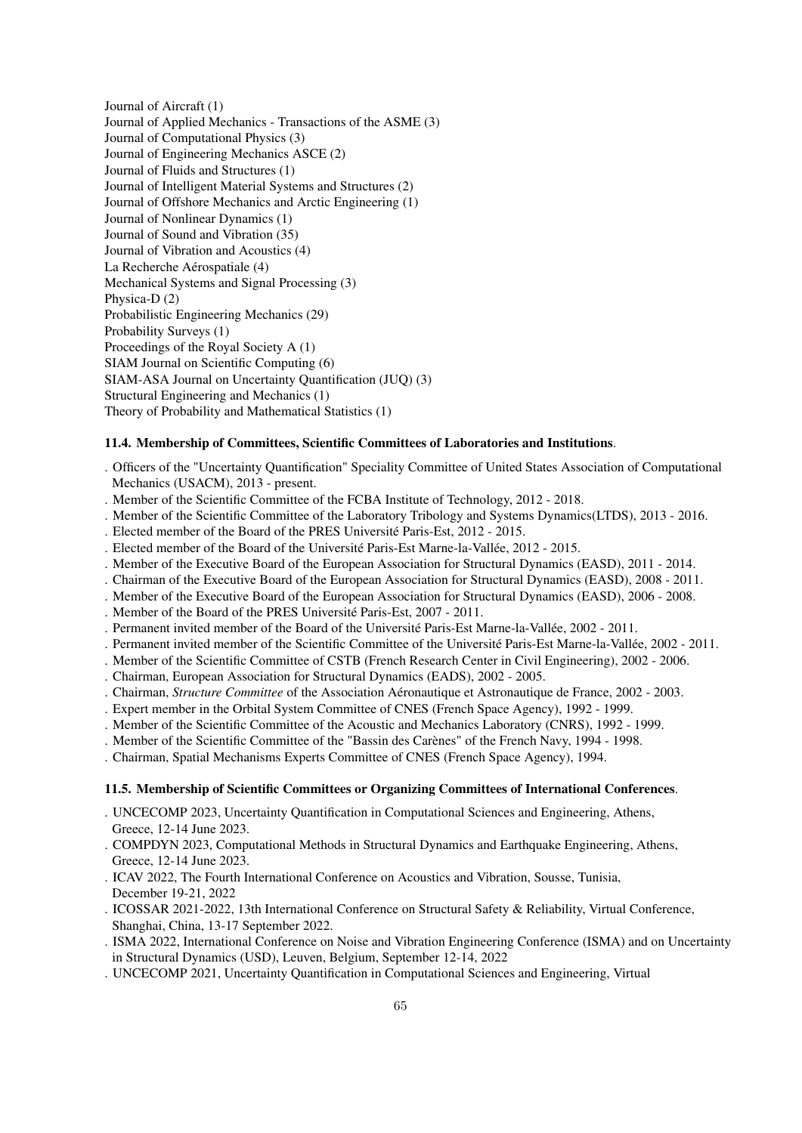Journal of Aircraft (1) Journal of Applied Mechanics - Transactions of the ASME (3) Journal of Computational Physics (3) Journal of Engineering Mechanics ASCE (2) Journal of Fluids and Structures (1) Journal of Intelligent Material Systems and Structures (2) Journal of Offshore Mechanics and Arctic Engineering (1) Journal of Nonlinear Dynamics (1) Journal of Sound and Vibration (35) Journal of Vibration and Acoustics (4) La Recherche Aérospatiale (4) Mechanical Systems and Signal Processing (3) Physica-D (2) Probabilistic Engineering Mechanics (29) Probability Surveys (1) Proceedings of the Royal Society A (1) SIAM Journal on Scientific Computing (6) SIAM-ASA Journal on Uncertainty Quantification (JUQ) (3) Structural Engineering and Mechanics (1) Theory of Probability and Mathematical Statistics (1)

## 11.4. Membership of Committees, Scientific Committees of Laboratories and Institutions.

- . Officers of the "Uncertainty Quantification" Speciality Committee of United States Association of Computational Mechanics (USACM), 2013 - present.
- . Member of the Scientific Committee of the FCBA Institute of Technology, 2012 2018.
- . Member of the Scientific Committee of the Laboratory Tribology and Systems Dynamics(LTDS), 2013 2016.
- . Elected member of the Board of the PRES Université Paris-Est, 2012 2015.
- . Elected member of the Board of the Université Paris-Est Marne-la-Vallée, 2012 2015.
- . Member of the Executive Board of the European Association for Structural Dynamics (EASD), 2011 2014.
- . Chairman of the Executive Board of the European Association for Structural Dynamics (EASD), 2008 2011.
- . Member of the Executive Board of the European Association for Structural Dynamics (EASD), 2006 2008.
- . Member of the Board of the PRES Université Paris-Est, 2007 2011.
- . Permanent invited member of the Board of the Université Paris-Est Marne-la-Vallée, 2002 2011.
- . Permanent invited member of the Scientific Committee of the Université Paris-Est Marne-la-Vallée, 2002 2011.
- . Member of the Scientific Committee of CSTB (French Research Center in Civil Engineering), 2002 2006.
- . Chairman, European Association for Structural Dynamics (EADS), 2002 2005.
- . Chairman, *Structure Committee* of the Association A´eronautique et Astronautique de France, 2002 2003.
- . Expert member in the Orbital System Committee of CNES (French Space Agency), 1992 1999.
- . Member of the Scientific Committee of the Acoustic and Mechanics Laboratory (CNRS), 1992 1999.
- . Member of the Scientific Committee of the "Bassin des Carènes" of the French Navy, 1994 1998.
- . Chairman, Spatial Mechanisms Experts Committee of CNES (French Space Agency), 1994.

## 11.5. Membership of Scientific Committees or Organizing Committees of International Conferences.

- . UNCECOMP 2023, Uncertainty Quantification in Computational Sciences and Engineering, Athens, Greece, 12-14 June 2023.
- . COMPDYN 2023, Computational Methods in Structural Dynamics and Earthquake Engineering, Athens, Greece, 12-14 June 2023.
- . ICAV 2022, The Fourth International Conference on Acoustics and Vibration, Sousse, Tunisia, December 19-21, 2022
- . ICOSSAR 2021-2022, 13th International Conference on Structural Safety & Reliability, Virtual Conference, Shanghai, China, 13-17 September 2022.
- . ISMA 2022, International Conference on Noise and Vibration Engineering Conference (ISMA) and on Uncertainty in Structural Dynamics (USD), Leuven, Belgium, September 12-14, 2022
- . UNCECOMP 2021, Uncertainty Quantification in Computational Sciences and Engineering, Virtual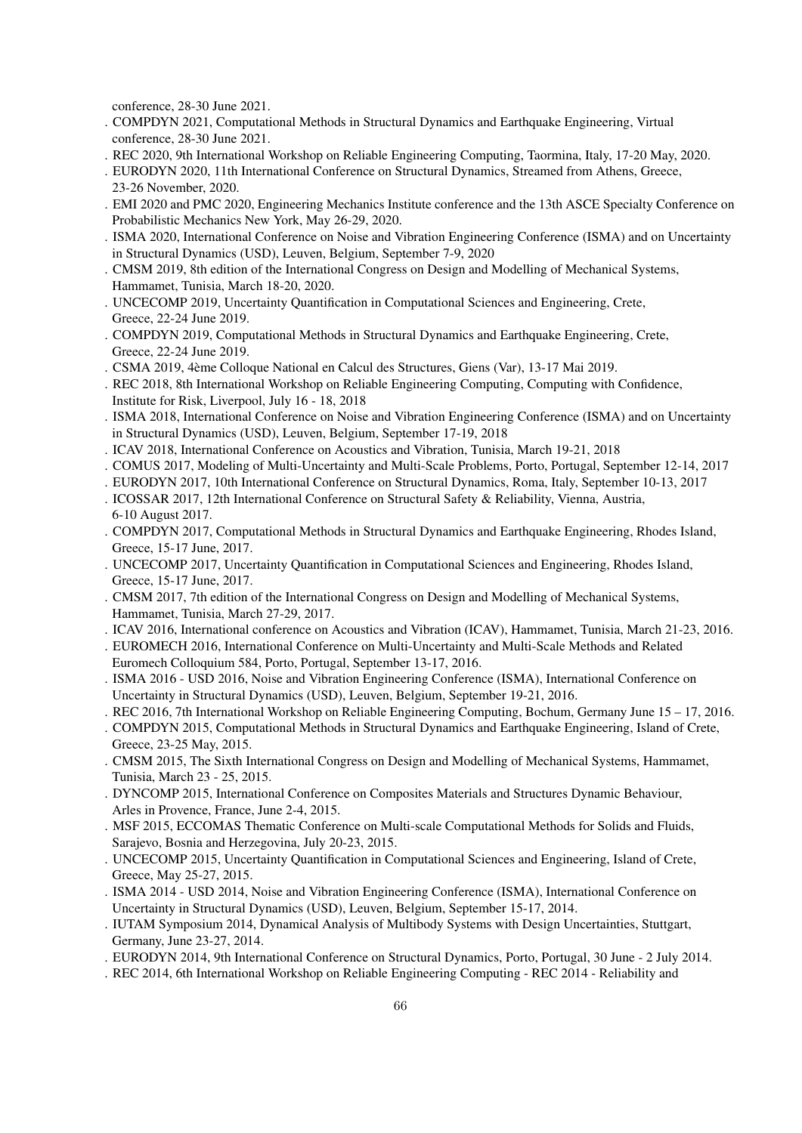conference, 28-30 June 2021.

- . COMPDYN 2021, Computational Methods in Structural Dynamics and Earthquake Engineering, Virtual conference, 28-30 June 2021.
- . REC 2020, 9th International Workshop on Reliable Engineering Computing, Taormina, Italy, 17-20 May, 2020.
- . EURODYN 2020, 11th International Conference on Structural Dynamics, Streamed from Athens, Greece, 23-26 November, 2020.
- . EMI 2020 and PMC 2020, Engineering Mechanics Institute conference and the 13th ASCE Specialty Conference on Probabilistic Mechanics New York, May 26-29, 2020.
- . ISMA 2020, International Conference on Noise and Vibration Engineering Conference (ISMA) and on Uncertainty in Structural Dynamics (USD), Leuven, Belgium, September 7-9, 2020
- . CMSM 2019, 8th edition of the International Congress on Design and Modelling of Mechanical Systems, Hammamet, Tunisia, March 18-20, 2020.
- . UNCECOMP 2019, Uncertainty Quantification in Computational Sciences and Engineering, Crete, Greece, 22-24 June 2019.
- . COMPDYN 2019, Computational Methods in Structural Dynamics and Earthquake Engineering, Crete, Greece, 22-24 June 2019.
- . CSMA 2019, 4`eme Colloque National en Calcul des Structures, Giens (Var), 13-17 Mai 2019.
- . REC 2018, 8th International Workshop on Reliable Engineering Computing, Computing with Confidence, Institute for Risk, Liverpool, July 16 - 18, 2018
- . ISMA 2018, International Conference on Noise and Vibration Engineering Conference (ISMA) and on Uncertainty in Structural Dynamics (USD), Leuven, Belgium, September 17-19, 2018
- . ICAV 2018, International Conference on Acoustics and Vibration, Tunisia, March 19-21, 2018
- . COMUS 2017, Modeling of Multi-Uncertainty and Multi-Scale Problems, Porto, Portugal, September 12-14, 2017
- . EURODYN 2017, 10th International Conference on Structural Dynamics, Roma, Italy, September 10-13, 2017
- . ICOSSAR 2017, 12th International Conference on Structural Safety & Reliability, Vienna, Austria, 6-10 August 2017.
- . COMPDYN 2017, Computational Methods in Structural Dynamics and Earthquake Engineering, Rhodes Island, Greece, 15-17 June, 2017.
- . UNCECOMP 2017, Uncertainty Quantification in Computational Sciences and Engineering, Rhodes Island, Greece, 15-17 June, 2017.
- . CMSM 2017, 7th edition of the International Congress on Design and Modelling of Mechanical Systems, Hammamet, Tunisia, March 27-29, 2017.
- . ICAV 2016, International conference on Acoustics and Vibration (ICAV), Hammamet, Tunisia, March 21-23, 2016.
- . EUROMECH 2016, International Conference on Multi-Uncertainty and Multi-Scale Methods and Related Euromech Colloquium 584, Porto, Portugal, September 13-17, 2016.
- . ISMA 2016 USD 2016, Noise and Vibration Engineering Conference (ISMA), International Conference on Uncertainty in Structural Dynamics (USD), Leuven, Belgium, September 19-21, 2016.
- . REC 2016, 7th International Workshop on Reliable Engineering Computing, Bochum, Germany June 15 17, 2016.
- . COMPDYN 2015, Computational Methods in Structural Dynamics and Earthquake Engineering, Island of Crete, Greece, 23-25 May, 2015.
- . CMSM 2015, The Sixth International Congress on Design and Modelling of Mechanical Systems, Hammamet, Tunisia, March 23 - 25, 2015.
- . DYNCOMP 2015, International Conference on Composites Materials and Structures Dynamic Behaviour, Arles in Provence, France, June 2-4, 2015.
- . MSF 2015, ECCOMAS Thematic Conference on Multi-scale Computational Methods for Solids and Fluids, Sarajevo, Bosnia and Herzegovina, July 20-23, 2015.
- . UNCECOMP 2015, Uncertainty Quantification in Computational Sciences and Engineering, Island of Crete, Greece, May 25-27, 2015.
- . ISMA 2014 USD 2014, Noise and Vibration Engineering Conference (ISMA), International Conference on Uncertainty in Structural Dynamics (USD), Leuven, Belgium, September 15-17, 2014.
- . IUTAM Symposium 2014, Dynamical Analysis of Multibody Systems with Design Uncertainties, Stuttgart, Germany, June 23-27, 2014.
- . EURODYN 2014, 9th International Conference on Structural Dynamics, Porto, Portugal, 30 June 2 July 2014.
- . REC 2014, 6th International Workshop on Reliable Engineering Computing REC 2014 Reliability and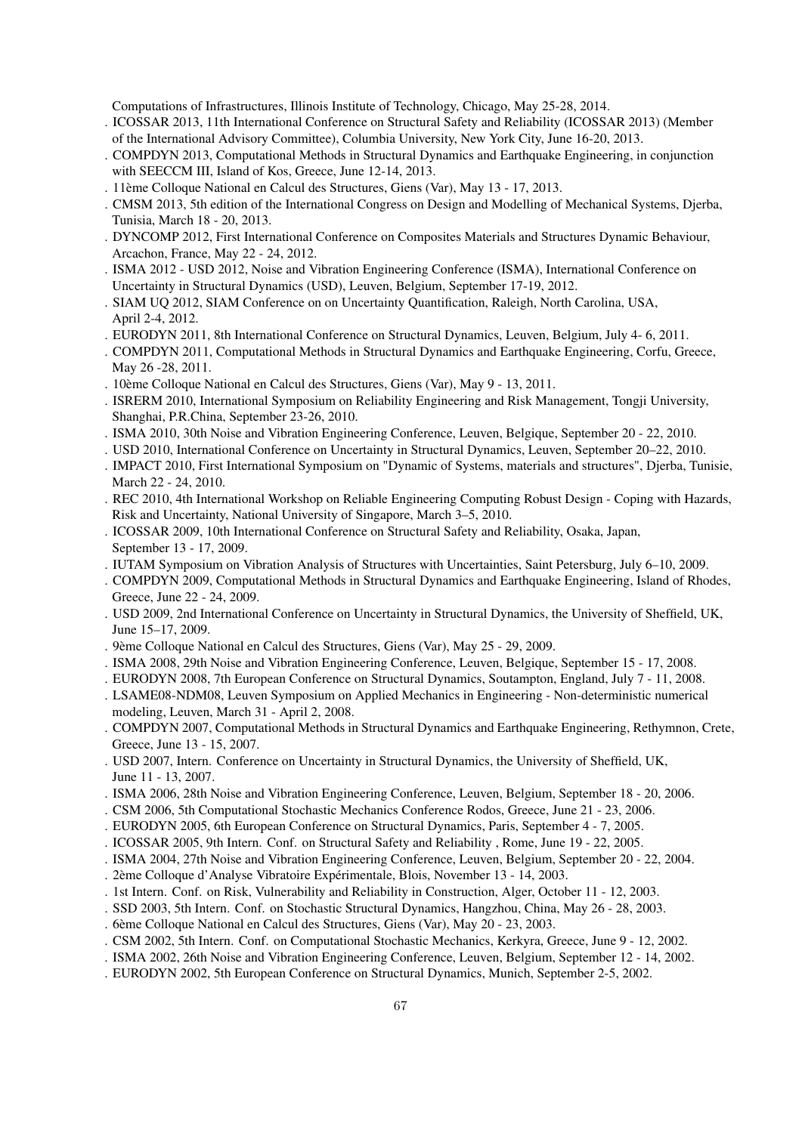Computations of Infrastructures, Illinois Institute of Technology, Chicago, May 25-28, 2014.

- . ICOSSAR 2013, 11th International Conference on Structural Safety and Reliability (ICOSSAR 2013) (Member of the International Advisory Committee), Columbia University, New York City, June 16-20, 2013.
- . COMPDYN 2013, Computational Methods in Structural Dynamics and Earthquake Engineering, in conjunction with SEECCM III, Island of Kos, Greece, June 12-14, 2013.
- . 11ème Colloque National en Calcul des Structures, Giens (Var), May 13 17, 2013.
- . CMSM 2013, 5th edition of the International Congress on Design and Modelling of Mechanical Systems, Djerba, Tunisia, March 18 - 20, 2013.
- . DYNCOMP 2012, First International Conference on Composites Materials and Structures Dynamic Behaviour, Arcachon, France, May 22 - 24, 2012.
- . ISMA 2012 USD 2012, Noise and Vibration Engineering Conference (ISMA), International Conference on Uncertainty in Structural Dynamics (USD), Leuven, Belgium, September 17-19, 2012.
- . SIAM UQ 2012, SIAM Conference on on Uncertainty Quantification, Raleigh, North Carolina, USA, April 2-4, 2012.
- . EURODYN 2011, 8th International Conference on Structural Dynamics, Leuven, Belgium, July 4- 6, 2011.
- . COMPDYN 2011, Computational Methods in Structural Dynamics and Earthquake Engineering, Corfu, Greece, May 26 -28, 2011.
- . 10ème Colloque National en Calcul des Structures, Giens (Var), May 9 13, 2011.
- . ISRERM 2010, International Symposium on Reliability Engineering and Risk Management, Tongji University, Shanghai, P.R.China, September 23-26, 2010.
- . ISMA 2010, 30th Noise and Vibration Engineering Conference, Leuven, Belgique, September 20 22, 2010.
- . USD 2010, International Conference on Uncertainty in Structural Dynamics, Leuven, September 20–22, 2010.
- . IMPACT 2010, First International Symposium on "Dynamic of Systems, materials and structures", Djerba, Tunisie, March 22 - 24, 2010.
- . REC 2010, 4th International Workshop on Reliable Engineering Computing Robust Design Coping with Hazards, Risk and Uncertainty, National University of Singapore, March 3–5, 2010.
- . ICOSSAR 2009, 10th International Conference on Structural Safety and Reliability, Osaka, Japan, September 13 - 17, 2009.
- . IUTAM Symposium on Vibration Analysis of Structures with Uncertainties, Saint Petersburg, July 6–10, 2009.
- . COMPDYN 2009, Computational Methods in Structural Dynamics and Earthquake Engineering, Island of Rhodes, Greece, June 22 - 24, 2009.
- . USD 2009, 2nd International Conference on Uncertainty in Structural Dynamics, the University of Sheffield, UK, June 15–17, 2009.
- . 9ème Colloque National en Calcul des Structures, Giens (Var), May 25 29, 2009.
- . ISMA 2008, 29th Noise and Vibration Engineering Conference, Leuven, Belgique, September 15 17, 2008.
- . EURODYN 2008, 7th European Conference on Structural Dynamics, Soutampton, England, July 7 11, 2008.
- . LSAME08-NDM08, Leuven Symposium on Applied Mechanics in Engineering Non-deterministic numerical modeling, Leuven, March 31 - April 2, 2008.
- . COMPDYN 2007, Computational Methods in Structural Dynamics and Earthquake Engineering, Rethymnon, Crete, Greece, June 13 - 15, 2007.
- . USD 2007, Intern. Conference on Uncertainty in Structural Dynamics, the University of Sheffield, UK, June 11 - 13, 2007.
- . ISMA 2006, 28th Noise and Vibration Engineering Conference, Leuven, Belgium, September 18 20, 2006.
- . CSM 2006, 5th Computational Stochastic Mechanics Conference Rodos, Greece, June 21 23, 2006.
- . EURODYN 2005, 6th European Conference on Structural Dynamics, Paris, September 4 7, 2005.
- . ICOSSAR 2005, 9th Intern. Conf. on Structural Safety and Reliability , Rome, June 19 22, 2005.
- . ISMA 2004, 27th Noise and Vibration Engineering Conference, Leuven, Belgium, September 20 22, 2004.
- . 2ème Colloque d'Analyse Vibratoire Expérimentale, Blois, November 13 14, 2003.
- . 1st Intern. Conf. on Risk, Vulnerability and Reliability in Construction, Alger, October 11 12, 2003.
- . SSD 2003, 5th Intern. Conf. on Stochastic Structural Dynamics, Hangzhou, China, May 26 28, 2003.
- . 6`eme Colloque National en Calcul des Structures, Giens (Var), May 20 23, 2003.
- . CSM 2002, 5th Intern. Conf. on Computational Stochastic Mechanics, Kerkyra, Greece, June 9 12, 2002.
- . ISMA 2002, 26th Noise and Vibration Engineering Conference, Leuven, Belgium, September 12 14, 2002.
- . EURODYN 2002, 5th European Conference on Structural Dynamics, Munich, September 2-5, 2002.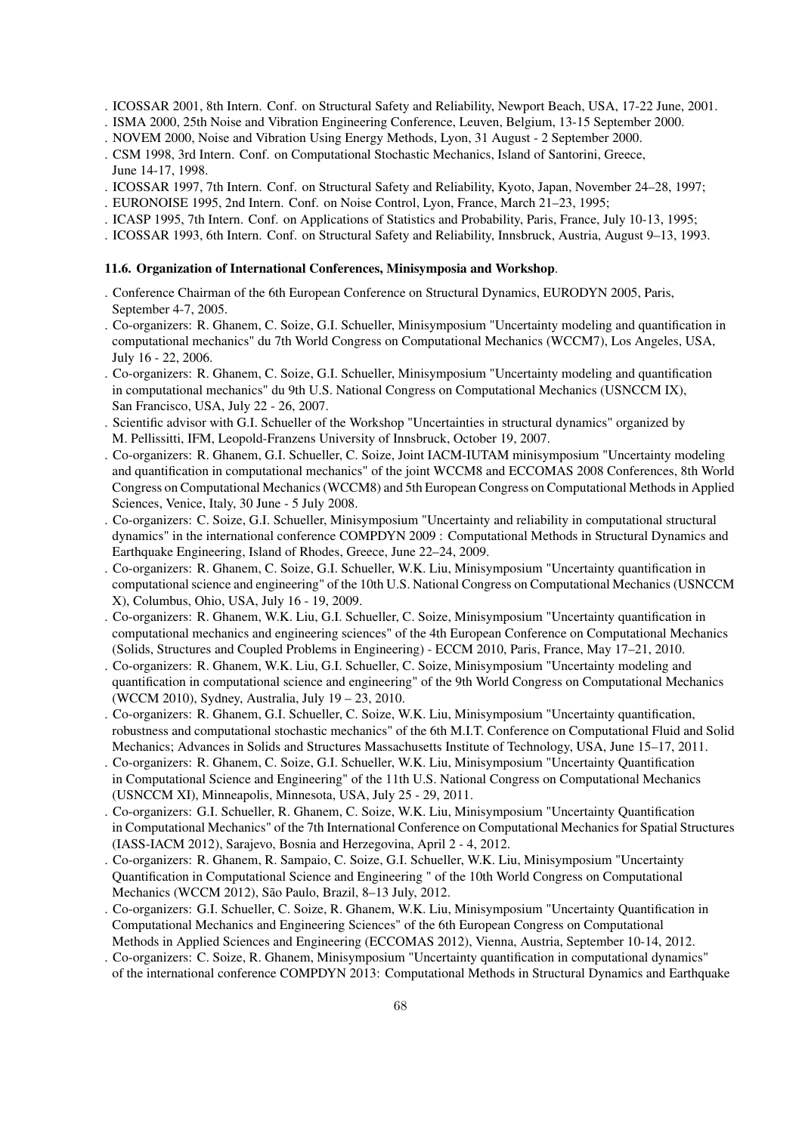- . ICOSSAR 2001, 8th Intern. Conf. on Structural Safety and Reliability, Newport Beach, USA, 17-22 June, 2001.
- . ISMA 2000, 25th Noise and Vibration Engineering Conference, Leuven, Belgium, 13-15 September 2000.
- . NOVEM 2000, Noise and Vibration Using Energy Methods, Lyon, 31 August 2 September 2000.
- . CSM 1998, 3rd Intern. Conf. on Computational Stochastic Mechanics, Island of Santorini, Greece, June 14-17, 1998.
- . ICOSSAR 1997, 7th Intern. Conf. on Structural Safety and Reliability, Kyoto, Japan, November 24–28, 1997;
- . EURONOISE 1995, 2nd Intern. Conf. on Noise Control, Lyon, France, March 21–23, 1995;
- . ICASP 1995, 7th Intern. Conf. on Applications of Statistics and Probability, Paris, France, July 10-13, 1995;
- . ICOSSAR 1993, 6th Intern. Conf. on Structural Safety and Reliability, Innsbruck, Austria, August 9–13, 1993.

#### 11.6. Organization of International Conferences, Minisymposia and Workshop.

- . Conference Chairman of the 6th European Conference on Structural Dynamics, EURODYN 2005, Paris, September 4-7, 2005.
- . Co-organizers: R. Ghanem, C. Soize, G.I. Schueller, Minisymposium "Uncertainty modeling and quantification in computational mechanics" du 7th World Congress on Computational Mechanics (WCCM7), Los Angeles, USA, July 16 - 22, 2006.
- . Co-organizers: R. Ghanem, C. Soize, G.I. Schueller, Minisymposium "Uncertainty modeling and quantification in computational mechanics" du 9th U.S. National Congress on Computational Mechanics (USNCCM IX), San Francisco, USA, July 22 - 26, 2007.
- . Scientific advisor with G.I. Schueller of the Workshop "Uncertainties in structural dynamics" organized by M. Pellissitti, IFM, Leopold-Franzens University of Innsbruck, October 19, 2007.
- . Co-organizers: R. Ghanem, G.I. Schueller, C. Soize, Joint IACM-IUTAM minisymposium "Uncertainty modeling and quantification in computational mechanics" of the joint WCCM8 and ECCOMAS 2008 Conferences, 8th World Congress on Computational Mechanics (WCCM8) and 5th European Congress on Computational Methods in Applied Sciences, Venice, Italy, 30 June - 5 July 2008.
- . Co-organizers: C. Soize, G.I. Schueller, Minisymposium "Uncertainty and reliability in computational structural dynamics" in the international conference COMPDYN 2009 : Computational Methods in Structural Dynamics and Earthquake Engineering, Island of Rhodes, Greece, June 22–24, 2009.
- . Co-organizers: R. Ghanem, C. Soize, G.I. Schueller, W.K. Liu, Minisymposium "Uncertainty quantification in computational science and engineering" of the 10th U.S. National Congress on Computational Mechanics (USNCCM X), Columbus, Ohio, USA, July 16 - 19, 2009.
- . Co-organizers: R. Ghanem, W.K. Liu, G.I. Schueller, C. Soize, Minisymposium "Uncertainty quantification in computational mechanics and engineering sciences" of the 4th European Conference on Computational Mechanics (Solids, Structures and Coupled Problems in Engineering) - ECCM 2010, Paris, France, May 17–21, 2010.
- . Co-organizers: R. Ghanem, W.K. Liu, G.I. Schueller, C. Soize, Minisymposium "Uncertainty modeling and quantification in computational science and engineering" of the 9th World Congress on Computational Mechanics (WCCM 2010), Sydney, Australia, July 19 – 23, 2010.
- . Co-organizers: R. Ghanem, G.I. Schueller, C. Soize, W.K. Liu, Minisymposium "Uncertainty quantification, robustness and computational stochastic mechanics" of the 6th M.I.T. Conference on Computational Fluid and Solid Mechanics; Advances in Solids and Structures Massachusetts Institute of Technology, USA, June 15–17, 2011.
- . Co-organizers: R. Ghanem, C. Soize, G.I. Schueller, W.K. Liu, Minisymposium "Uncertainty Quantification in Computational Science and Engineering" of the 11th U.S. National Congress on Computational Mechanics (USNCCM XI), Minneapolis, Minnesota, USA, July 25 - 29, 2011.
- . Co-organizers: G.I. Schueller, R. Ghanem, C. Soize, W.K. Liu, Minisymposium "Uncertainty Quantification in Computational Mechanics" of the 7th International Conference on Computational Mechanics for Spatial Structures (IASS-IACM 2012), Sarajevo, Bosnia and Herzegovina, April 2 - 4, 2012.
- . Co-organizers: R. Ghanem, R. Sampaio, C. Soize, G.I. Schueller, W.K. Liu, Minisymposium "Uncertainty Quantification in Computational Science and Engineering " of the 10th World Congress on Computational Mechanics (WCCM 2012), São Paulo, Brazil, 8–13 July, 2012.
- . Co-organizers: G.I. Schueller, C. Soize, R. Ghanem, W.K. Liu, Minisymposium "Uncertainty Quantification in Computational Mechanics and Engineering Sciences" of the 6th European Congress on Computational Methods in Applied Sciences and Engineering (ECCOMAS 2012), Vienna, Austria, September 10-14, 2012.
- . Co-organizers: C. Soize, R. Ghanem, Minisymposium "Uncertainty quantification in computational dynamics" of the international conference COMPDYN 2013: Computational Methods in Structural Dynamics and Earthquake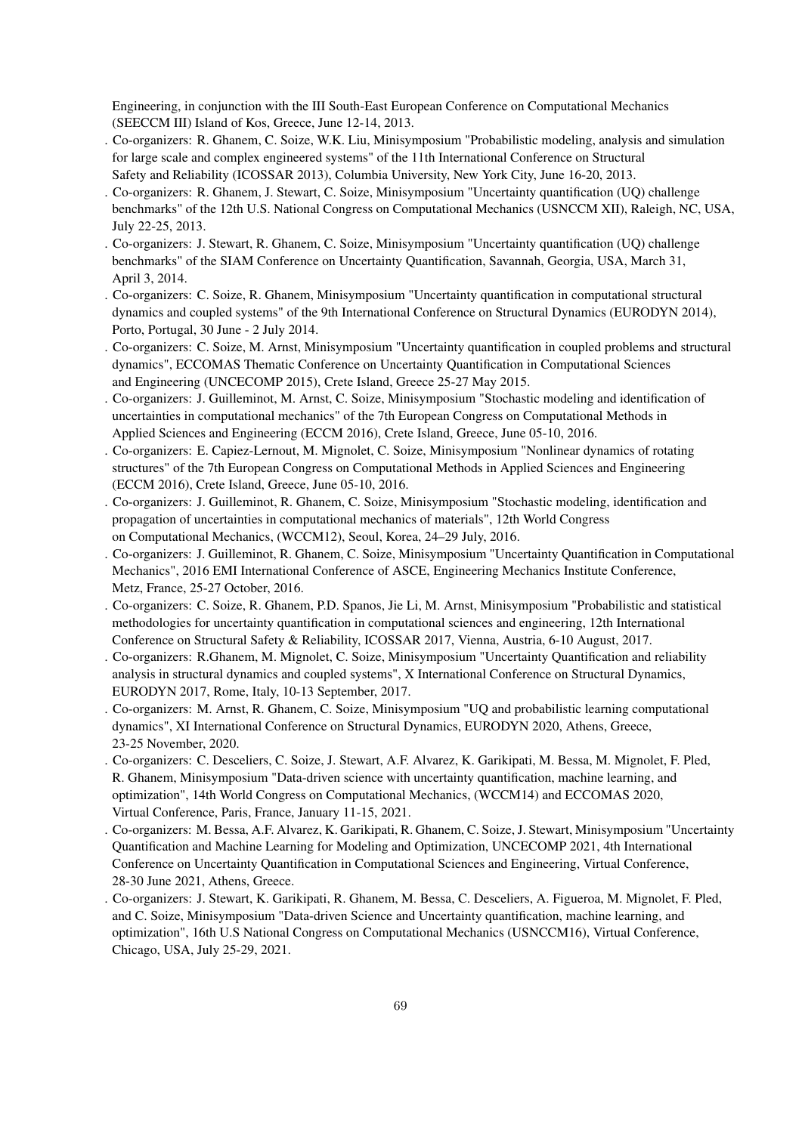Engineering, in conjunction with the III South-East European Conference on Computational Mechanics (SEECCM III) Island of Kos, Greece, June 12-14, 2013.

- . Co-organizers: R. Ghanem, C. Soize, W.K. Liu, Minisymposium "Probabilistic modeling, analysis and simulation for large scale and complex engineered systems" of the 11th International Conference on Structural Safety and Reliability (ICOSSAR 2013), Columbia University, New York City, June 16-20, 2013.
- . Co-organizers: R. Ghanem, J. Stewart, C. Soize, Minisymposium "Uncertainty quantification (UQ) challenge benchmarks" of the 12th U.S. National Congress on Computational Mechanics (USNCCM XII), Raleigh, NC, USA, July 22-25, 2013.
- . Co-organizers: J. Stewart, R. Ghanem, C. Soize, Minisymposium "Uncertainty quantification (UQ) challenge benchmarks" of the SIAM Conference on Uncertainty Quantification, Savannah, Georgia, USA, March 31, April 3, 2014.
- . Co-organizers: C. Soize, R. Ghanem, Minisymposium "Uncertainty quantification in computational structural dynamics and coupled systems" of the 9th International Conference on Structural Dynamics (EURODYN 2014), Porto, Portugal, 30 June - 2 July 2014.
- . Co-organizers: C. Soize, M. Arnst, Minisymposium "Uncertainty quantification in coupled problems and structural dynamics", ECCOMAS Thematic Conference on Uncertainty Quantification in Computational Sciences and Engineering (UNCECOMP 2015), Crete Island, Greece 25-27 May 2015.
- . Co-organizers: J. Guilleminot, M. Arnst, C. Soize, Minisymposium "Stochastic modeling and identification of uncertainties in computational mechanics" of the 7th European Congress on Computational Methods in Applied Sciences and Engineering (ECCM 2016), Crete Island, Greece, June 05-10, 2016.
- . Co-organizers: E. Capiez-Lernout, M. Mignolet, C. Soize, Minisymposium "Nonlinear dynamics of rotating structures" of the 7th European Congress on Computational Methods in Applied Sciences and Engineering (ECCM 2016), Crete Island, Greece, June 05-10, 2016.
- . Co-organizers: J. Guilleminot, R. Ghanem, C. Soize, Minisymposium "Stochastic modeling, identification and propagation of uncertainties in computational mechanics of materials", 12th World Congress on Computational Mechanics, (WCCM12), Seoul, Korea, 24–29 July, 2016.
- . Co-organizers: J. Guilleminot, R. Ghanem, C. Soize, Minisymposium "Uncertainty Quantification in Computational Mechanics", 2016 EMI International Conference of ASCE, Engineering Mechanics Institute Conference, Metz, France, 25-27 October, 2016.
- . Co-organizers: C. Soize, R. Ghanem, P.D. Spanos, Jie Li, M. Arnst, Minisymposium "Probabilistic and statistical methodologies for uncertainty quantification in computational sciences and engineering, 12th International Conference on Structural Safety & Reliability, ICOSSAR 2017, Vienna, Austria, 6-10 August, 2017.
- . Co-organizers: R.Ghanem, M. Mignolet, C. Soize, Minisymposium "Uncertainty Quantification and reliability analysis in structural dynamics and coupled systems", X International Conference on Structural Dynamics, EURODYN 2017, Rome, Italy, 10-13 September, 2017.
- . Co-organizers: M. Arnst, R. Ghanem, C. Soize, Minisymposium "UQ and probabilistic learning computational dynamics", XI International Conference on Structural Dynamics, EURODYN 2020, Athens, Greece, 23-25 November, 2020.
- . Co-organizers: C. Desceliers, C. Soize, J. Stewart, A.F. Alvarez, K. Garikipati, M. Bessa, M. Mignolet, F. Pled, R. Ghanem, Minisymposium "Data-driven science with uncertainty quantification, machine learning, and optimization", 14th World Congress on Computational Mechanics, (WCCM14) and ECCOMAS 2020, Virtual Conference, Paris, France, January 11-15, 2021.
- . Co-organizers: M. Bessa, A.F. Alvarez, K. Garikipati, R. Ghanem, C. Soize, J. Stewart, Minisymposium "Uncertainty Quantification and Machine Learning for Modeling and Optimization, UNCECOMP 2021, 4th International Conference on Uncertainty Quantification in Computational Sciences and Engineering, Virtual Conference, 28-30 June 2021, Athens, Greece.
- . Co-organizers: J. Stewart, K. Garikipati, R. Ghanem, M. Bessa, C. Desceliers, A. Figueroa, M. Mignolet, F. Pled, and C. Soize, Minisymposium "Data-driven Science and Uncertainty quantification, machine learning, and optimization", 16th U.S National Congress on Computational Mechanics (USNCCM16), Virtual Conference, Chicago, USA, July 25-29, 2021.